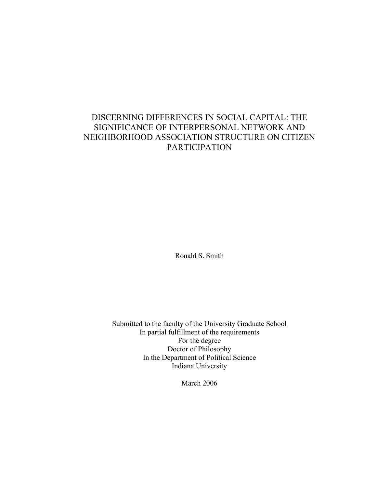## DISCERNING DIFFERENCES IN SOCIAL CAPITAL: THE SIGNIFICANCE OF INTERPERSONAL NETWORK AND NEIGHBORHOOD ASSOCIATION STRUCTURE ON CITIZEN PARTICIPATION

Ronald S. Smith

Submitted to the faculty of the University Graduate School In partial fulfillment of the requirements For the degree Doctor of Philosophy In the Department of Political Science Indiana University

March 2006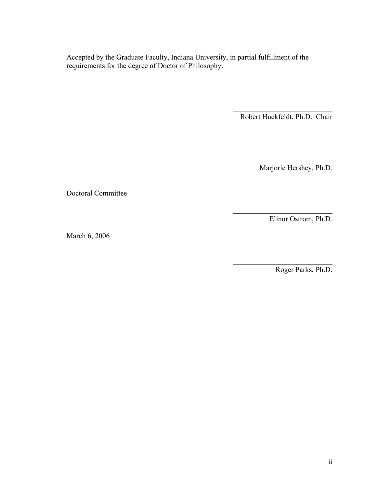Accepted by the Graduate Faculty, Indiana University, in partial fulfillment of the requirements for the degree of Doctor of Philosophy.

> $\overline{\phantom{a}}$  , where  $\overline{\phantom{a}}$  , where  $\overline{\phantom{a}}$  , where  $\overline{\phantom{a}}$  , where  $\overline{\phantom{a}}$ Robert Huckfeldt, Ph.D. Chair

> $\frac{1}{2}$  ,  $\frac{1}{2}$  ,  $\frac{1}{2}$  ,  $\frac{1}{2}$  ,  $\frac{1}{2}$  ,  $\frac{1}{2}$  ,  $\frac{1}{2}$  ,  $\frac{1}{2}$  ,  $\frac{1}{2}$  ,  $\frac{1}{2}$  ,  $\frac{1}{2}$  ,  $\frac{1}{2}$  ,  $\frac{1}{2}$  ,  $\frac{1}{2}$  ,  $\frac{1}{2}$  ,  $\frac{1}{2}$  ,  $\frac{1}{2}$  ,  $\frac{1}{2}$  ,  $\frac{1$ Marjorie Hershey, Ph.D.

Doctoral Committee

Elinor Ostrom, Ph.D.

\_\_\_\_\_\_\_\_\_\_\_\_\_\_\_\_\_\_\_\_\_\_\_\_\_\_\_

March 6, 2006

\_\_\_\_\_\_\_\_\_\_\_\_\_\_\_\_\_\_\_\_\_\_\_\_\_\_\_ Roger Parks, Ph.D.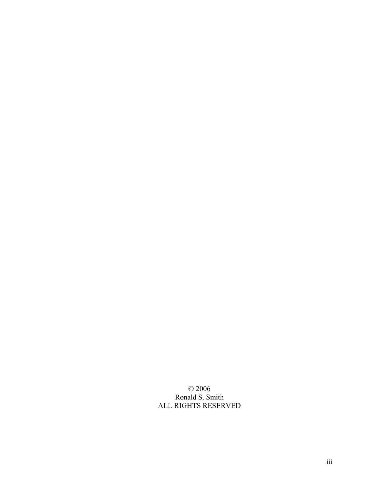© 2006 Ronald S. Smith ALL RIGHTS RESERVED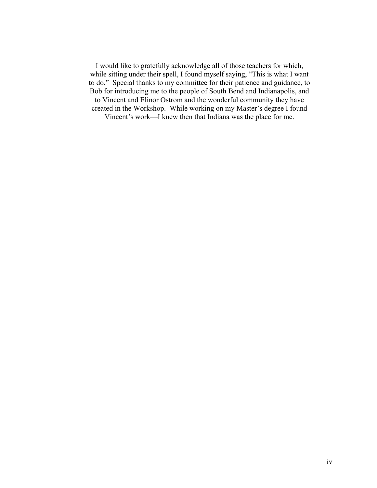I would like to gratefully acknowledge all of those teachers for which, while sitting under their spell, I found myself saying, "This is what I want to do." Special thanks to my committee for their patience and guidance, to Bob for introducing me to the people of South Bend and Indianapolis, and to Vincent and Elinor Ostrom and the wonderful community they have created in the Workshop. While working on my Master's degree I found Vincent's work—I knew then that Indiana was the place for me.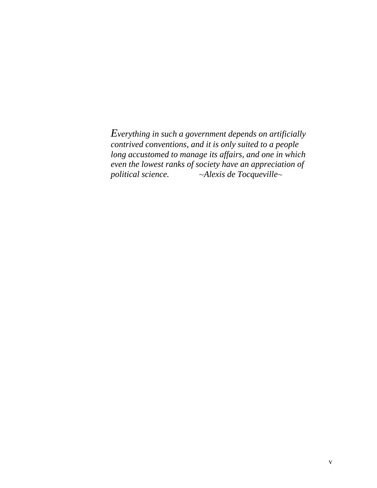*Everything in such a government depends on artificially contrived conventions, and it is only suited to a people long accustomed to manage its affairs, and one in which even the lowest ranks of society have an appreciation of political science.* ~*Alexis de Tocqueville*~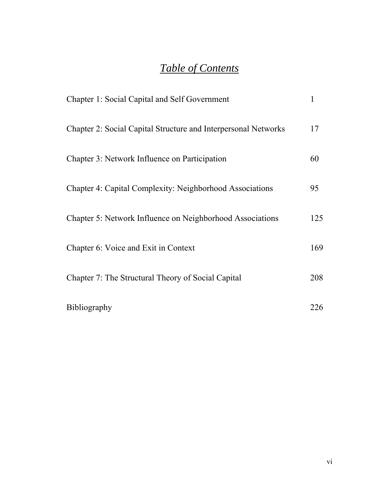# *Table of Contents*

| <b>Chapter 1: Social Capital and Self Government</b>            | 1   |
|-----------------------------------------------------------------|-----|
| Chapter 2: Social Capital Structure and Interpersonal Networks  | 17  |
| Chapter 3: Network Influence on Participation                   | 60  |
| <b>Chapter 4: Capital Complexity: Neighborhood Associations</b> | 95  |
| Chapter 5: Network Influence on Neighborhood Associations       | 125 |
| Chapter 6: Voice and Exit in Context                            | 169 |
| Chapter 7: The Structural Theory of Social Capital              | 208 |
| <b>Bibliography</b>                                             | 226 |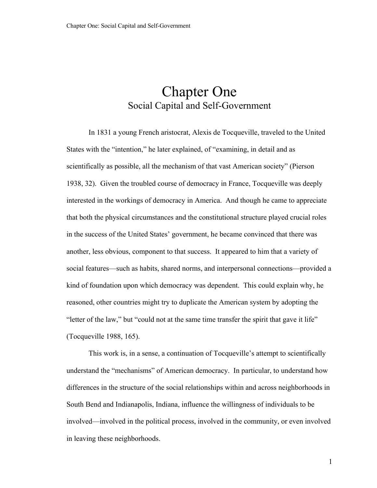## Chapter One Social Capital and Self-Government

In 1831 a young French aristocrat, Alexis de Tocqueville, traveled to the United States with the "intention," he later explained, of "examining, in detail and as scientifically as possible, all the mechanism of that vast American society" (Pierson 1938, 32). Given the troubled course of democracy in France, Tocqueville was deeply interested in the workings of democracy in America. And though he came to appreciate that both the physical circumstances and the constitutional structure played crucial roles in the success of the United States' government, he became convinced that there was another, less obvious, component to that success. It appeared to him that a variety of social features—such as habits, shared norms, and interpersonal connections—provided a kind of foundation upon which democracy was dependent. This could explain why, he reasoned, other countries might try to duplicate the American system by adopting the "letter of the law," but "could not at the same time transfer the spirit that gave it life" (Tocqueville 1988, 165).

This work is, in a sense, a continuation of Tocqueville's attempt to scientifically understand the "mechanisms" of American democracy. In particular, to understand how differences in the structure of the social relationships within and across neighborhoods in South Bend and Indianapolis, Indiana, influence the willingness of individuals to be involved—involved in the political process, involved in the community, or even involved in leaving these neighborhoods.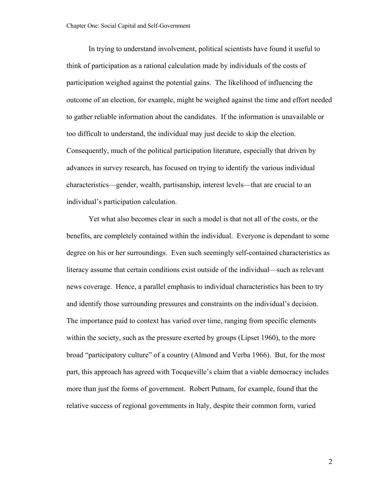In trying to understand involvement, political scientists have found it useful to think of participation as a rational calculation made by individuals of the costs of participation weighed against the potential gains. The likelihood of influencing the outcome of an election, for example, might be weighed against the time and effort needed to gather reliable information about the candidates. If the information is unavailable or too difficult to understand, the individual may just decide to skip the election. Consequently, much of the political participation literature, especially that driven by advances in survey research, has focused on trying to identify the various individual characteristics—gender, wealth, partisanship, interest levels—that are crucial to an individual's participation calculation.

Yet what also becomes clear in such a model is that not all of the costs, or the benefits, are completely contained within the individual. Everyone is dependant to some degree on his or her surroundings. Even such seemingly self-contained characteristics as literacy assume that certain conditions exist outside of the individual—such as relevant news coverage. Hence, a parallel emphasis to individual characteristics has been to try and identify those surrounding pressures and constraints on the individual's decision. The importance paid to context has varied over time, ranging from specific elements within the society, such as the pressure exerted by groups (Lipset 1960), to the more broad "participatory culture" of a country (Almond and Verba 1966). But, for the most part, this approach has agreed with Tocqueville's claim that a viable democracy includes more than just the forms of government. Robert Putnam, for example, found that the relative success of regional governments in Italy, despite their common form, varied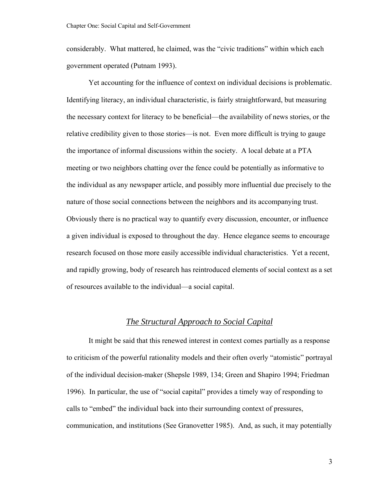considerably. What mattered, he claimed, was the "civic traditions" within which each government operated (Putnam 1993).

Yet accounting for the influence of context on individual decisions is problematic. Identifying literacy, an individual characteristic, is fairly straightforward, but measuring the necessary context for literacy to be beneficial—the availability of news stories, or the relative credibility given to those stories—is not. Even more difficult is trying to gauge the importance of informal discussions within the society. A local debate at a PTA meeting or two neighbors chatting over the fence could be potentially as informative to the individual as any newspaper article, and possibly more influential due precisely to the nature of those social connections between the neighbors and its accompanying trust. Obviously there is no practical way to quantify every discussion, encounter, or influence a given individual is exposed to throughout the day. Hence elegance seems to encourage research focused on those more easily accessible individual characteristics. Yet a recent, and rapidly growing, body of research has reintroduced elements of social context as a set of resources available to the individual—a social capital.

### *The Structural Approach to Social Capital*

It might be said that this renewed interest in context comes partially as a response to criticism of the powerful rationality models and their often overly "atomistic" portrayal of the individual decision-maker (Shepsle 1989, 134; Green and Shapiro 1994; Friedman 1996). In particular, the use of "social capital" provides a timely way of responding to calls to "embed" the individual back into their surrounding context of pressures, communication, and institutions (See Granovetter 1985). And, as such, it may potentially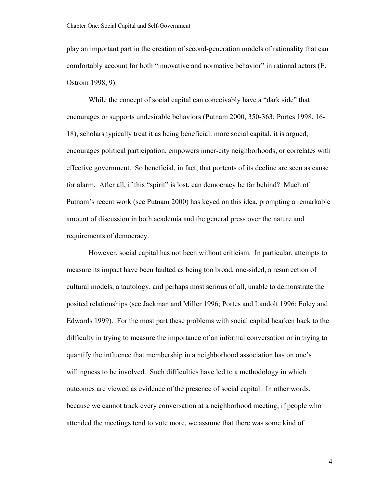play an important part in the creation of second-generation models of rationality that can comfortably account for both "innovative and normative behavior" in rational actors (E. Ostrom 1998, 9).

While the concept of social capital can conceivably have a "dark side" that encourages or supports undesirable behaviors (Putnam 2000, 350-363; Portes 1998, 16- 18), scholars typically treat it as being beneficial: more social capital, it is argued, encourages political participation, empowers inner-city neighborhoods, or correlates with effective government. So beneficial, in fact, that portents of its decline are seen as cause for alarm. After all, if this "spirit" is lost, can democracy be far behind? Much of Putnam's recent work (see Putnam 2000) has keyed on this idea, prompting a remarkable amount of discussion in both academia and the general press over the nature and requirements of democracy.

However, social capital has not been without criticism. In particular, attempts to measure its impact have been faulted as being too broad, one-sided, a resurrection of cultural models, a tautology, and perhaps most serious of all, unable to demonstrate the posited relationships (see Jackman and Miller 1996; Portes and Landolt 1996; Foley and Edwards 1999). For the most part these problems with social capital hearken back to the difficulty in trying to measure the importance of an informal conversation or in trying to quantify the influence that membership in a neighborhood association has on one's willingness to be involved. Such difficulties have led to a methodology in which outcomes are viewed as evidence of the presence of social capital. In other words, because we cannot track every conversation at a neighborhood meeting, if people who attended the meetings tend to vote more, we assume that there was some kind of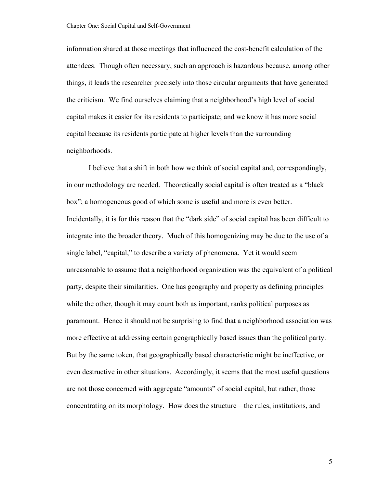information shared at those meetings that influenced the cost-benefit calculation of the attendees. Though often necessary, such an approach is hazardous because, among other things, it leads the researcher precisely into those circular arguments that have generated the criticism. We find ourselves claiming that a neighborhood's high level of social capital makes it easier for its residents to participate; and we know it has more social capital because its residents participate at higher levels than the surrounding neighborhoods.

I believe that a shift in both how we think of social capital and, correspondingly, in our methodology are needed. Theoretically social capital is often treated as a "black box"; a homogeneous good of which some is useful and more is even better. Incidentally, it is for this reason that the "dark side" of social capital has been difficult to integrate into the broader theory. Much of this homogenizing may be due to the use of a single label, "capital," to describe a variety of phenomena. Yet it would seem unreasonable to assume that a neighborhood organization was the equivalent of a political party, despite their similarities. One has geography and property as defining principles while the other, though it may count both as important, ranks political purposes as paramount. Hence it should not be surprising to find that a neighborhood association was more effective at addressing certain geographically based issues than the political party. But by the same token, that geographically based characteristic might be ineffective, or even destructive in other situations. Accordingly, it seems that the most useful questions are not those concerned with aggregate "amounts" of social capital, but rather, those concentrating on its morphology. How does the structure—the rules, institutions, and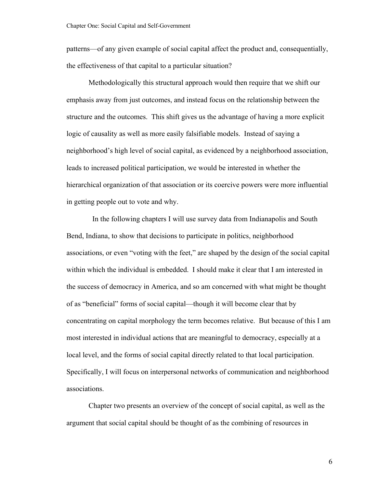patterns—of any given example of social capital affect the product and, consequentially, the effectiveness of that capital to a particular situation?

Methodologically this structural approach would then require that we shift our emphasis away from just outcomes, and instead focus on the relationship between the structure and the outcomes. This shift gives us the advantage of having a more explicit logic of causality as well as more easily falsifiable models. Instead of saying a neighborhood's high level of social capital, as evidenced by a neighborhood association, leads to increased political participation, we would be interested in whether the hierarchical organization of that association or its coercive powers were more influential in getting people out to vote and why.

 In the following chapters I will use survey data from Indianapolis and South Bend, Indiana, to show that decisions to participate in politics, neighborhood associations, or even "voting with the feet," are shaped by the design of the social capital within which the individual is embedded. I should make it clear that I am interested in the success of democracy in America, and so am concerned with what might be thought of as "beneficial" forms of social capital—though it will become clear that by concentrating on capital morphology the term becomes relative. But because of this I am most interested in individual actions that are meaningful to democracy, especially at a local level, and the forms of social capital directly related to that local participation. Specifically, I will focus on interpersonal networks of communication and neighborhood associations.

Chapter two presents an overview of the concept of social capital, as well as the argument that social capital should be thought of as the combining of resources in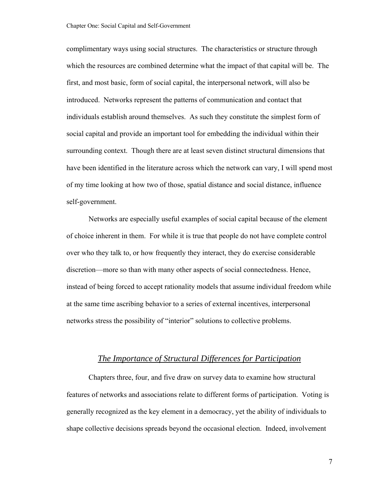complimentary ways using social structures. The characteristics or structure through which the resources are combined determine what the impact of that capital will be. The first, and most basic, form of social capital, the interpersonal network, will also be introduced. Networks represent the patterns of communication and contact that individuals establish around themselves. As such they constitute the simplest form of social capital and provide an important tool for embedding the individual within their surrounding context. Though there are at least seven distinct structural dimensions that have been identified in the literature across which the network can vary, I will spend most of my time looking at how two of those, spatial distance and social distance, influence self-government.

Networks are especially useful examples of social capital because of the element of choice inherent in them. For while it is true that people do not have complete control over who they talk to, or how frequently they interact, they do exercise considerable discretion—more so than with many other aspects of social connectedness. Hence, instead of being forced to accept rationality models that assume individual freedom while at the same time ascribing behavior to a series of external incentives, interpersonal networks stress the possibility of "interior" solutions to collective problems.

### *The Importance of Structural Differences for Participation*

Chapters three, four, and five draw on survey data to examine how structural features of networks and associations relate to different forms of participation. Voting is generally recognized as the key element in a democracy, yet the ability of individuals to shape collective decisions spreads beyond the occasional election. Indeed, involvement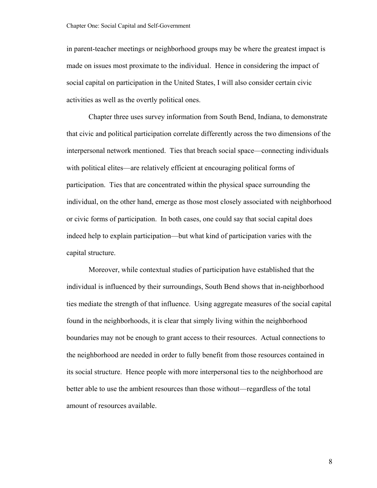in parent-teacher meetings or neighborhood groups may be where the greatest impact is made on issues most proximate to the individual. Hence in considering the impact of social capital on participation in the United States, I will also consider certain civic activities as well as the overtly political ones.

Chapter three uses survey information from South Bend, Indiana, to demonstrate that civic and political participation correlate differently across the two dimensions of the interpersonal network mentioned. Ties that breach social space—connecting individuals with political elites—are relatively efficient at encouraging political forms of participation. Ties that are concentrated within the physical space surrounding the individual, on the other hand, emerge as those most closely associated with neighborhood or civic forms of participation. In both cases, one could say that social capital does indeed help to explain participation—but what kind of participation varies with the capital structure.

Moreover, while contextual studies of participation have established that the individual is influenced by their surroundings, South Bend shows that in-neighborhood ties mediate the strength of that influence. Using aggregate measures of the social capital found in the neighborhoods, it is clear that simply living within the neighborhood boundaries may not be enough to grant access to their resources. Actual connections to the neighborhood are needed in order to fully benefit from those resources contained in its social structure. Hence people with more interpersonal ties to the neighborhood are better able to use the ambient resources than those without—regardless of the total amount of resources available.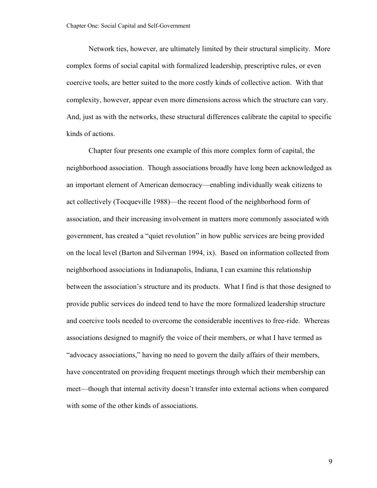Network ties, however, are ultimately limited by their structural simplicity. More complex forms of social capital with formalized leadership, prescriptive rules, or even coercive tools, are better suited to the more costly kinds of collective action. With that complexity, however, appear even more dimensions across which the structure can vary. And, just as with the networks, these structural differences calibrate the capital to specific kinds of actions.

Chapter four presents one example of this more complex form of capital, the neighborhood association. Though associations broadly have long been acknowledged as an important element of American democracy—enabling individually weak citizens to act collectively (Tocqueville 1988)—the recent flood of the neighborhood form of association, and their increasing involvement in matters more commonly associated with government, has created a "quiet revolution" in how public services are being provided on the local level (Barton and Silverman 1994, ix). Based on information collected from neighborhood associations in Indianapolis, Indiana, I can examine this relationship between the association's structure and its products. What I find is that those designed to provide public services do indeed tend to have the more formalized leadership structure and coercive tools needed to overcome the considerable incentives to free-ride. Whereas associations designed to magnify the voice of their members, or what I have termed as "advocacy associations," having no need to govern the daily affairs of their members, have concentrated on providing frequent meetings through which their membership can meet—though that internal activity doesn't transfer into external actions when compared with some of the other kinds of associations.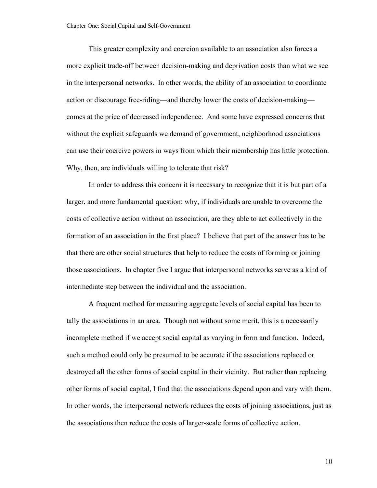This greater complexity and coercion available to an association also forces a more explicit trade-off between decision-making and deprivation costs than what we see in the interpersonal networks. In other words, the ability of an association to coordinate action or discourage free-riding—and thereby lower the costs of decision-making comes at the price of decreased independence. And some have expressed concerns that without the explicit safeguards we demand of government, neighborhood associations can use their coercive powers in ways from which their membership has little protection. Why, then, are individuals willing to tolerate that risk?

In order to address this concern it is necessary to recognize that it is but part of a larger, and more fundamental question: why, if individuals are unable to overcome the costs of collective action without an association, are they able to act collectively in the formation of an association in the first place? I believe that part of the answer has to be that there are other social structures that help to reduce the costs of forming or joining those associations. In chapter five I argue that interpersonal networks serve as a kind of intermediate step between the individual and the association.

A frequent method for measuring aggregate levels of social capital has been to tally the associations in an area. Though not without some merit, this is a necessarily incomplete method if we accept social capital as varying in form and function. Indeed, such a method could only be presumed to be accurate if the associations replaced or destroyed all the other forms of social capital in their vicinity. But rather than replacing other forms of social capital, I find that the associations depend upon and vary with them. In other words, the interpersonal network reduces the costs of joining associations, just as the associations then reduce the costs of larger-scale forms of collective action.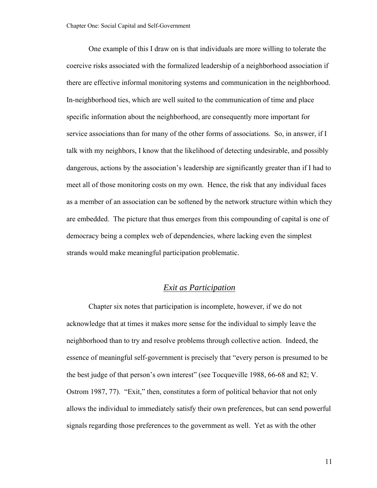One example of this I draw on is that individuals are more willing to tolerate the coercive risks associated with the formalized leadership of a neighborhood association if there are effective informal monitoring systems and communication in the neighborhood. In-neighborhood ties, which are well suited to the communication of time and place specific information about the neighborhood, are consequently more important for service associations than for many of the other forms of associations. So, in answer, if I talk with my neighbors, I know that the likelihood of detecting undesirable, and possibly dangerous, actions by the association's leadership are significantly greater than if I had to meet all of those monitoring costs on my own. Hence, the risk that any individual faces as a member of an association can be softened by the network structure within which they are embedded. The picture that thus emerges from this compounding of capital is one of democracy being a complex web of dependencies, where lacking even the simplest strands would make meaningful participation problematic.

### *Exit as Participation*

Chapter six notes that participation is incomplete, however, if we do not acknowledge that at times it makes more sense for the individual to simply leave the neighborhood than to try and resolve problems through collective action. Indeed, the essence of meaningful self-government is precisely that "every person is presumed to be the best judge of that person's own interest" (see Tocqueville 1988, 66-68 and 82; V. Ostrom 1987, 77). "Exit," then, constitutes a form of political behavior that not only allows the individual to immediately satisfy their own preferences, but can send powerful signals regarding those preferences to the government as well. Yet as with the other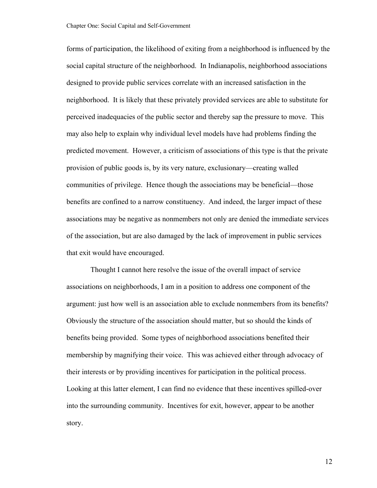forms of participation, the likelihood of exiting from a neighborhood is influenced by the social capital structure of the neighborhood. In Indianapolis, neighborhood associations designed to provide public services correlate with an increased satisfaction in the neighborhood. It is likely that these privately provided services are able to substitute for perceived inadequacies of the public sector and thereby sap the pressure to move. This may also help to explain why individual level models have had problems finding the predicted movement. However, a criticism of associations of this type is that the private provision of public goods is, by its very nature, exclusionary—creating walled communities of privilege. Hence though the associations may be beneficial—those benefits are confined to a narrow constituency. And indeed, the larger impact of these associations may be negative as nonmembers not only are denied the immediate services of the association, but are also damaged by the lack of improvement in public services that exit would have encouraged.

 Thought I cannot here resolve the issue of the overall impact of service associations on neighborhoods, I am in a position to address one component of the argument: just how well is an association able to exclude nonmembers from its benefits? Obviously the structure of the association should matter, but so should the kinds of benefits being provided. Some types of neighborhood associations benefited their membership by magnifying their voice. This was achieved either through advocacy of their interests or by providing incentives for participation in the political process. Looking at this latter element, I can find no evidence that these incentives spilled-over into the surrounding community. Incentives for exit, however, appear to be another story.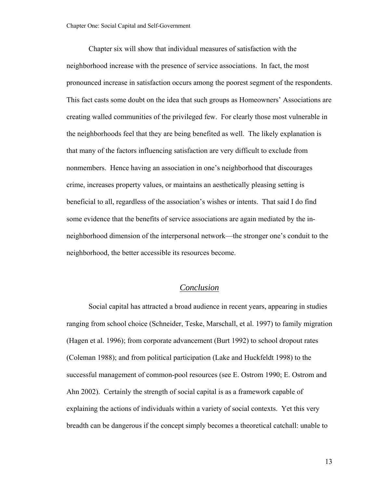Chapter six will show that individual measures of satisfaction with the neighborhood increase with the presence of service associations. In fact, the most pronounced increase in satisfaction occurs among the poorest segment of the respondents. This fact casts some doubt on the idea that such groups as Homeowners' Associations are creating walled communities of the privileged few. For clearly those most vulnerable in the neighborhoods feel that they are being benefited as well. The likely explanation is that many of the factors influencing satisfaction are very difficult to exclude from nonmembers. Hence having an association in one's neighborhood that discourages crime, increases property values, or maintains an aesthetically pleasing setting is beneficial to all, regardless of the association's wishes or intents. That said I do find some evidence that the benefits of service associations are again mediated by the inneighborhood dimension of the interpersonal network—the stronger one's conduit to the neighborhood, the better accessible its resources become.

### *Conclusion*

Social capital has attracted a broad audience in recent years, appearing in studies ranging from school choice (Schneider, Teske, Marschall, et al. 1997) to family migration (Hagen et al. 1996); from corporate advancement (Burt 1992) to school dropout rates (Coleman 1988); and from political participation (Lake and Huckfeldt 1998) to the successful management of common-pool resources (see E. Ostrom 1990; E. Ostrom and Ahn 2002). Certainly the strength of social capital is as a framework capable of explaining the actions of individuals within a variety of social contexts. Yet this very breadth can be dangerous if the concept simply becomes a theoretical catchall: unable to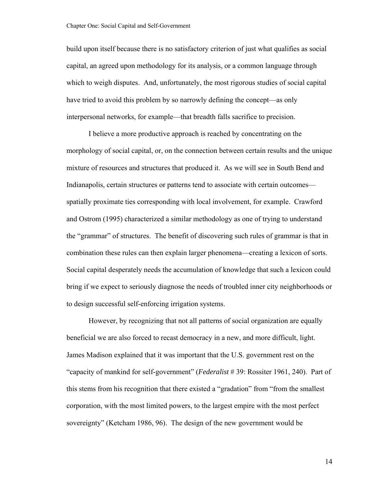build upon itself because there is no satisfactory criterion of just what qualifies as social capital, an agreed upon methodology for its analysis, or a common language through which to weigh disputes. And, unfortunately, the most rigorous studies of social capital have tried to avoid this problem by so narrowly defining the concept—as only interpersonal networks, for example—that breadth falls sacrifice to precision.

I believe a more productive approach is reached by concentrating on the morphology of social capital, or, on the connection between certain results and the unique mixture of resources and structures that produced it. As we will see in South Bend and Indianapolis, certain structures or patterns tend to associate with certain outcomes spatially proximate ties corresponding with local involvement, for example. Crawford and Ostrom (1995) characterized a similar methodology as one of trying to understand the "grammar" of structures. The benefit of discovering such rules of grammar is that in combination these rules can then explain larger phenomena—creating a lexicon of sorts. Social capital desperately needs the accumulation of knowledge that such a lexicon could bring if we expect to seriously diagnose the needs of troubled inner city neighborhoods or to design successful self-enforcing irrigation systems.

However, by recognizing that not all patterns of social organization are equally beneficial we are also forced to recast democracy in a new, and more difficult, light. James Madison explained that it was important that the U.S. government rest on the "capacity of mankind for self-government" (*Federalist* # 39: Rossiter 1961, 240). Part of this stems from his recognition that there existed a "gradation" from "from the smallest corporation, with the most limited powers, to the largest empire with the most perfect sovereignty" (Ketcham 1986, 96). The design of the new government would be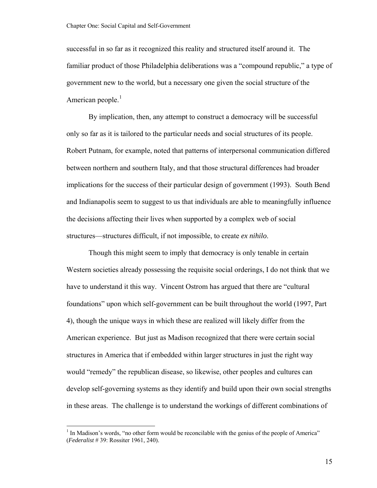<span id="page-20-0"></span>successful in so far as it recognized this reality and structured itself around it. The familiar product of those Philadelphia deliberations was a "compound republic," a type of government new to the world, but a necessary one given the social structure of the American people.<sup>[1](#page-20-0)</sup>

By implication, then, any attempt to construct a democracy will be successful only so far as it is tailored to the particular needs and social structures of its people. Robert Putnam, for example, noted that patterns of interpersonal communication differed between northern and southern Italy, and that those structural differences had broader implications for the success of their particular design of government (1993). South Bend and Indianapolis seem to suggest to us that individuals are able to meaningfully influence the decisions affecting their lives when supported by a complex web of social structures—structures difficult, if not impossible, to create *ex nihilo*.

Though this might seem to imply that democracy is only tenable in certain Western societies already possessing the requisite social orderings, I do not think that we have to understand it this way. Vincent Ostrom has argued that there are "cultural foundations" upon which self-government can be built throughout the world (1997, Part 4), though the unique ways in which these are realized will likely differ from the American experience. But just as Madison recognized that there were certain social structures in America that if embedded within larger structures in just the right way would "remedy" the republican disease, so likewise, other peoples and cultures can develop self-governing systems as they identify and build upon their own social strengths in these areas. The challenge is to understand the workings of different combinations of

 $\overline{a}$ 

<sup>&</sup>lt;sup>1</sup> In Madison's words, "no other form would be reconcilable with the genius of the people of America" (*Federalist* # 39: Rossiter 1961, 240).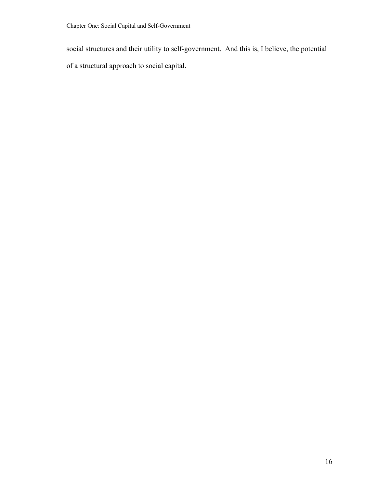social structures and their utility to self-government. And this is, I believe, the potential of a structural approach to social capital.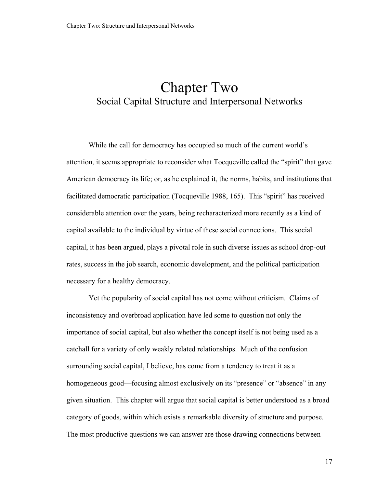## Chapter Two Social Capital Structure and Interpersonal Networks

While the call for democracy has occupied so much of the current world's attention, it seems appropriate to reconsider what Tocqueville called the "spirit" that gave American democracy its life; or, as he explained it, the norms, habits, and institutions that facilitated democratic participation (Tocqueville 1988, 165). This "spirit" has received considerable attention over the years, being recharacterized more recently as a kind of capital available to the individual by virtue of these social connections. This social capital, it has been argued, plays a pivotal role in such diverse issues as school drop-out rates, success in the job search, economic development, and the political participation necessary for a healthy democracy.

Yet the popularity of social capital has not come without criticism. Claims of inconsistency and overbroad application have led some to question not only the importance of social capital, but also whether the concept itself is not being used as a catchall for a variety of only weakly related relationships. Much of the confusion surrounding social capital, I believe, has come from a tendency to treat it as a homogeneous good—focusing almost exclusively on its "presence" or "absence" in any given situation. This chapter will argue that social capital is better understood as a broad category of goods, within which exists a remarkable diversity of structure and purpose. The most productive questions we can answer are those drawing connections between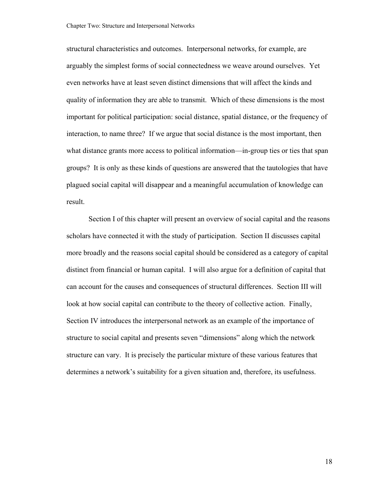structural characteristics and outcomes. Interpersonal networks, for example, are arguably the simplest forms of social connectedness we weave around ourselves. Yet even networks have at least seven distinct dimensions that will affect the kinds and quality of information they are able to transmit. Which of these dimensions is the most important for political participation: social distance, spatial distance, or the frequency of interaction, to name three? If we argue that social distance is the most important, then what distance grants more access to political information—in-group ties or ties that span groups? It is only as these kinds of questions are answered that the tautologies that have plagued social capital will disappear and a meaningful accumulation of knowledge can result.

Section I of this chapter will present an overview of social capital and the reasons scholars have connected it with the study of participation. Section II discusses capital more broadly and the reasons social capital should be considered as a category of capital distinct from financial or human capital. I will also argue for a definition of capital that can account for the causes and consequences of structural differences. Section III will look at how social capital can contribute to the theory of collective action. Finally, Section IV introduces the interpersonal network as an example of the importance of structure to social capital and presents seven "dimensions" along which the network structure can vary. It is precisely the particular mixture of these various features that determines a network's suitability for a given situation and, therefore, its usefulness.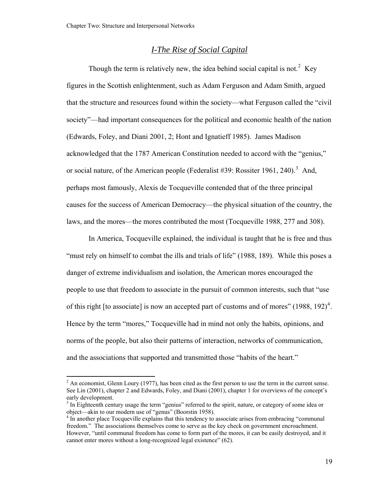#### *I-The Rise of Social Capital*

<span id="page-24-0"></span>Though the term is relatively new, the idea behind social capital is not.<sup>[2](#page-24-0)</sup> Key figures in the Scottish enlightenment, such as Adam Ferguson and Adam Smith, argued that the structure and resources found within the society—what Ferguson called the "civil society"—had important consequences for the political and economic health of the nation (Edwards, Foley, and Diani 2001, 2; Hont and Ignatieff 1985). James Madison acknowledged that the 1787 American Constitution needed to accord with the "genius," or social nature, of the American people (Federalist #[3](#page-24-0)9: Rossiter 1961, 240).<sup>3</sup> And, perhaps most famously, Alexis de Tocqueville contended that of the three principal causes for the success of American Democracy—the physical situation of the country, the laws, and the mores—the mores contributed the most (Tocqueville 1988, 277 and 308).

In America, Tocqueville explained, the individual is taught that he is free and thus "must rely on himself to combat the ills and trials of life" (1988, 189). While this poses a danger of extreme individualism and isolation, the American mores encouraged the people to use that freedom to associate in the pursuit of common interests, such that "use of this right [to associate] is now an accepted part of customs and of mores"  $(1988, 192)^4$  $(1988, 192)^4$ . Hence by the term "mores," Tocqueville had in mind not only the habits, opinions, and norms of the people, but also their patterns of interaction, networks of communication, and the associations that supported and transmitted those "habits of the heart."

 $\overline{a}$ 

 $2^2$  An economist, Glenn Loury (1977), has been cited as the first person to use the term in the current sense. See Lin (2001), chapter 2 and Edwards, Foley, and Diani (2001), chapter 1 for overviews of the concept's early development.

<sup>&</sup>lt;sup>3</sup> In Eighteenth century usage the term "genius" referred to the spirit, nature, or category of some idea or object—akin to our modern use of "genus" (Boorstin 1958).

<sup>&</sup>lt;sup>4</sup> In another place Tocqueville explains that this tendency to associate arises from embracing "communal" freedom." The associations themselves come to serve as the key check on government encroachment. However, "until communal freedom has come to form part of the mores, it can be easily destroyed, and it cannot enter mores without a long-recognized legal existence" (62).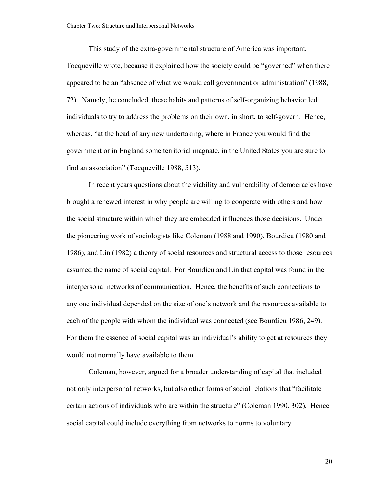This study of the extra-governmental structure of America was important, Tocqueville wrote, because it explained how the society could be "governed" when there appeared to be an "absence of what we would call government or administration" (1988, 72). Namely, he concluded, these habits and patterns of self-organizing behavior led individuals to try to address the problems on their own, in short, to self-govern. Hence, whereas, "at the head of any new undertaking, where in France you would find the government or in England some territorial magnate, in the United States you are sure to find an association" (Tocqueville 1988, 513).

In recent years questions about the viability and vulnerability of democracies have brought a renewed interest in why people are willing to cooperate with others and how the social structure within which they are embedded influences those decisions. Under the pioneering work of sociologists like Coleman (1988 and 1990), Bourdieu (1980 and 1986), and Lin (1982) a theory of social resources and structural access to those resources assumed the name of social capital. For Bourdieu and Lin that capital was found in the interpersonal networks of communication. Hence, the benefits of such connections to any one individual depended on the size of one's network and the resources available to each of the people with whom the individual was connected (see Bourdieu 1986, 249). For them the essence of social capital was an individual's ability to get at resources they would not normally have available to them.

Coleman, however, argued for a broader understanding of capital that included not only interpersonal networks, but also other forms of social relations that "facilitate certain actions of individuals who are within the structure" (Coleman 1990, 302). Hence social capital could include everything from networks to norms to voluntary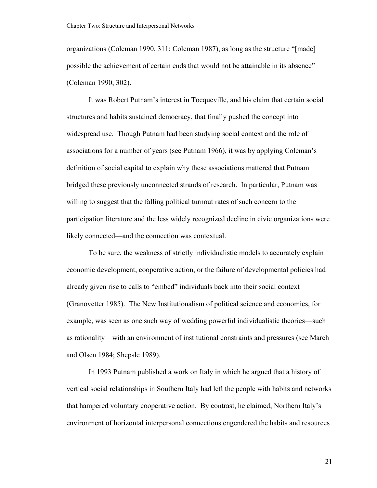organizations (Coleman 1990, 311; Coleman 1987), as long as the structure "[made] possible the achievement of certain ends that would not be attainable in its absence" (Coleman 1990, 302).

It was Robert Putnam's interest in Tocqueville, and his claim that certain social structures and habits sustained democracy, that finally pushed the concept into widespread use. Though Putnam had been studying social context and the role of associations for a number of years (see Putnam 1966), it was by applying Coleman's definition of social capital to explain why these associations mattered that Putnam bridged these previously unconnected strands of research. In particular, Putnam was willing to suggest that the falling political turnout rates of such concern to the participation literature and the less widely recognized decline in civic organizations were likely connected—and the connection was contextual.

To be sure, the weakness of strictly individualistic models to accurately explain economic development, cooperative action, or the failure of developmental policies had already given rise to calls to "embed" individuals back into their social context (Granovetter 1985). The New Institutionalism of political science and economics, for example, was seen as one such way of wedding powerful individualistic theories—such as rationality—with an environment of institutional constraints and pressures (see March and Olsen 1984; Shepsle 1989).

In 1993 Putnam published a work on Italy in which he argued that a history of vertical social relationships in Southern Italy had left the people with habits and networks that hampered voluntary cooperative action. By contrast, he claimed, Northern Italy's environment of horizontal interpersonal connections engendered the habits and resources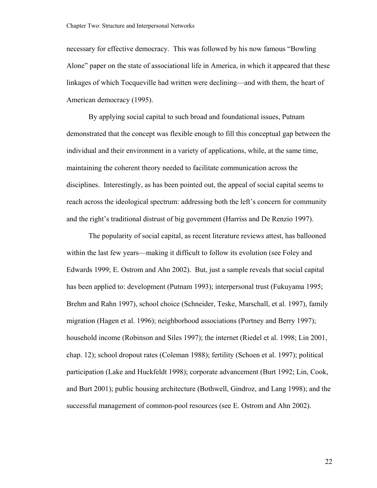necessary for effective democracy. This was followed by his now famous "Bowling Alone" paper on the state of associational life in America, in which it appeared that these linkages of which Tocqueville had written were declining—and with them, the heart of American democracy (1995).

By applying social capital to such broad and foundational issues, Putnam demonstrated that the concept was flexible enough to fill this conceptual gap between the individual and their environment in a variety of applications, while, at the same time, maintaining the coherent theory needed to facilitate communication across the disciplines. Interestingly, as has been pointed out, the appeal of social capital seems to reach across the ideological spectrum: addressing both the left's concern for community and the right's traditional distrust of big government (Harriss and De Renzio 1997).

The popularity of social capital, as recent literature reviews attest, has ballooned within the last few years—making it difficult to follow its evolution (see Foley and Edwards 1999; E. Ostrom and Ahn 2002). But, just a sample reveals that social capital has been applied to: development (Putnam 1993); interpersonal trust (Fukuyama 1995; Brehm and Rahn 1997), school choice (Schneider, Teske, Marschall, et al. 1997), family migration (Hagen et al. 1996); neighborhood associations (Portney and Berry 1997); household income (Robinson and Siles 1997); the internet (Riedel et al. 1998; Lin 2001, chap. 12); school dropout rates (Coleman 1988); fertility (Schoen et al. 1997); political participation (Lake and Huckfeldt 1998); corporate advancement (Burt 1992; Lin, Cook, and Burt 2001); public housing architecture (Bothwell, Gindroz, and Lang 1998); and the successful management of common-pool resources (see E. Ostrom and Ahn 2002).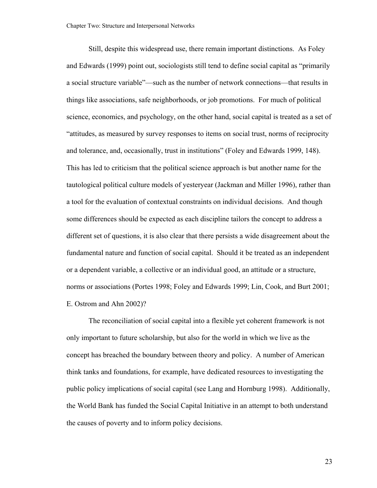Still, despite this widespread use, there remain important distinctions. As Foley and Edwards (1999) point out, sociologists still tend to define social capital as "primarily a social structure variable"—such as the number of network connections—that results in things like associations, safe neighborhoods, or job promotions. For much of political science, economics, and psychology, on the other hand, social capital is treated as a set of "attitudes, as measured by survey responses to items on social trust, norms of reciprocity and tolerance, and, occasionally, trust in institutions" (Foley and Edwards 1999, 148). This has led to criticism that the political science approach is but another name for the tautological political culture models of yesteryear (Jackman and Miller 1996), rather than a tool for the evaluation of contextual constraints on individual decisions. And though some differences should be expected as each discipline tailors the concept to address a different set of questions, it is also clear that there persists a wide disagreement about the fundamental nature and function of social capital. Should it be treated as an independent or a dependent variable, a collective or an individual good, an attitude or a structure, norms or associations (Portes 1998; Foley and Edwards 1999; Lin, Cook, and Burt 2001; E. Ostrom and Ahn 2002)?

The reconciliation of social capital into a flexible yet coherent framework is not only important to future scholarship, but also for the world in which we live as the concept has breached the boundary between theory and policy. A number of American think tanks and foundations, for example, have dedicated resources to investigating the public policy implications of social capital (see Lang and Hornburg 1998). Additionally, the World Bank has funded the Social Capital Initiative in an attempt to both understand the causes of poverty and to inform policy decisions.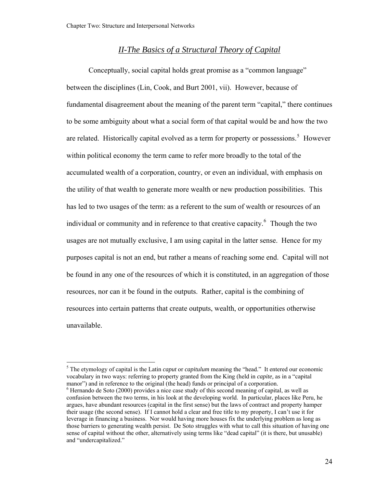### *II-The Basics of a Structural Theory of Capital*

<span id="page-29-0"></span>Conceptually, social capital holds great promise as a "common language" between the disciplines (Lin, Cook, and Burt 2001, vii). However, because of fundamental disagreement about the meaning of the parent term "capital," there continues to be some ambiguity about what a social form of that capital would be and how the two are related. Historically capital evolved as a term for property or possessions.<sup>[5](#page-29-0)</sup> However within political economy the term came to refer more broadly to the total of the accumulated wealth of a corporation, country, or even an individual, with emphasis on the utility of that wealth to generate more wealth or new production possibilities. This has led to two usages of the term: as a referent to the sum of wealth or resources of an individual or community and in reference to that creative capacity.<sup>[6](#page-29-0)</sup> Though the two usages are not mutually exclusive, I am using capital in the latter sense. Hence for my purposes capital is not an end, but rather a means of reaching some end. Capital will not be found in any one of the resources of which it is constituted, in an aggregation of those resources, nor can it be found in the outputs. Rather, capital is the combining of resources into certain patterns that create outputs, wealth, or opportunities otherwise unavailable.

 $\overline{a}$ 

<sup>&</sup>lt;sup>5</sup> The etymology of capital is the Latin *caput* or *capitulum* meaning the "head." It entered our economic vocabulary in two ways: referring to property granted from the King (held in *capite,* as in a "capital manor") and in reference to the original (the head) funds or principal of a corporation.

 $6$  Hernando de Soto (2000) provides a nice case study of this second meaning of capital, as well as confusion between the two terms, in his look at the developing world. In particular, places like Peru, he argues, have abundant resources (capital in the first sense) but the laws of contract and property hamper their usage (the second sense). If I cannot hold a clear and free title to my property, I can't use it for leverage in financing a business. Nor would having more houses fix the underlying problem as long as those barriers to generating wealth persist. De Soto struggles with what to call this situation of having one sense of capital without the other, alternatively using terms like "dead capital" (it is there, but unusable) and "undercapitalized."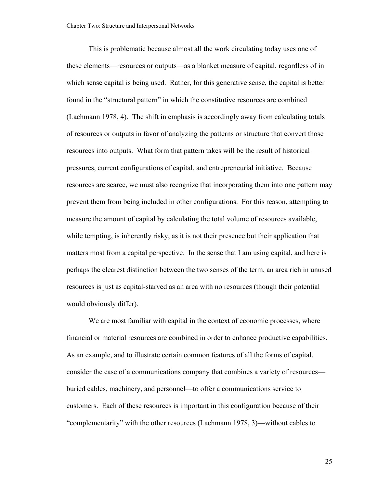This is problematic because almost all the work circulating today uses one of these elements—resources or outputs—as a blanket measure of capital, regardless of in which sense capital is being used. Rather, for this generative sense, the capital is better found in the "structural pattern" in which the constitutive resources are combined (Lachmann 1978, 4). The shift in emphasis is accordingly away from calculating totals of resources or outputs in favor of analyzing the patterns or structure that convert those resources into outputs. What form that pattern takes will be the result of historical pressures, current configurations of capital, and entrepreneurial initiative. Because resources are scarce, we must also recognize that incorporating them into one pattern may prevent them from being included in other configurations. For this reason, attempting to measure the amount of capital by calculating the total volume of resources available, while tempting, is inherently risky, as it is not their presence but their application that matters most from a capital perspective. In the sense that I am using capital, and here is perhaps the clearest distinction between the two senses of the term, an area rich in unused resources is just as capital-starved as an area with no resources (though their potential would obviously differ).

We are most familiar with capital in the context of economic processes, where financial or material resources are combined in order to enhance productive capabilities. As an example, and to illustrate certain common features of all the forms of capital, consider the case of a communications company that combines a variety of resources buried cables, machinery, and personnel—to offer a communications service to customers. Each of these resources is important in this configuration because of their "complementarity" with the other resources (Lachmann 1978, 3)—without cables to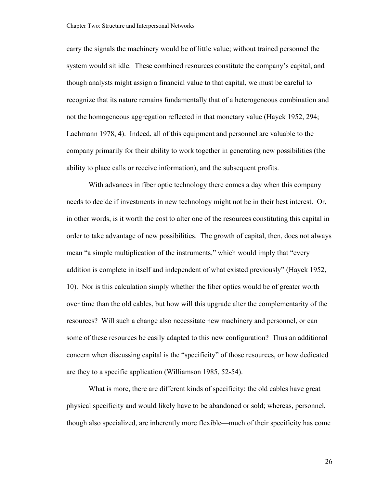carry the signals the machinery would be of little value; without trained personnel the system would sit idle. These combined resources constitute the company's capital, and though analysts might assign a financial value to that capital, we must be careful to recognize that its nature remains fundamentally that of a heterogeneous combination and not the homogeneous aggregation reflected in that monetary value (Hayek 1952, 294; Lachmann 1978, 4). Indeed, all of this equipment and personnel are valuable to the company primarily for their ability to work together in generating new possibilities (the ability to place calls or receive information), and the subsequent profits.

With advances in fiber optic technology there comes a day when this company needs to decide if investments in new technology might not be in their best interest. Or, in other words, is it worth the cost to alter one of the resources constituting this capital in order to take advantage of new possibilities. The growth of capital, then, does not always mean "a simple multiplication of the instruments," which would imply that "every addition is complete in itself and independent of what existed previously" (Hayek 1952, 10). Nor is this calculation simply whether the fiber optics would be of greater worth over time than the old cables, but how will this upgrade alter the complementarity of the resources? Will such a change also necessitate new machinery and personnel, or can some of these resources be easily adapted to this new configuration? Thus an additional concern when discussing capital is the "specificity" of those resources, or how dedicated are they to a specific application (Williamson 1985, 52-54).

What is more, there are different kinds of specificity: the old cables have great physical specificity and would likely have to be abandoned or sold; whereas, personnel, though also specialized, are inherently more flexible—much of their specificity has come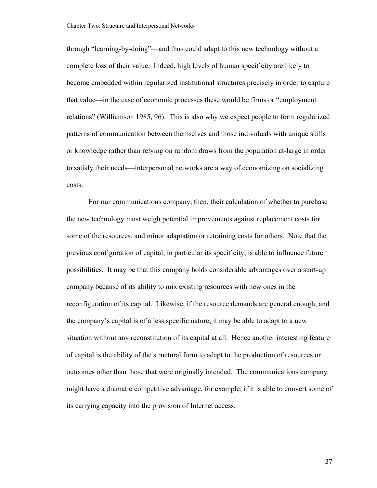through "learning-by-doing"—and thus could adapt to this new technology without a complete loss of their value. Indeed, high levels of human specificity are likely to become embedded within regularized institutional structures precisely in order to capture that value—in the case of economic processes these would be firms or "employment relations" (Williamson 1985, 96). This is also why we expect people to form regularized patterns of communication between themselves and those individuals with unique skills or knowledge rather than relying on random draws from the population at-large in order to satisfy their needs—interpersonal networks are a way of economizing on socializing costs.

For our communications company, then, their calculation of whether to purchase the new technology must weigh potential improvements against replacement costs for some of the resources, and minor adaptation or retraining costs for others. Note that the previous configuration of capital, in particular its specificity, is able to influence future possibilities. It may be that this company holds considerable advantages over a start-up company because of its ability to mix existing resources with new ones in the reconfiguration of its capital. Likewise, if the resource demands are general enough, and the company's capital is of a less specific nature, it may be able to adapt to a new situation without any reconstitution of its capital at all. Hence another interesting feature of capital is the ability of the structural form to adapt to the production of resources or outcomes other than those that were originally intended. The communications company might have a dramatic competitive advantage, for example, if it is able to convert some of its carrying capacity into the provision of Internet access.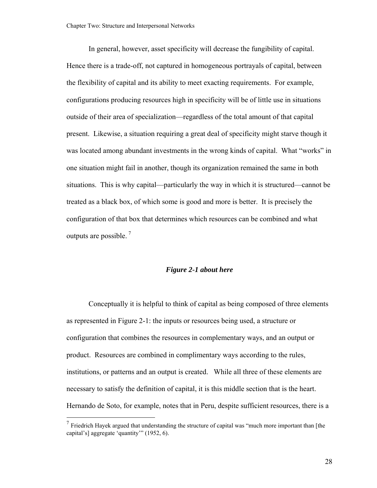<span id="page-33-0"></span>In general, however, asset specificity will decrease the fungibility of capital. Hence there is a trade-off, not captured in homogeneous portrayals of capital, between the flexibility of capital and its ability to meet exacting requirements. For example, configurations producing resources high in specificity will be of little use in situations outside of their area of specialization—regardless of the total amount of that capital present. Likewise, a situation requiring a great deal of specificity might starve though it was located among abundant investments in the wrong kinds of capital. What "works" in one situation might fail in another, though its organization remained the same in both situations. This is why capital—particularly the way in which it is structured—cannot be treated as a black box, of which some is good and more is better. It is precisely the configuration of that box that determines which resources can be combined and what outputs are possible.  $<sup>7</sup>$  $<sup>7</sup>$  $<sup>7</sup>$ </sup>

#### *Figure 2-1 about here*

Conceptually it is helpful to think of capital as being composed of three elements as represented in Figure 2-1: the inputs or resources being used, a structure or configuration that combines the resources in complementary ways, and an output or product. Resources are combined in complimentary ways according to the rules, institutions, or patterns and an output is created. While all three of these elements are necessary to satisfy the definition of capital, it is this middle section that is the heart. Hernando de Soto, for example, notes that in Peru, despite sufficient resources, there is a

 $\overline{a}$ 

 $7$  Friedrich Hayek argued that understanding the structure of capital was "much more important than [the capital's] aggregate 'quantity'" (1952, 6).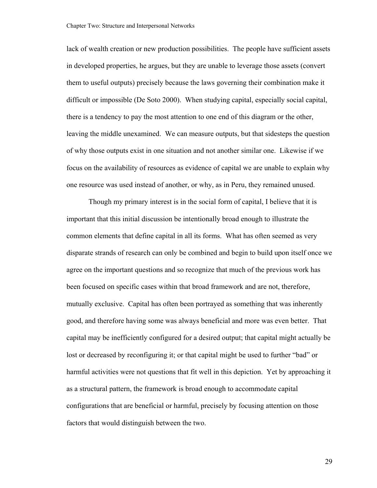lack of wealth creation or new production possibilities. The people have sufficient assets in developed properties, he argues, but they are unable to leverage those assets (convert them to useful outputs) precisely because the laws governing their combination make it difficult or impossible (De Soto 2000). When studying capital, especially social capital, there is a tendency to pay the most attention to one end of this diagram or the other, leaving the middle unexamined. We can measure outputs, but that sidesteps the question of why those outputs exist in one situation and not another similar one. Likewise if we focus on the availability of resources as evidence of capital we are unable to explain why one resource was used instead of another, or why, as in Peru, they remained unused.

Though my primary interest is in the social form of capital, I believe that it is important that this initial discussion be intentionally broad enough to illustrate the common elements that define capital in all its forms. What has often seemed as very disparate strands of research can only be combined and begin to build upon itself once we agree on the important questions and so recognize that much of the previous work has been focused on specific cases within that broad framework and are not, therefore, mutually exclusive. Capital has often been portrayed as something that was inherently good, and therefore having some was always beneficial and more was even better. That capital may be inefficiently configured for a desired output; that capital might actually be lost or decreased by reconfiguring it; or that capital might be used to further "bad" or harmful activities were not questions that fit well in this depiction. Yet by approaching it as a structural pattern, the framework is broad enough to accommodate capital configurations that are beneficial or harmful, precisely by focusing attention on those factors that would distinguish between the two.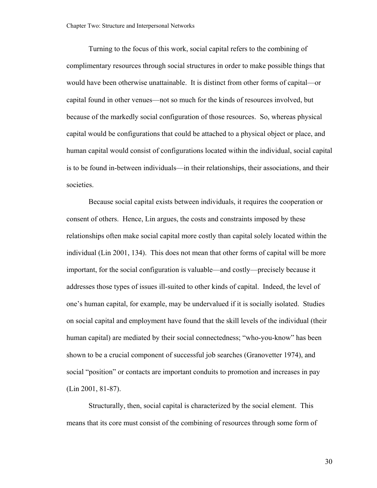Turning to the focus of this work, social capital refers to the combining of complimentary resources through social structures in order to make possible things that would have been otherwise unattainable. It is distinct from other forms of capital—or capital found in other venues—not so much for the kinds of resources involved, but because of the markedly social configuration of those resources. So, whereas physical capital would be configurations that could be attached to a physical object or place, and human capital would consist of configurations located within the individual, social capital is to be found in-between individuals—in their relationships, their associations, and their societies.

Because social capital exists between individuals, it requires the cooperation or consent of others. Hence, Lin argues, the costs and constraints imposed by these relationships often make social capital more costly than capital solely located within the individual (Lin 2001, 134). This does not mean that other forms of capital will be more important, for the social configuration is valuable—and costly—precisely because it addresses those types of issues ill-suited to other kinds of capital. Indeed, the level of one's human capital, for example, may be undervalued if it is socially isolated. Studies on social capital and employment have found that the skill levels of the individual (their human capital) are mediated by their social connectedness; "who-you-know" has been shown to be a crucial component of successful job searches (Granovetter 1974), and social "position" or contacts are important conduits to promotion and increases in pay (Lin 2001, 81-87).

Structurally, then, social capital is characterized by the social element. This means that its core must consist of the combining of resources through some form of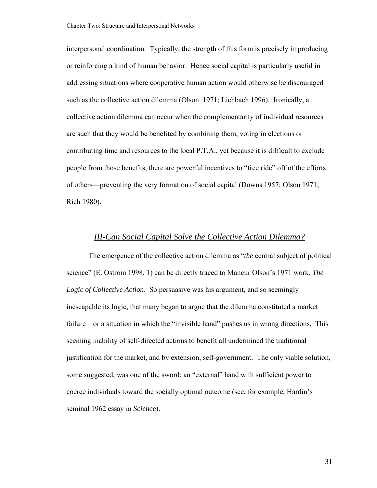interpersonal coordination. Typically, the strength of this form is precisely in producing or reinforcing a kind of human behavior. Hence social capital is particularly useful in addressing situations where cooperative human action would otherwise be discouraged such as the collective action dilemma (Olson 1971; Lichbach 1996). Ironically, a collective action dilemma can occur when the complementarity of individual resources are such that they would be benefited by combining them, voting in elections or contributing time and resources to the local P.T.A., yet because it is difficult to exclude people from those benefits, there are powerful incentives to "free ride" off of the efforts of others—preventing the very formation of social capital (Downs 1957; Olson 1971; Rich 1980).

#### *III-Can Social Capital Solve the Collective Action Dilemma?*

The emergence of the collective action dilemma as "*the* central subject of political science" (E. Ostrom 1998, 1) can be directly traced to Mancur Olson's 1971 work, *The Logic of Collective Action*. So persuasive was his argument, and so seemingly inescapable its logic, that many began to argue that the dilemma constituted a market failure—or a situation in which the "invisible hand" pushes us in wrong directions. This seeming inability of self-directed actions to benefit all undermined the traditional justification for the market, and by extension, self-government. The only viable solution, some suggested, was one of the sword: an "external" hand with sufficient power to coerce individuals toward the socially optimal outcome (see, for example, Hardin's seminal 1962 essay in *Science*).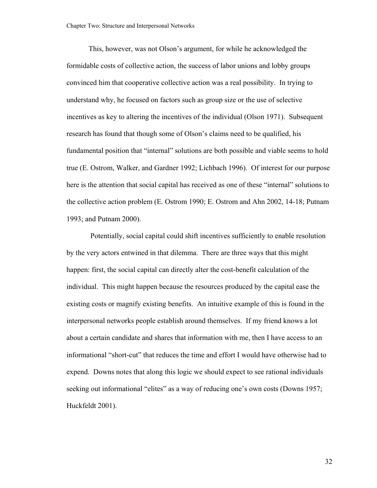This, however, was not Olson's argument, for while he acknowledged the formidable costs of collective action, the success of labor unions and lobby groups convinced him that cooperative collective action was a real possibility. In trying to understand why, he focused on factors such as group size or the use of selective incentives as key to altering the incentives of the individual (Olson 1971). Subsequent research has found that though some of Olson's claims need to be qualified, his fundamental position that "internal" solutions are both possible and viable seems to hold true (E. Ostrom, Walker, and Gardner 1992; Lichbach 1996). Of interest for our purpose here is the attention that social capital has received as one of these "internal" solutions to the collective action problem (E. Ostrom 1990; E. Ostrom and Ahn 2002, 14-18; Putnam 1993; and Putnam 2000).

 Potentially, social capital could shift incentives sufficiently to enable resolution by the very actors entwined in that dilemma. There are three ways that this might happen: first, the social capital can directly alter the cost-benefit calculation of the individual. This might happen because the resources produced by the capital ease the existing costs or magnify existing benefits. An intuitive example of this is found in the interpersonal networks people establish around themselves. If my friend knows a lot about a certain candidate and shares that information with me, then I have access to an informational "short-cut" that reduces the time and effort I would have otherwise had to expend. Downs notes that along this logic we should expect to see rational individuals seeking out informational "elites" as a way of reducing one's own costs (Downs 1957; Huckfeldt 2001).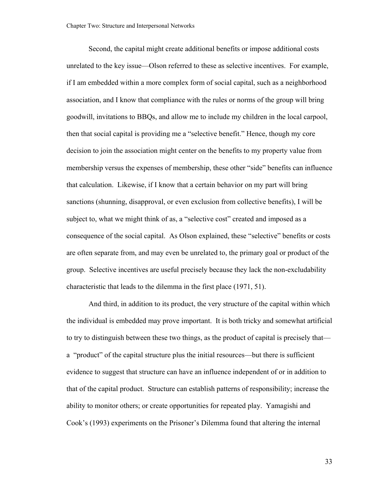Second, the capital might create additional benefits or impose additional costs unrelated to the key issue—Olson referred to these as selective incentives. For example, if I am embedded within a more complex form of social capital, such as a neighborhood association, and I know that compliance with the rules or norms of the group will bring goodwill, invitations to BBQs, and allow me to include my children in the local carpool, then that social capital is providing me a "selective benefit." Hence, though my core decision to join the association might center on the benefits to my property value from membership versus the expenses of membership, these other "side" benefits can influence that calculation. Likewise, if I know that a certain behavior on my part will bring sanctions (shunning, disapproval, or even exclusion from collective benefits), I will be subject to, what we might think of as, a "selective cost" created and imposed as a consequence of the social capital. As Olson explained, these "selective" benefits or costs are often separate from, and may even be unrelated to, the primary goal or product of the group. Selective incentives are useful precisely because they lack the non-excludability characteristic that leads to the dilemma in the first place (1971, 51).

And third, in addition to its product, the very structure of the capital within which the individual is embedded may prove important. It is both tricky and somewhat artificial to try to distinguish between these two things, as the product of capital is precisely that a "product" of the capital structure plus the initial resources—but there is sufficient evidence to suggest that structure can have an influence independent of or in addition to that of the capital product. Structure can establish patterns of responsibility; increase the ability to monitor others; or create opportunities for repeated play. Yamagishi and Cook's (1993) experiments on the Prisoner's Dilemma found that altering the internal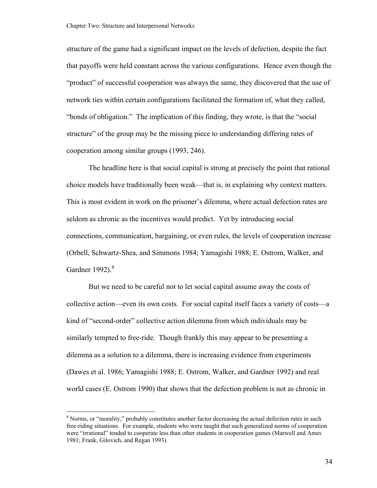<span id="page-39-0"></span>structure of the game had a significant impact on the levels of defection, despite the fact that payoffs were held constant across the various configurations. Hence even though the "product" of successful cooperation was always the same, they discovered that the use of network ties within certain configurations facilitated the formation of, what they called, "bonds of obligation." The implication of this finding, they wrote, is that the "social structure" of the group may be the missing piece to understanding differing rates of cooperation among similar groups (1993, 246).

The headline here is that social capital is strong at precisely the point that rational choice models have traditionally been weak—that is, in explaining why context matters. This is most evident in work on the prisoner's dilemma, where actual defection rates are seldom as chronic as the incentives would predict. Yet by introducing social connections, communication, bargaining, or even rules, the levels of cooperation increase (Orbell, Schwartz-Shea, and Simmons 1984; Yamagishi 1988; E. Ostrom, Walker, and Gardner 1992). $8$ 

But we need to be careful not to let social capital assume away the costs of collective action—even its own costs. For social capital itself faces a variety of costs—a kind of "second-order" collective action dilemma from which individuals may be similarly tempted to free-ride. Though frankly this may appear to be presenting a dilemma as a solution to a dilemma, there is increasing evidence from experiments (Dawes et al. 1986; Yamagishi 1988; E. Ostrom, Walker, and Gardner 1992) and real world cases (E. Ostrom 1990) that shows that the defection problem is not as chronic in

<sup>&</sup>lt;sup>8</sup> Norms, or "morality," probably constitutes another factor decreasing the actual defection rates in such free-riding situations. For example, students who were taught that such generalized norms of cooperation were "irrational" tended to cooperate less than other students in cooperation games (Marwell and Ames 1981; Frank, Gilovich, and Regan 1993).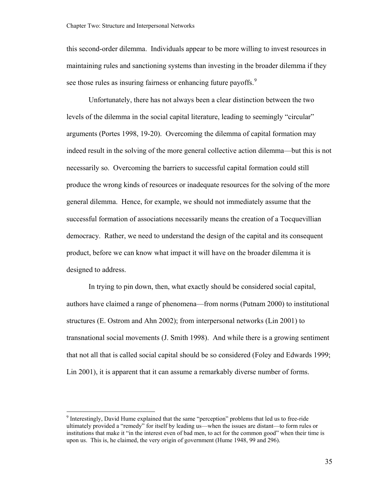<span id="page-40-0"></span>this second-order dilemma. Individuals appear to be more willing to invest resources in maintaining rules and sanctioning systems than investing in the broader dilemma if they see those rules as insuring fairness or enhancing future payoffs.<sup>[9](#page-40-0)</sup>

Unfortunately, there has not always been a clear distinction between the two levels of the dilemma in the social capital literature, leading to seemingly "circular" arguments (Portes 1998, 19-20). Overcoming the dilemma of capital formation may indeed result in the solving of the more general collective action dilemma—but this is not necessarily so. Overcoming the barriers to successful capital formation could still produce the wrong kinds of resources or inadequate resources for the solving of the more general dilemma. Hence, for example, we should not immediately assume that the successful formation of associations necessarily means the creation of a Tocquevillian democracy. Rather, we need to understand the design of the capital and its consequent product, before we can know what impact it will have on the broader dilemma it is designed to address.

In trying to pin down, then, what exactly should be considered social capital, authors have claimed a range of phenomena—from norms (Putnam 2000) to institutional structures (E. Ostrom and Ahn 2002); from interpersonal networks (Lin 2001) to transnational social movements (J. Smith 1998). And while there is a growing sentiment that not all that is called social capital should be so considered (Foley and Edwards 1999; Lin 2001), it is apparent that it can assume a remarkably diverse number of forms.

<sup>&</sup>lt;sup>9</sup> Interestingly, David Hume explained that the same "perception" problems that led us to free-ride ultimately provided a "remedy" for itself by leading us—when the issues are distant—to form rules or institutions that make it "in the interest even of bad men, to act for the common good" when their time is upon us. This is, he claimed, the very origin of government (Hume 1948, 99 and 296).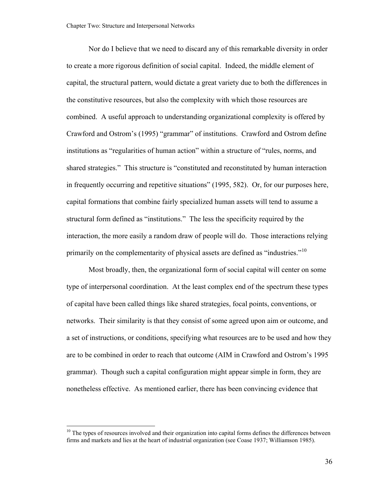<span id="page-41-0"></span>Nor do I believe that we need to discard any of this remarkable diversity in order to create a more rigorous definition of social capital. Indeed, the middle element of capital, the structural pattern, would dictate a great variety due to both the differences in the constitutive resources, but also the complexity with which those resources are combined. A useful approach to understanding organizational complexity is offered by Crawford and Ostrom's (1995) "grammar" of institutions. Crawford and Ostrom define institutions as "regularities of human action" within a structure of "rules, norms, and shared strategies." This structure is "constituted and reconstituted by human interaction in frequently occurring and repetitive situations" (1995, 582). Or, for our purposes here, capital formations that combine fairly specialized human assets will tend to assume a structural form defined as "institutions." The less the specificity required by the interaction, the more easily a random draw of people will do. Those interactions relying primarily on the complementarity of physical assets are defined as "industries."<sup>[10](#page-41-0)</sup>

Most broadly, then, the organizational form of social capital will center on some type of interpersonal coordination. At the least complex end of the spectrum these types of capital have been called things like shared strategies, focal points, conventions, or networks. Their similarity is that they consist of some agreed upon aim or outcome, and a set of instructions, or conditions, specifying what resources are to be used and how they are to be combined in order to reach that outcome (AIM in Crawford and Ostrom's 1995 grammar). Though such a capital configuration might appear simple in form, they are nonetheless effective. As mentioned earlier, there has been convincing evidence that

 $10$  The types of resources involved and their organization into capital forms defines the differences between firms and markets and lies at the heart of industrial organization (see Coase 1937; Williamson 1985).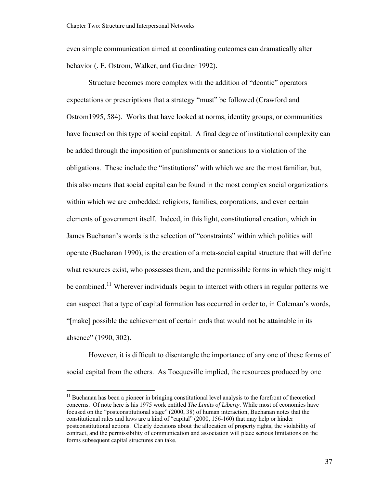<span id="page-42-0"></span>even simple communication aimed at coordinating outcomes can dramatically alter behavior (. E. Ostrom, Walker, and Gardner 1992).

Structure becomes more complex with the addition of "deontic" operators expectations or prescriptions that a strategy "must" be followed (Crawford and Ostrom1995, 584). Works that have looked at norms, identity groups, or communities have focused on this type of social capital. A final degree of institutional complexity can be added through the imposition of punishments or sanctions to a violation of the obligations. These include the "institutions" with which we are the most familiar, but, this also means that social capital can be found in the most complex social organizations within which we are embedded: religions, families, corporations, and even certain elements of government itself. Indeed, in this light, constitutional creation, which in James Buchanan's words is the selection of "constraints" within which politics will operate (Buchanan 1990), is the creation of a meta-social capital structure that will define what resources exist, who possesses them, and the permissible forms in which they might be combined.<sup>[11](#page-42-0)</sup> Wherever individuals begin to interact with others in regular patterns we can suspect that a type of capital formation has occurred in order to, in Coleman's words, "[make] possible the achievement of certain ends that would not be attainable in its absence" (1990, 302).

However, it is difficult to disentangle the importance of any one of these forms of social capital from the others. As Tocqueville implied, the resources produced by one

<sup>&</sup>lt;sup>11</sup> Buchanan has been a pioneer in bringing constitutional level analysis to the forefront of theoretical concerns. Of note here is his 1975 work entitled *The Limits of Liberty*. While most of economics have focused on the "postconstitutional stage" (2000, 38) of human interaction, Buchanan notes that the constitutional rules and laws are a kind of "capital" (2000, 156-160) that may help or hinder postconstitutional actions. Clearly decisions about the allocation of property rights, the violability of contract, and the permissibility of communication and association will place serious limitations on the forms subsequent capital structures can take.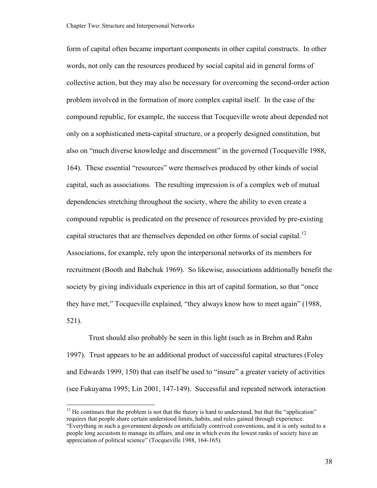<span id="page-43-0"></span>form of capital often became important components in other capital constructs. In other words, not only can the resources produced by social capital aid in general forms of collective action, but they may also be necessary for overcoming the second-order action problem involved in the formation of more complex capital itself. In the case of the compound republic, for example, the success that Tocqueville wrote about depended not only on a sophisticated meta-capital structure, or a properly designed constitution, but also on "much diverse knowledge and discernment" in the governed (Tocqueville 1988, 164). These essential "resources" were themselves produced by other kinds of social capital, such as associations. The resulting impression is of a complex web of mutual dependencies stretching throughout the society, where the ability to even create a compound republic is predicated on the presence of resources provided by pre-existing capital structures that are themselves depended on other forms of social capital.<sup>[12](#page-43-0)</sup> Associations, for example, rely upon the interpersonal networks of its members for recruitment (Booth and Babchuk 1969). So likewise, associations additionally benefit the society by giving individuals experience in this art of capital formation, so that "once they have met," Tocqueville explained, "they always know how to meet again" (1988, 521).

Trust should also probably be seen in this light (such as in Brehm and Rahn 1997). Trust appears to be an additional product of successful capital structures (Foley and Edwards 1999, 150) that can itself be used to "insure" a greater variety of activities (see Fukuyama 1995; Lin 2001, 147-149). Successful and repeated network interaction

 $12$  He continues that the problem is not that the theory is hard to understand, but that the "application" requires that people share certain understood limits, habits, and rules gained through experience. "Everything in such a government depends on artificially contrived conventions, and it is only suited to a people long accustom to manage its affairs, and one in which even the lowest ranks of society have an appreciation of political science" (Tocqueville 1988, 164-165).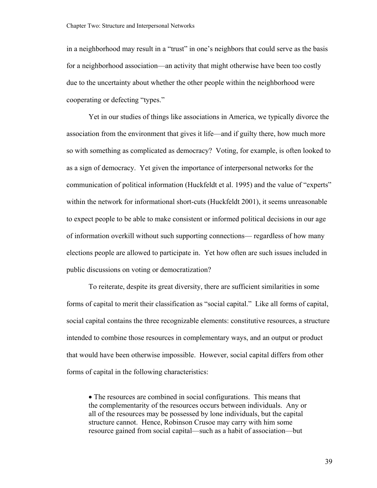in a neighborhood may result in a "trust" in one's neighbors that could serve as the basis for a neighborhood association—an activity that might otherwise have been too costly due to the uncertainty about whether the other people within the neighborhood were cooperating or defecting "types."

Yet in our studies of things like associations in America, we typically divorce the association from the environment that gives it life—and if guilty there, how much more so with something as complicated as democracy? Voting, for example, is often looked to as a sign of democracy. Yet given the importance of interpersonal networks for the communication of political information (Huckfeldt et al. 1995) and the value of "experts" within the network for informational short-cuts (Huckfeldt 2001), it seems unreasonable to expect people to be able to make consistent or informed political decisions in our age of information overkill without such supporting connections— regardless of how many elections people are allowed to participate in. Yet how often are such issues included in public discussions on voting or democratization?

To reiterate, despite its great diversity, there are sufficient similarities in some forms of capital to merit their classification as "social capital." Like all forms of capital, social capital contains the three recognizable elements: constitutive resources, a structure intended to combine those resources in complementary ways, and an output or product that would have been otherwise impossible. However, social capital differs from other forms of capital in the following characteristics:

• The resources are combined in social configurations. This means that the complementarity of the resources occurs between individuals. Any or all of the resources may be possessed by lone individuals, but the capital structure cannot. Hence, Robinson Crusoe may carry with him some resource gained from social capital—such as a habit of association—but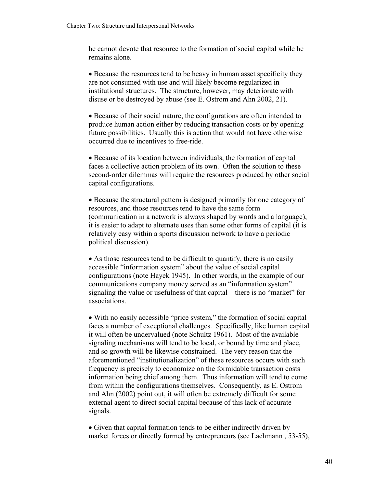he cannot devote that resource to the formation of social capital while he remains alone.

• Because the resources tend to be heavy in human asset specificity they are not consumed with use and will likely become regularized in institutional structures. The structure, however, may deteriorate with disuse or be destroyed by abuse (see E. Ostrom and Ahn 2002, 21).

• Because of their social nature, the configurations are often intended to produce human action either by reducing transaction costs or by opening future possibilities. Usually this is action that would not have otherwise occurred due to incentives to free-ride.

• Because of its location between individuals, the formation of capital faces a collective action problem of its own. Often the solution to these second-order dilemmas will require the resources produced by other social capital configurations.

• Because the structural pattern is designed primarily for one category of resources, and those resources tend to have the same form (communication in a network is always shaped by words and a language), it is easier to adapt to alternate uses than some other forms of capital (it is relatively easy within a sports discussion network to have a periodic political discussion).

• As those resources tend to be difficult to quantify, there is no easily accessible "information system" about the value of social capital configurations (note Hayek 1945). In other words, in the example of our communications company money served as an "information system" signaling the value or usefulness of that capital—there is no "market" for associations.

• With no easily accessible "price system," the formation of social capital faces a number of exceptional challenges. Specifically, like human capital it will often be undervalued (note Schultz 1961). Most of the available signaling mechanisms will tend to be local, or bound by time and place, and so growth will be likewise constrained. The very reason that the aforementioned "institutionalization" of these resources occurs with such frequency is precisely to economize on the formidable transaction costs information being chief among them. Thus information will tend to come from within the configurations themselves. Consequently, as E. Ostrom and Ahn (2002) point out, it will often be extremely difficult for some external agent to direct social capital because of this lack of accurate signals.

• Given that capital formation tends to be either indirectly driven by market forces or directly formed by entrepreneurs (see Lachmann , 53-55),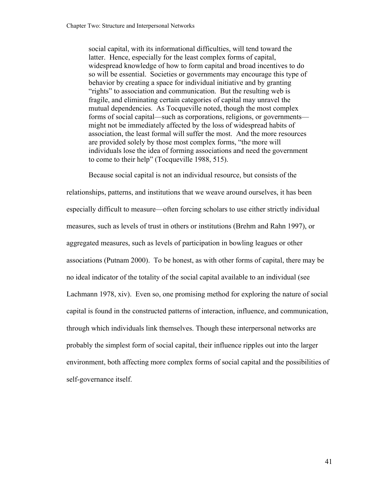social capital, with its informational difficulties, will tend toward the latter. Hence, especially for the least complex forms of capital, widespread knowledge of how to form capital and broad incentives to do so will be essential. Societies or governments may encourage this type of behavior by creating a space for individual initiative and by granting "rights" to association and communication. But the resulting web is fragile, and eliminating certain categories of capital may unravel the mutual dependencies. As Tocqueville noted, though the most complex forms of social capital—such as corporations, religions, or governments might not be immediately affected by the loss of widespread habits of association, the least formal will suffer the most. And the more resources are provided solely by those most complex forms, "the more will individuals lose the idea of forming associations and need the government to come to their help" (Tocqueville 1988, 515).

Because social capital is not an individual resource, but consists of the relationships, patterns, and institutions that we weave around ourselves, it has been especially difficult to measure—often forcing scholars to use either strictly individual measures, such as levels of trust in others or institutions (Brehm and Rahn 1997), or aggregated measures, such as levels of participation in bowling leagues or other associations (Putnam 2000). To be honest, as with other forms of capital, there may be no ideal indicator of the totality of the social capital available to an individual (see Lachmann 1978, xiv). Even so, one promising method for exploring the nature of social capital is found in the constructed patterns of interaction, influence, and communication, through which individuals link themselves. Though these interpersonal networks are probably the simplest form of social capital, their influence ripples out into the larger environment, both affecting more complex forms of social capital and the possibilities of self-governance itself.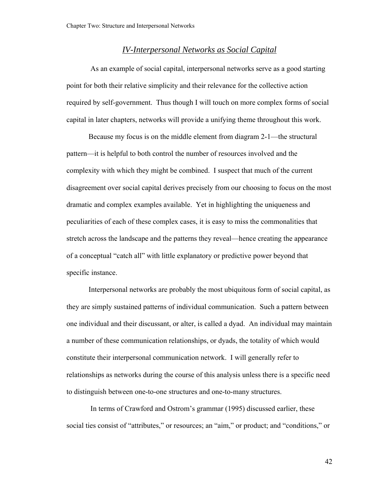## *IV-Interpersonal Networks as Social Capital*

 As an example of social capital, interpersonal networks serve as a good starting point for both their relative simplicity and their relevance for the collective action required by self-government. Thus though I will touch on more complex forms of social capital in later chapters, networks will provide a unifying theme throughout this work.

Because my focus is on the middle element from diagram 2-1—the structural pattern—it is helpful to both control the number of resources involved and the complexity with which they might be combined. I suspect that much of the current disagreement over social capital derives precisely from our choosing to focus on the most dramatic and complex examples available. Yet in highlighting the uniqueness and peculiarities of each of these complex cases, it is easy to miss the commonalities that stretch across the landscape and the patterns they reveal—hence creating the appearance of a conceptual "catch all" with little explanatory or predictive power beyond that specific instance.

Interpersonal networks are probably the most ubiquitous form of social capital, as they are simply sustained patterns of individual communication. Such a pattern between one individual and their discussant, or alter, is called a dyad. An individual may maintain a number of these communication relationships, or dyads, the totality of which would constitute their interpersonal communication network. I will generally refer to relationships as networks during the course of this analysis unless there is a specific need to distinguish between one-to-one structures and one-to-many structures.

 In terms of Crawford and Ostrom's grammar (1995) discussed earlier, these social ties consist of "attributes," or resources; an "aim," or product; and "conditions," or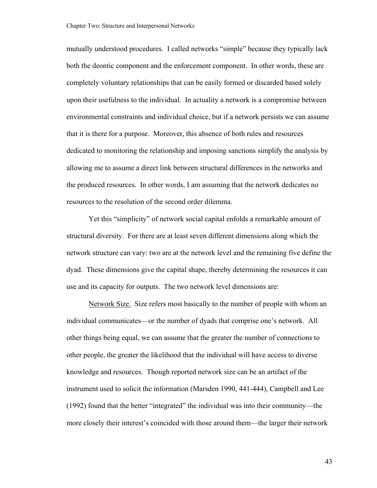mutually understood procedures. I called networks "simple" because they typically lack both the deontic component and the enforcement component. In other words, these are completely voluntary relationships that can be easily formed or discarded based solely upon their usefulness to the individual. In actuality a network is a compromise between environmental constraints and individual choice, but if a network persists we can assume that it is there for a purpose. Moreover, this absence of both rules and resources dedicated to monitoring the relationship and imposing sanctions simplify the analysis by allowing me to assume a direct link between structural differences in the networks and the produced resources. In other words, I am assuming that the network dedicates no resources to the resolution of the second order dilemma.

Yet this "simplicity" of network social capital enfolds a remarkable amount of structural diversity. For there are at least seven different dimensions along which the network structure can vary: two are at the network level and the remaining five define the dyad. These dimensions give the capital shape, thereby determining the resources it can use and its capacity for outputs. The two network level dimensions are:

Network Size. Size refers most basically to the number of people with whom an individual communicates—or the number of dyads that comprise one's network. All other things being equal, we can assume that the greater the number of connections to other people, the greater the likelihood that the individual will have access to diverse knowledge and resources. Though reported network size can be an artifact of the instrument used to solicit the information (Marsden 1990, 441-444), Campbell and Lee (1992) found that the better "integrated" the individual was into their community—the more closely their interest's coincided with those around them—the larger their network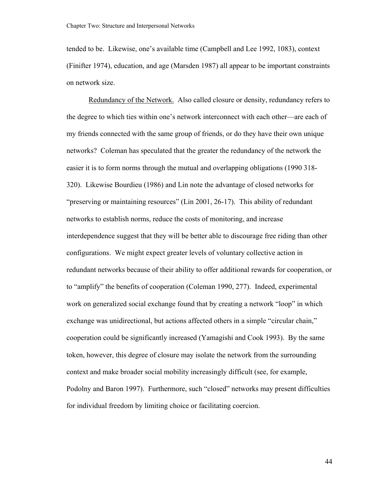tended to be. Likewise, one's available time (Campbell and Lee 1992, 1083), context (Finifter 1974), education, and age (Marsden 1987) all appear to be important constraints on network size.

Redundancy of the Network. Also called closure or density, redundancy refers to the degree to which ties within one's network interconnect with each other—are each of my friends connected with the same group of friends, or do they have their own unique networks? Coleman has speculated that the greater the redundancy of the network the easier it is to form norms through the mutual and overlapping obligations (1990 318- 320). Likewise Bourdieu (1986) and Lin note the advantage of closed networks for "preserving or maintaining resources" (Lin 2001, 26-17). This ability of redundant networks to establish norms, reduce the costs of monitoring, and increase interdependence suggest that they will be better able to discourage free riding than other configurations. We might expect greater levels of voluntary collective action in redundant networks because of their ability to offer additional rewards for cooperation, or to "amplify" the benefits of cooperation (Coleman 1990, 277). Indeed, experimental work on generalized social exchange found that by creating a network "loop" in which exchange was unidirectional, but actions affected others in a simple "circular chain," cooperation could be significantly increased (Yamagishi and Cook 1993). By the same token, however, this degree of closure may isolate the network from the surrounding context and make broader social mobility increasingly difficult (see, for example, Podolny and Baron 1997). Furthermore, such "closed" networks may present difficulties for individual freedom by limiting choice or facilitating coercion.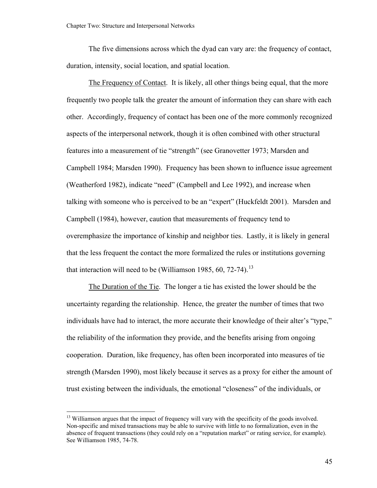<span id="page-50-0"></span>The five dimensions across which the dyad can vary are: the frequency of contact, duration, intensity, social location, and spatial location.

The Frequency of Contact. It is likely, all other things being equal, that the more frequently two people talk the greater the amount of information they can share with each other. Accordingly, frequency of contact has been one of the more commonly recognized aspects of the interpersonal network, though it is often combined with other structural features into a measurement of tie "strength" (see Granovetter 1973; Marsden and Campbell 1984; Marsden 1990). Frequency has been shown to influence issue agreement (Weatherford 1982), indicate "need" (Campbell and Lee 1992), and increase when talking with someone who is perceived to be an "expert" (Huckfeldt 2001). Marsden and Campbell (1984), however, caution that measurements of frequency tend to overemphasize the importance of kinship and neighbor ties. Lastly, it is likely in general that the less frequent the contact the more formalized the rules or institutions governing that interaction will need to be (Williamson 1985,  $60$ ,  $72-74$ ).<sup>[13](#page-50-0)</sup>

The Duration of the Tie. The longer a tie has existed the lower should be the uncertainty regarding the relationship. Hence, the greater the number of times that two individuals have had to interact, the more accurate their knowledge of their alter's "type," the reliability of the information they provide, and the benefits arising from ongoing cooperation. Duration, like frequency, has often been incorporated into measures of tie strength (Marsden 1990), most likely because it serves as a proxy for either the amount of trust existing between the individuals, the emotional "closeness" of the individuals, or

<sup>&</sup>lt;sup>13</sup> Williamson argues that the impact of frequency will vary with the specificity of the goods involved. Non-specific and mixed transactions may be able to survive with little to no formalization, even in the absence of frequent transactions (they could rely on a "reputation market" or rating service, for example). See Williamson 1985, 74-78.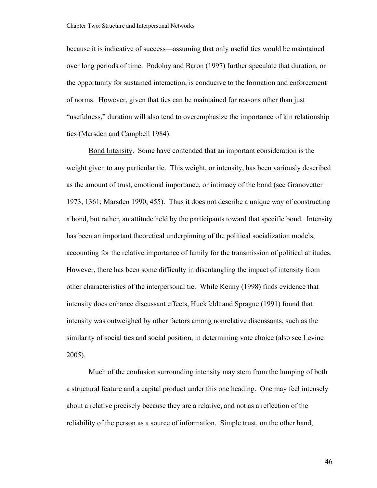because it is indicative of success—assuming that only useful ties would be maintained over long periods of time. Podolny and Baron (1997) further speculate that duration, or the opportunity for sustained interaction, is conducive to the formation and enforcement of norms. However, given that ties can be maintained for reasons other than just "usefulness," duration will also tend to overemphasize the importance of kin relationship ties (Marsden and Campbell 1984).

Bond Intensity. Some have contended that an important consideration is the weight given to any particular tie. This weight, or intensity, has been variously described as the amount of trust, emotional importance, or intimacy of the bond (see Granovetter 1973, 1361; Marsden 1990, 455). Thus it does not describe a unique way of constructing a bond, but rather, an attitude held by the participants toward that specific bond. Intensity has been an important theoretical underpinning of the political socialization models, accounting for the relative importance of family for the transmission of political attitudes. However, there has been some difficulty in disentangling the impact of intensity from other characteristics of the interpersonal tie. While Kenny (1998) finds evidence that intensity does enhance discussant effects, Huckfeldt and Sprague (1991) found that intensity was outweighed by other factors among nonrelative discussants, such as the similarity of social ties and social position, in determining vote choice (also see Levine 2005).

Much of the confusion surrounding intensity may stem from the lumping of both a structural feature and a capital product under this one heading. One may feel intensely about a relative precisely because they are a relative, and not as a reflection of the reliability of the person as a source of information. Simple trust, on the other hand,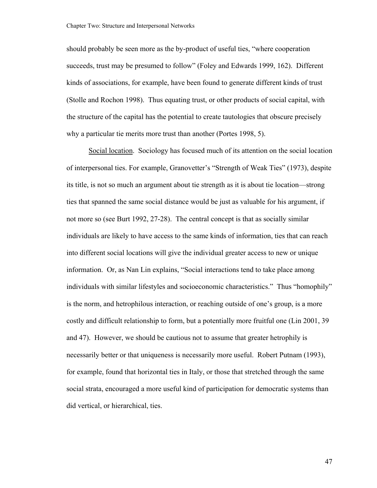should probably be seen more as the by-product of useful ties, "where cooperation succeeds, trust may be presumed to follow" (Foley and Edwards 1999, 162). Different kinds of associations, for example, have been found to generate different kinds of trust (Stolle and Rochon 1998). Thus equating trust, or other products of social capital, with the structure of the capital has the potential to create tautologies that obscure precisely why a particular tie merits more trust than another (Portes 1998, 5).

Social location. Sociology has focused much of its attention on the social location of interpersonal ties. For example, Granovetter's "Strength of Weak Ties" (1973), despite its title, is not so much an argument about tie strength as it is about tie location—strong ties that spanned the same social distance would be just as valuable for his argument, if not more so (see Burt 1992, 27-28). The central concept is that as socially similar individuals are likely to have access to the same kinds of information, ties that can reach into different social locations will give the individual greater access to new or unique information. Or, as Nan Lin explains, "Social interactions tend to take place among individuals with similar lifestyles and socioeconomic characteristics." Thus "homophily" is the norm, and hetrophilous interaction, or reaching outside of one's group, is a more costly and difficult relationship to form, but a potentially more fruitful one (Lin 2001, 39 and 47). However, we should be cautious not to assume that greater hetrophily is necessarily better or that uniqueness is necessarily more useful. Robert Putnam (1993), for example, found that horizontal ties in Italy, or those that stretched through the same social strata, encouraged a more useful kind of participation for democratic systems than did vertical, or hierarchical, ties.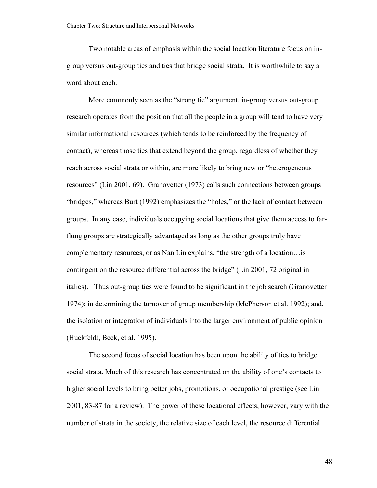Two notable areas of emphasis within the social location literature focus on ingroup versus out-group ties and ties that bridge social strata. It is worthwhile to say a word about each.

More commonly seen as the "strong tie" argument, in-group versus out-group research operates from the position that all the people in a group will tend to have very similar informational resources (which tends to be reinforced by the frequency of contact), whereas those ties that extend beyond the group, regardless of whether they reach across social strata or within, are more likely to bring new or "heterogeneous resources" (Lin 2001, 69). Granovetter (1973) calls such connections between groups "bridges," whereas Burt (1992) emphasizes the "holes," or the lack of contact between groups. In any case, individuals occupying social locations that give them access to farflung groups are strategically advantaged as long as the other groups truly have complementary resources, or as Nan Lin explains, "the strength of a location…is contingent on the resource differential across the bridge" (Lin 2001, 72 original in italics). Thus out-group ties were found to be significant in the job search (Granovetter 1974); in determining the turnover of group membership (McPherson et al. 1992); and, the isolation or integration of individuals into the larger environment of public opinion (Huckfeldt, Beck, et al. 1995).

The second focus of social location has been upon the ability of ties to bridge social strata. Much of this research has concentrated on the ability of one's contacts to higher social levels to bring better jobs, promotions, or occupational prestige (see Lin 2001, 83-87 for a review). The power of these locational effects, however, vary with the number of strata in the society, the relative size of each level, the resource differential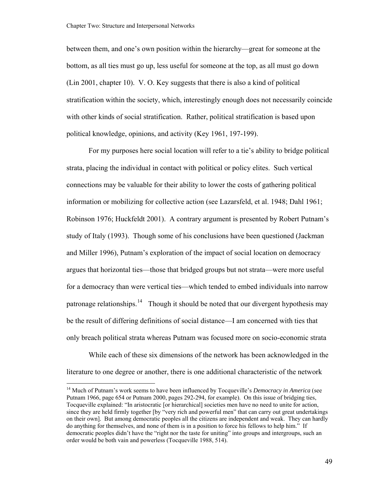<span id="page-54-0"></span>between them, and one's own position within the hierarchy—great for someone at the bottom, as all ties must go up, less useful for someone at the top, as all must go down (Lin 2001, chapter 10). V. O. Key suggests that there is also a kind of political stratification within the society, which, interestingly enough does not necessarily coincide with other kinds of social stratification. Rather, political stratification is based upon political knowledge, opinions, and activity (Key 1961, 197-199).

For my purposes here social location will refer to a tie's ability to bridge political strata, placing the individual in contact with political or policy elites. Such vertical connections may be valuable for their ability to lower the costs of gathering political information or mobilizing for collective action (see Lazarsfeld, et al. 1948; Dahl 1961; Robinson 1976; Huckfeldt 2001). A contrary argument is presented by Robert Putnam's study of Italy (1993). Though some of his conclusions have been questioned (Jackman and Miller 1996), Putnam's exploration of the impact of social location on democracy argues that horizontal ties—those that bridged groups but not strata—were more useful for a democracy than were vertical ties—which tended to embed individuals into narrow patronage relationships.<sup>[14](#page-54-0)</sup> Though it should be noted that our divergent hypothesis may be the result of differing definitions of social distance—I am concerned with ties that only breach political strata whereas Putnam was focused more on socio-economic strata

While each of these six dimensions of the network has been acknowledged in the literature to one degree or another, there is one additional characteristic of the network

<sup>&</sup>lt;sup>14</sup> Much of Putnam's work seems to have been influenced by Tocqueville's *Democracy in America* (see Putnam 1966, page 654 or Putnam 2000, pages 292-294, for example). On this issue of bridging ties, Tocqueville explained: "In aristocratic [or hierarchical] societies men have no need to unite for action, since they are held firmly together [by "very rich and powerful men" that can carry out great undertakings on their own]. But among democratic peoples all the citizens are independent and weak. They can hardly do anything for themselves, and none of them is in a position to force his fellows to help him." If democratic peoples didn't have the "right nor the taste for uniting" into groups and intergroups, such an order would be both vain and powerless (Tocqueville 1988, 514).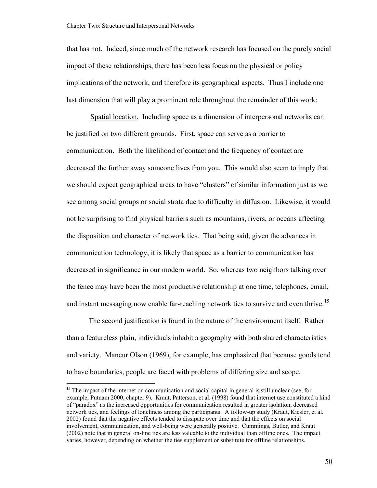<span id="page-55-0"></span>that has not. Indeed, since much of the network research has focused on the purely social impact of these relationships, there has been less focus on the physical or policy implications of the network, and therefore its geographical aspects. Thus I include one last dimension that will play a prominent role throughout the remainder of this work:

 Spatial location. Including space as a dimension of interpersonal networks can be justified on two different grounds. First, space can serve as a barrier to communication. Both the likelihood of contact and the frequency of contact are decreased the further away someone lives from you. This would also seem to imply that we should expect geographical areas to have "clusters" of similar information just as we see among social groups or social strata due to difficulty in diffusion. Likewise, it would not be surprising to find physical barriers such as mountains, rivers, or oceans affecting the disposition and character of network ties. That being said, given the advances in communication technology, it is likely that space as a barrier to communication has decreased in significance in our modern world. So, whereas two neighbors talking over the fence may have been the most productive relationship at one time, telephones, email, and instant messaging now enable far-reaching network ties to survive and even thrive.<sup>[15](#page-55-0)</sup>

The second justification is found in the nature of the environment itself. Rather than a featureless plain, individuals inhabit a geography with both shared characteristics and variety. Mancur Olson (1969), for example, has emphasized that because goods tend to have boundaries, people are faced with problems of differing size and scope.

<sup>&</sup>lt;sup>15</sup> The impact of the internet on communication and social capital in general is still unclear (see, for example, Putnam 2000, chapter 9). Kraut, Patterson, et al. (1998) found that internet use constituted a kind of "paradox" as the increased opportunities for communication resulted in greater isolation, decreased network ties, and feelings of loneliness among the participants. A follow-up study (Kraut, Kiesler, et al. 2002) found that the negative effects tended to dissipate over time and that the effects on social involvement, communication, and well-being were generally positive. Cummings, Butler, and Kraut (2002) note that in general on-line ties are less valuable to the individual than offline ones. The impact varies, however, depending on whether the ties supplement or substitute for offline relationships.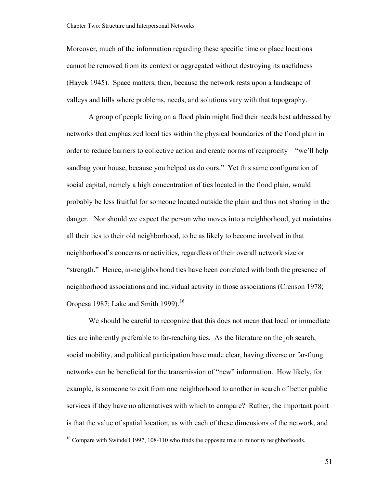<span id="page-56-0"></span>Moreover, much of the information regarding these specific time or place locations cannot be removed from its context or aggregated without destroying its usefulness (Hayek 1945). Space matters, then, because the network rests upon a landscape of valleys and hills where problems, needs, and solutions vary with that topography.

A group of people living on a flood plain might find their needs best addressed by networks that emphasized local ties within the physical boundaries of the flood plain in order to reduce barriers to collective action and create norms of reciprocity—"we'll help sandbag your house, because you helped us do ours." Yet this same configuration of social capital, namely a high concentration of ties located in the flood plain, would probably be less fruitful for someone located outside the plain and thus not sharing in the danger. Nor should we expect the person who moves into a neighborhood, yet maintains all their ties to their old neighborhood, to be as likely to become involved in that neighborhood's concerns or activities, regardless of their overall network size or "strength." Hence, in-neighborhood ties have been correlated with both the presence of neighborhood associations and individual activity in those associations (Crenson 1978; Oropesa 1987; Lake and Smith 1999).<sup>[16](#page-56-0)</sup>

We should be careful to recognize that this does not mean that local or immediate ties are inherently preferable to far-reaching ties. As the literature on the job search, social mobility, and political participation have made clear, having diverse or far-flung networks can be beneficial for the transmission of "new" information. How likely, for example, is someone to exit from one neighborhood to another in search of better public services if they have no alternatives with which to compare? Rather, the important point is that the value of spatial location, as with each of these dimensions of the network, and

 $16$  Compare with Swindell 1997, 108-110 who finds the opposite true in minority neighborhoods.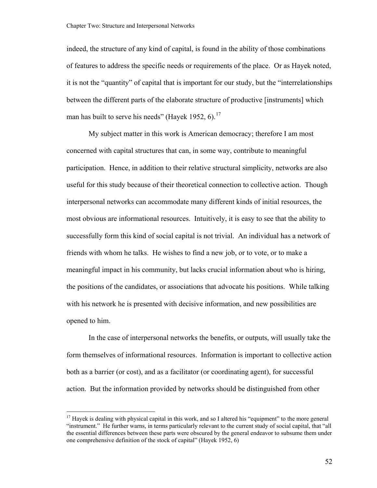<span id="page-57-0"></span>indeed, the structure of any kind of capital, is found in the ability of those combinations of features to address the specific needs or requirements of the place. Or as Hayek noted, it is not the "quantity" of capital that is important for our study, but the "interrelationships between the different parts of the elaborate structure of productive [instruments] which man has built to serve his needs" (Hayek 1952, 6).<sup>[17](#page-57-0)</sup>

My subject matter in this work is American democracy; therefore I am most concerned with capital structures that can, in some way, contribute to meaningful participation. Hence, in addition to their relative structural simplicity, networks are also useful for this study because of their theoretical connection to collective action. Though interpersonal networks can accommodate many different kinds of initial resources, the most obvious are informational resources. Intuitively, it is easy to see that the ability to successfully form this kind of social capital is not trivial. An individual has a network of friends with whom he talks. He wishes to find a new job, or to vote, or to make a meaningful impact in his community, but lacks crucial information about who is hiring, the positions of the candidates, or associations that advocate his positions. While talking with his network he is presented with decisive information, and new possibilities are opened to him.

In the case of interpersonal networks the benefits, or outputs, will usually take the form themselves of informational resources. Information is important to collective action both as a barrier (or cost), and as a facilitator (or coordinating agent), for successful action. But the information provided by networks should be distinguished from other

<sup>&</sup>lt;sup>17</sup> Hayek is dealing with physical capital in this work, and so I altered his "equipment" to the more general "instrument." He further warns, in terms particularly relevant to the current study of social capital, that "all the essential differences between these parts were obscured by the general endeavor to subsume them under one comprehensive definition of the stock of capital" (Hayek 1952, 6)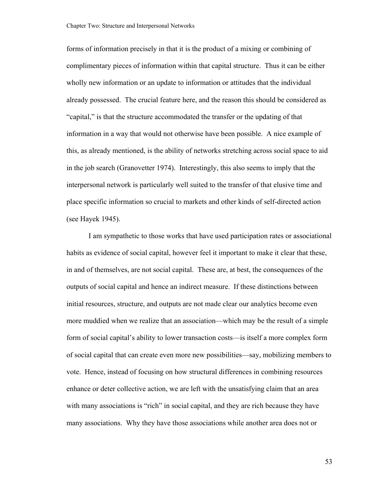forms of information precisely in that it is the product of a mixing or combining of complimentary pieces of information within that capital structure. Thus it can be either wholly new information or an update to information or attitudes that the individual already possessed. The crucial feature here, and the reason this should be considered as "capital," is that the structure accommodated the transfer or the updating of that information in a way that would not otherwise have been possible. A nice example of this, as already mentioned, is the ability of networks stretching across social space to aid in the job search (Granovetter 1974). Interestingly, this also seems to imply that the interpersonal network is particularly well suited to the transfer of that elusive time and place specific information so crucial to markets and other kinds of self-directed action (see Hayek 1945).

I am sympathetic to those works that have used participation rates or associational habits as evidence of social capital, however feel it important to make it clear that these, in and of themselves, are not social capital. These are, at best, the consequences of the outputs of social capital and hence an indirect measure. If these distinctions between initial resources, structure, and outputs are not made clear our analytics become even more muddied when we realize that an association—which may be the result of a simple form of social capital's ability to lower transaction costs—is itself a more complex form of social capital that can create even more new possibilities—say, mobilizing members to vote. Hence, instead of focusing on how structural differences in combining resources enhance or deter collective action, we are left with the unsatisfying claim that an area with many associations is "rich" in social capital, and they are rich because they have many associations. Why they have those associations while another area does not or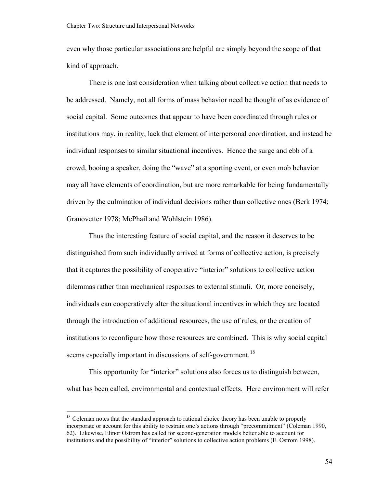<span id="page-59-0"></span>even why those particular associations are helpful are simply beyond the scope of that kind of approach.

There is one last consideration when talking about collective action that needs to be addressed. Namely, not all forms of mass behavior need be thought of as evidence of social capital. Some outcomes that appear to have been coordinated through rules or institutions may, in reality, lack that element of interpersonal coordination, and instead be individual responses to similar situational incentives. Hence the surge and ebb of a crowd, booing a speaker, doing the "wave" at a sporting event, or even mob behavior may all have elements of coordination, but are more remarkable for being fundamentally driven by the culmination of individual decisions rather than collective ones (Berk 1974; Granovetter 1978; McPhail and Wohlstein 1986).

Thus the interesting feature of social capital, and the reason it deserves to be distinguished from such individually arrived at forms of collective action, is precisely that it captures the possibility of cooperative "interior" solutions to collective action dilemmas rather than mechanical responses to external stimuli. Or, more concisely, individuals can cooperatively alter the situational incentives in which they are located through the introduction of additional resources, the use of rules, or the creation of institutions to reconfigure how those resources are combined. This is why social capital seems especially important in discussions of self-government.<sup>[18](#page-59-0)</sup>

This opportunity for "interior" solutions also forces us to distinguish between, what has been called, environmental and contextual effects. Here environment will refer

<sup>&</sup>lt;sup>18</sup> Coleman notes that the standard approach to rational choice theory has been unable to properly incorporate or account for this ability to restrain one's actions through "precommitment" (Coleman 1990, 62). Likewise, Elinor Ostrom has called for second-generation models better able to account for institutions and the possibility of "interior" solutions to collective action problems (E. Ostrom 1998).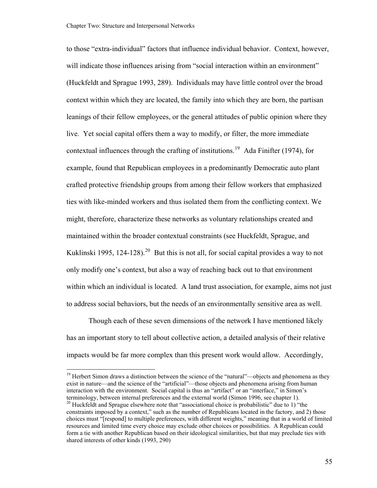<span id="page-60-0"></span>to those "extra-individual" factors that influence individual behavior. Context, however, will indicate those influences arising from "social interaction within an environment" (Huckfeldt and Sprague 1993, 289). Individuals may have little control over the broad context within which they are located, the family into which they are born, the partisan leanings of their fellow employees, or the general attitudes of public opinion where they live. Yet social capital offers them a way to modify, or filter, the more immediate contextual influences through the crafting of institutions.<sup>[19](#page-60-0)</sup> Ada Finifter (1974), for example, found that Republican employees in a predominantly Democratic auto plant crafted protective friendship groups from among their fellow workers that emphasized ties with like-minded workers and thus isolated them from the conflicting context. We might, therefore, characterize these networks as voluntary relationships created and maintained within the broader contextual constraints (see Huckfeldt, Sprague, and Kuklinski 1995, 124-128).<sup>[20](#page-60-0)</sup> But this is not all, for social capital provides a way to not only modify one's context, but also a way of reaching back out to that environment within which an individual is located. A land trust association, for example, aims not just to address social behaviors, but the needs of an environmentally sensitive area as well.

Though each of these seven dimensions of the network I have mentioned likely has an important story to tell about collective action, a detailed analysis of their relative impacts would be far more complex than this present work would allow. Accordingly,

 $19$  Herbert Simon draws a distinction between the science of the "natural"—objects and phenomena as they exist in nature—and the science of the "artificial"—those objects and phenomena arising from human interaction with the environment. Social capital is thus an "artifact" or an "interface," in Simon's terminology, between internal preferences and the external world (Simon 1996, see chapter 1).<br><sup>20</sup> Huckfeldt and Sprague elsewhere note that "associational choice is probabilistic" due to 1) "the

constraints imposed by a context," such as the number of Republicans located in the factory, and 2) those choices must "[respond] to multiple preferences, with different weights," meaning that in a world of limited resources and limited time every choice may exclude other choices or possibilities. A Republican could form a tie with another Republican based on their ideological similarities, but that may preclude ties with shared interests of other kinds (1993, 290)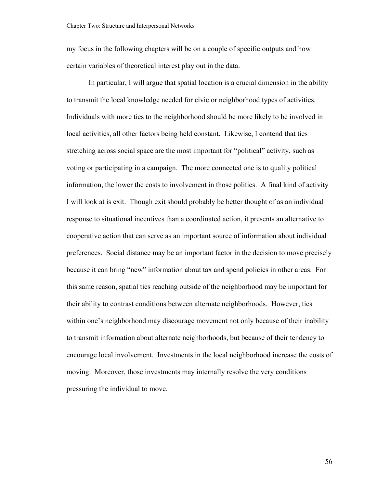my focus in the following chapters will be on a couple of specific outputs and how certain variables of theoretical interest play out in the data.

In particular, I will argue that spatial location is a crucial dimension in the ability to transmit the local knowledge needed for civic or neighborhood types of activities. Individuals with more ties to the neighborhood should be more likely to be involved in local activities, all other factors being held constant. Likewise, I contend that ties stretching across social space are the most important for "political" activity, such as voting or participating in a campaign. The more connected one is to quality political information, the lower the costs to involvement in those politics. A final kind of activity I will look at is exit. Though exit should probably be better thought of as an individual response to situational incentives than a coordinated action, it presents an alternative to cooperative action that can serve as an important source of information about individual preferences. Social distance may be an important factor in the decision to move precisely because it can bring "new" information about tax and spend policies in other areas. For this same reason, spatial ties reaching outside of the neighborhood may be important for their ability to contrast conditions between alternate neighborhoods. However, ties within one's neighborhood may discourage movement not only because of their inability to transmit information about alternate neighborhoods, but because of their tendency to encourage local involvement. Investments in the local neighborhood increase the costs of moving. Moreover, those investments may internally resolve the very conditions pressuring the individual to move.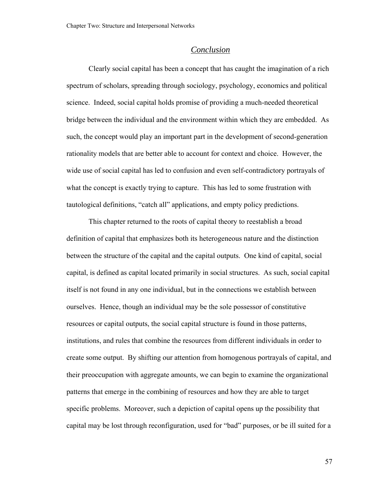### *Conclusion*

Clearly social capital has been a concept that has caught the imagination of a rich spectrum of scholars, spreading through sociology, psychology, economics and political science. Indeed, social capital holds promise of providing a much-needed theoretical bridge between the individual and the environment within which they are embedded. As such, the concept would play an important part in the development of second-generation rationality models that are better able to account for context and choice. However, the wide use of social capital has led to confusion and even self-contradictory portrayals of what the concept is exactly trying to capture. This has led to some frustration with tautological definitions, "catch all" applications, and empty policy predictions.

This chapter returned to the roots of capital theory to reestablish a broad definition of capital that emphasizes both its heterogeneous nature and the distinction between the structure of the capital and the capital outputs. One kind of capital, social capital, is defined as capital located primarily in social structures. As such, social capital itself is not found in any one individual, but in the connections we establish between ourselves. Hence, though an individual may be the sole possessor of constitutive resources or capital outputs, the social capital structure is found in those patterns, institutions, and rules that combine the resources from different individuals in order to create some output. By shifting our attention from homogenous portrayals of capital, and their preoccupation with aggregate amounts, we can begin to examine the organizational patterns that emerge in the combining of resources and how they are able to target specific problems. Moreover, such a depiction of capital opens up the possibility that capital may be lost through reconfiguration, used for "bad" purposes, or be ill suited for a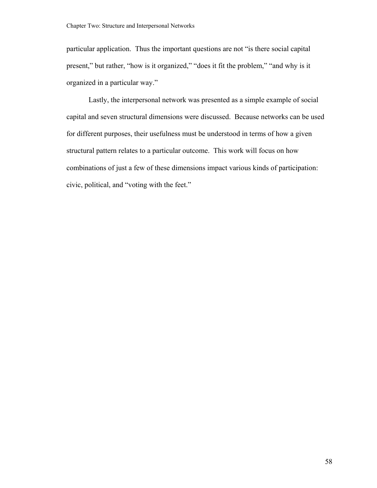particular application. Thus the important questions are not "is there social capital present," but rather, "how is it organized," "does it fit the problem," "and why is it organized in a particular way."

Lastly, the interpersonal network was presented as a simple example of social capital and seven structural dimensions were discussed. Because networks can be used for different purposes, their usefulness must be understood in terms of how a given structural pattern relates to a particular outcome. This work will focus on how combinations of just a few of these dimensions impact various kinds of participation: civic, political, and "voting with the feet."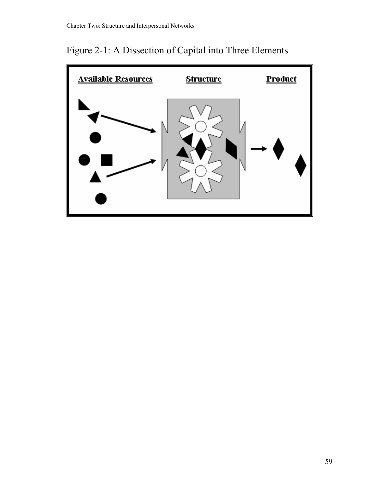Figure 2-1: A Dissection of Capital into Three Elements

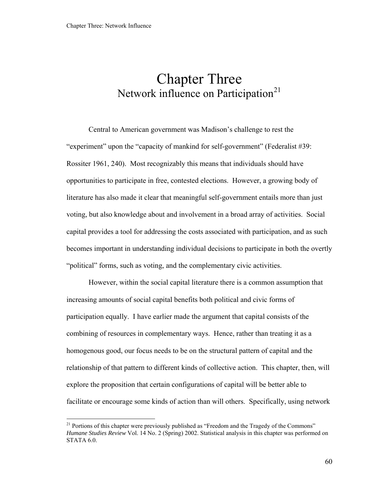# <span id="page-65-0"></span>Chapter Three Network influence on Participation<sup>[21](#page-65-0)</sup>

Central to American government was Madison's challenge to rest the "experiment" upon the "capacity of mankind for self-government" (Federalist #39: Rossiter 1961, 240). Most recognizably this means that individuals should have opportunities to participate in free, contested elections. However, a growing body of literature has also made it clear that meaningful self-government entails more than just voting, but also knowledge about and involvement in a broad array of activities. Social capital provides a tool for addressing the costs associated with participation, and as such becomes important in understanding individual decisions to participate in both the overtly "political" forms, such as voting, and the complementary civic activities.

However, within the social capital literature there is a common assumption that increasing amounts of social capital benefits both political and civic forms of participation equally. I have earlier made the argument that capital consists of the combining of resources in complementary ways. Hence, rather than treating it as a homogenous good, our focus needs to be on the structural pattern of capital and the relationship of that pattern to different kinds of collective action. This chapter, then, will explore the proposition that certain configurations of capital will be better able to facilitate or encourage some kinds of action than will others. Specifically, using network

<sup>&</sup>lt;sup>21</sup> Portions of this chapter were previously published as "Freedom and the Tragedy of the Commons" *Humane Studies Review* Vol. 14 No. 2 (Spring) 2002. Statistical analysis in this chapter was performed on STATA 6.0.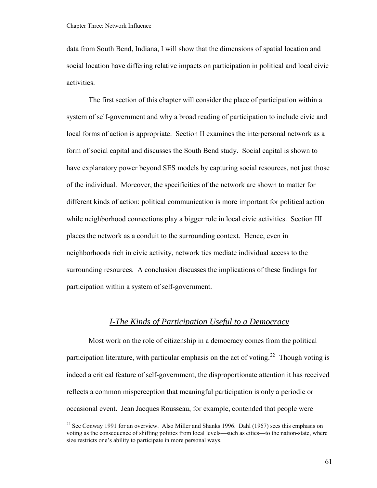<span id="page-66-0"></span>data from South Bend, Indiana, I will show that the dimensions of spatial location and social location have differing relative impacts on participation in political and local civic activities.

The first section of this chapter will consider the place of participation within a system of self-government and why a broad reading of participation to include civic and local forms of action is appropriate. Section II examines the interpersonal network as a form of social capital and discusses the South Bend study. Social capital is shown to have explanatory power beyond SES models by capturing social resources, not just those of the individual. Moreover, the specificities of the network are shown to matter for different kinds of action: political communication is more important for political action while neighborhood connections play a bigger role in local civic activities. Section III places the network as a conduit to the surrounding context. Hence, even in neighborhoods rich in civic activity, network ties mediate individual access to the surrounding resources. A conclusion discusses the implications of these findings for participation within a system of self-government.

## *I-The Kinds of Participation Useful to a Democracy*

Most work on the role of citizenship in a democracy comes from the political participation literature, with particular emphasis on the act of voting.<sup>[22](#page-66-0)</sup> Though voting is indeed a critical feature of self-government, the disproportionate attention it has received reflects a common misperception that meaningful participation is only a periodic or occasional event. Jean Jacques Rousseau, for example, contended that people were

 $22$  See Conway 1991 for an overview. Also Miller and Shanks 1996. Dahl (1967) sees this emphasis on voting as the consequence of shifting politics from local levels—such as cities—to the nation-state, where size restricts one's ability to participate in more personal ways.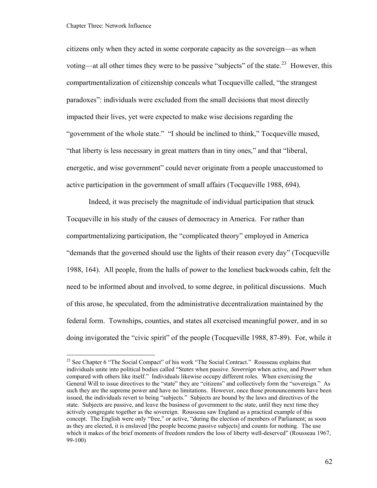<span id="page-67-0"></span>citizens only when they acted in some corporate capacity as the sovereign—as when voting—at all other times they were to be passive "subjects" of the state.<sup>[23](#page-67-0)</sup> However, this compartmentalization of citizenship conceals what Tocqueville called, "the strangest paradoxes": individuals were excluded from the small decisions that most directly impacted their lives, yet were expected to make wise decisions regarding the "government of the whole state." "I should be inclined to think," Tocqueville mused, "that liberty is less necessary in great matters than in tiny ones," and that "liberal, energetic, and wise government" could never originate from a people unaccustomed to active participation in the government of small affairs (Tocqueville 1988, 694).

 Indeed, it was precisely the magnitude of individual participation that struck Tocqueville in his study of the causes of democracy in America. For rather than compartmentalizing participation, the "complicated theory" employed in America "demands that the governed should use the lights of their reason every day" (Tocqueville 1988, 164). All people, from the halls of power to the loneliest backwoods cabin, felt the need to be informed about and involved, to some degree, in political discussions. Much of this arose, he speculated, from the administrative decentralization maintained by the federal form. Townships, counties, and states all exercised meaningful power, and in so doing invigorated the "civic spirit" of the people (Tocqueville 1988, 87-89). For, while it

<sup>&</sup>lt;sup>23</sup> See Chapter 6 "The Social Compact" of his work "The Social Contract." Rousseau explains that individuals unite into political bodies called "S*tates* when passive. *Sovereign* when active, and *Power* when compared with others like itself." Individuals likewise occupy different roles. When exercising the General Will to issue directives to the "state" they are "citizens" and collectively form the "sovereign." As such they are the supreme power and have no limitations. However, once those pronouncements have been issued, the individuals revert to being "subjects." Subjects are bound by the laws and directives of the state. Subjects are passive, and leave the business of government to the state, until they next time they actively congregate together as the sovereign. Rousseau saw England as a practical example of this concept. The English were only "free," or active, "during the election of members of Parliament; as soon as they are elected, it is enslaved [the people become passive subjects] and counts for nothing. The use which it makes of the brief moments of freedom renders the loss of liberty well-deserved" (Rousseau 1967, 99-100)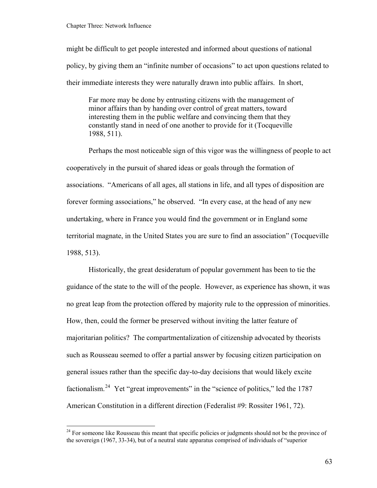<span id="page-68-0"></span>might be difficult to get people interested and informed about questions of national policy, by giving them an "infinite number of occasions" to act upon questions related to their immediate interests they were naturally drawn into public affairs. In short,

Far more may be done by entrusting citizens with the management of minor affairs than by handing over control of great matters, toward interesting them in the public welfare and convincing them that they constantly stand in need of one another to provide for it (Tocqueville 1988, 511).

Perhaps the most noticeable sign of this vigor was the willingness of people to act cooperatively in the pursuit of shared ideas or goals through the formation of associations. "Americans of all ages, all stations in life, and all types of disposition are forever forming associations," he observed. "In every case, at the head of any new undertaking, where in France you would find the government or in England some territorial magnate, in the United States you are sure to find an association" (Tocqueville 1988, 513).

 Historically, the great desideratum of popular government has been to tie the guidance of the state to the will of the people. However, as experience has shown, it was no great leap from the protection offered by majority rule to the oppression of minorities. How, then, could the former be preserved without inviting the latter feature of majoritarian politics? The compartmentalization of citizenship advocated by theorists such as Rousseau seemed to offer a partial answer by focusing citizen participation on general issues rather than the specific day-to-day decisions that would likely excite factionalism.<sup>[24](#page-68-0)</sup> Yet "great improvements" in the "science of politics," led the 1787 American Constitution in a different direction (Federalist #9: Rossiter 1961, 72).

 $24$  For someone like Rousseau this meant that specific policies or judgments should not be the province of the sovereign (1967, 33-34), but of a neutral state apparatus comprised of individuals of "superior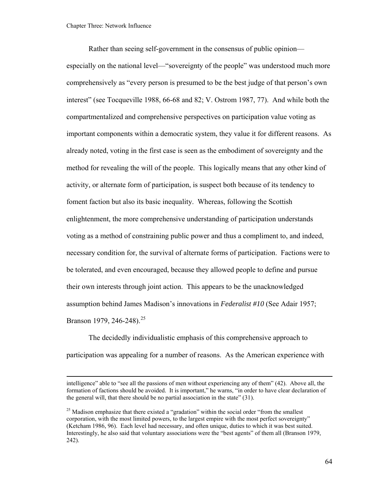<span id="page-69-0"></span>Rather than seeing self-government in the consensus of public opinion especially on the national level—"sovereignty of the people" was understood much more comprehensively as "every person is presumed to be the best judge of that person's own interest" (see Tocqueville 1988, 66-68 and 82; V. Ostrom 1987, 77). And while both the compartmentalized and comprehensive perspectives on participation value voting as important components within a democratic system, they value it for different reasons. As already noted, voting in the first case is seen as the embodiment of sovereignty and the method for revealing the will of the people. This logically means that any other kind of activity, or alternate form of participation, is suspect both because of its tendency to foment faction but also its basic inequality. Whereas, following the Scottish enlightenment, the more comprehensive understanding of participation understands voting as a method of constraining public power and thus a compliment to, and indeed, necessary condition for, the survival of alternate forms of participation. Factions were to be tolerated, and even encouraged, because they allowed people to define and pursue their own interests through joint action. This appears to be the unacknowledged assumption behind James Madison's innovations in *Federalist #10* (See Adair 1957; Branson 1979, 246-248).<sup>[25](#page-69-0)</sup>

The decidedly individualistic emphasis of this comprehensive approach to participation was appealing for a number of reasons. As the American experience with

intelligence" able to "see all the passions of men without experiencing any of them" (42). Above all, the formation of factions should be avoided. It is important," he warns, "in order to have clear declaration of the general will, that there should be no partial association in the state" (31).

<sup>&</sup>lt;sup>25</sup> Madison emphasize that there existed a "gradation" within the social order "from the smallest corporation, with the most limited powers, to the largest empire with the most perfect sovereignty" (Ketcham 1986, 96). Each level had necessary, and often unique, duties to which it was best suited. Interestingly, he also said that voluntary associations were the "best agents" of them all (Branson 1979, 242).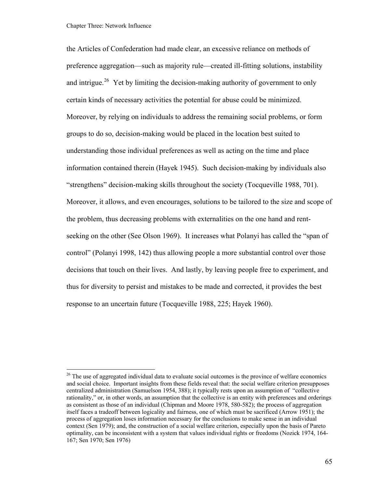<span id="page-70-0"></span>the Articles of Confederation had made clear, an excessive reliance on methods of preference aggregation—such as majority rule—created ill-fitting solutions, instability and intrigue.<sup>[26](#page-70-0)</sup> Yet by limiting the decision-making authority of government to only certain kinds of necessary activities the potential for abuse could be minimized. Moreover, by relying on individuals to address the remaining social problems, or form groups to do so, decision-making would be placed in the location best suited to understanding those individual preferences as well as acting on the time and place information contained therein (Hayek 1945). Such decision-making by individuals also "strengthens" decision-making skills throughout the society (Tocqueville 1988, 701). Moreover, it allows, and even encourages, solutions to be tailored to the size and scope of the problem, thus decreasing problems with externalities on the one hand and rentseeking on the other (See Olson 1969). It increases what Polanyi has called the "span of control" (Polanyi 1998, 142) thus allowing people a more substantial control over those decisions that touch on their lives. And lastly, by leaving people free to experiment, and thus for diversity to persist and mistakes to be made and corrected, it provides the best response to an uncertain future (Tocqueville 1988, 225; Hayek 1960).

<sup>&</sup>lt;sup>26</sup> The use of aggregated individual data to evaluate social outcomes is the province of welfare economics and social choice. Important insights from these fields reveal that: the social welfare criterion presupposes centralized administration (Samuelson 1954, 388); it typically rests upon an assumption of "collective rationality," or, in other words, an assumption that the collective is an entity with preferences and orderings as consistent as those of an individual (Chipman and Moore 1978, 580-582); the process of aggregation itself faces a tradeoff between logicality and fairness, one of which must be sacrificed (Arrow 1951); the process of aggregation loses information necessary for the conclusions to make sense in an individual context (Sen 1979); and, the construction of a social welfare criterion, especially upon the basis of Pareto optimality, can be inconsistent with a system that values individual rights or freedoms (Nozick 1974, 164- 167; Sen 1970; Sen 1976)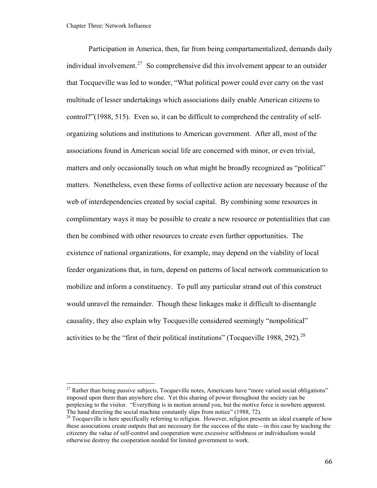1

<span id="page-71-0"></span>Participation in America, then, far from being compartamentalized, demands daily individual involvement.<sup>[27](#page-71-0)</sup> So comprehensive did this involvement appear to an outsider that Tocqueville was led to wonder, "What political power could ever carry on the vast multitude of lesser undertakings which associations daily enable American citizens to control?"(1988, 515). Even so, it can be difficult to comprehend the centrality of selforganizing solutions and institutions to American government. After all, most of the associations found in American social life are concerned with minor, or even trivial, matters and only occasionally touch on what might be broadly recognized as "political" matters. Nonetheless, even these forms of collective action are necessary because of the web of interdependencies created by social capital. By combining some resources in complimentary ways it may be possible to create a new resource or potentialities that can then be combined with other resources to create even further opportunities. The existence of national organizations, for example, may depend on the viability of local feeder organizations that, in turn, depend on patterns of local network communication to mobilize and inform a constituency. To pull any particular strand out of this construct would unravel the remainder. Though these linkages make it difficult to disentangle causality, they also explain why Tocqueville considered seemingly "nonpolitical" activities to be the "first of their political institutions" (Tocqueville 1988, 292).  $^{28}$  $^{28}$  $^{28}$ 

<sup>&</sup>lt;sup>27</sup> Rather than being passive subjects, Tocqueville notes, Americans have "more varied social obligations" imposed upon them than anywhere else. Yet this sharing of power throughout the society can be perplexing to the visitor. "Everything is in motion around you, but the motive force is nowhere apparent. The hand directing the social machine constantly slips from notice" (1988, 72).<br><sup>28</sup> Tocqueville is here specifically referring to religion. However, religion presents an ideal example of how

these associations create outputs that are necessary for the success of the state—in this case by teaching the citizenry the value of self-control and cooperation were excessive selfishness or individualism would otherwise destroy the cooperation needed for limited government to work.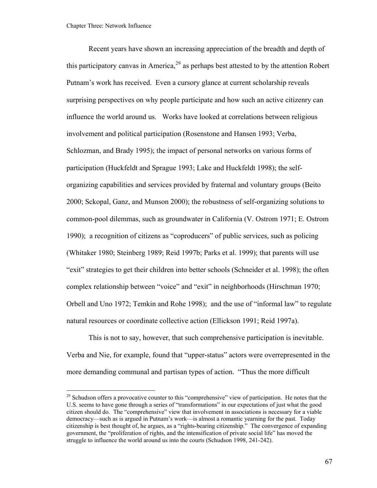<span id="page-72-0"></span>Recent years have shown an increasing appreciation of the breadth and depth of this participatory canvas in America,<sup>[29](#page-72-0)</sup> as perhaps best attested to by the attention Robert Putnam's work has received. Even a cursory glance at current scholarship reveals surprising perspectives on why people participate and how such an active citizenry can influence the world around us. Works have looked at correlations between religious involvement and political participation (Rosenstone and Hansen 1993; Verba, Schlozman, and Brady 1995); the impact of personal networks on various forms of participation (Huckfeldt and Sprague 1993; Lake and Huckfeldt 1998); the selforganizing capabilities and services provided by fraternal and voluntary groups (Beito 2000; Sckopal, Ganz, and Munson 2000); the robustness of self-organizing solutions to common-pool dilemmas, such as groundwater in California (V. Ostrom 1971; E. Ostrom 1990); a recognition of citizens as "coproducers" of public services, such as policing (Whitaker 1980; Steinberg 1989; Reid 1997b; Parks et al. 1999); that parents will use "exit" strategies to get their children into better schools (Schneider et al. 1998); the often complex relationship between "voice" and "exit" in neighborhoods (Hirschman 1970; Orbell and Uno 1972; Temkin and Rohe 1998); and the use of "informal law" to regulate natural resources or coordinate collective action (Ellickson 1991; Reid 1997a).

This is not to say, however, that such comprehensive participation is inevitable. Verba and Nie, for example, found that "upper-status" actors were overrepresented in the more demanding communal and partisan types of action. "Thus the more difficult

<sup>&</sup>lt;sup>29</sup> Schudson offers a provocative counter to this "comprehensive" view of participation. He notes that the U.S. seems to have gone through a series of "transformations" in our expectations of just what the good citizen should do. The "comprehensive" view that involvement in associations is necessary for a viable democracy—such as is argued in Putnam's work—is almost a romantic yearning for the past. Today citizenship is best thought of, he argues, as a "rights-bearing citizenship." The convergence of expanding government, the "proliferation of rights, and the intensification of private social life" has moved the struggle to influence the world around us into the courts (Schudson 1998, 241-242).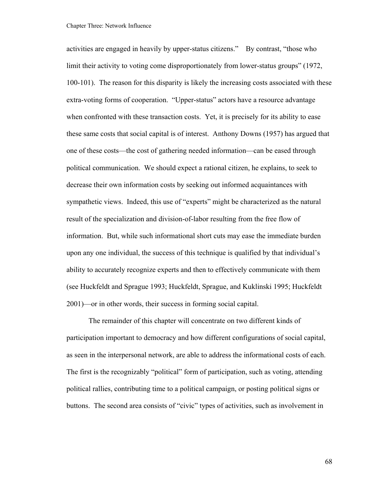Chapter Three: Network Influence

activities are engaged in heavily by upper-status citizens." By contrast, "those who limit their activity to voting come disproportionately from lower-status groups" (1972, 100-101). The reason for this disparity is likely the increasing costs associated with these extra-voting forms of cooperation. "Upper-status" actors have a resource advantage when confronted with these transaction costs. Yet, it is precisely for its ability to ease these same costs that social capital is of interest. Anthony Downs (1957) has argued that one of these costs—the cost of gathering needed information—can be eased through political communication. We should expect a rational citizen, he explains, to seek to decrease their own information costs by seeking out informed acquaintances with sympathetic views. Indeed, this use of "experts" might be characterized as the natural result of the specialization and division-of-labor resulting from the free flow of information. But, while such informational short cuts may ease the immediate burden upon any one individual, the success of this technique is qualified by that individual's ability to accurately recognize experts and then to effectively communicate with them (see Huckfeldt and Sprague 1993; Huckfeldt, Sprague, and Kuklinski 1995; Huckfeldt 2001)—or in other words, their success in forming social capital.

The remainder of this chapter will concentrate on two different kinds of participation important to democracy and how different configurations of social capital, as seen in the interpersonal network, are able to address the informational costs of each. The first is the recognizably "political" form of participation, such as voting, attending political rallies, contributing time to a political campaign, or posting political signs or buttons. The second area consists of "civic" types of activities, such as involvement in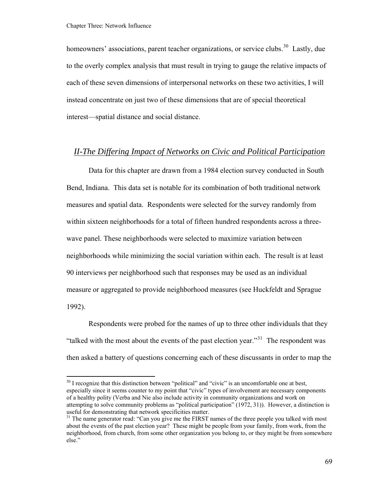<span id="page-74-0"></span>homeowners' associations, parent teacher organizations, or service clubs.<sup>[30](#page-74-0)</sup> Lastly, due to the overly complex analysis that must result in trying to gauge the relative impacts of each of these seven dimensions of interpersonal networks on these two activities, I will instead concentrate on just two of these dimensions that are of special theoretical interest—spatial distance and social distance.

### *II-The Differing Impact of Networks on Civic and Political Participation*

Data for this chapter are drawn from a 1984 election survey conducted in South Bend, Indiana. This data set is notable for its combination of both traditional network measures and spatial data. Respondents were selected for the survey randomly from within sixteen neighborhoods for a total of fifteen hundred respondents across a threewave panel. These neighborhoods were selected to maximize variation between neighborhoods while minimizing the social variation within each. The result is at least 90 interviews per neighborhood such that responses may be used as an individual measure or aggregated to provide neighborhood measures (see Huckfeldt and Sprague 1992).

Respondents were probed for the names of up to three other individuals that they "talked with the most about the events of the past election year."<sup>[31](#page-74-0)</sup> The respondent was then asked a battery of questions concerning each of these discussants in order to map the

 $30$  I recognize that this distinction between "political" and "civic" is an uncomfortable one at best, especially since it seems counter to my point that "civic" types of involvement are necessary components of a healthy polity (Verba and Nie also include activity in community organizations and work on attempting to solve community problems as "political participation" (1972, 31)). However, a distinction is useful for demonstrating that network specificities matter.

 $31$  The name generator read: "Can you give me the FIRST names of the three people you talked with most about the events of the past election year? These might be people from your family, from work, from the neighborhood, from church, from some other organization you belong to, or they might be from somewhere else."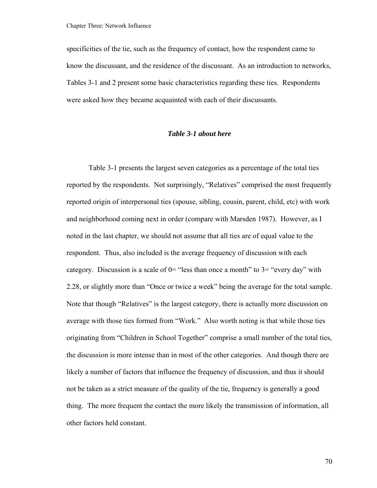specificities of the tie, such as the frequency of contact, how the respondent came to know the discussant, and the residence of the discussant. As an introduction to networks, Tables 3-1 and 2 present some basic characteristics regarding these ties. Respondents were asked how they became acquainted with each of their discussants.

#### *Table 3-1 about here*

Table 3-1 presents the largest seven categories as a percentage of the total ties reported by the respondents. Not surprisingly, "Relatives" comprised the most frequently reported origin of interpersonal ties (spouse, sibling, cousin, parent, child, etc) with work and neighborhood coming next in order (compare with Marsden 1987). However, as I noted in the last chapter, we should not assume that all ties are of equal value to the respondent. Thus, also included is the average frequency of discussion with each category. Discussion is a scale of  $0=$  "less than once a month" to  $3=$  "every day" with 2.28, or slightly more than "Once or twice a week" being the average for the total sample. Note that though "Relatives" is the largest category, there is actually more discussion on average with those ties formed from "Work." Also worth noting is that while those ties originating from "Children in School Together" comprise a small number of the total ties, the discussion is more intense than in most of the other categories. And though there are likely a number of factors that influence the frequency of discussion, and thus it should not be taken as a strict measure of the quality of the tie, frequency is generally a good thing. The more frequent the contact the more likely the transmission of information, all other factors held constant.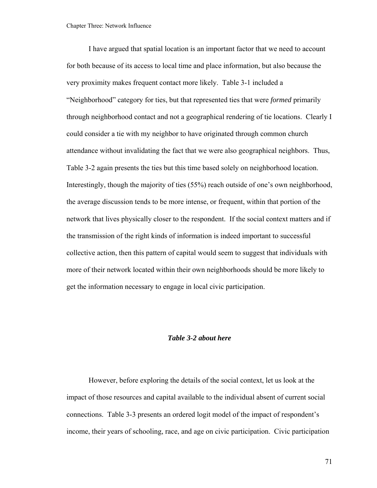I have argued that spatial location is an important factor that we need to account for both because of its access to local time and place information, but also because the very proximity makes frequent contact more likely. Table 3-1 included a "Neighborhood" category for ties, but that represented ties that were *formed* primarily through neighborhood contact and not a geographical rendering of tie locations. Clearly I could consider a tie with my neighbor to have originated through common church attendance without invalidating the fact that we were also geographical neighbors. Thus, Table 3-2 again presents the ties but this time based solely on neighborhood location. Interestingly, though the majority of ties (55%) reach outside of one's own neighborhood, the average discussion tends to be more intense, or frequent, within that portion of the network that lives physically closer to the respondent. If the social context matters and if the transmission of the right kinds of information is indeed important to successful collective action, then this pattern of capital would seem to suggest that individuals with more of their network located within their own neighborhoods should be more likely to get the information necessary to engage in local civic participation.

#### *Table 3-2 about here*

However, before exploring the details of the social context, let us look at the impact of those resources and capital available to the individual absent of current social connections. Table 3-3 presents an ordered logit model of the impact of respondent's income, their years of schooling, race, and age on civic participation. Civic participation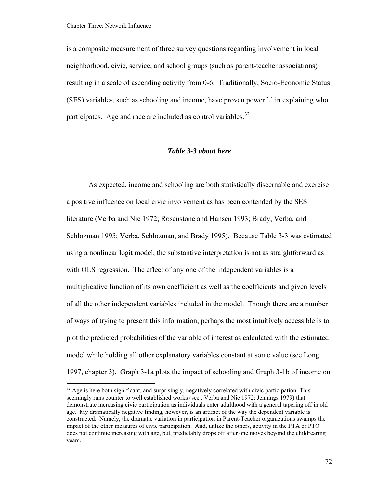<span id="page-77-0"></span>is a composite measurement of three survey questions regarding involvement in local neighborhood, civic, service, and school groups (such as parent-teacher associations) resulting in a scale of ascending activity from 0-6. Traditionally, Socio-Economic Status (SES) variables, such as schooling and income, have proven powerful in explaining who participates. Age and race are included as control variables. $32$ 

#### *Table 3-3 about here*

As expected, income and schooling are both statistically discernable and exercise a positive influence on local civic involvement as has been contended by the SES literature (Verba and Nie 1972; Rosenstone and Hansen 1993; Brady, Verba, and Schlozman 1995; Verba, Schlozman, and Brady 1995). Because Table 3-3 was estimated using a nonlinear logit model, the substantive interpretation is not as straightforward as with OLS regression. The effect of any one of the independent variables is a multiplicative function of its own coefficient as well as the coefficients and given levels of all the other independent variables included in the model. Though there are a number of ways of trying to present this information, perhaps the most intuitively accessible is to plot the predicted probabilities of the variable of interest as calculated with the estimated model while holding all other explanatory variables constant at some value (see Long 1997, chapter 3). Graph 3-1a plots the impact of schooling and Graph 3-1b of income on

 $32$  Age is here both significant, and surprisingly, negatively correlated with civic participation. This seemingly runs counter to well established works (see , Verba and Nie 1972; Jennings 1979) that demonstrate increasing civic participation as individuals enter adulthood with a general tapering off in old age. My dramatically negative finding, however, is an artifact of the way the dependent variable is constructed. Namely, the dramatic variation in participation in Parent-Teacher organizations swamps the impact of the other measures of civic participation. And, unlike the others, activity in the PTA or PTO does not continue increasing with age, but, predictably drops off after one moves beyond the childrearing years.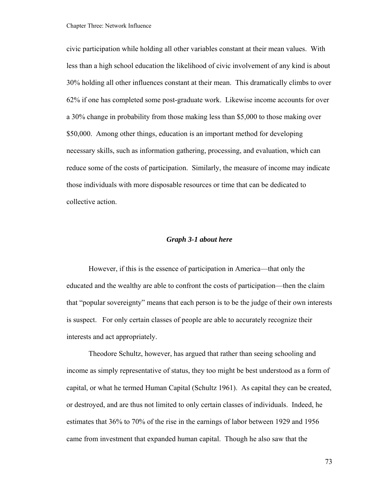Chapter Three: Network Influence

civic participation while holding all other variables constant at their mean values. With less than a high school education the likelihood of civic involvement of any kind is about 30% holding all other influences constant at their mean. This dramatically climbs to over 62% if one has completed some post-graduate work. Likewise income accounts for over a 30% change in probability from those making less than \$5,000 to those making over \$50,000. Among other things, education is an important method for developing necessary skills, such as information gathering, processing, and evaluation, which can reduce some of the costs of participation. Similarly, the measure of income may indicate those individuals with more disposable resources or time that can be dedicated to collective action.

#### *Graph 3-1 about here*

However, if this is the essence of participation in America—that only the educated and the wealthy are able to confront the costs of participation—then the claim that "popular sovereignty" means that each person is to be the judge of their own interests is suspect. For only certain classes of people are able to accurately recognize their interests and act appropriately.

Theodore Schultz, however, has argued that rather than seeing schooling and income as simply representative of status, they too might be best understood as a form of capital, or what he termed Human Capital (Schultz 1961). As capital they can be created, or destroyed, and are thus not limited to only certain classes of individuals. Indeed, he estimates that 36% to 70% of the rise in the earnings of labor between 1929 and 1956 came from investment that expanded human capital. Though he also saw that the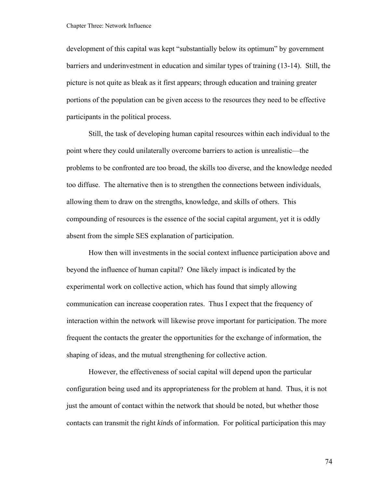development of this capital was kept "substantially below its optimum" by government barriers and underinvestment in education and similar types of training (13-14). Still, the picture is not quite as bleak as it first appears; through education and training greater portions of the population can be given access to the resources they need to be effective participants in the political process.

Still, the task of developing human capital resources within each individual to the point where they could unilaterally overcome barriers to action is unrealistic—the problems to be confronted are too broad, the skills too diverse, and the knowledge needed too diffuse. The alternative then is to strengthen the connections between individuals, allowing them to draw on the strengths, knowledge, and skills of others. This compounding of resources is the essence of the social capital argument, yet it is oddly absent from the simple SES explanation of participation.

How then will investments in the social context influence participation above and beyond the influence of human capital? One likely impact is indicated by the experimental work on collective action, which has found that simply allowing communication can increase cooperation rates. Thus I expect that the frequency of interaction within the network will likewise prove important for participation. The more frequent the contacts the greater the opportunities for the exchange of information, the shaping of ideas, and the mutual strengthening for collective action.

However, the effectiveness of social capital will depend upon the particular configuration being used and its appropriateness for the problem at hand. Thus, it is not just the amount of contact within the network that should be noted, but whether those contacts can transmit the right *kinds* of information. For political participation this may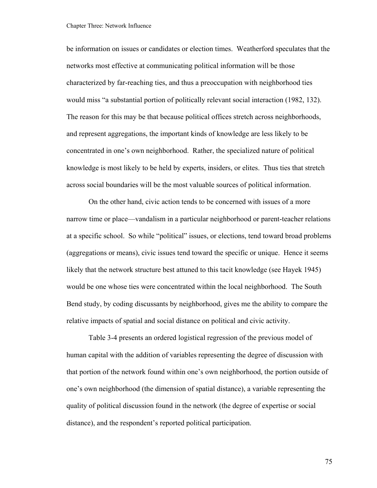be information on issues or candidates or election times. Weatherford speculates that the networks most effective at communicating political information will be those characterized by far-reaching ties, and thus a preoccupation with neighborhood ties would miss "a substantial portion of politically relevant social interaction (1982, 132). The reason for this may be that because political offices stretch across neighborhoods, and represent aggregations, the important kinds of knowledge are less likely to be concentrated in one's own neighborhood. Rather, the specialized nature of political knowledge is most likely to be held by experts, insiders, or elites. Thus ties that stretch across social boundaries will be the most valuable sources of political information.

On the other hand, civic action tends to be concerned with issues of a more narrow time or place—vandalism in a particular neighborhood or parent-teacher relations at a specific school. So while "political" issues, or elections, tend toward broad problems (aggregations or means), civic issues tend toward the specific or unique. Hence it seems likely that the network structure best attuned to this tacit knowledge (see Hayek 1945) would be one whose ties were concentrated within the local neighborhood. The South Bend study, by coding discussants by neighborhood, gives me the ability to compare the relative impacts of spatial and social distance on political and civic activity.

Table 3-4 presents an ordered logistical regression of the previous model of human capital with the addition of variables representing the degree of discussion with that portion of the network found within one's own neighborhood, the portion outside of one's own neighborhood (the dimension of spatial distance), a variable representing the quality of political discussion found in the network (the degree of expertise or social distance), and the respondent's reported political participation.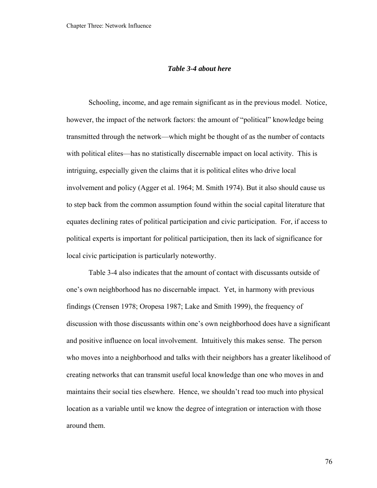#### *Table 3-4 about here*

Schooling, income, and age remain significant as in the previous model. Notice, however, the impact of the network factors: the amount of "political" knowledge being transmitted through the network—which might be thought of as the number of contacts with political elites—has no statistically discernable impact on local activity. This is intriguing, especially given the claims that it is political elites who drive local involvement and policy (Agger et al. 1964; M. Smith 1974). But it also should cause us to step back from the common assumption found within the social capital literature that equates declining rates of political participation and civic participation. For, if access to political experts is important for political participation, then its lack of significance for local civic participation is particularly noteworthy.

Table 3-4 also indicates that the amount of contact with discussants outside of one's own neighborhood has no discernable impact. Yet, in harmony with previous findings (Crensen 1978; Oropesa 1987; Lake and Smith 1999), the frequency of discussion with those discussants within one's own neighborhood does have a significant and positive influence on local involvement. Intuitively this makes sense. The person who moves into a neighborhood and talks with their neighbors has a greater likelihood of creating networks that can transmit useful local knowledge than one who moves in and maintains their social ties elsewhere. Hence, we shouldn't read too much into physical location as a variable until we know the degree of integration or interaction with those around them.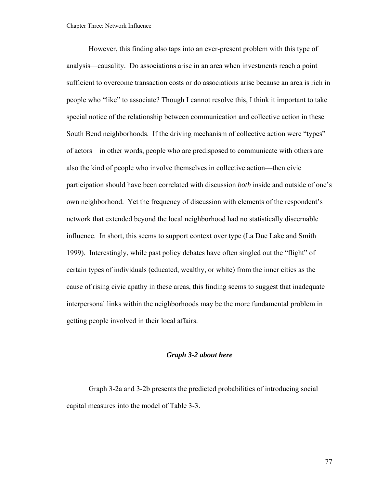However, this finding also taps into an ever-present problem with this type of analysis—causality. Do associations arise in an area when investments reach a point sufficient to overcome transaction costs or do associations arise because an area is rich in people who "like" to associate? Though I cannot resolve this, I think it important to take special notice of the relationship between communication and collective action in these South Bend neighborhoods. If the driving mechanism of collective action were "types" of actors—in other words, people who are predisposed to communicate with others are also the kind of people who involve themselves in collective action—then civic participation should have been correlated with discussion *both* inside and outside of one's own neighborhood. Yet the frequency of discussion with elements of the respondent's network that extended beyond the local neighborhood had no statistically discernable influence. In short, this seems to support context over type (La Due Lake and Smith 1999). Interestingly, while past policy debates have often singled out the "flight" of certain types of individuals (educated, wealthy, or white) from the inner cities as the cause of rising civic apathy in these areas, this finding seems to suggest that inadequate interpersonal links within the neighborhoods may be the more fundamental problem in getting people involved in their local affairs.

#### *Graph 3-2 about here*

Graph 3-2a and 3-2b presents the predicted probabilities of introducing social capital measures into the model of Table 3-3.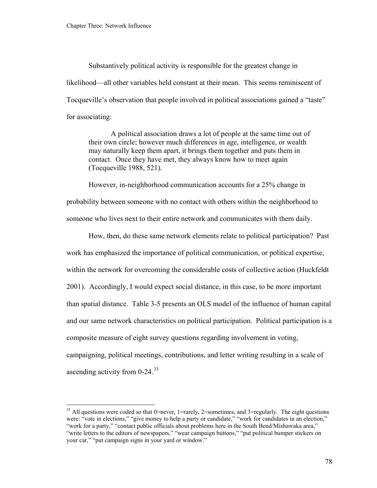<span id="page-83-0"></span>Substantively political activity is responsible for the greatest change in likelihood—all other variables held constant at their mean. This seems reminiscent of Tocqueville's observation that people involved in political associations gained a "taste" for associating:

A political association draws a lot of people at the same time out of their own circle; however much differences in age, intelligence, or wealth may naturally keep them apart, it brings them together and puts them in contact. Once they have met, they always know how to meet again (Tocqueville 1988, 521).

However, in-neighborhood communication accounts for a 25% change in probability between someone with no contact with others within the neighborhood to someone who lives next to their entire network and communicates with them daily.

How, then, do these same network elements relate to political participation? Past work has emphasized the importance of political communication, or political expertise, within the network for overcoming the considerable costs of collective action (Huckfeldt 2001). Accordingly, I would expect social distance, in this case, to be more important than spatial distance. Table 3-5 presents an OLS model of the influence of human capital and our same network characteristics on political participation. Political participation is a composite measure of eight survey questions regarding involvement in voting, campaigning, political meetings, contributions, and letter writing resulting in a scale of ascending activity from 0-24.[33](#page-83-0)

 $33$  All questions were coded so that 0=never, 1=rarely, 2=sometimes, and 3=regularly. The eight questions were: "vote in elections," "give money to help a party or candidate," "work for candidates in an election," "work for a party," "contact public officials about problems here in the South Bend/Mishawaka area," "write letters to the editors of newspapers," "wear campaign buttons," "put political bumper stickers on your car," "put campaign signs in your yard or window."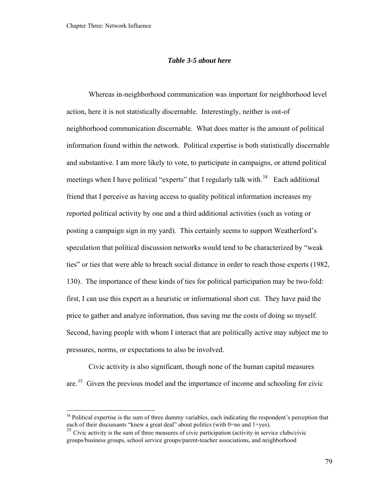#### *Table 3-5 about here*

<span id="page-84-0"></span>Whereas in-neighborhood communication was important for neighborhood level action, here it is not statistically discernable. Interestingly, neither is out-of neighborhood communication discernable. What does matter is the amount of political information found within the network. Political expertise is both statistically discernable and substantive. I am more likely to vote, to participate in campaigns, or attend political meetings when I have political "experts" that I regularly talk with.<sup>[34](#page-84-0)</sup> Each additional friend that I perceive as having access to quality political information increases my reported political activity by one and a third additional activities (such as voting or posting a campaign sign in my yard). This certainly seems to support Weatherford's speculation that political discussion networks would tend to be characterized by "weak ties" or ties that were able to breach social distance in order to reach those experts (1982, 130). The importance of these kinds of ties for political participation may be two-fold: first, I can use this expert as a heuristic or informational short cut. They have paid the price to gather and analyze information, thus saving me the costs of doing so myself. Second, having people with whom I interact that are politically active may subject me to pressures, norms, or expectations to also be involved.

Civic activity is also significant, though none of the human capital measures are.[35](#page-85-0) Given the previous model and the importance of income and schooling for civic

<sup>&</sup>lt;sup>34</sup> Political expertise is the sum of three dummy variables, each indicating the respondent's perception that each of their discussants "knew a great deal" about politics (with 0=no and 1=yes).

 $35$  Civic activity is the sum of three measures of civic participation (activity in service clubs/civic groups/business groups, school service groups/parent-teacher associations, and neighborhood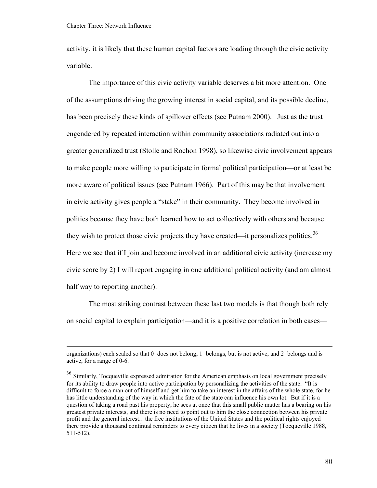<span id="page-85-0"></span>activity, it is likely that these human capital factors are loading through the civic activity variable.

The importance of this civic activity variable deserves a bit more attention. One of the assumptions driving the growing interest in social capital, and its possible decline, has been precisely these kinds of spillover effects (see Putnam 2000). Just as the trust engendered by repeated interaction within community associations radiated out into a greater generalized trust (Stolle and Rochon 1998), so likewise civic involvement appears to make people more willing to participate in formal political participation—or at least be more aware of political issues (see Putnam 1966). Part of this may be that involvement in civic activity gives people a "stake" in their community. They become involved in politics because they have both learned how to act collectively with others and because they wish to protect those civic projects they have created—it personalizes politics.<sup>[36](#page-85-0)</sup> Here we see that if I join and become involved in an additional civic activity (increase my civic score by 2) I will report engaging in one additional political activity (and am almost half way to reporting another).

The most striking contrast between these last two models is that though both rely on social capital to explain participation—and it is a positive correlation in both cases—

organizations) each scaled so that 0=does not belong, 1=belongs, but is not active, and 2=belongs and is active, for a range of 0-6.

<sup>&</sup>lt;sup>36</sup> Similarly, Tocqueville expressed admiration for the American emphasis on local government precisely for its ability to draw people into active participation by personalizing the activities of the state: "It is difficult to force a man out of himself and get him to take an interest in the affairs of the whole state, for he has little understanding of the way in which the fate of the state can influence his own lot. But if it is a question of taking a road past his property, he sees at once that this small public matter has a bearing on his greatest private interests, and there is no need to point out to him the close connection between his private profit and the general interest…the free institutions of the United States and the political rights enjoyed there provide a thousand continual reminders to every citizen that he lives in a society (Tocqueville 1988, 511-512).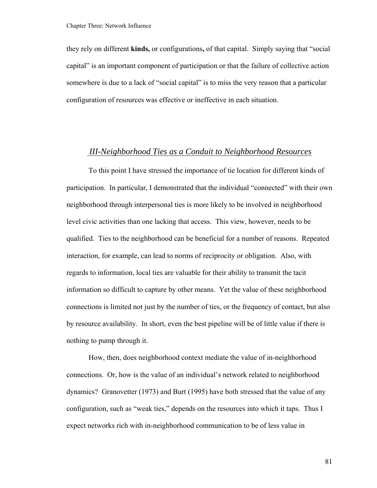they rely on different **kinds,** or configurations**,** of that capital. Simply saying that "social capital" is an important component of participation or that the failure of collective action somewhere is due to a lack of "social capital" is to miss the very reason that a particular configuration of resources was effective or ineffective in each situation.

## *III-Neighborhood Ties as a Conduit to Neighborhood Resources*

 To this point I have stressed the importance of tie location for different kinds of participation. In particular, I demonstrated that the individual "connected" with their own neighborhood through interpersonal ties is more likely to be involved in neighborhood level civic activities than one lacking that access. This view, however, needs to be qualified. Ties to the neighborhood can be beneficial for a number of reasons. Repeated interaction, for example, can lead to norms of reciprocity or obligation. Also, with regards to information, local ties are valuable for their ability to transmit the tacit information so difficult to capture by other means. Yet the value of these neighborhood connections is limited not just by the number of ties, or the frequency of contact, but also by resource availability. In short, even the best pipeline will be of little value if there is nothing to pump through it.

 How, then, does neighborhood context mediate the value of in-neighborhood connections. Or, how is the value of an individual's network related to neighborhood dynamics? Granovetter (1973) and Burt (1995) have both stressed that the value of any configuration, such as "weak ties," depends on the resources into which it taps. Thus I expect networks rich with in-neighborhood communication to be of less value in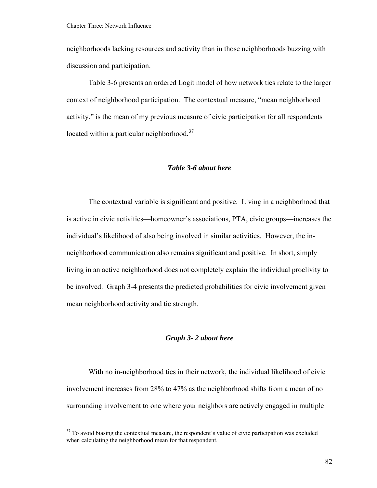<span id="page-87-0"></span>neighborhoods lacking resources and activity than in those neighborhoods buzzing with discussion and participation.

Table 3-6 presents an ordered Logit model of how network ties relate to the larger context of neighborhood participation. The contextual measure, "mean neighborhood activity," is the mean of my previous measure of civic participation for all respondents located within a particular neighborhood.<sup>[37](#page-87-0)</sup>

#### *Table 3-6 about here*

 The contextual variable is significant and positive. Living in a neighborhood that is active in civic activities—homeowner's associations, PTA, civic groups—increases the individual's likelihood of also being involved in similar activities. However, the inneighborhood communication also remains significant and positive. In short, simply living in an active neighborhood does not completely explain the individual proclivity to be involved. Graph 3-4 presents the predicted probabilities for civic involvement given mean neighborhood activity and tie strength.

#### *Graph 3- 2 about here*

 With no in-neighborhood ties in their network, the individual likelihood of civic involvement increases from 28% to 47% as the neighborhood shifts from a mean of no surrounding involvement to one where your neighbors are actively engaged in multiple

 $37$  To avoid biasing the contextual measure, the respondent's value of civic participation was excluded when calculating the neighborhood mean for that respondent.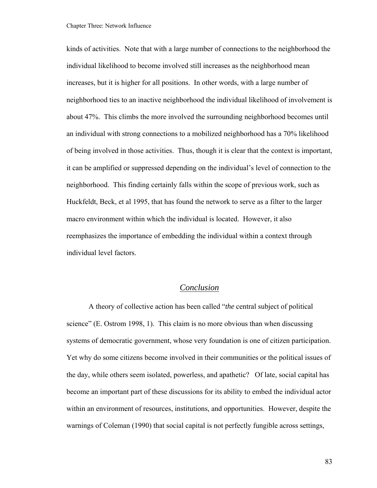kinds of activities. Note that with a large number of connections to the neighborhood the individual likelihood to become involved still increases as the neighborhood mean increases, but it is higher for all positions. In other words, with a large number of neighborhood ties to an inactive neighborhood the individual likelihood of involvement is about 47%. This climbs the more involved the surrounding neighborhood becomes until an individual with strong connections to a mobilized neighborhood has a 70% likelihood of being involved in those activities. Thus, though it is clear that the context is important, it can be amplified or suppressed depending on the individual's level of connection to the neighborhood. This finding certainly falls within the scope of previous work, such as Huckfeldt, Beck, et al 1995, that has found the network to serve as a filter to the larger macro environment within which the individual is located. However, it also reemphasizes the importance of embedding the individual within a context through individual level factors.

## *Conclusion*

A theory of collective action has been called "*the* central subject of political science" (E. Ostrom 1998, 1). This claim is no more obvious than when discussing systems of democratic government, whose very foundation is one of citizen participation. Yet why do some citizens become involved in their communities or the political issues of the day, while others seem isolated, powerless, and apathetic? Of late, social capital has become an important part of these discussions for its ability to embed the individual actor within an environment of resources, institutions, and opportunities. However, despite the warnings of Coleman (1990) that social capital is not perfectly fungible across settings,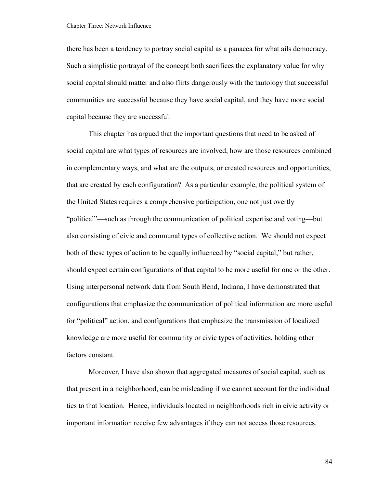there has been a tendency to portray social capital as a panacea for what ails democracy. Such a simplistic portrayal of the concept both sacrifices the explanatory value for why social capital should matter and also flirts dangerously with the tautology that successful communities are successful because they have social capital, and they have more social capital because they are successful.

This chapter has argued that the important questions that need to be asked of social capital are what types of resources are involved, how are those resources combined in complementary ways, and what are the outputs, or created resources and opportunities, that are created by each configuration? As a particular example, the political system of the United States requires a comprehensive participation, one not just overtly "political"—such as through the communication of political expertise and voting—but also consisting of civic and communal types of collective action. We should not expect both of these types of action to be equally influenced by "social capital," but rather, should expect certain configurations of that capital to be more useful for one or the other. Using interpersonal network data from South Bend, Indiana, I have demonstrated that configurations that emphasize the communication of political information are more useful for "political" action, and configurations that emphasize the transmission of localized knowledge are more useful for community or civic types of activities, holding other factors constant.

Moreover, I have also shown that aggregated measures of social capital, such as that present in a neighborhood, can be misleading if we cannot account for the individual ties to that location. Hence, individuals located in neighborhoods rich in civic activity or important information receive few advantages if they can not access those resources.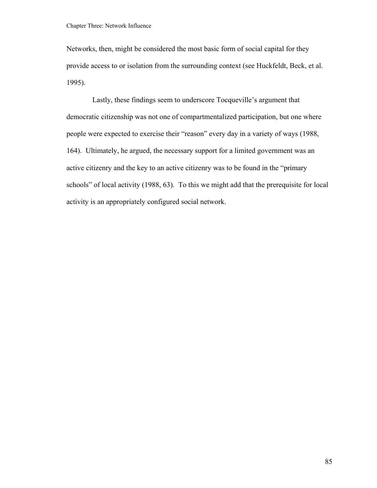Networks, then, might be considered the most basic form of social capital for they provide access to or isolation from the surrounding context (see Huckfeldt, Beck, et al. 1995).

 Lastly, these findings seem to underscore Tocqueville's argument that democratic citizenship was not one of compartmentalized participation, but one where people were expected to exercise their "reason" every day in a variety of ways (1988, 164). Ultimately, he argued, the necessary support for a limited government was an active citizenry and the key to an active citizenry was to be found in the "primary schools" of local activity (1988, 63). To this we might add that the prerequisite for local activity is an appropriately configured social network.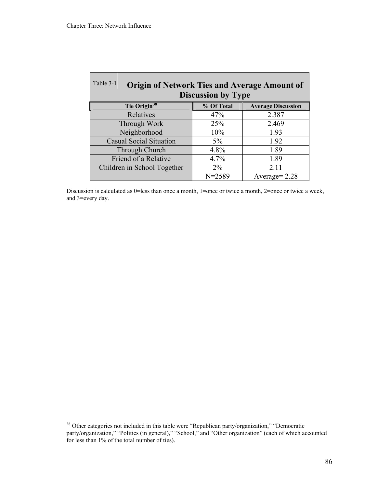<span id="page-91-0"></span>

| Table 3-1<br><b>Origin of Network Ties and Average Amount of</b><br><b>Discussion by Type</b> |            |                           |  |
|-----------------------------------------------------------------------------------------------|------------|---------------------------|--|
| Tie Origin <sup>38</sup>                                                                      | % Of Total | <b>Average Discussion</b> |  |
| Relatives                                                                                     | 47%        | 2.387                     |  |
| Through Work                                                                                  | 25%        | 2.469                     |  |
| Neighborhood                                                                                  | 10%        | 1.93                      |  |
| <b>Casual Social Situation</b>                                                                | $5\%$      | 1.92                      |  |
| Through Church                                                                                | 4.8%       | 1.89                      |  |
| Friend of a Relative                                                                          | 4.7%       | 1.89                      |  |
| Children in School Together                                                                   | $2\%$      | 2.11                      |  |
|                                                                                               | $N = 2589$ | Average $= 2.28$          |  |

Discussion is calculated as 0=less than once a month, 1=once or twice a month, 2=once or twice a week, and 3=every day.

<sup>&</sup>lt;sup>38</sup> Other categories not included in this table were "Republican party/organization," "Democratic party/organization," "Politics (in general)," "School," and "Other organization" (each of which accounted for less than 1% of the total number of ties).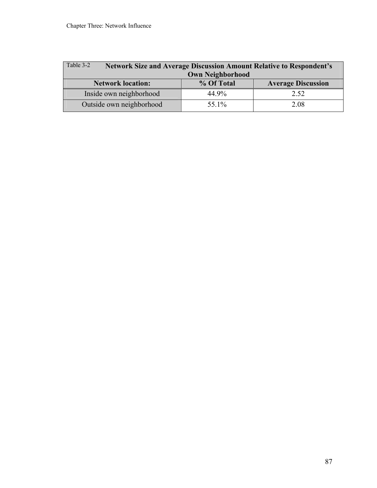| Table 3-2                | <b>Network Size and Average Discussion Amount Relative to Respondent's</b> |                           |  |
|--------------------------|----------------------------------------------------------------------------|---------------------------|--|
| <b>Own Neighborhood</b>  |                                                                            |                           |  |
| <b>Network location:</b> | % Of Total                                                                 | <b>Average Discussion</b> |  |
| Inside own neighborhood  | 44.9%                                                                      | 2.52                      |  |
| Outside own neighborhood | 55.1%                                                                      | 2.08                      |  |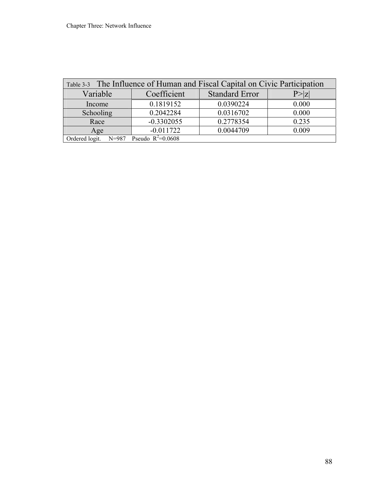| Table 3-3 The Influence of Human and Fiscal Capital on Civic Participation |              |                       |                                   |
|----------------------------------------------------------------------------|--------------|-----------------------|-----------------------------------|
| Variable                                                                   | Coefficient  | <b>Standard Error</b> | $\mathsf{P}\!\!>\!\! _\mathsf{Z}$ |
| Income                                                                     | 0.1819152    | 0.0390224             | 0.000                             |
| Schooling                                                                  | 0.2042284    | 0.0316702             | 0.000                             |
| Race                                                                       | $-0.3302055$ | 0.2778354             | 0.235                             |
| Age                                                                        | $-0.011722$  | 0.0044709             | 0.009                             |
| Ordered logit. $N=987$ Pseudo $R^2=0.0608$                                 |              |                       |                                   |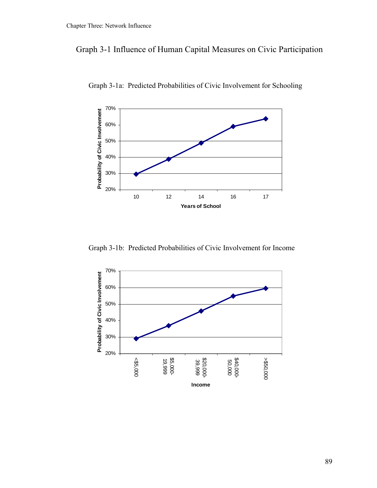# Graph 3-1 Influence of Human Capital Measures on Civic Participation



Graph 3-1a: Predicted Probabilities of Civic Involvement for Schooling

Graph 3-1b: Predicted Probabilities of Civic Involvement for Income

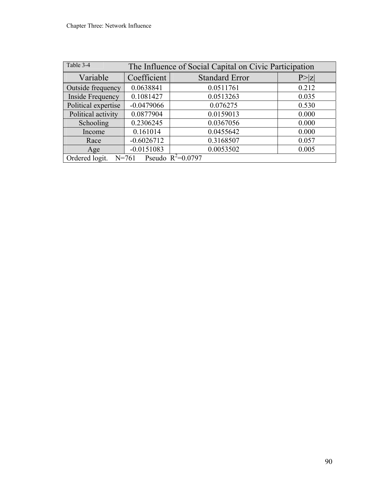| Table 3-4<br>The Influence of Social Capital on Civic Participation |              |                       |       |
|---------------------------------------------------------------------|--------------|-----------------------|-------|
| Variable                                                            | Coefficient  | <b>Standard Error</b> | P>z   |
| Outside frequency                                                   | 0.0638841    | 0.0511761             | 0.212 |
| Inside Frequency                                                    | 0.1081427    | 0.0513263             | 0.035 |
| Political expertise                                                 | $-0.0479066$ | 0.076275              | 0.530 |
| Political activity                                                  | 0.0877904    | 0.0159013             | 0.000 |
| Schooling                                                           | 0.2306245    | 0.0367056             | 0.000 |
| Income                                                              | 0.161014     | 0.0455642             | 0.000 |
| Race                                                                | $-0.6026712$ | 0.3168507             | 0.057 |
| Age                                                                 | $-0.0151083$ | 0.0053502             | 0.005 |
| Pseudo $R^2=0.0797$<br>Ordered logit.<br>$N = 761$                  |              |                       |       |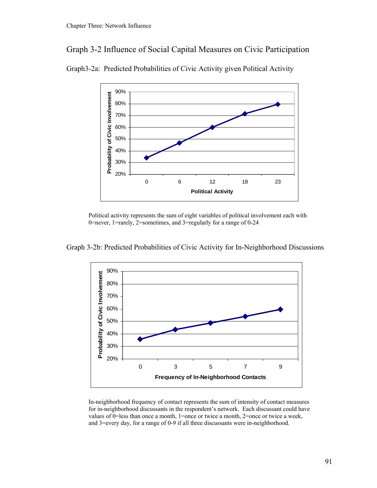# Graph 3-2 Influence of Social Capital Measures on Civic Participation



Graph3-2a: Predicted Probabilities of Civic Activity given Political Activity

Political activity represents the sum of eight variables of political involvement each with 0=never, 1=rarely, 2=sometimes, and 3=regularly for a range of 0-24



Graph 3-2b: Predicted Probabilities of Civic Activity for In-Neighborhood Discussions

In-neighborhood frequency of contact represents the sum of intensity of contact measures for in-neighborhood discussants in the respondent's network. Each discussant could have values of 0=less than once a month, 1=once or twice a month, 2=once or twice a week, and 3=every day, for a range of 0-9 if all three discussants were in-neighborhood.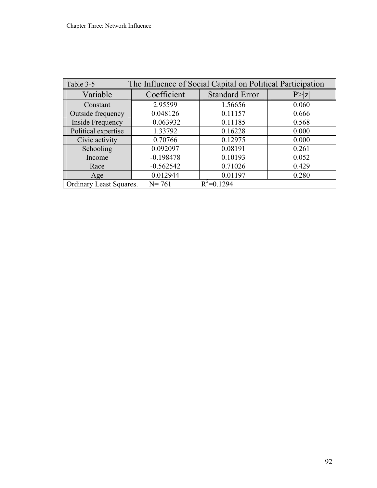| The Influence of Social Capital on Political Participation<br>Table 3-5 |             |                       |        |
|-------------------------------------------------------------------------|-------------|-----------------------|--------|
| Variable                                                                | Coefficient | <b>Standard Error</b> | P >  Z |
| Constant                                                                | 2.95599     | 1.56656               | 0.060  |
| Outside frequency                                                       | 0.048126    | 0.11157               | 0.666  |
| <b>Inside Frequency</b>                                                 | $-0.063932$ | 0.11185               | 0.568  |
| Political expertise                                                     | 1.33792     | 0.16228               | 0.000  |
| Civic activity                                                          | 0.70766     | 0.12975               | 0.000  |
| Schooling                                                               | 0.092097    | 0.08191               | 0.261  |
| Income                                                                  | $-0.198478$ | 0.10193               | 0.052  |
| Race                                                                    | $-0.562542$ | 0.71026               | 0.429  |
| Age                                                                     | 0.012944    | 0.01197               | 0.280  |
| Ordinary Least Squares.                                                 | $N = 761$   | $R^2 = 0.1294$        |        |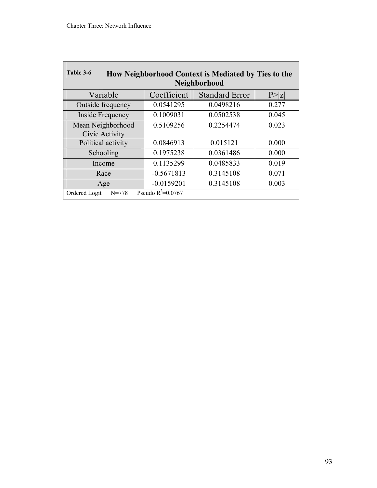| Table 3-6<br>How Neighborhood Context is Mediated by Ties to the<br>Neighborhood |              |                       |        |
|----------------------------------------------------------------------------------|--------------|-----------------------|--------|
| Variable                                                                         | Coefficient  | <b>Standard Error</b> | P >  Z |
| Outside frequency                                                                | 0.0541295    | 0.0498216             | 0.277  |
| Inside Frequency                                                                 | 0.1009031    | 0.0502538             | 0.045  |
| Mean Neighborhood<br>Civic Activity                                              | 0.5109256    | 0.2254474             | 0.023  |
| Political activity                                                               | 0.0846913    | 0.015121              | 0.000  |
| Schooling                                                                        | 0.1975238    | 0.0361486             | 0.000  |
| Income                                                                           | 0.1135299    | 0.0485833             | 0.019  |
| Race                                                                             | $-0.5671813$ | 0.3145108             | 0.071  |
| Age                                                                              | $-0.0159201$ | 0.3145108             | 0.003  |
| Pseudo $R^2$ =0.0767<br>Ordered Logit<br>$N = 778$                               |              |                       |        |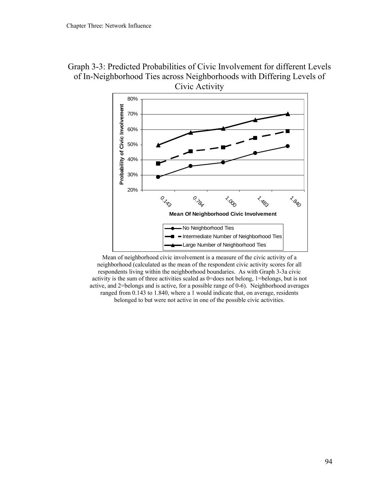



Mean of neighborhood civic involvement is a measure of the civic activity of a neighborhood (calculated as the mean of the respondent civic activity scores for all respondents living within the neighborhood boundaries. As with Graph 3-3a civic activity is the sum of three activities scaled as 0=does not belong, 1=belongs, but is not active, and 2=belongs and is active, for a possible range of 0-6). Neighborhood averages ranged from 0.143 to 1.840, where a 1 would indicate that, on average, residents belonged to but were not active in one of the possible civic activities.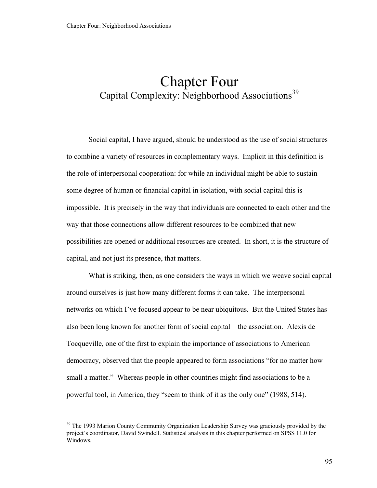# <span id="page-100-0"></span>Chapter Four Capital Complexity: Neighborhood Associations<sup>[39](#page-100-0)</sup>

Social capital, I have argued, should be understood as the use of social structures to combine a variety of resources in complementary ways. Implicit in this definition is the role of interpersonal cooperation: for while an individual might be able to sustain some degree of human or financial capital in isolation, with social capital this is impossible. It is precisely in the way that individuals are connected to each other and the way that those connections allow different resources to be combined that new possibilities are opened or additional resources are created. In short, it is the structure of capital, and not just its presence, that matters.

What is striking, then, as one considers the ways in which we weave social capital around ourselves is just how many different forms it can take. The interpersonal networks on which I've focused appear to be near ubiquitous. But the United States has also been long known for another form of social capital—the association. Alexis de Tocqueville, one of the first to explain the importance of associations to American democracy, observed that the people appeared to form associations "for no matter how small a matter." Whereas people in other countries might find associations to be a powerful tool, in America, they "seem to think of it as the only one" (1988, 514).

<sup>&</sup>lt;sup>39</sup> The 1993 Marion County Community Organization Leadership Survey was graciously provided by the project's coordinator, David Swindell. Statistical analysis in this chapter performed on SPSS 11.0 for Windows.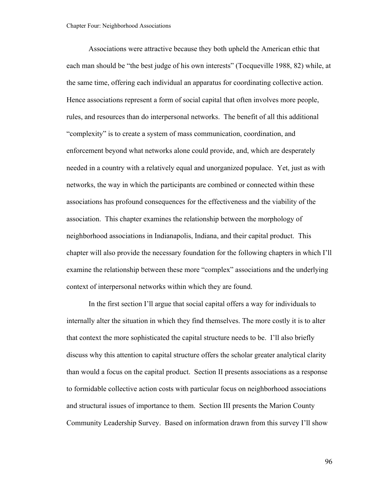Associations were attractive because they both upheld the American ethic that each man should be "the best judge of his own interests" (Tocqueville 1988, 82) while, at the same time, offering each individual an apparatus for coordinating collective action. Hence associations represent a form of social capital that often involves more people, rules, and resources than do interpersonal networks. The benefit of all this additional "complexity" is to create a system of mass communication, coordination, and enforcement beyond what networks alone could provide, and, which are desperately needed in a country with a relatively equal and unorganized populace. Yet, just as with networks, the way in which the participants are combined or connected within these associations has profound consequences for the effectiveness and the viability of the association. This chapter examines the relationship between the morphology of neighborhood associations in Indianapolis, Indiana, and their capital product. This chapter will also provide the necessary foundation for the following chapters in which I'll examine the relationship between these more "complex" associations and the underlying context of interpersonal networks within which they are found.

 In the first section I'll argue that social capital offers a way for individuals to internally alter the situation in which they find themselves. The more costly it is to alter that context the more sophisticated the capital structure needs to be. I'll also briefly discuss why this attention to capital structure offers the scholar greater analytical clarity than would a focus on the capital product. Section II presents associations as a response to formidable collective action costs with particular focus on neighborhood associations and structural issues of importance to them. Section III presents the Marion County Community Leadership Survey. Based on information drawn from this survey I'll show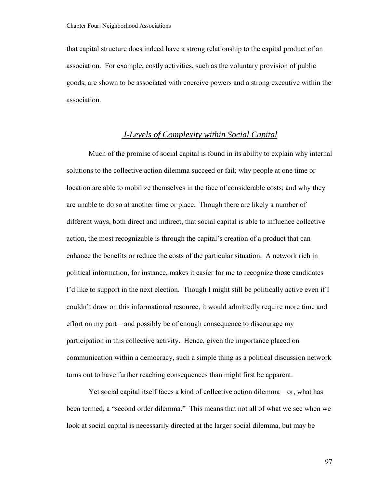that capital structure does indeed have a strong relationship to the capital product of an association. For example, costly activities, such as the voluntary provision of public goods, are shown to be associated with coercive powers and a strong executive within the association.

# *I-Levels of Complexity within Social Capital*

Much of the promise of social capital is found in its ability to explain why internal solutions to the collective action dilemma succeed or fail; why people at one time or location are able to mobilize themselves in the face of considerable costs; and why they are unable to do so at another time or place. Though there are likely a number of different ways, both direct and indirect, that social capital is able to influence collective action, the most recognizable is through the capital's creation of a product that can enhance the benefits or reduce the costs of the particular situation. A network rich in political information, for instance, makes it easier for me to recognize those candidates I'd like to support in the next election. Though I might still be politically active even if I couldn't draw on this informational resource, it would admittedly require more time and effort on my part—and possibly be of enough consequence to discourage my participation in this collective activity. Hence, given the importance placed on communication within a democracy, such a simple thing as a political discussion network turns out to have further reaching consequences than might first be apparent.

Yet social capital itself faces a kind of collective action dilemma—or, what has been termed, a "second order dilemma." This means that not all of what we see when we look at social capital is necessarily directed at the larger social dilemma, but may be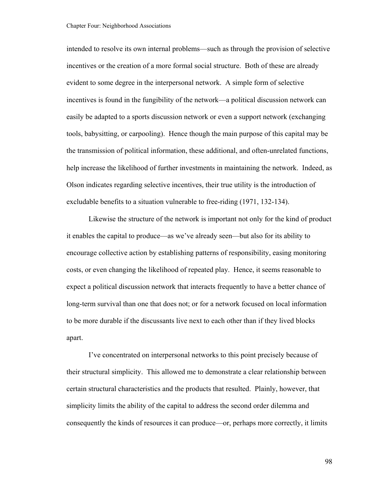intended to resolve its own internal problems—such as through the provision of selective incentives or the creation of a more formal social structure. Both of these are already evident to some degree in the interpersonal network. A simple form of selective incentives is found in the fungibility of the network—a political discussion network can easily be adapted to a sports discussion network or even a support network (exchanging tools, babysitting, or carpooling). Hence though the main purpose of this capital may be the transmission of political information, these additional, and often-unrelated functions, help increase the likelihood of further investments in maintaining the network. Indeed, as Olson indicates regarding selective incentives, their true utility is the introduction of excludable benefits to a situation vulnerable to free-riding (1971, 132-134).

Likewise the structure of the network is important not only for the kind of product it enables the capital to produce—as we've already seen—but also for its ability to encourage collective action by establishing patterns of responsibility, easing monitoring costs, or even changing the likelihood of repeated play. Hence, it seems reasonable to expect a political discussion network that interacts frequently to have a better chance of long-term survival than one that does not; or for a network focused on local information to be more durable if the discussants live next to each other than if they lived blocks apart.

I've concentrated on interpersonal networks to this point precisely because of their structural simplicity. This allowed me to demonstrate a clear relationship between certain structural characteristics and the products that resulted. Plainly, however, that simplicity limits the ability of the capital to address the second order dilemma and consequently the kinds of resources it can produce—or, perhaps more correctly, it limits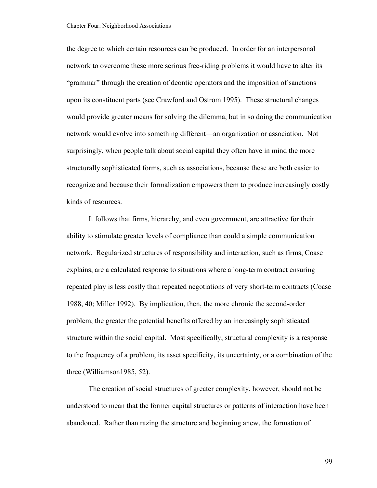the degree to which certain resources can be produced. In order for an interpersonal network to overcome these more serious free-riding problems it would have to alter its "grammar" through the creation of deontic operators and the imposition of sanctions upon its constituent parts (see Crawford and Ostrom 1995). These structural changes would provide greater means for solving the dilemma, but in so doing the communication network would evolve into something different—an organization or association. Not surprisingly, when people talk about social capital they often have in mind the more structurally sophisticated forms, such as associations, because these are both easier to recognize and because their formalization empowers them to produce increasingly costly kinds of resources.

It follows that firms, hierarchy, and even government, are attractive for their ability to stimulate greater levels of compliance than could a simple communication network. Regularized structures of responsibility and interaction, such as firms, Coase explains, are a calculated response to situations where a long-term contract ensuring repeated play is less costly than repeated negotiations of very short-term contracts (Coase 1988, 40; Miller 1992). By implication, then, the more chronic the second-order problem, the greater the potential benefits offered by an increasingly sophisticated structure within the social capital. Most specifically, structural complexity is a response to the frequency of a problem, its asset specificity, its uncertainty, or a combination of the three (Williamson1985, 52).

The creation of social structures of greater complexity, however, should not be understood to mean that the former capital structures or patterns of interaction have been abandoned. Rather than razing the structure and beginning anew, the formation of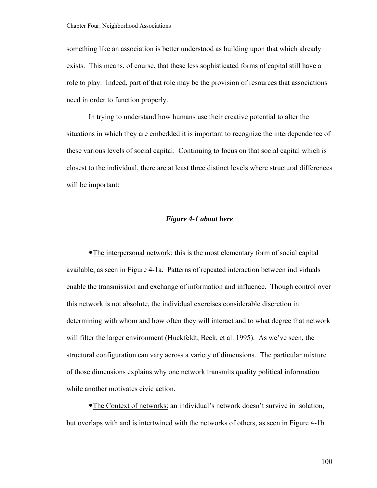something like an association is better understood as building upon that which already exists. This means, of course, that these less sophisticated forms of capital still have a role to play. Indeed, part of that role may be the provision of resources that associations need in order to function properly.

In trying to understand how humans use their creative potential to alter the situations in which they are embedded it is important to recognize the interdependence of these various levels of social capital. Continuing to focus on that social capital which is closest to the individual, there are at least three distinct levels where structural differences will be important:

#### *Figure 4-1 about here*

• The interpersonal network: this is the most elementary form of social capital available, as seen in Figure 4-1a. Patterns of repeated interaction between individuals enable the transmission and exchange of information and influence. Though control over this network is not absolute, the individual exercises considerable discretion in determining with whom and how often they will interact and to what degree that network will filter the larger environment (Huckfeldt, Beck, et al. 1995). As we've seen, the structural configuration can vary across a variety of dimensions. The particular mixture of those dimensions explains why one network transmits quality political information while another motivates civic action.

•The Context of networks: an individual's network doesn't survive in isolation, but overlaps with and is intertwined with the networks of others, as seen in Figure 4-1b.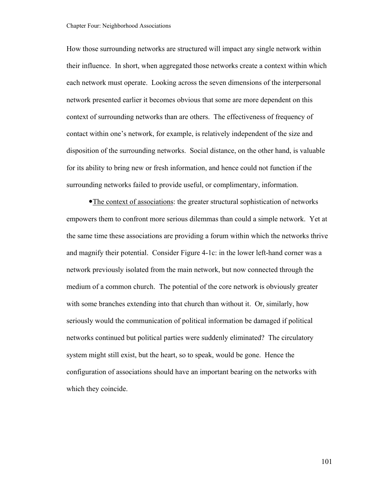How those surrounding networks are structured will impact any single network within their influence. In short, when aggregated those networks create a context within which each network must operate. Looking across the seven dimensions of the interpersonal network presented earlier it becomes obvious that some are more dependent on this context of surrounding networks than are others. The effectiveness of frequency of contact within one's network, for example, is relatively independent of the size and disposition of the surrounding networks. Social distance, on the other hand, is valuable for its ability to bring new or fresh information, and hence could not function if the surrounding networks failed to provide useful, or complimentary, information.

• The context of associations: the greater structural sophistication of networks empowers them to confront more serious dilemmas than could a simple network. Yet at the same time these associations are providing a forum within which the networks thrive and magnify their potential. Consider Figure 4-1c: in the lower left-hand corner was a network previously isolated from the main network, but now connected through the medium of a common church. The potential of the core network is obviously greater with some branches extending into that church than without it. Or, similarly, how seriously would the communication of political information be damaged if political networks continued but political parties were suddenly eliminated? The circulatory system might still exist, but the heart, so to speak, would be gone. Hence the configuration of associations should have an important bearing on the networks with which they coincide.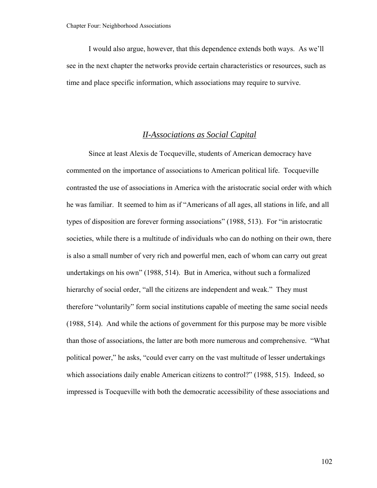I would also argue, however, that this dependence extends both ways. As we'll see in the next chapter the networks provide certain characteristics or resources, such as time and place specific information, which associations may require to survive.

# *II-Associations as Social Capital*

Since at least Alexis de Tocqueville, students of American democracy have commented on the importance of associations to American political life. Tocqueville contrasted the use of associations in America with the aristocratic social order with which he was familiar. It seemed to him as if "Americans of all ages, all stations in life, and all types of disposition are forever forming associations" (1988, 513). For "in aristocratic societies, while there is a multitude of individuals who can do nothing on their own, there is also a small number of very rich and powerful men, each of whom can carry out great undertakings on his own" (1988, 514). But in America, without such a formalized hierarchy of social order, "all the citizens are independent and weak." They must therefore "voluntarily" form social institutions capable of meeting the same social needs (1988, 514). And while the actions of government for this purpose may be more visible than those of associations, the latter are both more numerous and comprehensive. "What political power," he asks, "could ever carry on the vast multitude of lesser undertakings which associations daily enable American citizens to control?" (1988, 515). Indeed, so impressed is Tocqueville with both the democratic accessibility of these associations and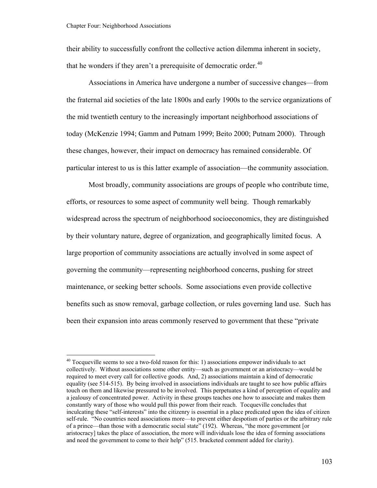<span id="page-108-0"></span>their ability to successfully confront the collective action dilemma inherent in society, that he wonders if they aren't a prerequisite of democratic order.<sup>[40](#page-108-0)</sup>

Associations in America have undergone a number of successive changes—from the fraternal aid societies of the late 1800s and early 1900s to the service organizations of the mid twentieth century to the increasingly important neighborhood associations of today (McKenzie 1994; Gamm and Putnam 1999; Beito 2000; Putnam 2000). Through these changes, however, their impact on democracy has remained considerable. Of particular interest to us is this latter example of association—the community association.

Most broadly, community associations are groups of people who contribute time, efforts, or resources to some aspect of community well being. Though remarkably widespread across the spectrum of neighborhood socioeconomics, they are distinguished by their voluntary nature, degree of organization, and geographically limited focus. A large proportion of community associations are actually involved in some aspect of governing the community—representing neighborhood concerns, pushing for street maintenance, or seeking better schools. Some associations even provide collective benefits such as snow removal, garbage collection, or rules governing land use. Such has been their expansion into areas commonly reserved to government that these "private

 $40$  Tocqueville seems to see a two-fold reason for this: 1) associations empower individuals to act collectively. Without associations some other entity—such as government or an aristocracy—would be required to meet every call for collective goods. And, 2) associations maintain a kind of democratic equality (see 514-515). By being involved in associations individuals are taught to see how public affairs touch on them and likewise pressured to be involved. This perpetuates a kind of perception of equality and a jealousy of concentrated power. Activity in these groups teaches one how to associate and makes them constantly wary of those who would pull this power from their reach. Tocqueville concludes that inculcating these "self-interests" into the citizenry is essential in a place predicated upon the idea of citizen self-rule. "No countries need associations more—to prevent either despotism of parties or the arbitrary rule of a prince—than those with a democratic social state" (192). Whereas, "the more government [or aristocracy] takes the place of association, the more will individuals lose the idea of forming associations and need the government to come to their help" (515. bracketed comment added for clarity).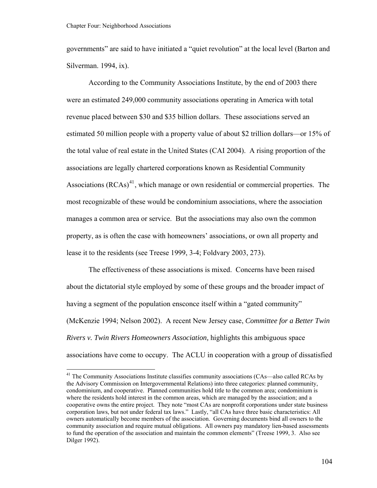<span id="page-109-0"></span>governments" are said to have initiated a "quiet revolution" at the local level (Barton and Silverman. 1994, ix).

According to the Community Associations Institute, by the end of 2003 there were an estimated 249,000 community associations operating in America with total revenue placed between \$30 and \$35 billion dollars. These associations served an estimated 50 million people with a property value of about \$2 trillion dollars—or 15% of the total value of real estate in the United States (CAI 2004). A rising proportion of the associations are legally chartered corporations known as Residential Community Associations  $(RCAs)^{41}$  $(RCAs)^{41}$  $(RCAs)^{41}$ , which manage or own residential or commercial properties. The most recognizable of these would be condominium associations, where the association manages a common area or service. But the associations may also own the common property, as is often the case with homeowners' associations, or own all property and lease it to the residents (see Treese 1999, 3-4; Foldvary 2003, 273).

The effectiveness of these associations is mixed. Concerns have been raised about the dictatorial style employed by some of these groups and the broader impact of having a segment of the population ensconce itself within a "gated community" (McKenzie 1994; Nelson 2002). A recent New Jersey case, *Committee for a Better Twin Rivers v. Twin Rivers Homeowners Association,* highlights this ambiguous space associations have come to occupy. The ACLU in cooperation with a group of dissatisfied

<sup>&</sup>lt;sup>41</sup> The Community Associations Institute classifies community associations (CAs—also called RCAs by the Advisory Commission on Intergovernmental Relations) into three categories: planned community, condominium, and cooperative. Planned communities hold title to the common area; condominium is where the residents hold interest in the common areas, which are managed by the association; and a cooperative owns the entire project. They note "most CAs are nonprofit corporations under state business corporation laws, but not under federal tax laws." Lastly, "all CAs have three basic characteristics: All owners automatically become members of the association. Governing documents bind all owners to the community association and require mutual obligations. All owners pay mandatory lien-based assessments to fund the operation of the association and maintain the common elements" (Treese 1999, 3. Also see Dilger 1992).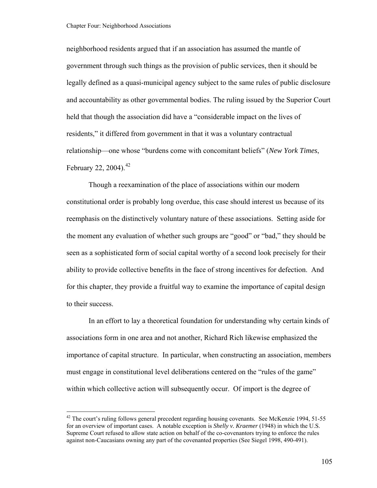<span id="page-110-0"></span>neighborhood residents argued that if an association has assumed the mantle of government through such things as the provision of public services, then it should be legally defined as a quasi-municipal agency subject to the same rules of public disclosure and accountability as other governmental bodies. The ruling issued by the Superior Court held that though the association did have a "considerable impact on the lives of residents," it differed from government in that it was a voluntary contractual relationship—one whose "burdens come with concomitant beliefs" (*New York Times*, February 22, 2004).  $42$ 

Though a reexamination of the place of associations within our modern constitutional order is probably long overdue, this case should interest us because of its reemphasis on the distinctively voluntary nature of these associations. Setting aside for the moment any evaluation of whether such groups are "good" or "bad," they should be seen as a sophisticated form of social capital worthy of a second look precisely for their ability to provide collective benefits in the face of strong incentives for defection. And for this chapter, they provide a fruitful way to examine the importance of capital design to their success.

In an effort to lay a theoretical foundation for understanding why certain kinds of associations form in one area and not another, Richard Rich likewise emphasized the importance of capital structure. In particular, when constructing an association, members must engage in constitutional level deliberations centered on the "rules of the game" within which collective action will subsequently occur. Of import is the degree of

<sup>&</sup>lt;sup>42</sup> The court's ruling follows general precedent regarding housing covenants. See McKenzie 1994, 51-55 for an overview of important cases. A notable exception is *Shelly v. Kraemer* (1948) in which the U.S. Supreme Court refused to allow state action on behalf of the co-covenantors trying to enforce the rules against non-Caucasians owning any part of the covenanted properties (See Siegel 1998, 490-491).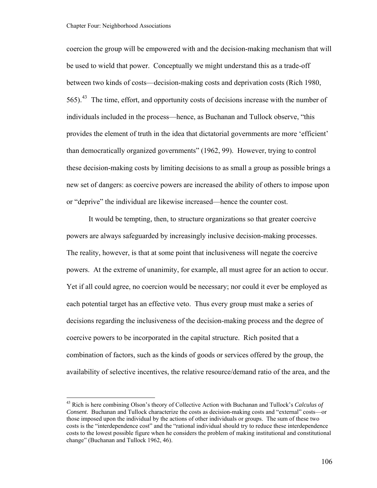<span id="page-111-0"></span>coercion the group will be empowered with and the decision-making mechanism that will be used to wield that power. Conceptually we might understand this as a trade-off between two kinds of costs—decision-making costs and deprivation costs (Rich 1980,  $565$ ).<sup>[43](#page-111-0)</sup> The time, effort, and opportunity costs of decisions increase with the number of individuals included in the process—hence, as Buchanan and Tullock observe, "this provides the element of truth in the idea that dictatorial governments are more 'efficient' than democratically organized governments" (1962, 99). However, trying to control these decision-making costs by limiting decisions to as small a group as possible brings a new set of dangers: as coercive powers are increased the ability of others to impose upon or "deprive" the individual are likewise increased—hence the counter cost.

It would be tempting, then, to structure organizations so that greater coercive powers are always safeguarded by increasingly inclusive decision-making processes. The reality, however, is that at some point that inclusiveness will negate the coercive powers. At the extreme of unanimity, for example, all must agree for an action to occur. Yet if all could agree, no coercion would be necessary; nor could it ever be employed as each potential target has an effective veto. Thus every group must make a series of decisions regarding the inclusiveness of the decision-making process and the degree of coercive powers to be incorporated in the capital structure. Rich posited that a combination of factors, such as the kinds of goods or services offered by the group, the availability of selective incentives, the relative resource/demand ratio of the area, and the

<sup>43</sup> Rich is here combining Olson's theory of Collective Action with Buchanan and Tullock's *Calculus of Consent*. Buchanan and Tullock characterize the costs as decision-making costs and "external" costs—or those imposed upon the individual by the actions of other individuals or groups. The sum of these two costs is the "interdependence cost" and the "rational individual should try to reduce these interdependence costs to the lowest possible figure when he considers the problem of making institutional and constitutional change" (Buchanan and Tullock 1962, 46).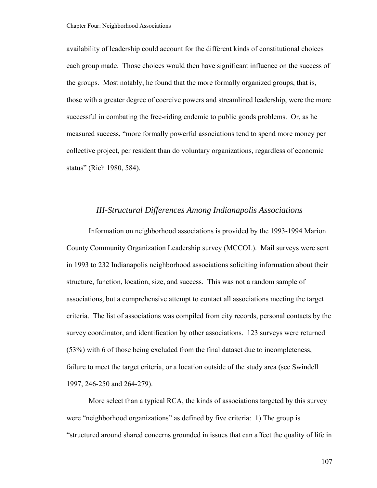availability of leadership could account for the different kinds of constitutional choices each group made. Those choices would then have significant influence on the success of the groups. Most notably, he found that the more formally organized groups, that is, those with a greater degree of coercive powers and streamlined leadership, were the more successful in combating the free-riding endemic to public goods problems. Or, as he measured success, "more formally powerful associations tend to spend more money per collective project, per resident than do voluntary organizations, regardless of economic status" (Rich 1980, 584).

## *III-Structural Differences Among Indianapolis Associations*

Information on neighborhood associations is provided by the 1993-1994 Marion County Community Organization Leadership survey (MCCOL). Mail surveys were sent in 1993 to 232 Indianapolis neighborhood associations soliciting information about their structure, function, location, size, and success. This was not a random sample of associations, but a comprehensive attempt to contact all associations meeting the target criteria. The list of associations was compiled from city records, personal contacts by the survey coordinator, and identification by other associations. 123 surveys were returned (53%) with 6 of those being excluded from the final dataset due to incompleteness, failure to meet the target criteria, or a location outside of the study area (see Swindell 1997, 246-250 and 264-279).

More select than a typical RCA, the kinds of associations targeted by this survey were "neighborhood organizations" as defined by five criteria: 1) The group is "structured around shared concerns grounded in issues that can affect the quality of life in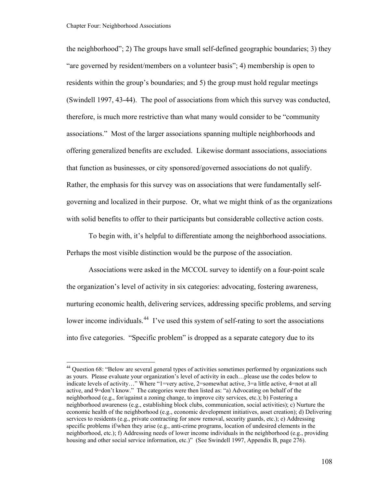<span id="page-113-0"></span>the neighborhood"; 2) The groups have small self-defined geographic boundaries; 3) they "are governed by resident/members on a volunteer basis"; 4) membership is open to residents within the group's boundaries; and 5) the group must hold regular meetings (Swindell 1997, 43-44). The pool of associations from which this survey was conducted, therefore, is much more restrictive than what many would consider to be "community associations." Most of the larger associations spanning multiple neighborhoods and offering generalized benefits are excluded. Likewise dormant associations, associations that function as businesses, or city sponsored/governed associations do not qualify. Rather, the emphasis for this survey was on associations that were fundamentally selfgoverning and localized in their purpose. Or, what we might think of as the organizations with solid benefits to offer to their participants but considerable collective action costs.

To begin with, it's helpful to differentiate among the neighborhood associations. Perhaps the most visible distinction would be the purpose of the association.

Associations were asked in the MCCOL survey to identify on a four-point scale the organization's level of activity in six categories: advocating, fostering awareness, nurturing economic health, delivering services, addressing specific problems, and serving lower income individuals.<sup>[44](#page-113-0)</sup> I've used this system of self-rating to sort the associations into five categories. "Specific problem" is dropped as a separate category due to its

<sup>&</sup>lt;sup>44</sup> Ouestion 68: "Below are several general types of activities sometimes performed by organizations such as yours. Please evaluate your organization's level of activity in each…please use the codes below to indicate levels of activity…" Where "1=very active, 2=somewhat active, 3=a little active, 4=not at all active, and 9=don't know." The categories were then listed as: "a) Advocating on behalf of the neighborhood (e.g., for/against a zoning change, to improve city services, etc.); b) Fostering a neighborhood awareness (e.g., establishing block clubs, communication, social activities); c) Nurture the economic health of the neighborhood (e.g., economic development initiatives, asset creation); d) Delivering services to residents (e.g., private contracting for snow removal, security guards, etc.); e) Addressing specific problems if/when they arise (e.g., anti-crime programs, location of undesired elements in the neighborhood, etc.); f) Addressing needs of lower income individuals in the neighborhood (e.g., providing housing and other social service information, etc.)" (See Swindell 1997, Appendix B, page 276).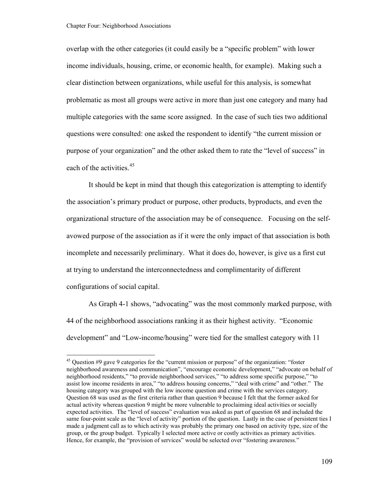<span id="page-114-0"></span>overlap with the other categories (it could easily be a "specific problem" with lower income individuals, housing, crime, or economic health, for example). Making such a clear distinction between organizations, while useful for this analysis, is somewhat problematic as most all groups were active in more than just one category and many had multiple categories with the same score assigned. In the case of such ties two additional questions were consulted: one asked the respondent to identify "the current mission or purpose of your organization" and the other asked them to rate the "level of success" in each of the activities.<sup>[45](#page-114-0)</sup>

It should be kept in mind that though this categorization is attempting to identify the association's primary product or purpose, other products, byproducts, and even the organizational structure of the association may be of consequence. Focusing on the selfavowed purpose of the association as if it were the only impact of that association is both incomplete and necessarily preliminary. What it does do, however, is give us a first cut at trying to understand the interconnectedness and complimentarity of different configurations of social capital.

As Graph 4-1 shows, "advocating" was the most commonly marked purpose, with 44 of the neighborhood associations ranking it as their highest activity. "Economic development" and "Low-income/housing" were tied for the smallest category with 11

<sup>&</sup>lt;sup>45</sup> Question #9 gave 9 categories for the "current mission or purpose" of the organization: "foster neighborhood awareness and communication", "encourage economic development," "advocate on behalf of neighborhood residents," "to provide neighborhood services," "to address some specific purpose," "to assist low income residents in area," "to address housing concerns," "deal with crime" and "other." The housing category was grouped with the low income question and crime with the services category. Question 68 was used as the first criteria rather than question 9 because I felt that the former asked for actual activity whereas question 9 might be more vulnerable to proclaiming ideal activities or socially expected activities. The "level of success" evaluation was asked as part of question 68 and included the same four-point scale as the "level of activity" portion of the question. Lastly in the case of persistent ties I made a judgment call as to which activity was probably the primary one based on activity type, size of the group, or the group budget. Typically I selected more active or costly activities as primary activities. Hence, for example, the "provision of services" would be selected over "fostering awareness."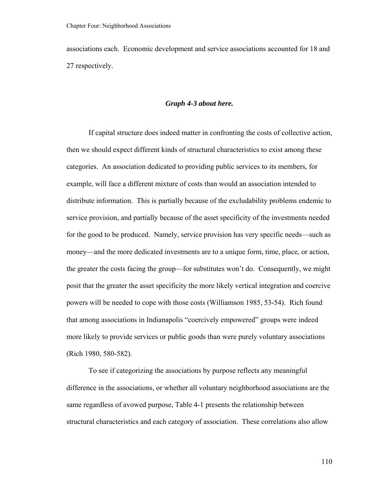associations each. Economic development and service associations accounted for 18 and 27 respectively.

## *Graph 4-3 about here.*

If capital structure does indeed matter in confronting the costs of collective action, then we should expect different kinds of structural characteristics to exist among these categories. An association dedicated to providing public services to its members, for example, will face a different mixture of costs than would an association intended to distribute information. This is partially because of the excludability problems endemic to service provision, and partially because of the asset specificity of the investments needed for the good to be produced. Namely, service provision has very specific needs—such as money—and the more dedicated investments are to a unique form, time, place, or action, the greater the costs facing the group—for substitutes won't do. Consequently, we might posit that the greater the asset specificity the more likely vertical integration and coercive powers will be needed to cope with those costs (Williamson 1985, 53-54). Rich found that among associations in Indianapolis "coercively empowered" groups were indeed more likely to provide services or public goods than were purely voluntary associations (Rich 1980, 580-582).

To see if categorizing the associations by purpose reflects any meaningful difference in the associations, or whether all voluntary neighborhood associations are the same regardless of avowed purpose, Table 4-1 presents the relationship between structural characteristics and each category of association. These correlations also allow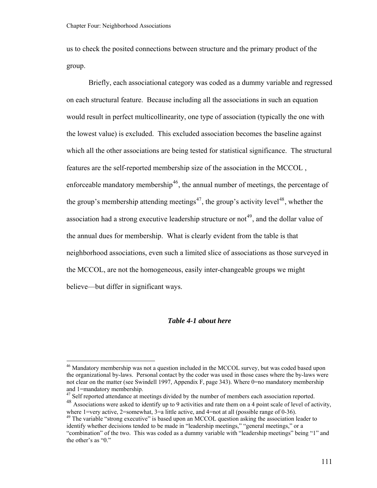<span id="page-116-0"></span>us to check the posited connections between structure and the primary product of the group.

Briefly, each associational category was coded as a dummy variable and regressed on each structural feature. Because including all the associations in such an equation would result in perfect multicollinearity, one type of association (typically the one with the lowest value) is excluded. This excluded association becomes the baseline against which all the other associations are being tested for statistical significance. The structural features are the self-reported membership size of the association in the MCCOL , enforceable mandatory membership<sup>[46](#page-116-0)</sup>, the annual number of meetings, the percentage of the group's membership attending meetings<sup>[47](#page-116-0)</sup>, the group's activity level<sup>[48](#page-116-0)</sup>, whether the association had a strong executive leadership structure or not<sup>[49](#page-116-0)</sup>, and the dollar value of the annual dues for membership. What is clearly evident from the table is that neighborhood associations, even such a limited slice of associations as those surveyed in the MCCOL, are not the homogeneous, easily inter-changeable groups we might believe—but differ in significant ways.

### *Table 4-1 about here*

<sup>&</sup>lt;sup>46</sup> Mandatory membership was not a question included in the MCCOL survey, but was coded based upon the organizational by-laws. Personal contact by the coder was used in those cases where the by-laws were not clear on the matter (see Swindell 1997, Appendix F, page 343). Where 0=no mandatory membership and 1=mandatory membership.

<sup>&</sup>lt;sup>47</sup> Self reported attendance at meetings divided by the number of members each association reported. 48 Associations were asked to identify up to 9 activities and rate them on a 4 point scale of level of activity, where 1=very active,  $2$ =somewhat,  $3$ =a little active, and  $4$ =not at all (possible range of 0-36).

 $49$  The variable "strong executive" is based upon an MCCOL question asking the association leader to identify whether decisions tended to be made in "leadership meetings," "general meetings," or a "combination" of the two. This was coded as a dummy variable with "leadership meetings" being "1" and the other's as "0."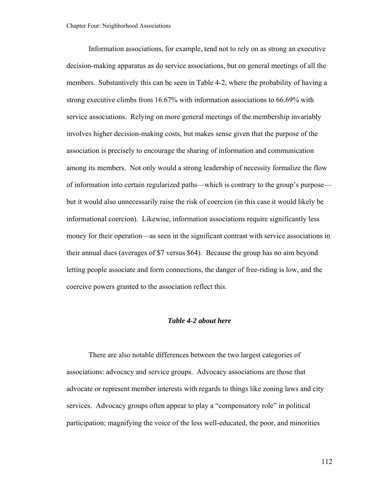Information associations, for example, tend not to rely on as strong an executive decision-making apparatus as do service associations, but on general meetings of all the members. Substantively this can be seen in Table 4-2, where the probability of having a strong executive climbs from 16.67% with information associations to 66.69% with service associations. Relying on more general meetings of the membership invariably involves higher decision-making costs, but makes sense given that the purpose of the association is precisely to encourage the sharing of information and communication among its members. Not only would a strong leadership of necessity formalize the flow of information into certain regularized paths—which is contrary to the group's purpose but it would also unnecessarily raise the risk of coercion (in this case it would likely be informational coercion). Likewise, information associations require significantly less money for their operation—as seen in the significant contrast with service associations in their annual dues (averages of \$7 versus \$64). Because the group has no aim beyond letting people associate and form connections, the danger of free-riding is low, and the coercive powers granted to the association reflect this.

## *Table 4-2 about here*

There are also notable differences between the two largest categories of associations: advocacy and service groups. Advocacy associations are those that advocate or represent member interests with regards to things like zoning laws and city services. Advocacy groups often appear to play a "compensatory role" in political participation; magnifying the voice of the less well-educated, the poor, and minorities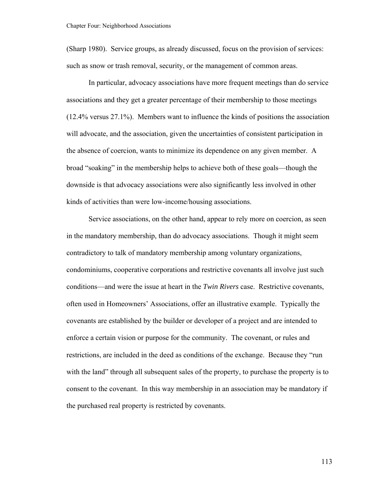(Sharp 1980). Service groups, as already discussed, focus on the provision of services: such as snow or trash removal, security, or the management of common areas.

 In particular, advocacy associations have more frequent meetings than do service associations and they get a greater percentage of their membership to those meetings (12.4% versus 27.1%). Members want to influence the kinds of positions the association will advocate, and the association, given the uncertainties of consistent participation in the absence of coercion, wants to minimize its dependence on any given member. A broad "soaking" in the membership helps to achieve both of these goals—though the downside is that advocacy associations were also significantly less involved in other kinds of activities than were low-income/housing associations.

Service associations, on the other hand, appear to rely more on coercion, as seen in the mandatory membership, than do advocacy associations. Though it might seem contradictory to talk of mandatory membership among voluntary organizations, condominiums, cooperative corporations and restrictive covenants all involve just such conditions—and were the issue at heart in the *Twin Rivers* case. Restrictive covenants, often used in Homeowners' Associations, offer an illustrative example. Typically the covenants are established by the builder or developer of a project and are intended to enforce a certain vision or purpose for the community. The covenant, or rules and restrictions, are included in the deed as conditions of the exchange. Because they "run with the land" through all subsequent sales of the property, to purchase the property is to consent to the covenant. In this way membership in an association may be mandatory if the purchased real property is restricted by covenants.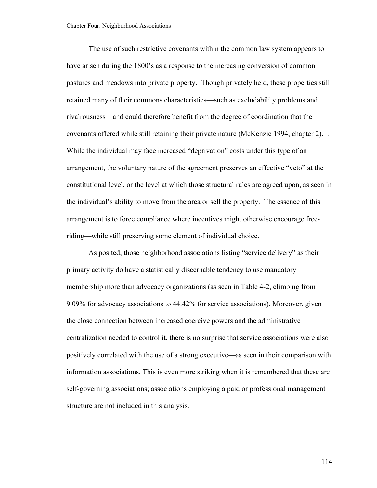The use of such restrictive covenants within the common law system appears to have arisen during the 1800's as a response to the increasing conversion of common pastures and meadows into private property. Though privately held, these properties still retained many of their commons characteristics—such as excludability problems and rivalrousness—and could therefore benefit from the degree of coordination that the covenants offered while still retaining their private nature (McKenzie 1994, chapter 2). . While the individual may face increased "deprivation" costs under this type of an arrangement, the voluntary nature of the agreement preserves an effective "veto" at the constitutional level, or the level at which those structural rules are agreed upon, as seen in the individual's ability to move from the area or sell the property. The essence of this arrangement is to force compliance where incentives might otherwise encourage freeriding—while still preserving some element of individual choice.

As posited, those neighborhood associations listing "service delivery" as their primary activity do have a statistically discernable tendency to use mandatory membership more than advocacy organizations (as seen in Table 4-2, climbing from 9.09% for advocacy associations to 44.42% for service associations). Moreover, given the close connection between increased coercive powers and the administrative centralization needed to control it, there is no surprise that service associations were also positively correlated with the use of a strong executive—as seen in their comparison with information associations. This is even more striking when it is remembered that these are self-governing associations; associations employing a paid or professional management structure are not included in this analysis.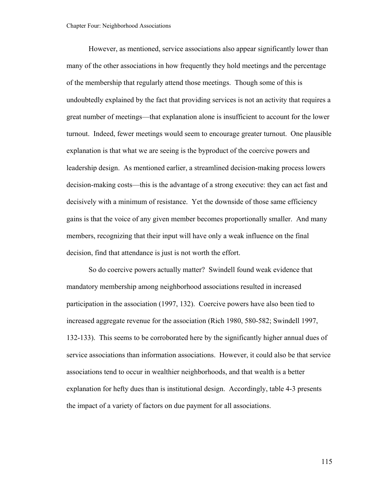However, as mentioned, service associations also appear significantly lower than many of the other associations in how frequently they hold meetings and the percentage of the membership that regularly attend those meetings. Though some of this is undoubtedly explained by the fact that providing services is not an activity that requires a great number of meetings—that explanation alone is insufficient to account for the lower turnout. Indeed, fewer meetings would seem to encourage greater turnout. One plausible explanation is that what we are seeing is the byproduct of the coercive powers and leadership design. As mentioned earlier, a streamlined decision-making process lowers decision-making costs—this is the advantage of a strong executive: they can act fast and decisively with a minimum of resistance. Yet the downside of those same efficiency gains is that the voice of any given member becomes proportionally smaller. And many members, recognizing that their input will have only a weak influence on the final decision, find that attendance is just is not worth the effort.

So do coercive powers actually matter? Swindell found weak evidence that mandatory membership among neighborhood associations resulted in increased participation in the association (1997, 132). Coercive powers have also been tied to increased aggregate revenue for the association (Rich 1980, 580-582; Swindell 1997, 132-133). This seems to be corroborated here by the significantly higher annual dues of service associations than information associations. However, it could also be that service associations tend to occur in wealthier neighborhoods, and that wealth is a better explanation for hefty dues than is institutional design. Accordingly, table 4-3 presents the impact of a variety of factors on due payment for all associations.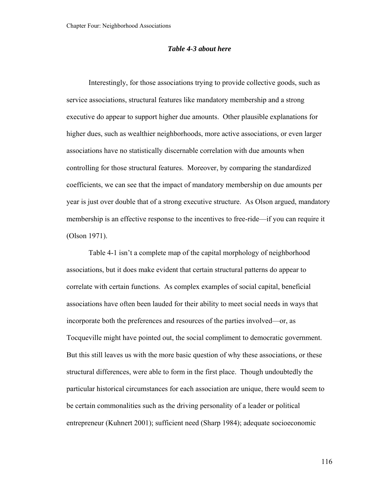### *Table 4-3 about here*

Interestingly, for those associations trying to provide collective goods, such as service associations, structural features like mandatory membership and a strong executive do appear to support higher due amounts. Other plausible explanations for higher dues, such as wealthier neighborhoods, more active associations, or even larger associations have no statistically discernable correlation with due amounts when controlling for those structural features. Moreover, by comparing the standardized coefficients, we can see that the impact of mandatory membership on due amounts per year is just over double that of a strong executive structure. As Olson argued, mandatory membership is an effective response to the incentives to free-ride—if you can require it (Olson 1971).

Table 4-1 isn't a complete map of the capital morphology of neighborhood associations, but it does make evident that certain structural patterns do appear to correlate with certain functions. As complex examples of social capital, beneficial associations have often been lauded for their ability to meet social needs in ways that incorporate both the preferences and resources of the parties involved—or, as Tocqueville might have pointed out, the social compliment to democratic government. But this still leaves us with the more basic question of why these associations, or these structural differences, were able to form in the first place. Though undoubtedly the particular historical circumstances for each association are unique, there would seem to be certain commonalities such as the driving personality of a leader or political entrepreneur (Kuhnert 2001); sufficient need (Sharp 1984); adequate socioeconomic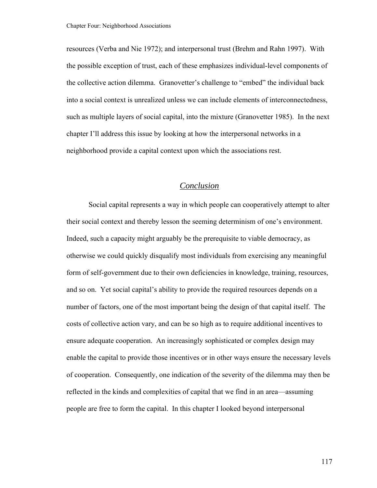resources (Verba and Nie 1972); and interpersonal trust (Brehm and Rahn 1997). With the possible exception of trust, each of these emphasizes individual-level components of the collective action dilemma. Granovetter's challenge to "embed" the individual back into a social context is unrealized unless we can include elements of interconnectedness, such as multiple layers of social capital, into the mixture (Granovetter 1985). In the next chapter I'll address this issue by looking at how the interpersonal networks in a neighborhood provide a capital context upon which the associations rest.

## *Conclusion*

Social capital represents a way in which people can cooperatively attempt to alter their social context and thereby lesson the seeming determinism of one's environment. Indeed, such a capacity might arguably be the prerequisite to viable democracy, as otherwise we could quickly disqualify most individuals from exercising any meaningful form of self-government due to their own deficiencies in knowledge, training, resources, and so on. Yet social capital's ability to provide the required resources depends on a number of factors, one of the most important being the design of that capital itself. The costs of collective action vary, and can be so high as to require additional incentives to ensure adequate cooperation. An increasingly sophisticated or complex design may enable the capital to provide those incentives or in other ways ensure the necessary levels of cooperation. Consequently, one indication of the severity of the dilemma may then be reflected in the kinds and complexities of capital that we find in an area—assuming people are free to form the capital. In this chapter I looked beyond interpersonal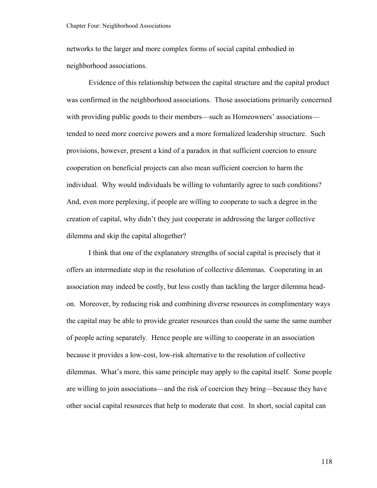networks to the larger and more complex forms of social capital embodied in neighborhood associations.

Evidence of this relationship between the capital structure and the capital product was confirmed in the neighborhood associations. Those associations primarily concerned with providing public goods to their members—such as Homeowners' associations tended to need more coercive powers and a more formalized leadership structure. Such provisions, however, present a kind of a paradox in that sufficient coercion to ensure cooperation on beneficial projects can also mean sufficient coercion to harm the individual. Why would individuals be willing to voluntarily agree to such conditions? And, even more perplexing, if people are willing to cooperate to such a degree in the creation of capital, why didn't they just cooperate in addressing the larger collective dilemma and skip the capital altogether?

I think that one of the explanatory strengths of social capital is precisely that it offers an intermediate step in the resolution of collective dilemmas. Cooperating in an association may indeed be costly, but less costly than tackling the larger dilemma headon. Moreover, by reducing risk and combining diverse resources in complimentary ways the capital may be able to provide greater resources than could the same the same number of people acting separately. Hence people are willing to cooperate in an association because it provides a low-cost, low-risk alternative to the resolution of collective dilemmas. What's more, this same principle may apply to the capital itself. Some people are willing to join associations—and the risk of coercion they bring—because they have other social capital resources that help to moderate that cost. In short, social capital can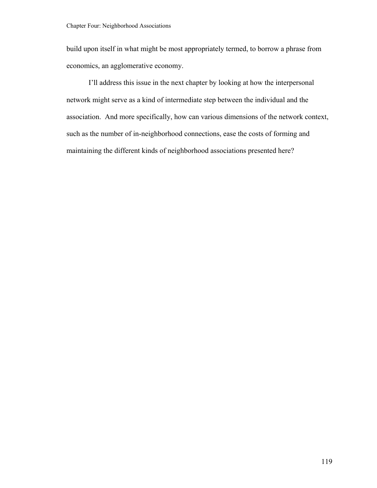build upon itself in what might be most appropriately termed, to borrow a phrase from economics, an agglomerative economy.

I'll address this issue in the next chapter by looking at how the interpersonal network might serve as a kind of intermediate step between the individual and the association. And more specifically, how can various dimensions of the network context, such as the number of in-neighborhood connections, ease the costs of forming and maintaining the different kinds of neighborhood associations presented here?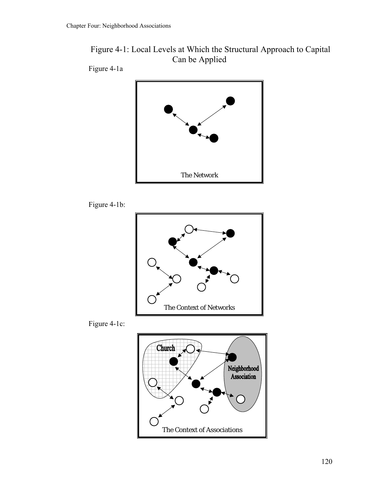

Figure 4-1a









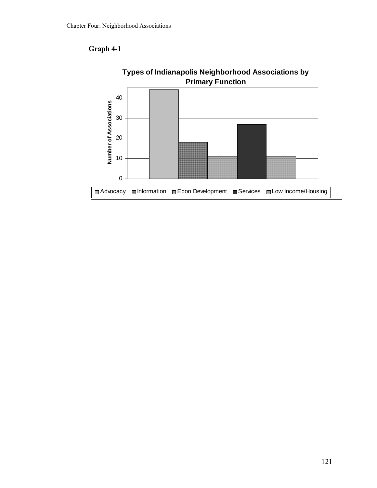**Graph 4-1** 

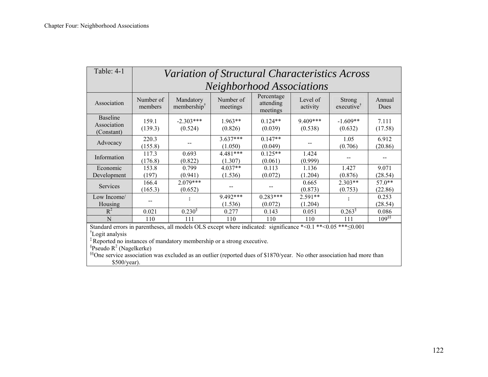| Table: 4-1                                                                                                                         | Variation of Structural Characteristics Across |                                      |                       |                                     |                       |                                         |                  |  |
|------------------------------------------------------------------------------------------------------------------------------------|------------------------------------------------|--------------------------------------|-----------------------|-------------------------------------|-----------------------|-----------------------------------------|------------------|--|
|                                                                                                                                    | <b>Neighborhood Associations</b>               |                                      |                       |                                     |                       |                                         |                  |  |
| Association                                                                                                                        | Number of<br>members                           | Mandatory<br>membership <sup>†</sup> | Number of<br>meetings | Percentage<br>attending<br>meetings | Level of<br>activity  | <b>Strong</b><br>executive <sup>†</sup> | Annual<br>Dues   |  |
| <b>Baseline</b><br>Association<br>(Constant)                                                                                       | 159.1<br>(139.3)                               | $-2.303***$<br>(0.524)               | $1.963**$<br>(0.826)  | $0.124**$<br>(0.039)                | $9.409***$<br>(0.538) | $-1.609**$<br>(0.632)                   | 7.111<br>(17.58) |  |
| Advocacy                                                                                                                           | 220.3<br>(155.8)                               |                                      | $3.637***$<br>(1.050) | $0.147**$<br>(0.049)                |                       | 1.05<br>(0.706)                         | 6.912<br>(20.86) |  |
| Information                                                                                                                        | 117.3<br>(176.8)                               | 0.693<br>(0.822)                     | $4.481***$<br>(1.307) | $0.125**$<br>(0.061)                | 1.424<br>(0.999)      | --                                      |                  |  |
| Economic                                                                                                                           | 153.8                                          | 0.799                                | 4.037**               | 0.113                               | 1.136                 | 1.427                                   | 9.071            |  |
| Development                                                                                                                        | (197)                                          | (0.941)                              | (1.536)               | (0.072)                             | (1.204)               | (0.876)                                 | (28.54)          |  |
| <b>Services</b>                                                                                                                    | 166.4                                          | $2.079***$                           |                       |                                     | 0.665                 | $2.303**$                               | $57.0**$         |  |
|                                                                                                                                    | (165.3)                                        | (0.652)                              |                       |                                     | (0.873)               | (0.753)                                 | (22.86)          |  |
| Low Income/                                                                                                                        |                                                | İ                                    | 9.492***              | $0.283***$                          | $2.591**$             | ţ                                       | 0.253            |  |
| Housing                                                                                                                            |                                                |                                      | (1.536)               | (0.072)                             | (1.204)               |                                         | (28.54)          |  |
| $R^2$                                                                                                                              | 0.021                                          | $0.230^{\$}$                         | 0.277                 | 0.143                               | 0.051                 | $0.263^{\S}$                            | 0.086            |  |
| N                                                                                                                                  | 110                                            | 111                                  | 110                   | 110                                 | 110                   | 111                                     | $109^{88}$       |  |
| Standard errors in parentheses, all models OLS except where indicated: significance *<0.1 **<0.05 *** $\leq 0.001$                 |                                                |                                      |                       |                                     |                       |                                         |                  |  |
| <sup>†</sup> Logit analysis                                                                                                        |                                                |                                      |                       |                                     |                       |                                         |                  |  |
| <sup>‡</sup> Reported no instances of mandatory membership or a strong executive.                                                  |                                                |                                      |                       |                                     |                       |                                         |                  |  |
| <sup>§</sup> Pseudo $R^2$ (Nagelkerke)                                                                                             |                                                |                                      |                       |                                     |                       |                                         |                  |  |
| <sup>§§</sup> One service association was excluded as an outlier (reported dues of \$1870/year. No other association had more than |                                                |                                      |                       |                                     |                       |                                         |                  |  |
| \$500/year).                                                                                                                       |                                                |                                      |                       |                                     |                       |                                         |                  |  |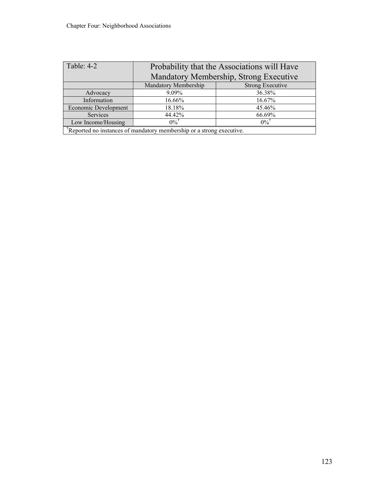| Table: $4-2$                                                         | Probability that the Associations will Have |                         |  |  |  |  |
|----------------------------------------------------------------------|---------------------------------------------|-------------------------|--|--|--|--|
|                                                                      | Mandatory Membership, Strong Executive      |                         |  |  |  |  |
|                                                                      | Mandatory Membership                        | <b>Strong Executive</b> |  |  |  |  |
| Advocacy                                                             | 9.09%                                       | 36.38%                  |  |  |  |  |
| Information                                                          | 16.66%                                      | 16.67%                  |  |  |  |  |
| Economic Development                                                 | 18.18%                                      | 45.46%                  |  |  |  |  |
| Services                                                             | 44.42%                                      | 66.69%                  |  |  |  |  |
| Low Income/Housing                                                   | $0\%$ <sup>T</sup>                          | $0\%$ <sup>†</sup>      |  |  |  |  |
| Reported no instances of mandatory membership or a strong executive. |                                             |                         |  |  |  |  |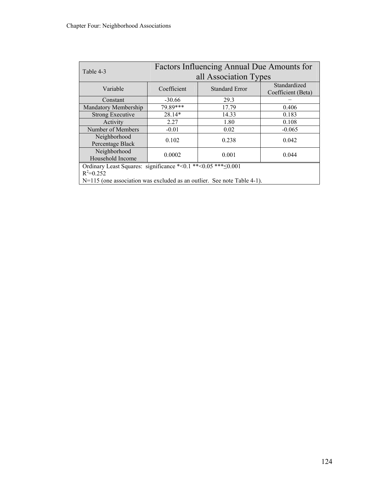| Table 4-3                                                               | Factors Influencing Annual Due Amounts for |                       |                                    |  |  |  |  |
|-------------------------------------------------------------------------|--------------------------------------------|-----------------------|------------------------------------|--|--|--|--|
|                                                                         | all Association Types                      |                       |                                    |  |  |  |  |
| Variable                                                                | Coefficient                                | <b>Standard Error</b> | Standardized<br>Coefficient (Beta) |  |  |  |  |
| Constant                                                                | $-30.66$                                   | 29.3                  |                                    |  |  |  |  |
| Mandatory Membership                                                    | $79.89***$<br>17.79                        |                       | 0.406                              |  |  |  |  |
| <b>Strong Executive</b>                                                 | 28.14*                                     | 14.33                 | 0.183                              |  |  |  |  |
| Activity                                                                | 2.27                                       | 1.80                  | 0.108                              |  |  |  |  |
| Number of Members                                                       | $-0.01$                                    | 0.02                  | $-0.065$                           |  |  |  |  |
| Neighborhood<br>Percentage Black                                        | 0.102                                      | 0.238                 | 0.042                              |  |  |  |  |
| Neighborhood<br>Household Income                                        | 0.0002                                     | 0.001                 | 0.044                              |  |  |  |  |
| Ordinary Least Squares: significance *< 0.1 ** < 0.05 *** $\leq 0.001$  |                                            |                       |                                    |  |  |  |  |
| $R^2 = 0.252$                                                           |                                            |                       |                                    |  |  |  |  |
| N=115 (one association was excluded as an outlier. See note Table 4-1). |                                            |                       |                                    |  |  |  |  |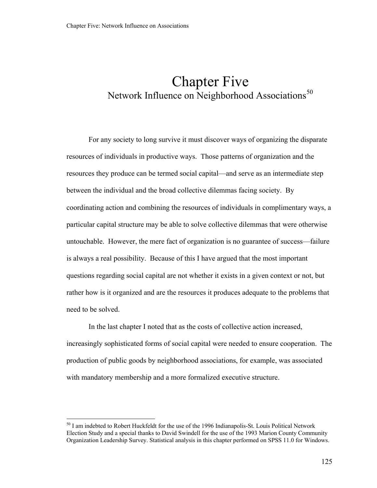# <span id="page-130-0"></span>Chapter Five Network Influence on Neighborhood Associations<sup>[50](#page-130-0)</sup>

 For any society to long survive it must discover ways of organizing the disparate resources of individuals in productive ways. Those patterns of organization and the resources they produce can be termed social capital—and serve as an intermediate step between the individual and the broad collective dilemmas facing society. By coordinating action and combining the resources of individuals in complimentary ways, a particular capital structure may be able to solve collective dilemmas that were otherwise untouchable. However, the mere fact of organization is no guarantee of success—failure is always a real possibility. Because of this I have argued that the most important questions regarding social capital are not whether it exists in a given context or not, but rather how is it organized and are the resources it produces adequate to the problems that need to be solved.

 In the last chapter I noted that as the costs of collective action increased, increasingly sophisticated forms of social capital were needed to ensure cooperation. The production of public goods by neighborhood associations, for example, was associated with mandatory membership and a more formalized executive structure.

 $\overline{a}$ 

 $<sup>50</sup>$  I am indebted to Robert Huckfeldt for the use of the 1996 Indianapolis-St. Louis Political Network</sup> Election Study and a special thanks to David Swindell for the use of the 1993 Marion County Community Organization Leadership Survey. Statistical analysis in this chapter performed on SPSS 11.0 for Windows.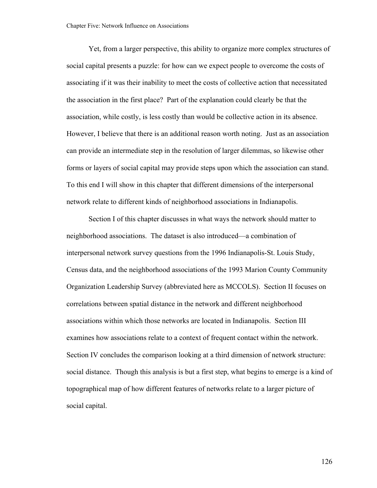Yet, from a larger perspective, this ability to organize more complex structures of social capital presents a puzzle: for how can we expect people to overcome the costs of associating if it was their inability to meet the costs of collective action that necessitated the association in the first place? Part of the explanation could clearly be that the association, while costly, is less costly than would be collective action in its absence. However, I believe that there is an additional reason worth noting. Just as an association can provide an intermediate step in the resolution of larger dilemmas, so likewise other forms or layers of social capital may provide steps upon which the association can stand. To this end I will show in this chapter that different dimensions of the interpersonal network relate to different kinds of neighborhood associations in Indianapolis.

Section I of this chapter discusses in what ways the network should matter to neighborhood associations. The dataset is also introduced—a combination of interpersonal network survey questions from the 1996 Indianapolis-St. Louis Study, Census data, and the neighborhood associations of the 1993 Marion County Community Organization Leadership Survey (abbreviated here as MCCOLS). Section II focuses on correlations between spatial distance in the network and different neighborhood associations within which those networks are located in Indianapolis. Section III examines how associations relate to a context of frequent contact within the network. Section IV concludes the comparison looking at a third dimension of network structure: social distance. Though this analysis is but a first step, what begins to emerge is a kind of topographical map of how different features of networks relate to a larger picture of social capital.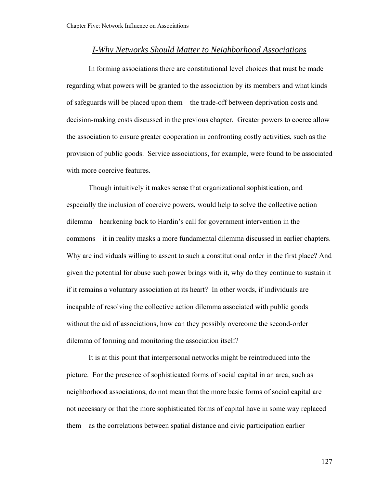## *I-Why Networks Should Matter to Neighborhood Associations*

 In forming associations there are constitutional level choices that must be made regarding what powers will be granted to the association by its members and what kinds of safeguards will be placed upon them—the trade-off between deprivation costs and decision-making costs discussed in the previous chapter. Greater powers to coerce allow the association to ensure greater cooperation in confronting costly activities, such as the provision of public goods. Service associations, for example, were found to be associated with more coercive features.

Though intuitively it makes sense that organizational sophistication, and especially the inclusion of coercive powers, would help to solve the collective action dilemma—hearkening back to Hardin's call for government intervention in the commons—it in reality masks a more fundamental dilemma discussed in earlier chapters. Why are individuals willing to assent to such a constitutional order in the first place? And given the potential for abuse such power brings with it, why do they continue to sustain it if it remains a voluntary association at its heart? In other words, if individuals are incapable of resolving the collective action dilemma associated with public goods without the aid of associations, how can they possibly overcome the second-order dilemma of forming and monitoring the association itself?

It is at this point that interpersonal networks might be reintroduced into the picture. For the presence of sophisticated forms of social capital in an area, such as neighborhood associations, do not mean that the more basic forms of social capital are not necessary or that the more sophisticated forms of capital have in some way replaced them—as the correlations between spatial distance and civic participation earlier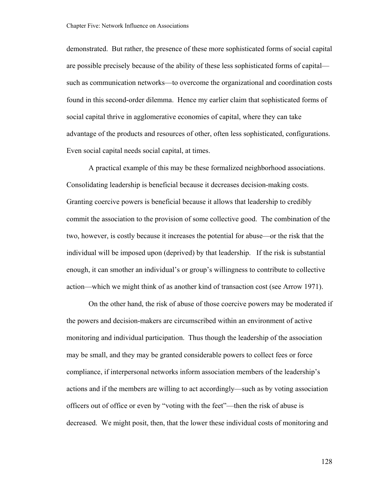demonstrated. But rather, the presence of these more sophisticated forms of social capital are possible precisely because of the ability of these less sophisticated forms of capital such as communication networks—to overcome the organizational and coordination costs found in this second-order dilemma. Hence my earlier claim that sophisticated forms of social capital thrive in agglomerative economies of capital, where they can take advantage of the products and resources of other, often less sophisticated, configurations. Even social capital needs social capital, at times.

A practical example of this may be these formalized neighborhood associations. Consolidating leadership is beneficial because it decreases decision-making costs. Granting coercive powers is beneficial because it allows that leadership to credibly commit the association to the provision of some collective good. The combination of the two, however, is costly because it increases the potential for abuse—or the risk that the individual will be imposed upon (deprived) by that leadership. If the risk is substantial enough, it can smother an individual's or group's willingness to contribute to collective action—which we might think of as another kind of transaction cost (see Arrow 1971).

On the other hand, the risk of abuse of those coercive powers may be moderated if the powers and decision-makers are circumscribed within an environment of active monitoring and individual participation. Thus though the leadership of the association may be small, and they may be granted considerable powers to collect fees or force compliance, if interpersonal networks inform association members of the leadership's actions and if the members are willing to act accordingly—such as by voting association officers out of office or even by "voting with the feet"—then the risk of abuse is decreased. We might posit, then, that the lower these individual costs of monitoring and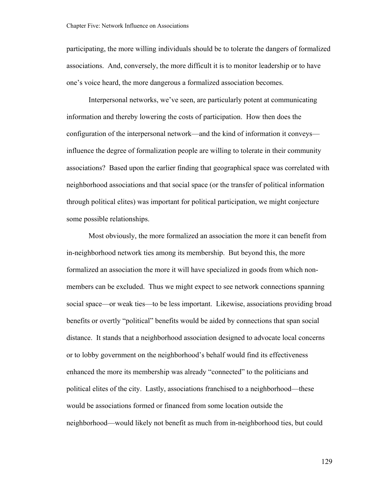participating, the more willing individuals should be to tolerate the dangers of formalized associations. And, conversely, the more difficult it is to monitor leadership or to have one's voice heard, the more dangerous a formalized association becomes.

Interpersonal networks, we've seen, are particularly potent at communicating information and thereby lowering the costs of participation. How then does the configuration of the interpersonal network—and the kind of information it conveys influence the degree of formalization people are willing to tolerate in their community associations? Based upon the earlier finding that geographical space was correlated with neighborhood associations and that social space (or the transfer of political information through political elites) was important for political participation, we might conjecture some possible relationships.

Most obviously, the more formalized an association the more it can benefit from in-neighborhood network ties among its membership. But beyond this, the more formalized an association the more it will have specialized in goods from which nonmembers can be excluded. Thus we might expect to see network connections spanning social space—or weak ties—to be less important. Likewise, associations providing broad benefits or overtly "political" benefits would be aided by connections that span social distance. It stands that a neighborhood association designed to advocate local concerns or to lobby government on the neighborhood's behalf would find its effectiveness enhanced the more its membership was already "connected" to the politicians and political elites of the city. Lastly, associations franchised to a neighborhood—these would be associations formed or financed from some location outside the neighborhood—would likely not benefit as much from in-neighborhood ties, but could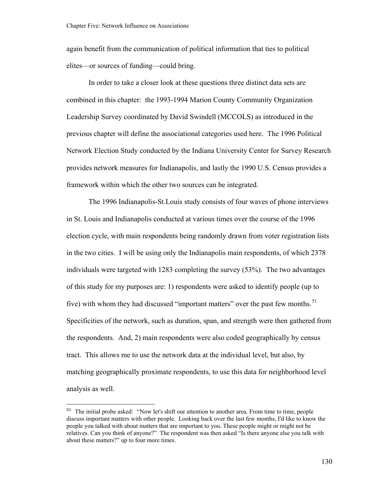<span id="page-135-0"></span>again benefit from the communication of political information that ties to political elites—or sources of funding—could bring.

In order to take a closer look at these questions three distinct data sets are combined in this chapter: the 1993-1994 Marion County Community Organization Leadership Survey coordinated by David Swindell (MCCOLS) as introduced in the previous chapter will define the associational categories used here. The 1996 Political Network Election Study conducted by the Indiana University Center for Survey Research provides network measures for Indianapolis, and lastly the 1990 U.S. Census provides a framework within which the other two sources can be integrated.

The 1996 Indianapolis-St.Louis study consists of four waves of phone interviews in St. Louis and Indianapolis conducted at various times over the course of the 1996 election cycle, with main respondents being randomly drawn from voter registration lists in the two cities. I will be using only the Indianapolis main respondents, of which 2378 individuals were targeted with 1283 completing the survey (53%). The two advantages of this study for my purposes are: 1) respondents were asked to identify people (up to five) with whom they had discussed "important matters" over the past few months.<sup>[51](#page-135-0)</sup> Specificities of the network, such as duration, span, and strength were then gathered from the respondents. And, 2) main respondents were also coded geographically by census tract. This allows me to use the network data at the individual level, but also, by matching geographically proximate respondents, to use this data for neighborhood level analysis as well.

 $\overline{a}$ 

<sup>&</sup>lt;sup>51</sup> The initial probe asked: "Now let's shift our attention to another area. From time to time, people discuss important matters with other people. Looking back over the last few months, I'd like to know the people you talked with about matters that are important to you. These people might or might not be relatives. Can you think of anyone?" The respondent was then asked "Is there anyone else you talk with about these matters?" up to four more times.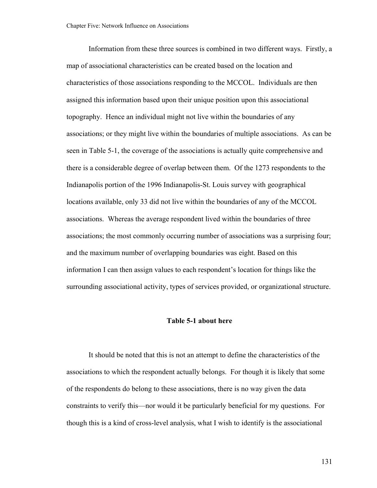Information from these three sources is combined in two different ways. Firstly, a map of associational characteristics can be created based on the location and characteristics of those associations responding to the MCCOL. Individuals are then assigned this information based upon their unique position upon this associational topography. Hence an individual might not live within the boundaries of any associations; or they might live within the boundaries of multiple associations. As can be seen in Table 5-1, the coverage of the associations is actually quite comprehensive and there is a considerable degree of overlap between them. Of the 1273 respondents to the Indianapolis portion of the 1996 Indianapolis-St. Louis survey with geographical locations available, only 33 did not live within the boundaries of any of the MCCOL associations. Whereas the average respondent lived within the boundaries of three associations; the most commonly occurring number of associations was a surprising four; and the maximum number of overlapping boundaries was eight. Based on this information I can then assign values to each respondent's location for things like the surrounding associational activity, types of services provided, or organizational structure.

## **Table 5-1 about here**

It should be noted that this is not an attempt to define the characteristics of the associations to which the respondent actually belongs. For though it is likely that some of the respondents do belong to these associations, there is no way given the data constraints to verify this—nor would it be particularly beneficial for my questions. For though this is a kind of cross-level analysis, what I wish to identify is the associational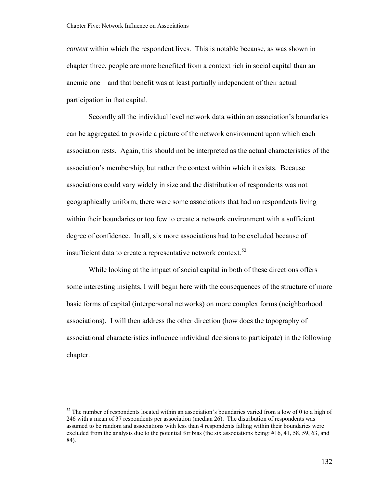<span id="page-137-0"></span>*context* within which the respondent lives. This is notable because, as was shown in chapter three, people are more benefited from a context rich in social capital than an anemic one—and that benefit was at least partially independent of their actual participation in that capital.

Secondly all the individual level network data within an association's boundaries can be aggregated to provide a picture of the network environment upon which each association rests. Again, this should not be interpreted as the actual characteristics of the association's membership, but rather the context within which it exists. Because associations could vary widely in size and the distribution of respondents was not geographically uniform, there were some associations that had no respondents living within their boundaries or too few to create a network environment with a sufficient degree of confidence. In all, six more associations had to be excluded because of insufficient data to create a representative network context.<sup>[52](#page-137-0)</sup>

While looking at the impact of social capital in both of these directions offers some interesting insights, I will begin here with the consequences of the structure of more basic forms of capital (interpersonal networks) on more complex forms (neighborhood associations). I will then address the other direction (how does the topography of associational characteristics influence individual decisions to participate) in the following chapter.

 $52$  The number of respondents located within an association's boundaries varied from a low of 0 to a high of 246 with a mean of 37 respondents per association (median 26). The distribution of respondents was assumed to be random and associations with less than 4 respondents falling within their boundaries were excluded from the analysis due to the potential for bias (the six associations being: #16, 41, 58, 59, 63, and 84).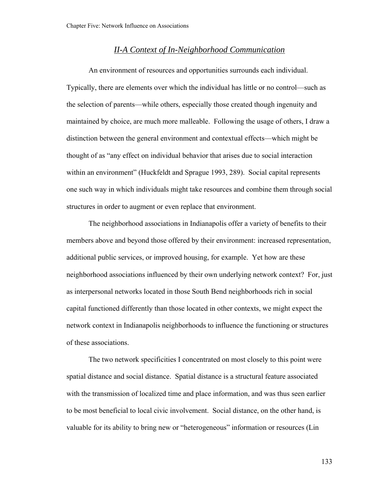# *II-A Context of In-Neighborhood Communication*

An environment of resources and opportunities surrounds each individual. Typically, there are elements over which the individual has little or no control—such as the selection of parents—while others, especially those created though ingenuity and maintained by choice, are much more malleable. Following the usage of others, I draw a distinction between the general environment and contextual effects—which might be thought of as "any effect on individual behavior that arises due to social interaction within an environment" (Huckfeldt and Sprague 1993, 289). Social capital represents one such way in which individuals might take resources and combine them through social structures in order to augment or even replace that environment.

The neighborhood associations in Indianapolis offer a variety of benefits to their members above and beyond those offered by their environment: increased representation, additional public services, or improved housing, for example. Yet how are these neighborhood associations influenced by their own underlying network context? For, just as interpersonal networks located in those South Bend neighborhoods rich in social capital functioned differently than those located in other contexts, we might expect the network context in Indianapolis neighborhoods to influence the functioning or structures of these associations.

The two network specificities I concentrated on most closely to this point were spatial distance and social distance. Spatial distance is a structural feature associated with the transmission of localized time and place information, and was thus seen earlier to be most beneficial to local civic involvement. Social distance, on the other hand, is valuable for its ability to bring new or "heterogeneous" information or resources (Lin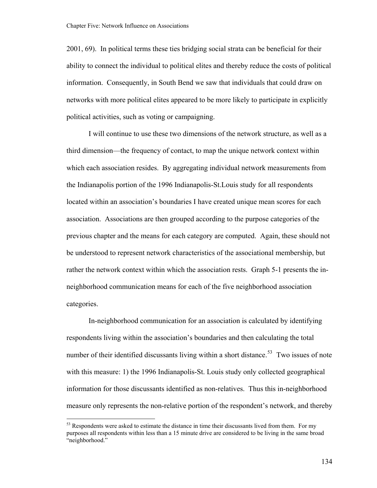<span id="page-139-0"></span>2001, 69). In political terms these ties bridging social strata can be beneficial for their ability to connect the individual to political elites and thereby reduce the costs of political information. Consequently, in South Bend we saw that individuals that could draw on networks with more political elites appeared to be more likely to participate in explicitly political activities, such as voting or campaigning.

I will continue to use these two dimensions of the network structure, as well as a third dimension—the frequency of contact, to map the unique network context within which each association resides. By aggregating individual network measurements from the Indianapolis portion of the 1996 Indianapolis-St.Louis study for all respondents located within an association's boundaries I have created unique mean scores for each association. Associations are then grouped according to the purpose categories of the previous chapter and the means for each category are computed. Again, these should not be understood to represent network characteristics of the associational membership, but rather the network context within which the association rests. Graph 5-1 presents the inneighborhood communication means for each of the five neighborhood association categories.

In-neighborhood communication for an association is calculated by identifying respondents living within the association's boundaries and then calculating the total number of their identified discussants living within a short distance.<sup>[53](#page-139-0)</sup> Two issues of note with this measure: 1) the 1996 Indianapolis-St. Louis study only collected geographical information for those discussants identified as non-relatives. Thus this in-neighborhood measure only represents the non-relative portion of the respondent's network, and thereby

 $\overline{a}$ 

 $53$  Respondents were asked to estimate the distance in time their discussants lived from them. For my purposes all respondents within less than a 15 minute drive are considered to be living in the same broad "neighborhood."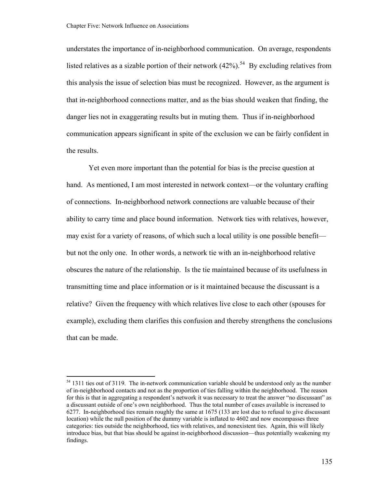<span id="page-140-0"></span>understates the importance of in-neighborhood communication. On average, respondents listed relatives as a sizable portion of their network  $(42\%)$ .<sup>[54](#page-140-0)</sup> By excluding relatives from this analysis the issue of selection bias must be recognized. However, as the argument is that in-neighborhood connections matter, and as the bias should weaken that finding, the danger lies not in exaggerating results but in muting them. Thus if in-neighborhood communication appears significant in spite of the exclusion we can be fairly confident in the results.

Yet even more important than the potential for bias is the precise question at hand. As mentioned, I am most interested in network context—or the voluntary crafting of connections. In-neighborhood network connections are valuable because of their ability to carry time and place bound information. Network ties with relatives, however, may exist for a variety of reasons, of which such a local utility is one possible benefit but not the only one. In other words, a network tie with an in-neighborhood relative obscures the nature of the relationship. Is the tie maintained because of its usefulness in transmitting time and place information or is it maintained because the discussant is a relative? Given the frequency with which relatives live close to each other (spouses for example), excluding them clarifies this confusion and thereby strengthens the conclusions that can be made.

<sup>&</sup>lt;sup>54</sup> 1311 ties out of 3119. The in-network communication variable should be understood only as the number of in-neighborhood contacts and not as the proportion of ties falling within the neighborhood. The reason for this is that in aggregating a respondent's network it was necessary to treat the answer "no discussant" as a discussant outside of one's own neighborhood. Thus the total number of cases available is increased to 6277. In-neighborhood ties remain roughly the same at 1675 (133 are lost due to refusal to give discussant location) while the null position of the dummy variable is inflated to 4602 and now encompasses three categories: ties outside the neighborhood, ties with relatives, and nonexistent ties. Again, this will likely introduce bias, but that bias should be against in-neighborhood discussion—thus potentially weakening my findings.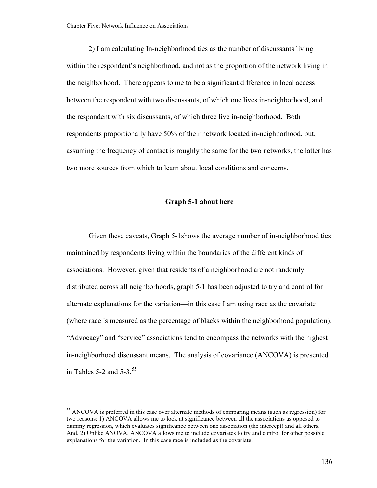<span id="page-141-0"></span>2) I am calculating In-neighborhood ties as the number of discussants living within the respondent's neighborhood, and not as the proportion of the network living in the neighborhood. There appears to me to be a significant difference in local access between the respondent with two discussants, of which one lives in-neighborhood, and the respondent with six discussants, of which three live in-neighborhood. Both respondents proportionally have 50% of their network located in-neighborhood, but, assuming the frequency of contact is roughly the same for the two networks, the latter has two more sources from which to learn about local conditions and concerns.

## **Graph 5-1 about here**

Given these caveats, Graph 5-1shows the average number of in-neighborhood ties maintained by respondents living within the boundaries of the different kinds of associations. However, given that residents of a neighborhood are not randomly distributed across all neighborhoods, graph 5-1 has been adjusted to try and control for alternate explanations for the variation—in this case I am using race as the covariate (where race is measured as the percentage of blacks within the neighborhood population). "Advocacy" and "service" associations tend to encompass the networks with the highest in-neighborhood discussant means. The analysis of covariance (ANCOVA) is presented in Tables 5-2 and  $5-3$ .<sup>[55](#page-141-0)</sup>

 $\overline{a}$ 

<sup>&</sup>lt;sup>55</sup> ANCOVA is preferred in this case over alternate methods of comparing means (such as regression) for two reasons: 1) ANCOVA allows me to look at significance between all the associations as opposed to dummy regression, which evaluates significance between one association (the intercept) and all others. And, 2) Unlike ANOVA, ANCOVA allows me to include covariates to try and control for other possible explanations for the variation. In this case race is included as the covariate.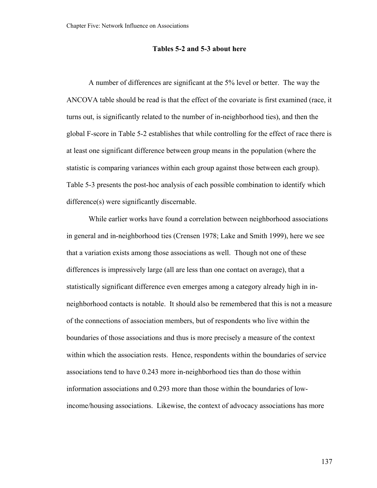### **Tables 5-2 and 5-3 about here**

A number of differences are significant at the 5% level or better. The way the ANCOVA table should be read is that the effect of the covariate is first examined (race, it turns out, is significantly related to the number of in-neighborhood ties), and then the global F-score in Table 5-2 establishes that while controlling for the effect of race there is at least one significant difference between group means in the population (where the statistic is comparing variances within each group against those between each group). Table 5-3 presents the post-hoc analysis of each possible combination to identify which difference(s) were significantly discernable.

While earlier works have found a correlation between neighborhood associations in general and in-neighborhood ties (Crensen 1978; Lake and Smith 1999), here we see that a variation exists among those associations as well. Though not one of these differences is impressively large (all are less than one contact on average), that a statistically significant difference even emerges among a category already high in inneighborhood contacts is notable. It should also be remembered that this is not a measure of the connections of association members, but of respondents who live within the boundaries of those associations and thus is more precisely a measure of the context within which the association rests. Hence, respondents within the boundaries of service associations tend to have 0.243 more in-neighborhood ties than do those within information associations and 0.293 more than those within the boundaries of lowincome/housing associations. Likewise, the context of advocacy associations has more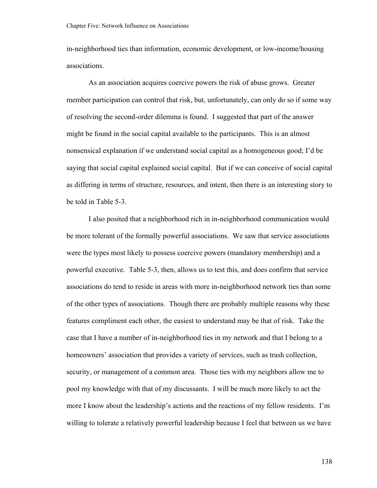in-neighborhood ties than information, economic development, or low-income/housing associations.

As an association acquires coercive powers the risk of abuse grows. Greater member participation can control that risk, but, unfortunately, can only do so if some way of resolving the second-order dilemma is found. I suggested that part of the answer might be found in the social capital available to the participants. This is an almost nonsensical explanation if we understand social capital as a homogeneous good; I'd be saying that social capital explained social capital. But if we can conceive of social capital as differing in terms of structure, resources, and intent, then there is an interesting story to be told in Table 5-3.

I also posited that a neighborhood rich in in-neighborhood communication would be more tolerant of the formally powerful associations. We saw that service associations were the types most likely to possess coercive powers (mandatory membership) and a powerful executive. Table 5-3, then, allows us to test this, and does confirm that service associations do tend to reside in areas with more in-neighborhood network ties than some of the other types of associations. Though there are probably multiple reasons why these features compliment each other, the easiest to understand may be that of risk. Take the case that I have a number of in-neighborhood ties in my network and that I belong to a homeowners' association that provides a variety of services, such as trash collection, security, or management of a common area. Those ties with my neighbors allow me to pool my knowledge with that of my discussants. I will be much more likely to act the more I know about the leadership's actions and the reactions of my fellow residents. I'm willing to tolerate a relatively powerful leadership because I feel that between us we have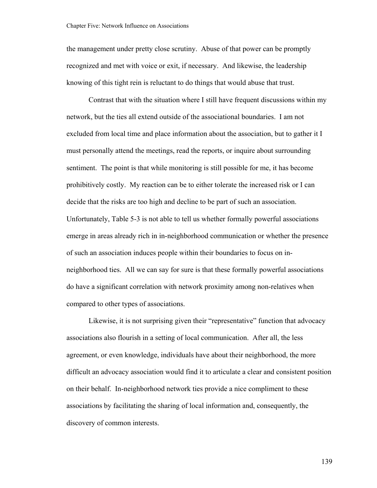the management under pretty close scrutiny. Abuse of that power can be promptly recognized and met with voice or exit, if necessary. And likewise, the leadership knowing of this tight rein is reluctant to do things that would abuse that trust.

Contrast that with the situation where I still have frequent discussions within my network, but the ties all extend outside of the associational boundaries. I am not excluded from local time and place information about the association, but to gather it I must personally attend the meetings, read the reports, or inquire about surrounding sentiment. The point is that while monitoring is still possible for me, it has become prohibitively costly. My reaction can be to either tolerate the increased risk or I can decide that the risks are too high and decline to be part of such an association. Unfortunately, Table 5-3 is not able to tell us whether formally powerful associations emerge in areas already rich in in-neighborhood communication or whether the presence of such an association induces people within their boundaries to focus on inneighborhood ties. All we can say for sure is that these formally powerful associations do have a significant correlation with network proximity among non-relatives when compared to other types of associations.

Likewise, it is not surprising given their "representative" function that advocacy associations also flourish in a setting of local communication. After all, the less agreement, or even knowledge, individuals have about their neighborhood, the more difficult an advocacy association would find it to articulate a clear and consistent position on their behalf. In-neighborhood network ties provide a nice compliment to these associations by facilitating the sharing of local information and, consequently, the discovery of common interests.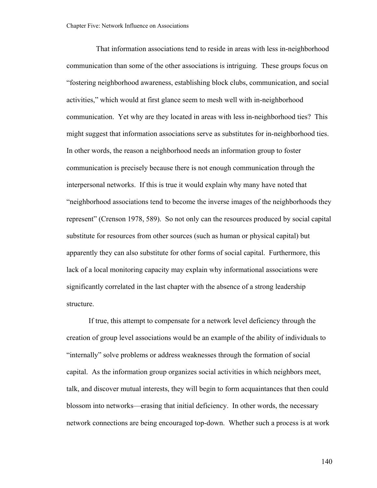That information associations tend to reside in areas with less in-neighborhood communication than some of the other associations is intriguing. These groups focus on "fostering neighborhood awareness, establishing block clubs, communication, and social activities," which would at first glance seem to mesh well with in-neighborhood communication. Yet why are they located in areas with less in-neighborhood ties? This might suggest that information associations serve as substitutes for in-neighborhood ties. In other words, the reason a neighborhood needs an information group to foster communication is precisely because there is not enough communication through the interpersonal networks. If this is true it would explain why many have noted that "neighborhood associations tend to become the inverse images of the neighborhoods they represent" (Crenson 1978, 589). So not only can the resources produced by social capital substitute for resources from other sources (such as human or physical capital) but apparently they can also substitute for other forms of social capital. Furthermore, this lack of a local monitoring capacity may explain why informational associations were significantly correlated in the last chapter with the absence of a strong leadership structure.

If true, this attempt to compensate for a network level deficiency through the creation of group level associations would be an example of the ability of individuals to "internally" solve problems or address weaknesses through the formation of social capital. As the information group organizes social activities in which neighbors meet, talk, and discover mutual interests, they will begin to form acquaintances that then could blossom into networks—erasing that initial deficiency. In other words, the necessary network connections are being encouraged top-down. Whether such a process is at work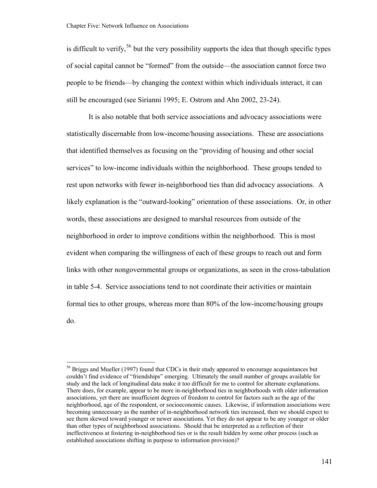$\overline{a}$ 

<span id="page-146-0"></span>is difficult to verify,<sup>[56](#page-146-0)</sup> but the very possibility supports the idea that though specific types of social capital cannot be "formed" from the outside—the association cannot force two people to be friends—by changing the context within which individuals interact, it can still be encouraged (see Sirianni 1995; E. Ostrom and Ahn 2002, 23-24).

It is also notable that both service associations and advocacy associations were statistically discernable from low-income/housing associations. These are associations that identified themselves as focusing on the "providing of housing and other social services" to low-income individuals within the neighborhood. These groups tended to rest upon networks with fewer in-neighborhood ties than did advocacy associations. A likely explanation is the "outward-looking" orientation of these associations. Or, in other words, these associations are designed to marshal resources from outside of the neighborhood in order to improve conditions within the neighborhood. This is most evident when comparing the willingness of each of these groups to reach out and form links with other nongovernmental groups or organizations, as seen in the cross-tabulation in table 5-4. Service associations tend to not coordinate their activities or maintain formal ties to other groups, whereas more than 80% of the low-income/housing groups do.

<sup>&</sup>lt;sup>56</sup> Briggs and Mueller (1997) found that CDCs in their study appeared to encourage acquaintances but couldn't find evidence of "friendships" emerging. Ultimately the small number of groups available for study and the lack of longitudinal data make it too difficult for me to control for alternate explanations. There does, for example, appear to be more in-neighborhood ties in neighborhoods with older information associations, yet there are insufficient degrees of freedom to control for factors such as the age of the neighborhood, age of the respondent, or socioeconomic causes. Likewise, if information associations were becoming unnecessary as the number of in-neighborhood network ties increased, then we should expect to see them skewed toward younger or newer associations. Yet they do not appear to be any younger or older than other types of neighborhood associations. Should that be interpreted as a reflection of their ineffectiveness at fostering in-neighborhood ties or is the result hidden by some other process (such as established associations shifting in purpose to information provision)?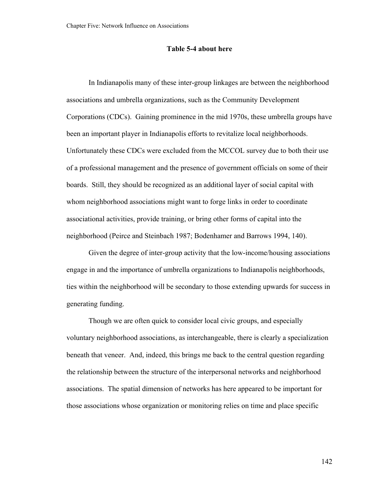### **Table 5-4 about here**

In Indianapolis many of these inter-group linkages are between the neighborhood associations and umbrella organizations, such as the Community Development Corporations (CDCs). Gaining prominence in the mid 1970s, these umbrella groups have been an important player in Indianapolis efforts to revitalize local neighborhoods. Unfortunately these CDCs were excluded from the MCCOL survey due to both their use of a professional management and the presence of government officials on some of their boards. Still, they should be recognized as an additional layer of social capital with whom neighborhood associations might want to forge links in order to coordinate associational activities, provide training, or bring other forms of capital into the neighborhood (Peirce and Steinbach 1987; Bodenhamer and Barrows 1994, 140).

Given the degree of inter-group activity that the low-income/housing associations engage in and the importance of umbrella organizations to Indianapolis neighborhoods, ties within the neighborhood will be secondary to those extending upwards for success in generating funding.

Though we are often quick to consider local civic groups, and especially voluntary neighborhood associations, as interchangeable, there is clearly a specialization beneath that veneer. And, indeed, this brings me back to the central question regarding the relationship between the structure of the interpersonal networks and neighborhood associations. The spatial dimension of networks has here appeared to be important for those associations whose organization or monitoring relies on time and place specific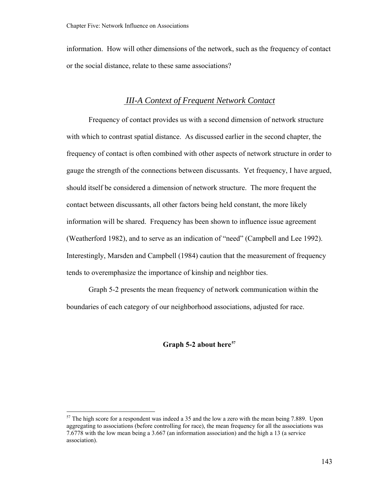<span id="page-148-0"></span>information. How will other dimensions of the network, such as the frequency of contact or the social distance, relate to these same associations?

# *III-A Context of Frequent Network Contact*

Frequency of contact provides us with a second dimension of network structure with which to contrast spatial distance. As discussed earlier in the second chapter, the frequency of contact is often combined with other aspects of network structure in order to gauge the strength of the connections between discussants. Yet frequency, I have argued, should itself be considered a dimension of network structure. The more frequent the contact between discussants, all other factors being held constant, the more likely information will be shared. Frequency has been shown to influence issue agreement (Weatherford 1982), and to serve as an indication of "need" (Campbell and Lee 1992). Interestingly, Marsden and Campbell (1984) caution that the measurement of frequency tends to overemphasize the importance of kinship and neighbor ties.

Graph 5-2 presents the mean frequency of network communication within the boundaries of each category of our neighborhood associations, adjusted for race.

## **Graph 5-2 about here[57](#page-148-0)**

 $\overline{a}$ 

 $57$  The high score for a respondent was indeed a 35 and the low a zero with the mean being 7.889. Upon aggregating to associations (before controlling for race), the mean frequency for all the associations was 7.6778 with the low mean being a 3.667 (an information association) and the high a 13 (a service association).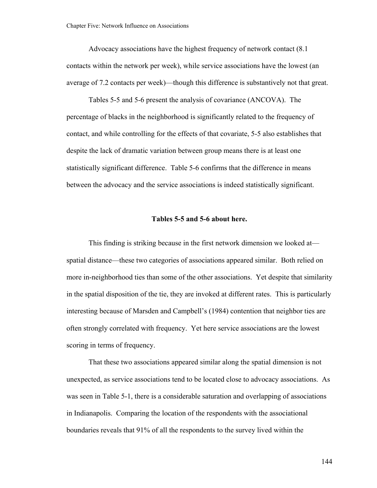Advocacy associations have the highest frequency of network contact (8.1 contacts within the network per week), while service associations have the lowest (an average of 7.2 contacts per week)—though this difference is substantively not that great.

Tables 5-5 and 5-6 present the analysis of covariance (ANCOVA). The percentage of blacks in the neighborhood is significantly related to the frequency of contact, and while controlling for the effects of that covariate, 5-5 also establishes that despite the lack of dramatic variation between group means there is at least one statistically significant difference. Table 5-6 confirms that the difference in means between the advocacy and the service associations is indeed statistically significant.

### **Tables 5-5 and 5-6 about here.**

This finding is striking because in the first network dimension we looked at spatial distance—these two categories of associations appeared similar. Both relied on more in-neighborhood ties than some of the other associations. Yet despite that similarity in the spatial disposition of the tie, they are invoked at different rates. This is particularly interesting because of Marsden and Campbell's (1984) contention that neighbor ties are often strongly correlated with frequency. Yet here service associations are the lowest scoring in terms of frequency.

That these two associations appeared similar along the spatial dimension is not unexpected, as service associations tend to be located close to advocacy associations. As was seen in Table 5-1, there is a considerable saturation and overlapping of associations in Indianapolis. Comparing the location of the respondents with the associational boundaries reveals that 91% of all the respondents to the survey lived within the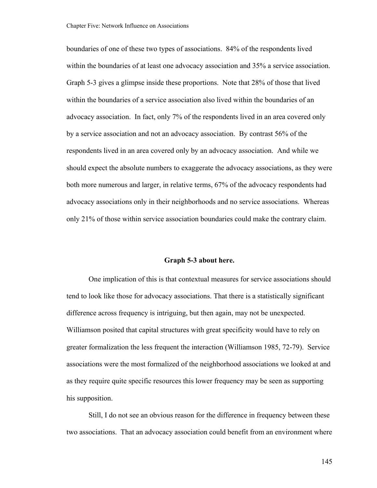boundaries of one of these two types of associations. 84% of the respondents lived within the boundaries of at least one advocacy association and 35% a service association. Graph 5-3 gives a glimpse inside these proportions. Note that 28% of those that lived within the boundaries of a service association also lived within the boundaries of an advocacy association. In fact, only 7% of the respondents lived in an area covered only by a service association and not an advocacy association. By contrast 56% of the respondents lived in an area covered only by an advocacy association. And while we should expect the absolute numbers to exaggerate the advocacy associations, as they were both more numerous and larger, in relative terms, 67% of the advocacy respondents had advocacy associations only in their neighborhoods and no service associations. Whereas only 21% of those within service association boundaries could make the contrary claim.

#### **Graph 5-3 about here.**

One implication of this is that contextual measures for service associations should tend to look like those for advocacy associations. That there is a statistically significant difference across frequency is intriguing, but then again, may not be unexpected. Williamson posited that capital structures with great specificity would have to rely on greater formalization the less frequent the interaction (Williamson 1985, 72-79). Service associations were the most formalized of the neighborhood associations we looked at and as they require quite specific resources this lower frequency may be seen as supporting his supposition.

Still, I do not see an obvious reason for the difference in frequency between these two associations. That an advocacy association could benefit from an environment where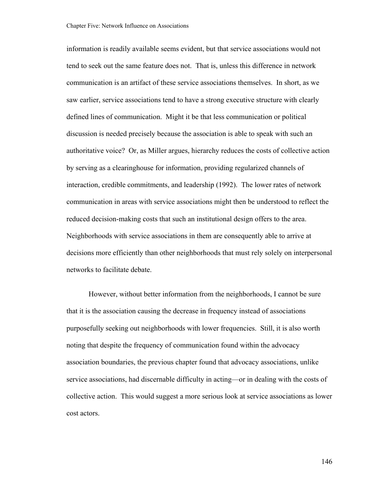information is readily available seems evident, but that service associations would not tend to seek out the same feature does not. That is, unless this difference in network communication is an artifact of these service associations themselves. In short, as we saw earlier, service associations tend to have a strong executive structure with clearly defined lines of communication. Might it be that less communication or political discussion is needed precisely because the association is able to speak with such an authoritative voice? Or, as Miller argues, hierarchy reduces the costs of collective action by serving as a clearinghouse for information, providing regularized channels of interaction, credible commitments, and leadership (1992). The lower rates of network communication in areas with service associations might then be understood to reflect the reduced decision-making costs that such an institutional design offers to the area. Neighborhoods with service associations in them are consequently able to arrive at decisions more efficiently than other neighborhoods that must rely solely on interpersonal networks to facilitate debate.

However, without better information from the neighborhoods, I cannot be sure that it is the association causing the decrease in frequency instead of associations purposefully seeking out neighborhoods with lower frequencies. Still, it is also worth noting that despite the frequency of communication found within the advocacy association boundaries, the previous chapter found that advocacy associations, unlike service associations, had discernable difficulty in acting—or in dealing with the costs of collective action. This would suggest a more serious look at service associations as lower cost actors.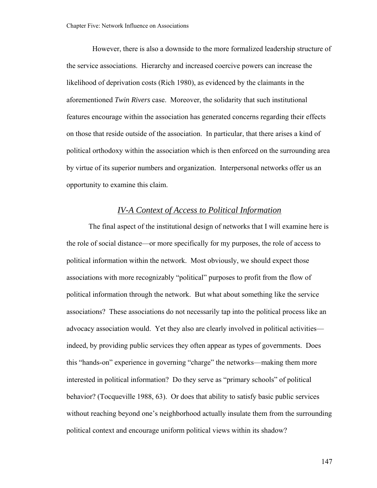However, there is also a downside to the more formalized leadership structure of the service associations. Hierarchy and increased coercive powers can increase the likelihood of deprivation costs (Rich 1980), as evidenced by the claimants in the aforementioned *Twin Rivers* case. Moreover, the solidarity that such institutional features encourage within the association has generated concerns regarding their effects on those that reside outside of the association. In particular, that there arises a kind of political orthodoxy within the association which is then enforced on the surrounding area by virtue of its superior numbers and organization. Interpersonal networks offer us an opportunity to examine this claim.

# *IV-A Context of Access to Political Information*

The final aspect of the institutional design of networks that I will examine here is the role of social distance—or more specifically for my purposes, the role of access to political information within the network. Most obviously, we should expect those associations with more recognizably "political" purposes to profit from the flow of political information through the network. But what about something like the service associations? These associations do not necessarily tap into the political process like an advocacy association would. Yet they also are clearly involved in political activities indeed, by providing public services they often appear as types of governments. Does this "hands-on" experience in governing "charge" the networks—making them more interested in political information? Do they serve as "primary schools" of political behavior? (Tocqueville 1988, 63). Or does that ability to satisfy basic public services without reaching beyond one's neighborhood actually insulate them from the surrounding political context and encourage uniform political views within its shadow?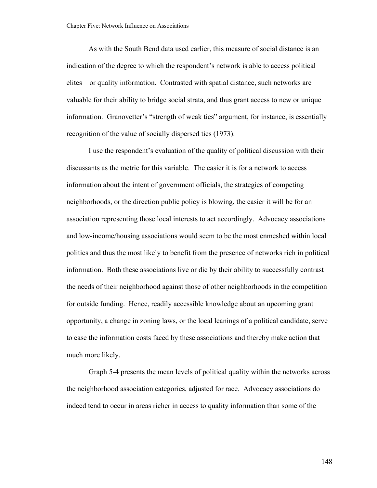As with the South Bend data used earlier, this measure of social distance is an indication of the degree to which the respondent's network is able to access political elites—or quality information. Contrasted with spatial distance, such networks are valuable for their ability to bridge social strata, and thus grant access to new or unique information. Granovetter's "strength of weak ties" argument, for instance, is essentially recognition of the value of socially dispersed ties (1973).

I use the respondent's evaluation of the quality of political discussion with their discussants as the metric for this variable. The easier it is for a network to access information about the intent of government officials, the strategies of competing neighborhoods, or the direction public policy is blowing, the easier it will be for an association representing those local interests to act accordingly. Advocacy associations and low-income/housing associations would seem to be the most enmeshed within local politics and thus the most likely to benefit from the presence of networks rich in political information. Both these associations live or die by their ability to successfully contrast the needs of their neighborhood against those of other neighborhoods in the competition for outside funding. Hence, readily accessible knowledge about an upcoming grant opportunity, a change in zoning laws, or the local leanings of a political candidate, serve to ease the information costs faced by these associations and thereby make action that much more likely.

Graph 5-4 presents the mean levels of political quality within the networks across the neighborhood association categories, adjusted for race. Advocacy associations do indeed tend to occur in areas richer in access to quality information than some of the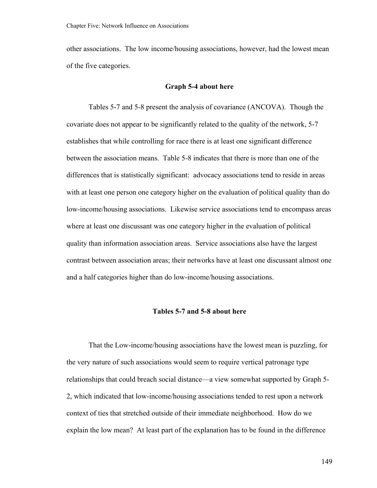other associations. The low income/housing associations, however, had the lowest mean of the five categories.

## **Graph 5-4 about here**

Tables 5-7 and 5-8 present the analysis of covariance (ANCOVA). Though the covariate does not appear to be significantly related to the quality of the network, 5-7 establishes that while controlling for race there is at least one significant difference between the association means. Table 5-8 indicates that there is more than one of the differences that is statistically significant: advocacy associations tend to reside in areas with at least one person one category higher on the evaluation of political quality than do low-income/housing associations. Likewise service associations tend to encompass areas where at least one discussant was one category higher in the evaluation of political quality than information association areas. Service associations also have the largest contrast between association areas; their networks have at least one discussant almost one and a half categories higher than do low-income/housing associations.

## **Tables 5-7 and 5-8 about here**

That the Low-income/housing associations have the lowest mean is puzzling, for the very nature of such associations would seem to require vertical patronage type relationships that could breach social distance—a view somewhat supported by Graph 5- 2, which indicated that low-income/housing associations tended to rest upon a network context of ties that stretched outside of their immediate neighborhood. How do we explain the low mean? At least part of the explanation has to be found in the difference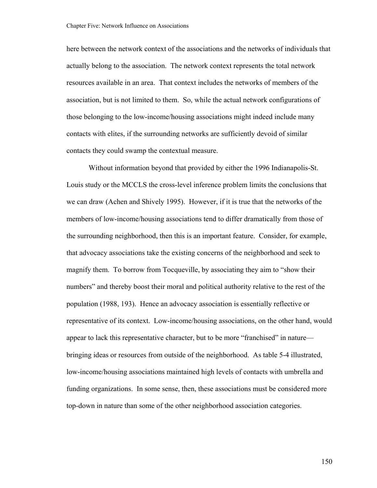here between the network context of the associations and the networks of individuals that actually belong to the association. The network context represents the total network resources available in an area. That context includes the networks of members of the association, but is not limited to them. So, while the actual network configurations of those belonging to the low-income/housing associations might indeed include many contacts with elites, if the surrounding networks are sufficiently devoid of similar contacts they could swamp the contextual measure.

Without information beyond that provided by either the 1996 Indianapolis-St. Louis study or the MCCLS the cross-level inference problem limits the conclusions that we can draw (Achen and Shively 1995). However, if it is true that the networks of the members of low-income/housing associations tend to differ dramatically from those of the surrounding neighborhood, then this is an important feature. Consider, for example, that advocacy associations take the existing concerns of the neighborhood and seek to magnify them. To borrow from Tocqueville, by associating they aim to "show their numbers" and thereby boost their moral and political authority relative to the rest of the population (1988, 193). Hence an advocacy association is essentially reflective or representative of its context. Low-income/housing associations, on the other hand, would appear to lack this representative character, but to be more "franchised" in nature bringing ideas or resources from outside of the neighborhood. As table 5-4 illustrated, low-income/housing associations maintained high levels of contacts with umbrella and funding organizations. In some sense, then, these associations must be considered more top-down in nature than some of the other neighborhood association categories.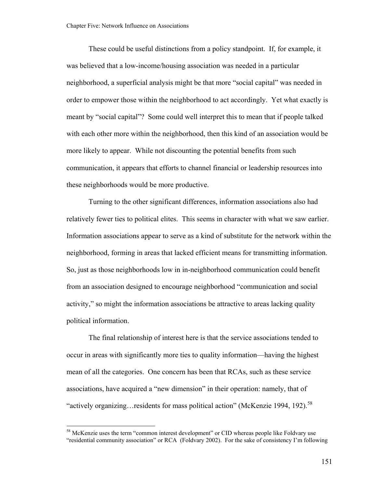<span id="page-156-0"></span>These could be useful distinctions from a policy standpoint. If, for example, it was believed that a low-income/housing association was needed in a particular neighborhood, a superficial analysis might be that more "social capital" was needed in order to empower those within the neighborhood to act accordingly. Yet what exactly is meant by "social capital"? Some could well interpret this to mean that if people talked with each other more within the neighborhood, then this kind of an association would be more likely to appear. While not discounting the potential benefits from such communication, it appears that efforts to channel financial or leadership resources into these neighborhoods would be more productive.

Turning to the other significant differences, information associations also had relatively fewer ties to political elites. This seems in character with what we saw earlier. Information associations appear to serve as a kind of substitute for the network within the neighborhood, forming in areas that lacked efficient means for transmitting information. So, just as those neighborhoods low in in-neighborhood communication could benefit from an association designed to encourage neighborhood "communication and social activity," so might the information associations be attractive to areas lacking quality political information.

The final relationship of interest here is that the service associations tended to occur in areas with significantly more ties to quality information—having the highest mean of all the categories. One concern has been that RCAs, such as these service associations, have acquired a "new dimension" in their operation: namely, that of "actively organizing... residents for mass political action" (McKenzie 1994, 192).<sup>[58](#page-156-0)</sup>

<sup>&</sup>lt;sup>58</sup> McKenzie uses the term "common interest development" or CID whereas people like Foldvary use "residential community association" or RCA (Foldvary 2002). For the sake of consistency I'm following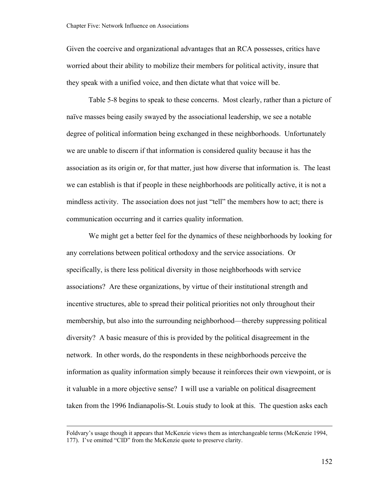Given the coercive and organizational advantages that an RCA possesses, critics have worried about their ability to mobilize their members for political activity, insure that they speak with a unified voice, and then dictate what that voice will be.

Table 5-8 begins to speak to these concerns. Most clearly, rather than a picture of naïve masses being easily swayed by the associational leadership, we see a notable degree of political information being exchanged in these neighborhoods. Unfortunately we are unable to discern if that information is considered quality because it has the association as its origin or, for that matter, just how diverse that information is. The least we can establish is that if people in these neighborhoods are politically active, it is not a mindless activity. The association does not just "tell" the members how to act; there is communication occurring and it carries quality information.

We might get a better feel for the dynamics of these neighborhoods by looking for any correlations between political orthodoxy and the service associations. Or specifically, is there less political diversity in those neighborhoods with service associations? Are these organizations, by virtue of their institutional strength and incentive structures, able to spread their political priorities not only throughout their membership, but also into the surrounding neighborhood—thereby suppressing political diversity? A basic measure of this is provided by the political disagreement in the network. In other words, do the respondents in these neighborhoods perceive the information as quality information simply because it reinforces their own viewpoint, or is it valuable in a more objective sense? I will use a variable on political disagreement taken from the 1996 Indianapolis-St. Louis study to look at this. The question asks each

Foldvary's usage though it appears that McKenzie views them as interchangeable terms (McKenzie 1994, 177). I've omitted "CID" from the McKenzie quote to preserve clarity.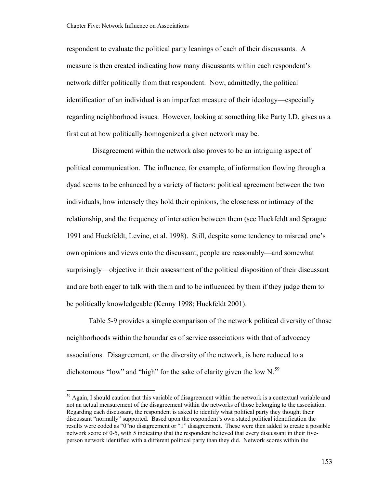$\overline{a}$ 

<span id="page-158-0"></span>respondent to evaluate the political party leanings of each of their discussants. A measure is then created indicating how many discussants within each respondent's network differ politically from that respondent. Now, admittedly, the political identification of an individual is an imperfect measure of their ideology—especially regarding neighborhood issues. However, looking at something like Party I.D. gives us a first cut at how politically homogenized a given network may be.

 Disagreement within the network also proves to be an intriguing aspect of political communication. The influence, for example, of information flowing through a dyad seems to be enhanced by a variety of factors: political agreement between the two individuals, how intensely they hold their opinions, the closeness or intimacy of the relationship, and the frequency of interaction between them (see Huckfeldt and Sprague 1991 and Huckfeldt, Levine, et al. 1998). Still, despite some tendency to misread one's own opinions and views onto the discussant, people are reasonably—and somewhat surprisingly—objective in their assessment of the political disposition of their discussant and are both eager to talk with them and to be influenced by them if they judge them to be politically knowledgeable (Kenny 1998; Huckfeldt 2001).

Table 5-9 provides a simple comparison of the network political diversity of those neighborhoods within the boundaries of service associations with that of advocacy associations. Disagreement, or the diversity of the network, is here reduced to a dichotomous "low" and "high" for the sake of clarity given the low  $N<sup>59</sup>$  $N<sup>59</sup>$  $N<sup>59</sup>$ 

<sup>&</sup>lt;sup>59</sup> Again, I should caution that this variable of disagreement within the network is a contextual variable and not an actual measurement of the disagreement within the networks of those belonging to the association. Regarding each discussant, the respondent is asked to identify what political party they thought their discussant "normally" supported. Based upon the respondent's own stated political identification the results were coded as "0"no disagreement or "1" disagreement. These were then added to create a possible network score of 0-5, with 5 indicating that the respondent believed that every discussant in their fiveperson network identified with a different political party than they did. Network scores within the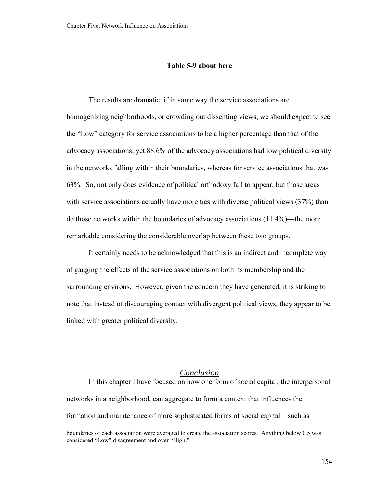## **Table 5-9 about here**

The results are dramatic: if in some way the service associations are homogenizing neighborhoods, or crowding out dissenting views, we should expect to see the "Low" category for service associations to be a higher percentage than that of the advocacy associations; yet 88.6% of the advocacy associations had low political diversity in the networks falling within their boundaries, whereas for service associations that was 63%. So, not only does evidence of political orthodoxy fail to appear, but those areas with service associations actually have more ties with diverse political views (37%) than do those networks within the boundaries of advocacy associations (11.4%)—the more remarkable considering the considerable overlap between these two groups.

It certainly needs to be acknowledged that this is an indirect and incomplete way of gauging the effects of the service associations on both its membership and the surrounding environs. However, given the concern they have generated, it is striking to note that instead of discouraging contact with divergent political views, they appear to be linked with greater political diversity.

# *Conclusion*

In this chapter I have focused on how one form of social capital, the interpersonal networks in a neighborhood, can aggregate to form a context that influences the formation and maintenance of more sophisticated forms of social capital—such as

boundaries of each association were averaged to create the association scores. Anything below 0.5 was considered "Low" disagreement and over "High."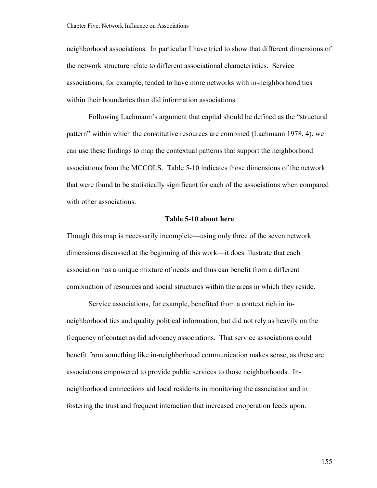neighborhood associations. In particular I have tried to show that different dimensions of the network structure relate to different associational characteristics. Service associations, for example, tended to have more networks with in-neighborhood ties within their boundaries than did information associations.

Following Lachmann's argument that capital should be defined as the "structural pattern" within which the constitutive resources are combined (Lachmann 1978, 4), we can use these findings to map the contextual patterns that support the neighborhood associations from the MCCOLS. Table 5-10 indicates those dimensions of the network that were found to be statistically significant for each of the associations when compared with other associations.

### **Table 5-10 about here**

Though this map is necessarily incomplete—using only three of the seven network dimensions discussed at the beginning of this work—it does illustrate that each association has a unique mixture of needs and thus can benefit from a different combination of resources and social structures within the areas in which they reside.

Service associations, for example, benefited from a context rich in inneighborhood ties and quality political information, but did not rely as heavily on the frequency of contact as did advocacy associations. That service associations could benefit from something like in-neighborhood communication makes sense, as these are associations empowered to provide public services to those neighborhoods. Inneighborhood connections aid local residents in monitoring the association and in fostering the trust and frequent interaction that increased cooperation feeds upon.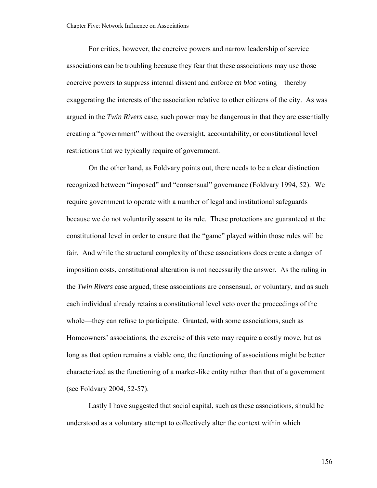For critics, however, the coercive powers and narrow leadership of service associations can be troubling because they fear that these associations may use those coercive powers to suppress internal dissent and enforce *en bloc* voting—thereby exaggerating the interests of the association relative to other citizens of the city. As was argued in the *Twin Rivers* case, such power may be dangerous in that they are essentially creating a "government" without the oversight, accountability, or constitutional level restrictions that we typically require of government.

On the other hand, as Foldvary points out, there needs to be a clear distinction recognized between "imposed" and "consensual" governance (Foldvary 1994, 52). We require government to operate with a number of legal and institutional safeguards because we do not voluntarily assent to its rule. These protections are guaranteed at the constitutional level in order to ensure that the "game" played within those rules will be fair. And while the structural complexity of these associations does create a danger of imposition costs, constitutional alteration is not necessarily the answer. As the ruling in the *Twin Rivers* case argued, these associations are consensual, or voluntary, and as such each individual already retains a constitutional level veto over the proceedings of the whole—they can refuse to participate. Granted, with some associations, such as Homeowners' associations, the exercise of this veto may require a costly move, but as long as that option remains a viable one, the functioning of associations might be better characterized as the functioning of a market-like entity rather than that of a government (see Foldvary 2004, 52-57).

Lastly I have suggested that social capital, such as these associations, should be understood as a voluntary attempt to collectively alter the context within which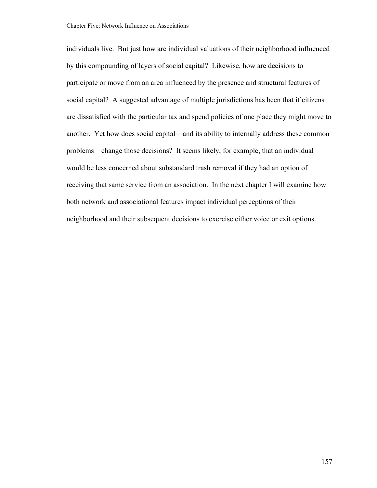individuals live. But just how are individual valuations of their neighborhood influenced by this compounding of layers of social capital? Likewise, how are decisions to participate or move from an area influenced by the presence and structural features of social capital? A suggested advantage of multiple jurisdictions has been that if citizens are dissatisfied with the particular tax and spend policies of one place they might move to another. Yet how does social capital—and its ability to internally address these common problems—change those decisions? It seems likely, for example, that an individual would be less concerned about substandard trash removal if they had an option of receiving that same service from an association. In the next chapter I will examine how both network and associational features impact individual perceptions of their neighborhood and their subsequent decisions to exercise either voice or exit options.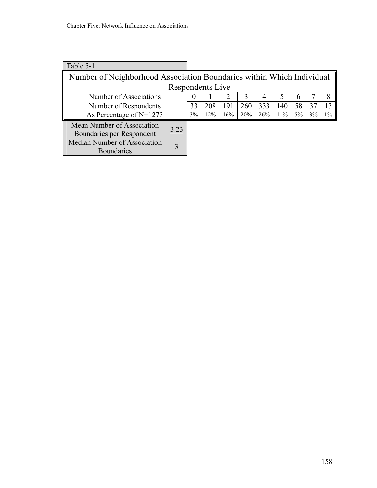| Table 5-1                                                             |                  |    |     |     |     |     |     |    |    |       |
|-----------------------------------------------------------------------|------------------|----|-----|-----|-----|-----|-----|----|----|-------|
| Number of Neighborhood Association Boundaries within Which Individual |                  |    |     |     |     |     |     |    |    |       |
|                                                                       | Respondents Live |    |     |     |     |     |     |    |    |       |
| Number of Associations                                                |                  |    |     |     |     | 4   |     | 6  |    | 8     |
| Number of Respondents                                                 |                  | 33 | 208 | 191 | 260 | 333 | 140 | 58 | 37 | 13    |
| As Percentage of $N=1273$                                             |                  | 3% | 12% | 16% | 20% | 26% | 11% | 5% | 3% | $1\%$ |
| Mean Number of Association<br>3.23                                    |                  |    |     |     |     |     |     |    |    |       |
| Boundaries per Respondent                                             |                  |    |     |     |     |     |     |    |    |       |
| Median Number of Association                                          |                  |    |     |     |     |     |     |    |    |       |
| <b>Boundaries</b>                                                     |                  |    |     |     |     |     |     |    |    |       |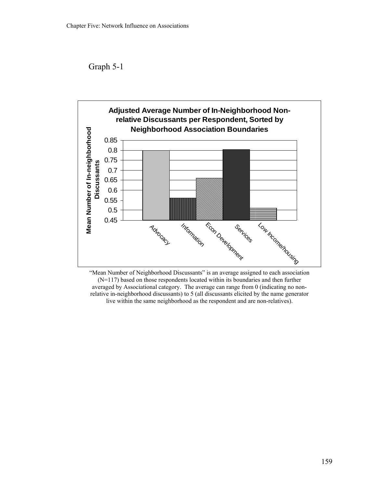Graph 5-1



"Mean Number of Neighborhood Discussants" is an average assigned to each association (N=117) based on those respondents located within its boundaries and then further averaged by Associational category. The average can range from 0 (indicating no nonrelative in-neighborhood discussants) to 5 (all discussants elicited by the name generator live within the same neighborhood as the respondent and are non-relatives).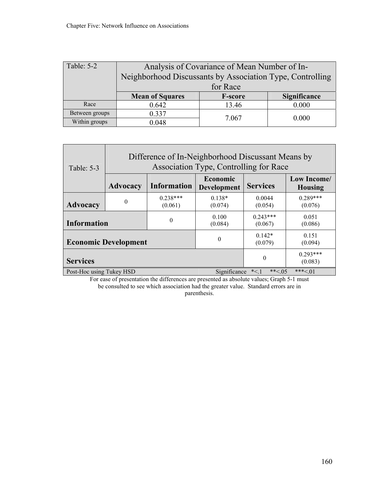| Table: 5-2     | Analysis of Covariance of Mean Number of In-                    |                |       |  |  |  |
|----------------|-----------------------------------------------------------------|----------------|-------|--|--|--|
|                | Neighborhood Discussants by Association Type, Controlling       |                |       |  |  |  |
|                | for Race                                                        |                |       |  |  |  |
|                | <b>Mean of Squares</b><br><b>F-score</b><br><b>Significance</b> |                |       |  |  |  |
| Race           | 0.642                                                           | 13.46          | 0.000 |  |  |  |
| Between groups | 0.337                                                           | 7.067<br>0.000 |       |  |  |  |
| Within groups  | 0.048                                                           |                |       |  |  |  |

| Table: 5-3                  | Difference of In-Neighborhood Discussant Means by<br>Association Type, Controlling for Race |                       |                                |                       |                               |  |  |
|-----------------------------|---------------------------------------------------------------------------------------------|-----------------------|--------------------------------|-----------------------|-------------------------------|--|--|
|                             | <b>Advocacy</b>                                                                             | <b>Information</b>    | Economic<br><b>Development</b> | <b>Services</b>       | Low Income/<br><b>Housing</b> |  |  |
| Advocacy                    | $\theta$                                                                                    | $0.238***$<br>(0.061) | $0.138*$<br>(0.074)            | 0.0044<br>(0.054)     | $0.289***$<br>(0.076)         |  |  |
| <b>Information</b>          |                                                                                             | $\theta$              | 0.100<br>(0.084)               | $0.243***$<br>(0.067) | 0.051<br>(0.086)              |  |  |
| <b>Economic Development</b> |                                                                                             |                       | $\theta$                       | $0.142*$<br>(0.079)   | 0.151<br>(0.094)              |  |  |
| <b>Services</b>             |                                                                                             |                       |                                | $\theta$              | $0.293***$<br>(0.083)         |  |  |
| Post-Hoc using Tukey HSD    |                                                                                             |                       | Significance                   | ** $< 0.5$<br>$*<1$   | ***<.01                       |  |  |

For ease of presentation the differences are presented as absolute values; Graph 5-1 must be consulted to see which association had the greater value. Standard errors are in parenthesis.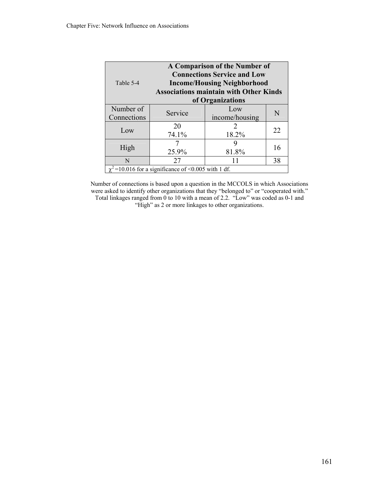| A Comparison of the Number of<br><b>Connections Service and Low</b><br>Table 5-4<br><b>Income/Housing Neighborhood</b><br><b>Associations maintain with Other Kinds</b><br>of Organizations |                                       |       |    |  |  |  |  |
|---------------------------------------------------------------------------------------------------------------------------------------------------------------------------------------------|---------------------------------------|-------|----|--|--|--|--|
| Number of<br>Connections                                                                                                                                                                    | Low<br>Service<br>N<br>income/housing |       |    |  |  |  |  |
| Low                                                                                                                                                                                         | 18.2%                                 | 22    |    |  |  |  |  |
| High                                                                                                                                                                                        | 25.9%                                 | 81.8% | 16 |  |  |  |  |
| N                                                                                                                                                                                           | 38<br>11<br>27                        |       |    |  |  |  |  |
| $\chi^2$ =10.016 for a significance of <0.005 with 1 df.                                                                                                                                    |                                       |       |    |  |  |  |  |

Number of connections is based upon a question in the MCCOLS in which Associations were asked to identify other organizations that they "belonged to" or "cooperated with." Total linkages ranged from 0 to 10 with a mean of 2.2. "Low" was coded as 0-1 and "High" as 2 or more linkages to other organizations.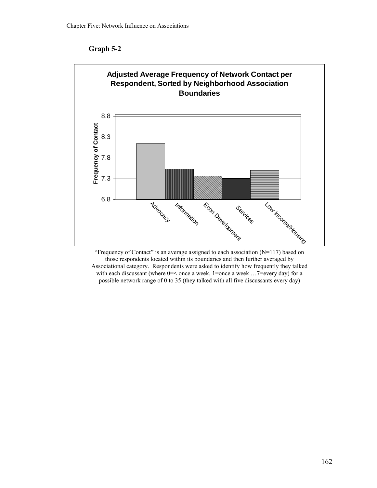



"Frequency of Contact" is an average assigned to each association  $(N=117)$  based on those respondents located within its boundaries and then further averaged by Associational category. Respondents were asked to identify how frequently they talked with each discussant (where  $0 = <$  once a week, 1=once a week ...7=every day) for a possible network range of 0 to 35 (they talked with all five discussants every day)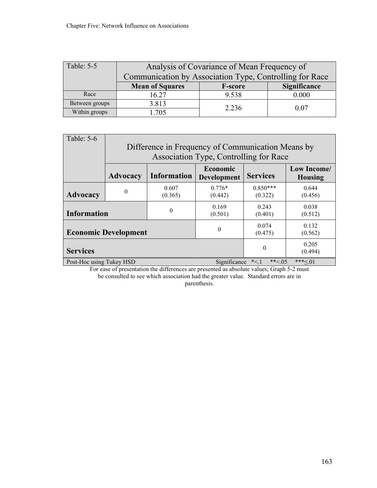| Table: 5-5     | Analysis of Covariance of Mean Frequency of                     |       |       |  |  |  |
|----------------|-----------------------------------------------------------------|-------|-------|--|--|--|
|                | Communication by Association Type, Controlling for Race         |       |       |  |  |  |
|                | <b>Mean of Squares</b><br><b>Significance</b><br><b>F-score</b> |       |       |  |  |  |
| Race           | 16.27                                                           | 9.538 | 0.000 |  |  |  |
| Between groups | 3.813                                                           | 2.236 | 0.07  |  |  |  |
| Within groups  | .705                                                            |       |       |  |  |  |

| Table: 5-6               | Difference in Frequency of Communication Means by<br>Association Type, Controlling for Race |                    |                                |                       |                               |  |  |
|--------------------------|---------------------------------------------------------------------------------------------|--------------------|--------------------------------|-----------------------|-------------------------------|--|--|
|                          | <b>Advocacy</b>                                                                             | <b>Information</b> | Economic<br><b>Development</b> | <b>Services</b>       | Low Income/<br><b>Housing</b> |  |  |
| <b>Advocacy</b>          | $\theta$                                                                                    | 0.607<br>(0.365)   | $0.776*$<br>(0.442)            | $0.850***$<br>(0.322) | 0.644<br>(0.456)              |  |  |
| <b>Information</b>       |                                                                                             | 0                  | 0.169<br>(0.501)               | 0.243<br>(0.401)      | 0.038<br>(0.512)              |  |  |
|                          | <b>Economic Development</b>                                                                 |                    | $\Omega$                       | 0.074<br>(0.475)      | 0.132<br>(0.562)              |  |  |
| <b>Services</b>          |                                                                                             |                    |                                | $\theta$              | 0.205<br>(0.494)              |  |  |
| Post-Hoc using Tukey HSD | ** $< 0.05$<br>$***<01$<br>$*<1$<br>Significance                                            |                    |                                |                       |                               |  |  |

For ease of presentation the differences are presented as absolute values; Graph 5-2 must be consulted to see which association had the greater value. Standard errors are in parenthesis.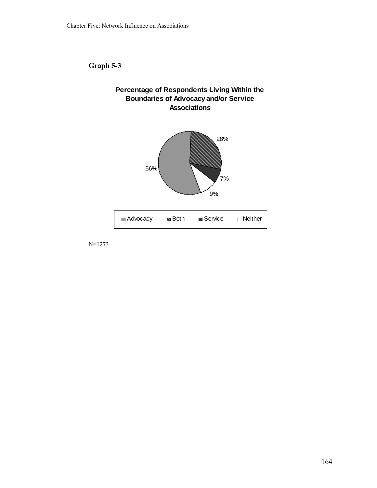**Graph 5-3** 





N=1273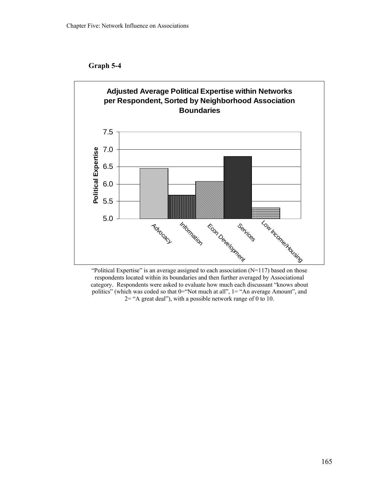



"Political Expertise" is an average assigned to each association  $(N=117)$  based on those respondents located within its boundaries and then further averaged by Associational category. Respondents were asked to evaluate how much each discussant "knows about politics" (which was coded so that 0="Not much at all", 1= "An average Amount", and 2= "A great deal"), with a possible network range of 0 to 10.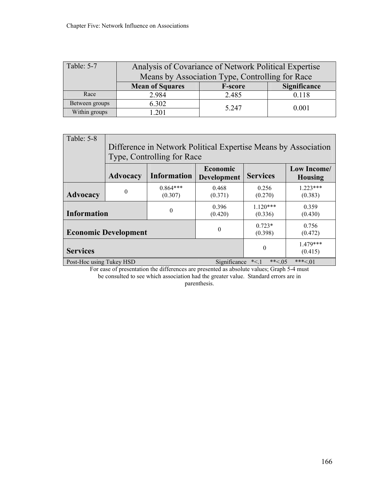| Table: 5-7     | Analysis of Covariance of Network Political Expertise    |                |       |  |  |  |  |
|----------------|----------------------------------------------------------|----------------|-------|--|--|--|--|
|                | Means by Association Type, Controlling for Race          |                |       |  |  |  |  |
|                | <b>Mean of Squares</b><br>Significance<br><b>F-score</b> |                |       |  |  |  |  |
| Race           | 2.984                                                    | 2.485          | 0.118 |  |  |  |  |
| Between groups | 6.302                                                    |                |       |  |  |  |  |
| Within groups  | 201                                                      | 5.247<br>0.001 |       |  |  |  |  |

| Table: 5-8               | Difference in Network Political Expertise Means by Association<br>Type, Controlling for Race |                       |                                |                      |                               |  |  |
|--------------------------|----------------------------------------------------------------------------------------------|-----------------------|--------------------------------|----------------------|-------------------------------|--|--|
|                          | <b>Advocacy</b>                                                                              | <b>Information</b>    | Economic<br><b>Development</b> | <b>Services</b>      | Low Income/<br><b>Housing</b> |  |  |
| <b>Advocacy</b>          | $\theta$                                                                                     | $0.864***$<br>(0.307) | 0.468<br>(0.371)               | 0.256<br>(0.270)     | $1223***$<br>(0.383)          |  |  |
| <b>Information</b>       |                                                                                              | 0                     | 0.396<br>(0.420)               | $1120***$<br>(0.336) | 0.359<br>(0.430)              |  |  |
|                          | <b>Economic Development</b>                                                                  |                       | $\Omega$                       | $0.723*$<br>(0.398)  | 0.756<br>(0.472)              |  |  |
| <b>Services</b>          |                                                                                              |                       |                                | $\boldsymbol{0}$     | $1.479***$<br>(0.415)         |  |  |
| Post-Hoc using Tukey HSD |                                                                                              |                       | Significance                   | ** $< 0.05$<br>$*<1$ | $***<.01$                     |  |  |

For ease of presentation the differences are presented as absolute values; Graph 5-4 must be consulted to see which association had the greater value. Standard errors are in parenthesis.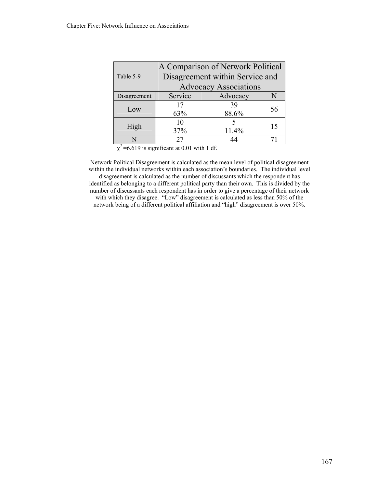| A Comparison of Network Political |                                 |       |    |  |  |  |  |  |  |
|-----------------------------------|---------------------------------|-------|----|--|--|--|--|--|--|
| Table 5-9                         | Disagreement within Service and |       |    |  |  |  |  |  |  |
| <b>Advocacy Associations</b>      |                                 |       |    |  |  |  |  |  |  |
| Disagreement                      | Service<br>Advocacy<br>N        |       |    |  |  |  |  |  |  |
| Low                               | 17                              | 39    | 56 |  |  |  |  |  |  |
|                                   | 63%                             | 88.6% |    |  |  |  |  |  |  |
| High                              | 10                              |       | 15 |  |  |  |  |  |  |
|                                   | 37%                             | 11.4% |    |  |  |  |  |  |  |
|                                   | 27                              |       |    |  |  |  |  |  |  |

 $\chi^2$ =6.619 is significant at 0.01 with 1 df.

Network Political Disagreement is calculated as the mean level of political disagreement within the individual networks within each association's boundaries. The individual level disagreement is calculated as the number of discussants which the respondent has identified as belonging to a different political party than their own. This is divided by the number of discussants each respondent has in order to give a percentage of their network with which they disagree. "Low" disagreement is calculated as less than 50% of the network being of a different political affiliation and "high" disagreement is over 50%.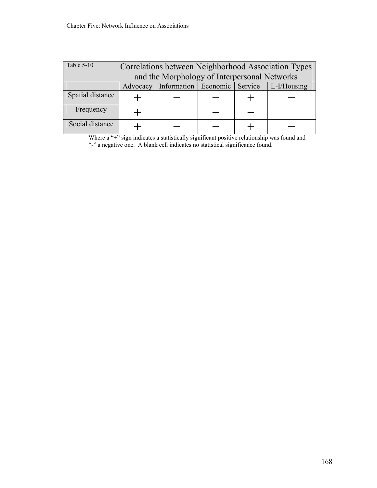| Table 5-10       | Correlations between Neighborhood Association Types        |  |  |  |  |  |  |  |
|------------------|------------------------------------------------------------|--|--|--|--|--|--|--|
|                  | and the Morphology of Interpersonal Networks               |  |  |  |  |  |  |  |
|                  | Information   Economic   Service   L-I/Housing<br>Advocacy |  |  |  |  |  |  |  |
| Spatial distance |                                                            |  |  |  |  |  |  |  |
| Frequency        |                                                            |  |  |  |  |  |  |  |
| Social distance  |                                                            |  |  |  |  |  |  |  |

Where a "+" sign indicates a statistically significant positive relationship was found and "-" a negative one. A blank cell indicates no statistical significance found.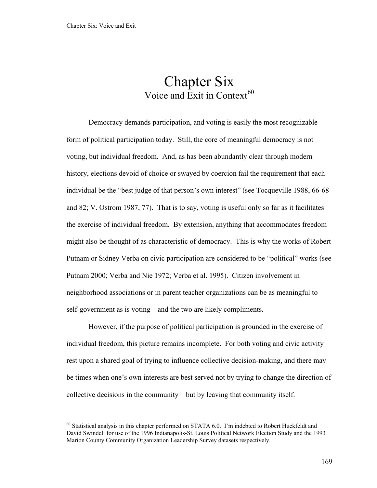$\overline{a}$ 

# Chapter Six Voice and Exit in Context $^{60}$  $^{60}$  $^{60}$

<span id="page-174-0"></span>Democracy demands participation, and voting is easily the most recognizable form of political participation today. Still, the core of meaningful democracy is not voting, but individual freedom. And, as has been abundantly clear through modern history, elections devoid of choice or swayed by coercion fail the requirement that each individual be the "best judge of that person's own interest" (see Tocqueville 1988, 66-68 and 82; V. Ostrom 1987, 77). That is to say, voting is useful only so far as it facilitates the exercise of individual freedom. By extension, anything that accommodates freedom might also be thought of as characteristic of democracy. This is why the works of Robert Putnam or Sidney Verba on civic participation are considered to be "political" works (see Putnam 2000; Verba and Nie 1972; Verba et al. 1995). Citizen involvement in neighborhood associations or in parent teacher organizations can be as meaningful to self-government as is voting—and the two are likely compliments.

However, if the purpose of political participation is grounded in the exercise of individual freedom, this picture remains incomplete. For both voting and civic activity rest upon a shared goal of trying to influence collective decision-making, and there may be times when one's own interests are best served not by trying to change the direction of collective decisions in the community—but by leaving that community itself.

 $60$  Statistical analysis in this chapter performed on STATA 6.0. I'm indebted to Robert Huckfeldt and David Swindell for use of the 1996 Indianapolis-St. Louis Political Network Election Study and the 1993 Marion County Community Organization Leadership Survey datasets respectively.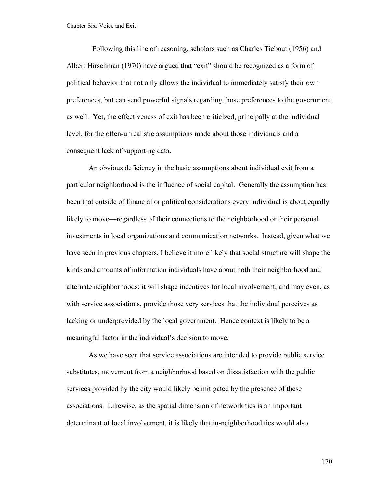Following this line of reasoning, scholars such as Charles Tiebout (1956) and Albert Hirschman (1970) have argued that "exit" should be recognized as a form of political behavior that not only allows the individual to immediately satisfy their own preferences, but can send powerful signals regarding those preferences to the government as well. Yet, the effectiveness of exit has been criticized, principally at the individual level, for the often-unrealistic assumptions made about those individuals and a consequent lack of supporting data.

An obvious deficiency in the basic assumptions about individual exit from a particular neighborhood is the influence of social capital. Generally the assumption has been that outside of financial or political considerations every individual is about equally likely to move—regardless of their connections to the neighborhood or their personal investments in local organizations and communication networks. Instead, given what we have seen in previous chapters, I believe it more likely that social structure will shape the kinds and amounts of information individuals have about both their neighborhood and alternate neighborhoods; it will shape incentives for local involvement; and may even, as with service associations, provide those very services that the individual perceives as lacking or underprovided by the local government. Hence context is likely to be a meaningful factor in the individual's decision to move.

As we have seen that service associations are intended to provide public service substitutes, movement from a neighborhood based on dissatisfaction with the public services provided by the city would likely be mitigated by the presence of these associations. Likewise, as the spatial dimension of network ties is an important determinant of local involvement, it is likely that in-neighborhood ties would also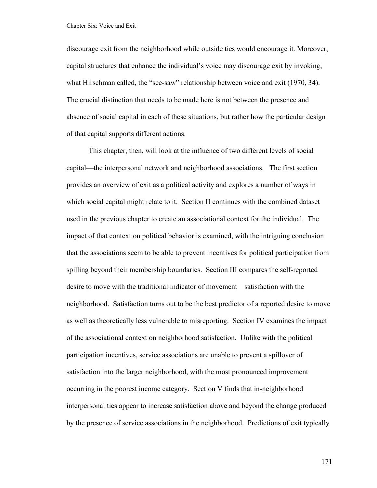discourage exit from the neighborhood while outside ties would encourage it. Moreover, capital structures that enhance the individual's voice may discourage exit by invoking, what Hirschman called, the "see-saw" relationship between voice and exit (1970, 34). The crucial distinction that needs to be made here is not between the presence and absence of social capital in each of these situations, but rather how the particular design of that capital supports different actions.

This chapter, then, will look at the influence of two different levels of social capital—the interpersonal network and neighborhood associations. The first section provides an overview of exit as a political activity and explores a number of ways in which social capital might relate to it. Section II continues with the combined dataset used in the previous chapter to create an associational context for the individual. The impact of that context on political behavior is examined, with the intriguing conclusion that the associations seem to be able to prevent incentives for political participation from spilling beyond their membership boundaries. Section III compares the self-reported desire to move with the traditional indicator of movement—satisfaction with the neighborhood. Satisfaction turns out to be the best predictor of a reported desire to move as well as theoretically less vulnerable to misreporting. Section IV examines the impact of the associational context on neighborhood satisfaction. Unlike with the political participation incentives, service associations are unable to prevent a spillover of satisfaction into the larger neighborhood, with the most pronounced improvement occurring in the poorest income category. Section V finds that in-neighborhood interpersonal ties appear to increase satisfaction above and beyond the change produced by the presence of service associations in the neighborhood. Predictions of exit typically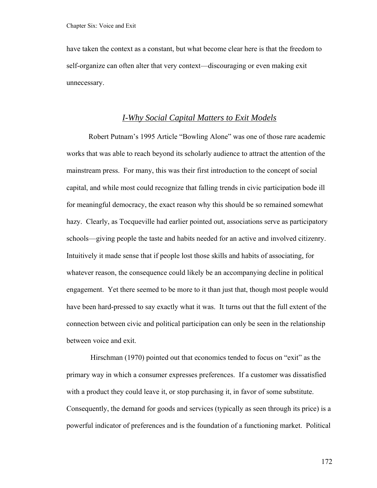have taken the context as a constant, but what become clear here is that the freedom to self-organize can often alter that very context—discouraging or even making exit unnecessary.

## *I-Why Social Capital Matters to Exit Models*

 Robert Putnam's 1995 Article "Bowling Alone" was one of those rare academic works that was able to reach beyond its scholarly audience to attract the attention of the mainstream press. For many, this was their first introduction to the concept of social capital, and while most could recognize that falling trends in civic participation bode ill for meaningful democracy, the exact reason why this should be so remained somewhat hazy. Clearly, as Tocqueville had earlier pointed out, associations serve as participatory schools—giving people the taste and habits needed for an active and involved citizenry. Intuitively it made sense that if people lost those skills and habits of associating, for whatever reason, the consequence could likely be an accompanying decline in political engagement. Yet there seemed to be more to it than just that, though most people would have been hard-pressed to say exactly what it was. It turns out that the full extent of the connection between civic and political participation can only be seen in the relationship between voice and exit.

 Hirschman (1970) pointed out that economics tended to focus on "exit" as the primary way in which a consumer expresses preferences. If a customer was dissatisfied with a product they could leave it, or stop purchasing it, in favor of some substitute. Consequently, the demand for goods and services (typically as seen through its price) is a powerful indicator of preferences and is the foundation of a functioning market. Political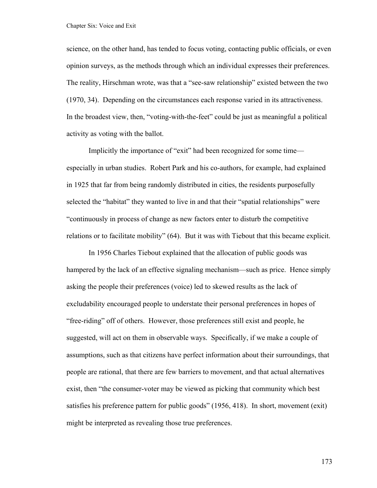science, on the other hand, has tended to focus voting, contacting public officials, or even opinion surveys, as the methods through which an individual expresses their preferences. The reality, Hirschman wrote, was that a "see-saw relationship" existed between the two (1970, 34). Depending on the circumstances each response varied in its attractiveness. In the broadest view, then, "voting-with-the-feet" could be just as meaningful a political activity as voting with the ballot.

 Implicitly the importance of "exit" had been recognized for some time especially in urban studies. Robert Park and his co-authors, for example, had explained in 1925 that far from being randomly distributed in cities, the residents purposefully selected the "habitat" they wanted to live in and that their "spatial relationships" were "continuously in process of change as new factors enter to disturb the competitive relations or to facilitate mobility" (64). But it was with Tiebout that this became explicit.

 In 1956 Charles Tiebout explained that the allocation of public goods was hampered by the lack of an effective signaling mechanism—such as price. Hence simply asking the people their preferences (voice) led to skewed results as the lack of excludability encouraged people to understate their personal preferences in hopes of "free-riding" off of others. However, those preferences still exist and people, he suggested, will act on them in observable ways. Specifically, if we make a couple of assumptions, such as that citizens have perfect information about their surroundings, that people are rational, that there are few barriers to movement, and that actual alternatives exist, then "the consumer-voter may be viewed as picking that community which best satisfies his preference pattern for public goods" (1956, 418). In short, movement (exit) might be interpreted as revealing those true preferences.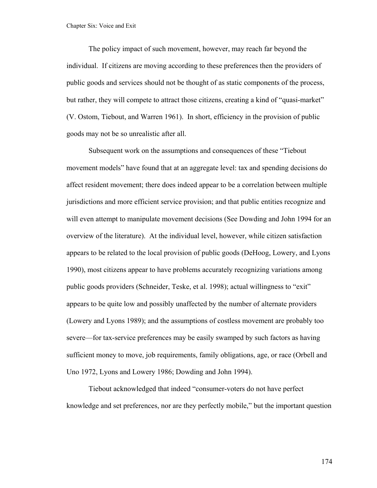The policy impact of such movement, however, may reach far beyond the individual. If citizens are moving according to these preferences then the providers of public goods and services should not be thought of as static components of the process, but rather, they will compete to attract those citizens, creating a kind of "quasi-market" (V. Ostom, Tiebout, and Warren 1961). In short, efficiency in the provision of public goods may not be so unrealistic after all.

Subsequent work on the assumptions and consequences of these "Tiebout movement models" have found that at an aggregate level: tax and spending decisions do affect resident movement; there does indeed appear to be a correlation between multiple jurisdictions and more efficient service provision; and that public entities recognize and will even attempt to manipulate movement decisions (See Dowding and John 1994 for an overview of the literature). At the individual level, however, while citizen satisfaction appears to be related to the local provision of public goods (DeHoog, Lowery, and Lyons 1990), most citizens appear to have problems accurately recognizing variations among public goods providers (Schneider, Teske, et al. 1998); actual willingness to "exit" appears to be quite low and possibly unaffected by the number of alternate providers (Lowery and Lyons 1989); and the assumptions of costless movement are probably too severe—for tax-service preferences may be easily swamped by such factors as having sufficient money to move, job requirements, family obligations, age, or race (Orbell and Uno 1972, Lyons and Lowery 1986; Dowding and John 1994).

 Tiebout acknowledged that indeed "consumer-voters do not have perfect knowledge and set preferences, nor are they perfectly mobile," but the important question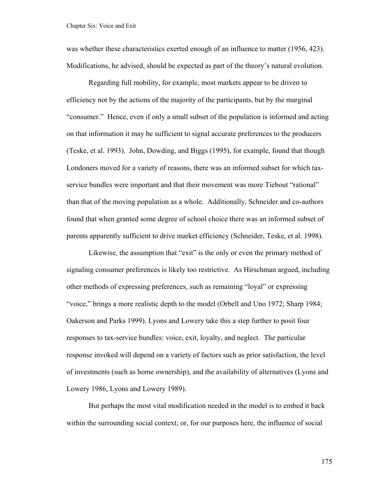was whether these characteristics exerted enough of an influence to matter (1956, 423). Modifications, he advised, should be expected as part of the theory's natural evolution.

Regarding full mobility, for example, most markets appear to be driven to efficiency not by the actions of the majority of the participants, but by the marginal "consumer." Hence, even if only a small subset of the population is informed and acting on that information it may be sufficient to signal accurate preferences to the producers (Teske, et al. 1993). John, Dowding, and Biggs (1995), for example, found that though Londoners moved for a variety of reasons, there was an informed subset for which taxservice bundles were important and that their movement was more Tiebout "rational" than that of the moving population as a whole. Additionally, Schneider and co-authors found that when granted some degree of school choice there was an informed subset of parents apparently sufficient to drive market efficiency (Schneider, Teske, et al. 1998).

 Likewise, the assumption that "exit" is the only or even the primary method of signaling consumer preferences is likely too restrictive. As Hirschman argued, including other methods of expressing preferences, such as remaining "loyal" or expressing "voice," brings a more realistic depth to the model (Orbell and Uno 1972; Sharp 1984; Oakerson and Parks 1999). Lyons and Lowery take this a step further to posit four responses to tax-service bundles: voice, exit, loyalty, and neglect. The particular response invoked will depend on a variety of factors such as prior satisfaction, the level of investments (such as home ownership), and the availability of alternatives (Lyons and Lowery 1986, Lyons and Lowery 1989).

 But perhaps the most vital modification needed in the model is to embed it back within the surrounding social context; or, for our purposes here, the influence of social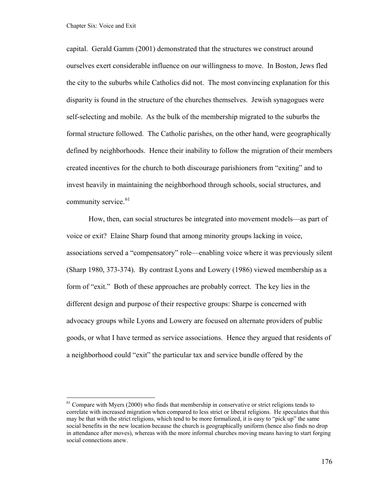<span id="page-181-0"></span>capital. Gerald Gamm (2001) demonstrated that the structures we construct around ourselves exert considerable influence on our willingness to move. In Boston, Jews fled the city to the suburbs while Catholics did not. The most convincing explanation for this disparity is found in the structure of the churches themselves. Jewish synagogues were self-selecting and mobile. As the bulk of the membership migrated to the suburbs the formal structure followed. The Catholic parishes, on the other hand, were geographically defined by neighborhoods. Hence their inability to follow the migration of their members created incentives for the church to both discourage parishioners from "exiting" and to invest heavily in maintaining the neighborhood through schools, social structures, and community service. $61$ 

 How, then, can social structures be integrated into movement models—as part of voice or exit? Elaine Sharp found that among minority groups lacking in voice, associations served a "compensatory" role—enabling voice where it was previously silent (Sharp 1980, 373-374). By contrast Lyons and Lowery (1986) viewed membership as a form of "exit." Both of these approaches are probably correct. The key lies in the different design and purpose of their respective groups: Sharpe is concerned with advocacy groups while Lyons and Lowery are focused on alternate providers of public goods, or what I have termed as service associations. Hence they argued that residents of a neighborhood could "exit" the particular tax and service bundle offered by the

 $<sup>61</sup>$  Compare with Myers (2000) who finds that membership in conservative or strict religions tends to</sup> correlate with increased migration when compared to less strict or liberal religions. He speculates that this may be that with the strict religions, which tend to be more formalized, it is easy to "pick up" the same social benefits in the new location because the church is geographically uniform (hence also finds no drop in attendance after moves), whereas with the more informal churches moving means having to start forging social connections anew.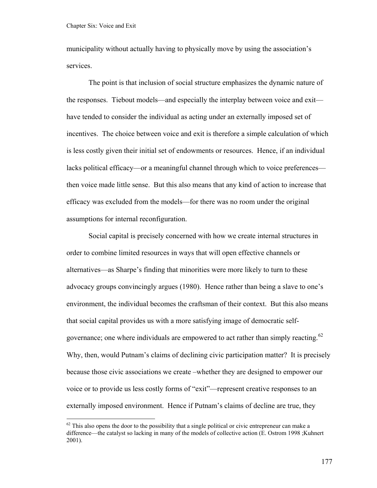1

<span id="page-182-0"></span>municipality without actually having to physically move by using the association's services.

The point is that inclusion of social structure emphasizes the dynamic nature of the responses. Tiebout models—and especially the interplay between voice and exit have tended to consider the individual as acting under an externally imposed set of incentives. The choice between voice and exit is therefore a simple calculation of which is less costly given their initial set of endowments or resources. Hence, if an individual lacks political efficacy—or a meaningful channel through which to voice preferences then voice made little sense. But this also means that any kind of action to increase that efficacy was excluded from the models—for there was no room under the original assumptions for internal reconfiguration.

Social capital is precisely concerned with how we create internal structures in order to combine limited resources in ways that will open effective channels or alternatives—as Sharpe's finding that minorities were more likely to turn to these advocacy groups convincingly argues (1980). Hence rather than being a slave to one's environment, the individual becomes the craftsman of their context. But this also means that social capital provides us with a more satisfying image of democratic self-governance; one where individuals are empowered to act rather than simply reacting.<sup>[62](#page-182-0)</sup> Why, then, would Putnam's claims of declining civic participation matter? It is precisely because those civic associations we create –whether they are designed to empower our voice or to provide us less costly forms of "exit"—represent creative responses to an externally imposed environment. Hence if Putnam's claims of decline are true, they

 $62$  This also opens the door to the possibility that a single political or civic entrepreneur can make a difference—the catalyst so lacking in many of the models of collective action (E. Ostrom 1998 ;Kuhnert 2001).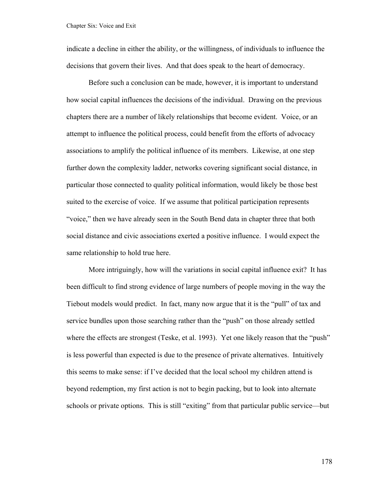indicate a decline in either the ability, or the willingness, of individuals to influence the decisions that govern their lives. And that does speak to the heart of democracy.

Before such a conclusion can be made, however, it is important to understand how social capital influences the decisions of the individual. Drawing on the previous chapters there are a number of likely relationships that become evident. Voice, or an attempt to influence the political process, could benefit from the efforts of advocacy associations to amplify the political influence of its members. Likewise, at one step further down the complexity ladder, networks covering significant social distance, in particular those connected to quality political information, would likely be those best suited to the exercise of voice. If we assume that political participation represents "voice," then we have already seen in the South Bend data in chapter three that both social distance and civic associations exerted a positive influence. I would expect the same relationship to hold true here.

More intriguingly, how will the variations in social capital influence exit? It has been difficult to find strong evidence of large numbers of people moving in the way the Tiebout models would predict. In fact, many now argue that it is the "pull" of tax and service bundles upon those searching rather than the "push" on those already settled where the effects are strongest (Teske, et al. 1993). Yet one likely reason that the "push" is less powerful than expected is due to the presence of private alternatives. Intuitively this seems to make sense: if I've decided that the local school my children attend is beyond redemption, my first action is not to begin packing, but to look into alternate schools or private options. This is still "exiting" from that particular public service—but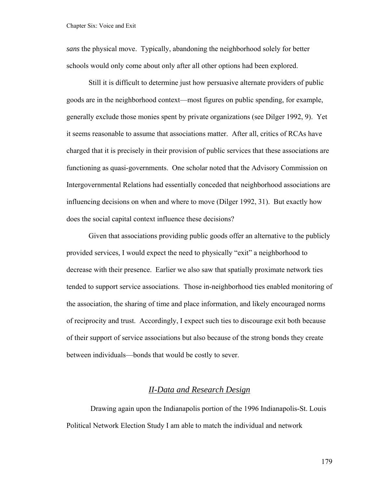*sans* the physical move. Typically, abandoning the neighborhood solely for better schools would only come about only after all other options had been explored.

Still it is difficult to determine just how persuasive alternate providers of public goods are in the neighborhood context—most figures on public spending, for example, generally exclude those monies spent by private organizations (see Dilger 1992, 9). Yet it seems reasonable to assume that associations matter. After all, critics of RCAs have charged that it is precisely in their provision of public services that these associations are functioning as quasi-governments. One scholar noted that the Advisory Commission on Intergovernmental Relations had essentially conceded that neighborhood associations are influencing decisions on when and where to move (Dilger 1992, 31). But exactly how does the social capital context influence these decisions?

Given that associations providing public goods offer an alternative to the publicly provided services, I would expect the need to physically "exit" a neighborhood to decrease with their presence. Earlier we also saw that spatially proximate network ties tended to support service associations. Those in-neighborhood ties enabled monitoring of the association, the sharing of time and place information, and likely encouraged norms of reciprocity and trust. Accordingly, I expect such ties to discourage exit both because of their support of service associations but also because of the strong bonds they create between individuals—bonds that would be costly to sever.

### *II-Data and Research Design*

 Drawing again upon the Indianapolis portion of the 1996 Indianapolis-St. Louis Political Network Election Study I am able to match the individual and network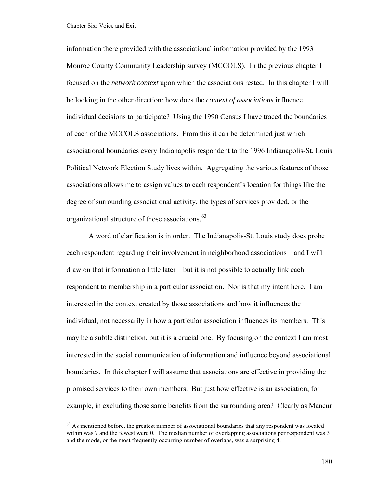<span id="page-185-0"></span>information there provided with the associational information provided by the 1993 Monroe County Community Leadership survey (MCCOLS). In the previous chapter I focused on the *network context* upon which the associations rested. In this chapter I will be looking in the other direction: how does the *context of associations* influence individual decisions to participate? Using the 1990 Census I have traced the boundaries of each of the MCCOLS associations. From this it can be determined just which associational boundaries every Indianapolis respondent to the 1996 Indianapolis-St. Louis Political Network Election Study lives within. Aggregating the various features of those associations allows me to assign values to each respondent's location for things like the degree of surrounding associational activity, the types of services provided, or the organizational structure of those associations.<sup>[63](#page-185-0)</sup>

A word of clarification is in order. The Indianapolis-St. Louis study does probe each respondent regarding their involvement in neighborhood associations—and I will draw on that information a little later—but it is not possible to actually link each respondent to membership in a particular association. Nor is that my intent here. I am interested in the context created by those associations and how it influences the individual, not necessarily in how a particular association influences its members. This may be a subtle distinction, but it is a crucial one. By focusing on the context I am most interested in the social communication of information and influence beyond associational boundaries. In this chapter I will assume that associations are effective in providing the promised services to their own members. But just how effective is an association, for example, in excluding those same benefits from the surrounding area? Clearly as Mancur

 $63$  As mentioned before, the greatest number of associational boundaries that any respondent was located within was 7 and the fewest were 0. The median number of overlapping associations per respondent was 3 and the mode, or the most frequently occurring number of overlaps, was a surprising 4.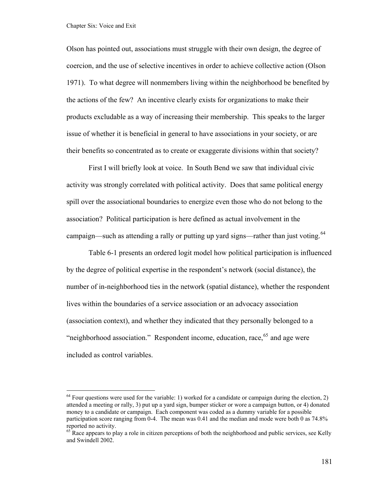<span id="page-186-0"></span>Chapter Six: Voice and Exit

 $\overline{a}$ 

Olson has pointed out, associations must struggle with their own design, the degree of coercion, and the use of selective incentives in order to achieve collective action (Olson 1971). To what degree will nonmembers living within the neighborhood be benefited by the actions of the few? An incentive clearly exists for organizations to make their products excludable as a way of increasing their membership. This speaks to the larger issue of whether it is beneficial in general to have associations in your society, or are their benefits so concentrated as to create or exaggerate divisions within that society?

First I will briefly look at voice. In South Bend we saw that individual civic activity was strongly correlated with political activity. Does that same political energy spill over the associational boundaries to energize even those who do not belong to the association? Political participation is here defined as actual involvement in the campaign—such as attending a rally or putting up yard signs—rather than just voting.<sup>[64](#page-186-0)</sup>

Table 6-1 presents an ordered logit model how political participation is influenced by the degree of political expertise in the respondent's network (social distance), the number of in-neighborhood ties in the network (spatial distance), whether the respondent lives within the boundaries of a service association or an advocacy association (association context), and whether they indicated that they personally belonged to a "neighborhood association." Respondent income, education, race,  $65$  and age were included as control variables.

 $64$  Four questions were used for the variable: 1) worked for a candidate or campaign during the election, 2) attended a meeting or rally, 3) put up a yard sign, bumper sticker or wore a campaign button, or 4) donated money to a candidate or campaign. Each component was coded as a dummy variable for a possible participation score ranging from 0-4. The mean was 0.41 and the median and mode were both 0 as 74.8% reported no activity.

<sup>&</sup>lt;sup>65</sup> Race appears to play a role in citizen perceptions of both the neighborhood and public services, see Kelly and Swindell 2002.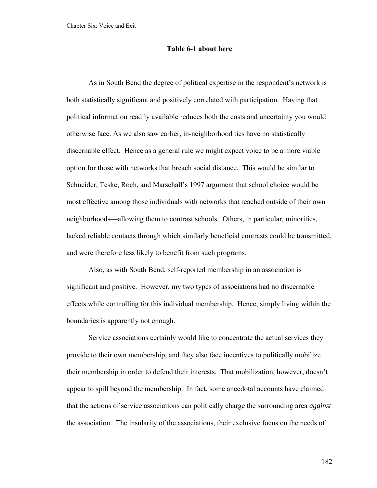#### **Table 6-1 about here**

As in South Bend the degree of political expertise in the respondent's network is both statistically significant and positively correlated with participation. Having that political information readily available reduces both the costs and uncertainty you would otherwise face. As we also saw earlier, in-neighborhood ties have no statistically discernable effect. Hence as a general rule we might expect voice to be a more viable option for those with networks that breach social distance. This would be similar to Schneider, Teske, Roch, and Marschall's 1997 argument that school choice would be most effective among those individuals with networks that reached outside of their own neighborhoods—allowing them to contrast schools. Others, in particular, minorities, lacked reliable contacts through which similarly beneficial contrasts could be transmitted, and were therefore less likely to benefit from such programs.

Also, as with South Bend, self-reported membership in an association is significant and positive. However, my two types of associations had no discernable effects while controlling for this individual membership. Hence, simply living within the boundaries is apparently not enough.

Service associations certainly would like to concentrate the actual services they provide to their own membership, and they also face incentives to politically mobilize their membership in order to defend their interests. That mobilization, however, doesn't appear to spill beyond the membership. In fact, some anecdotal accounts have claimed that the actions of service associations can politically charge the surrounding area *against* the association. The insularity of the associations, their exclusive focus on the needs of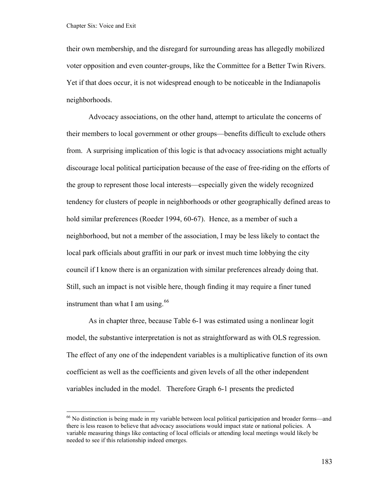<span id="page-188-0"></span>their own membership, and the disregard for surrounding areas has allegedly mobilized voter opposition and even counter-groups, like the Committee for a Better Twin Rivers. Yet if that does occur, it is not widespread enough to be noticeable in the Indianapolis neighborhoods.

Advocacy associations, on the other hand, attempt to articulate the concerns of their members to local government or other groups—benefits difficult to exclude others from. A surprising implication of this logic is that advocacy associations might actually discourage local political participation because of the ease of free-riding on the efforts of the group to represent those local interests—especially given the widely recognized tendency for clusters of people in neighborhoods or other geographically defined areas to hold similar preferences (Roeder 1994, 60-67). Hence, as a member of such a neighborhood, but not a member of the association, I may be less likely to contact the local park officials about graffiti in our park or invest much time lobbying the city council if I know there is an organization with similar preferences already doing that. Still, such an impact is not visible here, though finding it may require a finer tuned instrument than what I am using.  $66$ 

As in chapter three, because Table 6-1 was estimated using a nonlinear logit model, the substantive interpretation is not as straightforward as with OLS regression. The effect of any one of the independent variables is a multiplicative function of its own coefficient as well as the coefficients and given levels of all the other independent variables included in the model. Therefore Graph 6-1 presents the predicted

 $66$  No distinction is being made in my variable between local political participation and broader forms—and there is less reason to believe that advocacy associations would impact state or national policies. A variable measuring things like contacting of local officials or attending local meetings would likely be needed to see if this relationship indeed emerges.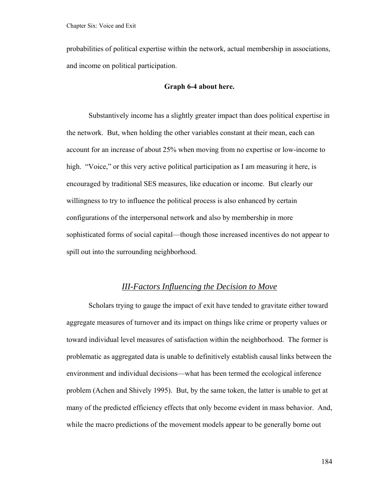probabilities of political expertise within the network, actual membership in associations, and income on political participation.

#### **Graph 6-4 about here.**

Substantively income has a slightly greater impact than does political expertise in the network. But, when holding the other variables constant at their mean, each can account for an increase of about 25% when moving from no expertise or low-income to high. "Voice," or this very active political participation as I am measuring it here, is encouraged by traditional SES measures, like education or income. But clearly our willingness to try to influence the political process is also enhanced by certain configurations of the interpersonal network and also by membership in more sophisticated forms of social capital—though those increased incentives do not appear to spill out into the surrounding neighborhood.

## *III-Factors Influencing the Decision to Move*

 Scholars trying to gauge the impact of exit have tended to gravitate either toward aggregate measures of turnover and its impact on things like crime or property values or toward individual level measures of satisfaction within the neighborhood. The former is problematic as aggregated data is unable to definitively establish causal links between the environment and individual decisions—what has been termed the ecological inference problem (Achen and Shively 1995). But, by the same token, the latter is unable to get at many of the predicted efficiency effects that only become evident in mass behavior. And, while the macro predictions of the movement models appear to be generally borne out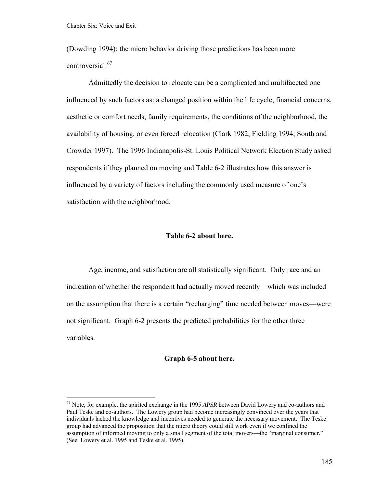<span id="page-190-0"></span>(Dowding 1994); the micro behavior driving those predictions has been more controversial.<sup>[67](#page-190-0)</sup>

 Admittedly the decision to relocate can be a complicated and multifaceted one influenced by such factors as: a changed position within the life cycle, financial concerns, aesthetic or comfort needs, family requirements, the conditions of the neighborhood, the availability of housing, or even forced relocation (Clark 1982; Fielding 1994; South and Crowder 1997). The 1996 Indianapolis-St. Louis Political Network Election Study asked respondents if they planned on moving and Table 6-2 illustrates how this answer is influenced by a variety of factors including the commonly used measure of one's satisfaction with the neighborhood.

#### **Table 6-2 about here.**

Age, income, and satisfaction are all statistically significant. Only race and an indication of whether the respondent had actually moved recently—which was included on the assumption that there is a certain "recharging" time needed between moves—were not significant. Graph 6-2 presents the predicted probabilities for the other three variables.

#### **Graph 6-5 about here.**

<sup>67</sup> Note, for example, the spirited exchange in the 1995 *APSR* between David Lowery and co-authors and Paul Teske and co-authors. The Lowery group had become increasingly convinced over the years that individuals lacked the knowledge and incentives needed to generate the necessary movement. The Teske group had advanced the proposition that the micro theory could still work even if we confined the assumption of informed moving to only a small segment of the total movers—the "marginal consumer." (See Lowery et al. 1995 and Teske et al. 1995).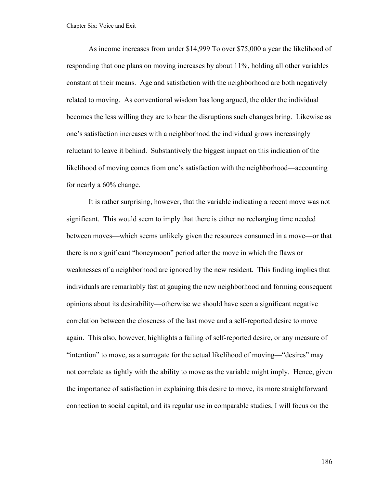As income increases from under \$14,999 To over \$75,000 a year the likelihood of responding that one plans on moving increases by about 11%, holding all other variables constant at their means. Age and satisfaction with the neighborhood are both negatively related to moving. As conventional wisdom has long argued, the older the individual becomes the less willing they are to bear the disruptions such changes bring. Likewise as one's satisfaction increases with a neighborhood the individual grows increasingly reluctant to leave it behind. Substantively the biggest impact on this indication of the likelihood of moving comes from one's satisfaction with the neighborhood—accounting for nearly a 60% change.

It is rather surprising, however, that the variable indicating a recent move was not significant. This would seem to imply that there is either no recharging time needed between moves—which seems unlikely given the resources consumed in a move—or that there is no significant "honeymoon" period after the move in which the flaws or weaknesses of a neighborhood are ignored by the new resident. This finding implies that individuals are remarkably fast at gauging the new neighborhood and forming consequent opinions about its desirability—otherwise we should have seen a significant negative correlation between the closeness of the last move and a self-reported desire to move again. This also, however, highlights a failing of self-reported desire, or any measure of "intention" to move, as a surrogate for the actual likelihood of moving—"desires" may not correlate as tightly with the ability to move as the variable might imply. Hence, given the importance of satisfaction in explaining this desire to move, its more straightforward connection to social capital, and its regular use in comparable studies, I will focus on the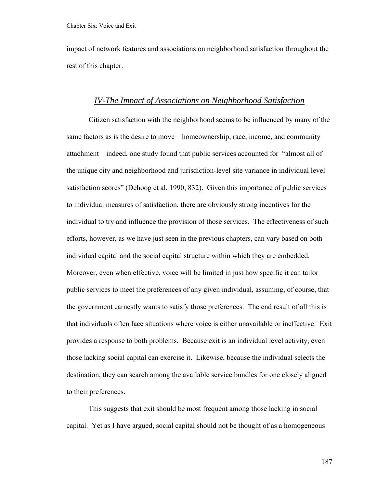impact of network features and associations on neighborhood satisfaction throughout the rest of this chapter.

#### *IV-The Impact of Associations on Neighborhood Satisfaction*

 Citizen satisfaction with the neighborhood seems to be influenced by many of the same factors as is the desire to move—homeownership, race, income, and community attachment—indeed, one study found that public services accounted for "almost all of the unique city and neighborhood and jurisdiction-level site variance in individual level satisfaction scores" (Dehoog et al. 1990, 832). Given this importance of public services to individual measures of satisfaction, there are obviously strong incentives for the individual to try and influence the provision of those services. The effectiveness of such efforts, however, as we have just seen in the previous chapters, can vary based on both individual capital and the social capital structure within which they are embedded. Moreover, even when effective, voice will be limited in just how specific it can tailor public services to meet the preferences of any given individual, assuming, of course, that the government earnestly wants to satisfy those preferences. The end result of all this is that individuals often face situations where voice is either unavailable or ineffective. Exit provides a response to both problems. Because exit is an individual level activity, even those lacking social capital can exercise it. Likewise, because the individual selects the destination, they can search among the available service bundles for one closely aligned to their preferences.

This suggests that exit should be most frequent among those lacking in social capital. Yet as I have argued, social capital should not be thought of as a homogeneous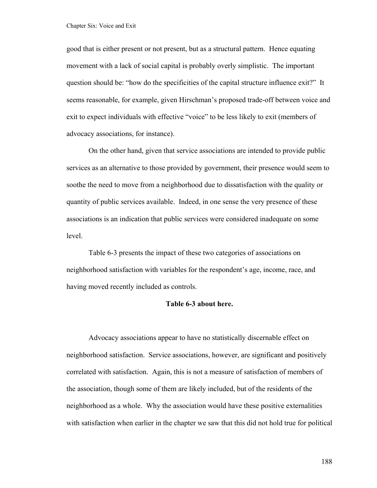good that is either present or not present, but as a structural pattern. Hence equating movement with a lack of social capital is probably overly simplistic. The important question should be: "how do the specificities of the capital structure influence exit?" It seems reasonable, for example, given Hirschman's proposed trade-off between voice and exit to expect individuals with effective "voice" to be less likely to exit (members of advocacy associations, for instance).

On the other hand, given that service associations are intended to provide public services as an alternative to those provided by government, their presence would seem to soothe the need to move from a neighborhood due to dissatisfaction with the quality or quantity of public services available. Indeed, in one sense the very presence of these associations is an indication that public services were considered inadequate on some level.

Table 6-3 presents the impact of these two categories of associations on neighborhood satisfaction with variables for the respondent's age, income, race, and having moved recently included as controls.

#### **Table 6-3 about here.**

Advocacy associations appear to have no statistically discernable effect on neighborhood satisfaction. Service associations, however, are significant and positively correlated with satisfaction. Again, this is not a measure of satisfaction of members of the association, though some of them are likely included, but of the residents of the neighborhood as a whole. Why the association would have these positive externalities with satisfaction when earlier in the chapter we saw that this did not hold true for political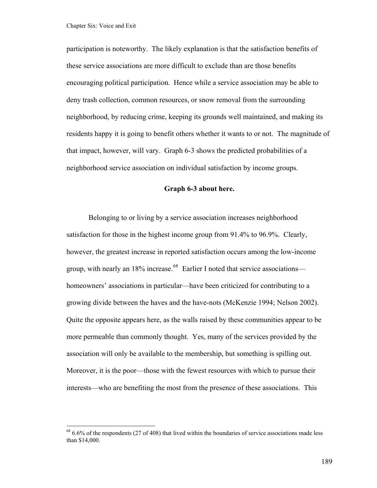<span id="page-194-0"></span>participation is noteworthy. The likely explanation is that the satisfaction benefits of these service associations are more difficult to exclude than are those benefits encouraging political participation. Hence while a service association may be able to deny trash collection, common resources, or snow removal from the surrounding neighborhood, by reducing crime, keeping its grounds well maintained, and making its residents happy it is going to benefit others whether it wants to or not. The magnitude of that impact, however, will vary. Graph 6-3 shows the predicted probabilities of a neighborhood service association on individual satisfaction by income groups.

#### **Graph 6-3 about here.**

Belonging to or living by a service association increases neighborhood satisfaction for those in the highest income group from 91.4% to 96.9%. Clearly, however, the greatest increase in reported satisfaction occurs among the low-income group, with nearly an  $18\%$  increase.<sup>[68](#page-194-0)</sup> Earlier I noted that service associations homeowners' associations in particular—have been criticized for contributing to a growing divide between the haves and the have-nots (McKenzie 1994; Nelson 2002). Quite the opposite appears here, as the walls raised by these communities appear to be more permeable than commonly thought. Yes, many of the services provided by the association will only be available to the membership, but something is spilling out. Moreover, it is the poor—those with the fewest resources with which to pursue their interests—who are benefiting the most from the presence of these associations. This

 $68\,6.6\%$  of the respondents (27 of 408) that lived within the boundaries of service associations made less than \$14,000.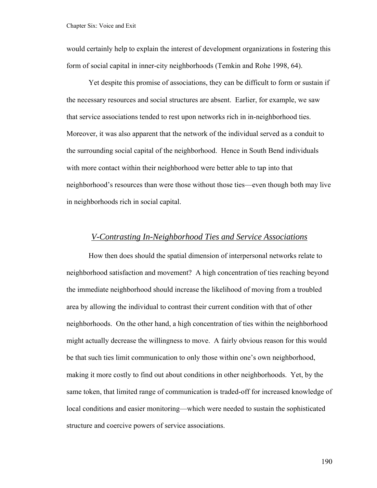would certainly help to explain the interest of development organizations in fostering this form of social capital in inner-city neighborhoods (Temkin and Rohe 1998, 64).

Yet despite this promise of associations, they can be difficult to form or sustain if the necessary resources and social structures are absent. Earlier, for example, we saw that service associations tended to rest upon networks rich in in-neighborhood ties. Moreover, it was also apparent that the network of the individual served as a conduit to the surrounding social capital of the neighborhood. Hence in South Bend individuals with more contact within their neighborhood were better able to tap into that neighborhood's resources than were those without those ties—even though both may live in neighborhoods rich in social capital.

#### *V-Contrasting In-Neighborhood Ties and Service Associations*

How then does should the spatial dimension of interpersonal networks relate to neighborhood satisfaction and movement? A high concentration of ties reaching beyond the immediate neighborhood should increase the likelihood of moving from a troubled area by allowing the individual to contrast their current condition with that of other neighborhoods. On the other hand, a high concentration of ties within the neighborhood might actually decrease the willingness to move. A fairly obvious reason for this would be that such ties limit communication to only those within one's own neighborhood, making it more costly to find out about conditions in other neighborhoods. Yet, by the same token, that limited range of communication is traded-off for increased knowledge of local conditions and easier monitoring—which were needed to sustain the sophisticated structure and coercive powers of service associations.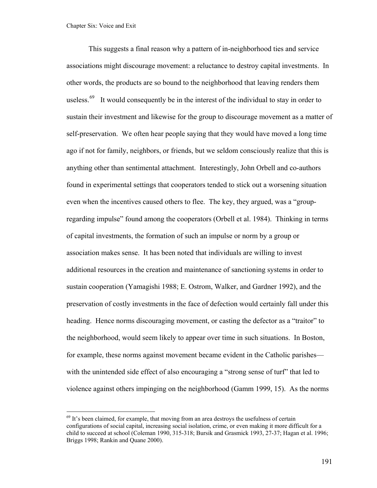<span id="page-196-0"></span>This suggests a final reason why a pattern of in-neighborhood ties and service associations might discourage movement: a reluctance to destroy capital investments. In other words, the products are so bound to the neighborhood that leaving renders them useless.<sup>[69](#page-196-0)</sup> It would consequently be in the interest of the individual to stay in order to sustain their investment and likewise for the group to discourage movement as a matter of self-preservation. We often hear people saying that they would have moved a long time ago if not for family, neighbors, or friends, but we seldom consciously realize that this is anything other than sentimental attachment. Interestingly, John Orbell and co-authors found in experimental settings that cooperators tended to stick out a worsening situation even when the incentives caused others to flee. The key, they argued, was a "groupregarding impulse" found among the cooperators (Orbell et al. 1984). Thinking in terms of capital investments, the formation of such an impulse or norm by a group or association makes sense. It has been noted that individuals are willing to invest additional resources in the creation and maintenance of sanctioning systems in order to sustain cooperation (Yamagishi 1988; E. Ostrom, Walker, and Gardner 1992), and the preservation of costly investments in the face of defection would certainly fall under this heading. Hence norms discouraging movement, or casting the defector as a "traitor" to the neighborhood, would seem likely to appear over time in such situations. In Boston, for example, these norms against movement became evident in the Catholic parishes with the unintended side effect of also encouraging a "strong sense of turf" that led to violence against others impinging on the neighborhood (Gamm 1999, 15). As the norms

 $69$  It's been claimed, for example, that moving from an area destroys the usefulness of certain configurations of social capital, increasing social isolation, crime, or even making it more difficult for a child to succeed at school (Coleman 1990, 315-318; Bursik and Grasmick 1993, 27-37; Hagan et al. 1996; Briggs 1998; Rankin and Quane 2000).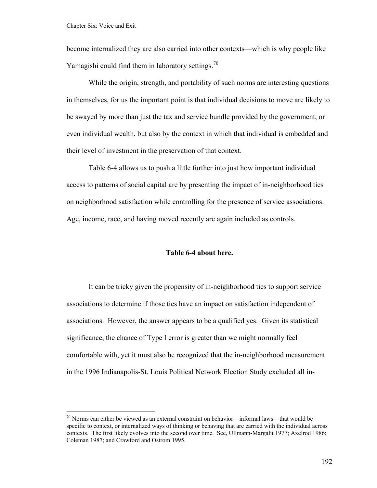<span id="page-197-0"></span>become internalized they are also carried into other contexts—which is why people like Yamagishi could find them in laboratory settings.<sup>[70](#page-197-0)</sup>

While the origin, strength, and portability of such norms are interesting questions in themselves, for us the important point is that individual decisions to move are likely to be swayed by more than just the tax and service bundle provided by the government, or even individual wealth, but also by the context in which that individual is embedded and their level of investment in the preservation of that context.

Table 6-4 allows us to push a little further into just how important individual access to patterns of social capital are by presenting the impact of in-neighborhood ties on neighborhood satisfaction while controlling for the presence of service associations. Age, income, race, and having moved recently are again included as controls.

#### **Table 6-4 about here.**

It can be tricky given the propensity of in-neighborhood ties to support service associations to determine if those ties have an impact on satisfaction independent of associations. However, the answer appears to be a qualified yes. Given its statistical significance, the chance of Type I error is greater than we might normally feel comfortable with, yet it must also be recognized that the in-neighborhood measurement in the 1996 Indianapolis-St. Louis Political Network Election Study excluded all in-

 $70$  Norms can either be viewed as an external constraint on behavior—informal laws—that would be specific to context, or internalized ways of thinking or behaving that are carried with the individual across contexts. The first likely evolves into the second over time. See, Ullmann-Margalit 1977; Axelrod 1986; Coleman 1987; and Crawford and Ostrom 1995.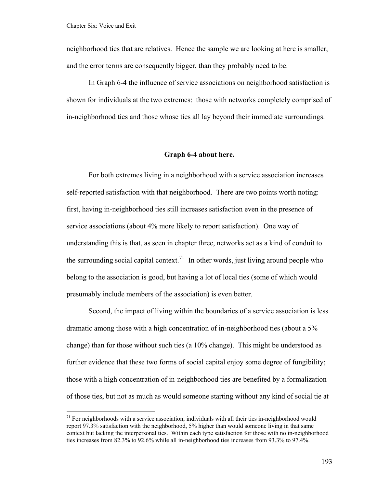<span id="page-198-0"></span>neighborhood ties that are relatives. Hence the sample we are looking at here is smaller, and the error terms are consequently bigger, than they probably need to be.

In Graph 6-4 the influence of service associations on neighborhood satisfaction is shown for individuals at the two extremes: those with networks completely comprised of in-neighborhood ties and those whose ties all lay beyond their immediate surroundings.

#### **Graph 6-4 about here.**

For both extremes living in a neighborhood with a service association increases self-reported satisfaction with that neighborhood. There are two points worth noting: first, having in-neighborhood ties still increases satisfaction even in the presence of service associations (about 4% more likely to report satisfaction). One way of understanding this is that, as seen in chapter three, networks act as a kind of conduit to the surrounding social capital context.<sup>[71](#page-198-0)</sup> In other words, just living around people who belong to the association is good, but having a lot of local ties (some of which would presumably include members of the association) is even better.

Second, the impact of living within the boundaries of a service association is less dramatic among those with a high concentration of in-neighborhood ties (about a 5% change) than for those without such ties (a 10% change). This might be understood as further evidence that these two forms of social capital enjoy some degree of fungibility; those with a high concentration of in-neighborhood ties are benefited by a formalization of those ties, but not as much as would someone starting without any kind of social tie at

 $71$  For neighborhoods with a service association, individuals with all their ties in-neighborhood would report 97.3% satisfaction with the neighborhood, 5% higher than would someone living in that same context but lacking the interpersonal ties. Within each type satisfaction for those with no in-neighborhood ties increases from 82.3% to 92.6% while all in-neighborhood ties increases from 93.3% to 97.4%.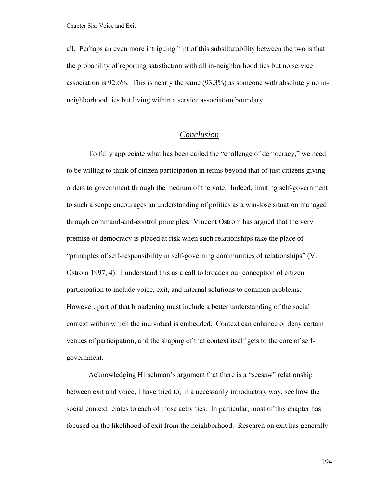all. Perhaps an even more intriguing hint of this substitutability between the two is that the probability of reporting satisfaction with all in-neighborhood ties but no service association is 92.6%. This is nearly the same (93.3%) as someone with absolutely no inneighborhood ties but living within a service association boundary.

## *Conclusion*

To fully appreciate what has been called the "challenge of democracy," we need to be willing to think of citizen participation in terms beyond that of just citizens giving orders to government through the medium of the vote. Indeed, limiting self-government to such a scope encourages an understanding of politics as a win-lose situation managed through command-and-control principles. Vincent Ostrom has argued that the very premise of democracy is placed at risk when such relationships take the place of "principles of self-responsibility in self-governing communities of relationships" (V. Ostrom 1997, 4). I understand this as a call to broaden our conception of citizen participation to include voice, exit, and internal solutions to common problems. However, part of that broadening must include a better understanding of the social context within which the individual is embedded. Context can enhance or deny certain venues of participation, and the shaping of that context itself gets to the core of selfgovernment.

Acknowledging Hirschman's argument that there is a "seesaw" relationship between exit and voice, I have tried to, in a necessarily introductory way, see how the social context relates to each of those activities. In particular, most of this chapter has focused on the likelihood of exit from the neighborhood. Research on exit has generally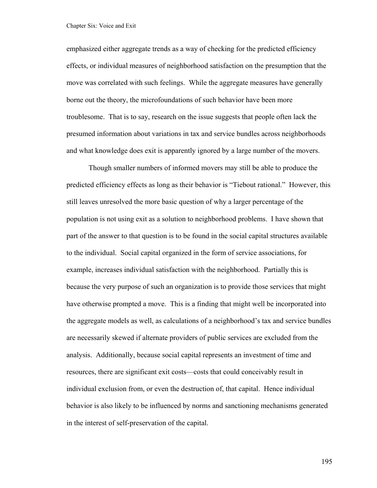emphasized either aggregate trends as a way of checking for the predicted efficiency effects, or individual measures of neighborhood satisfaction on the presumption that the move was correlated with such feelings. While the aggregate measures have generally borne out the theory, the microfoundations of such behavior have been more troublesome. That is to say, research on the issue suggests that people often lack the presumed information about variations in tax and service bundles across neighborhoods and what knowledge does exit is apparently ignored by a large number of the movers.

Though smaller numbers of informed movers may still be able to produce the predicted efficiency effects as long as their behavior is "Tiebout rational." However, this still leaves unresolved the more basic question of why a larger percentage of the population is not using exit as a solution to neighborhood problems. I have shown that part of the answer to that question is to be found in the social capital structures available to the individual. Social capital organized in the form of service associations, for example, increases individual satisfaction with the neighborhood. Partially this is because the very purpose of such an organization is to provide those services that might have otherwise prompted a move. This is a finding that might well be incorporated into the aggregate models as well, as calculations of a neighborhood's tax and service bundles are necessarily skewed if alternate providers of public services are excluded from the analysis. Additionally, because social capital represents an investment of time and resources, there are significant exit costs—costs that could conceivably result in individual exclusion from, or even the destruction of, that capital. Hence individual behavior is also likely to be influenced by norms and sanctioning mechanisms generated in the interest of self-preservation of the capital.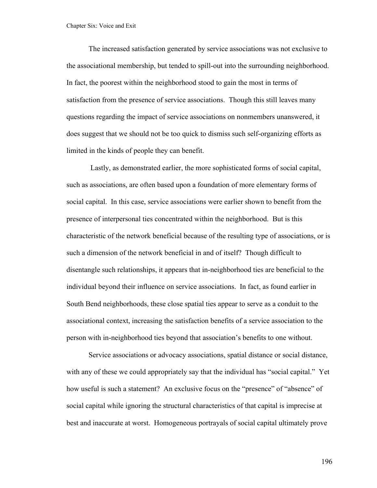The increased satisfaction generated by service associations was not exclusive to the associational membership, but tended to spill-out into the surrounding neighborhood. In fact, the poorest within the neighborhood stood to gain the most in terms of satisfaction from the presence of service associations. Though this still leaves many questions regarding the impact of service associations on nonmembers unanswered, it does suggest that we should not be too quick to dismiss such self-organizing efforts as limited in the kinds of people they can benefit.

 Lastly, as demonstrated earlier, the more sophisticated forms of social capital, such as associations, are often based upon a foundation of more elementary forms of social capital. In this case, service associations were earlier shown to benefit from the presence of interpersonal ties concentrated within the neighborhood. But is this characteristic of the network beneficial because of the resulting type of associations, or is such a dimension of the network beneficial in and of itself? Though difficult to disentangle such relationships, it appears that in-neighborhood ties are beneficial to the individual beyond their influence on service associations. In fact, as found earlier in South Bend neighborhoods, these close spatial ties appear to serve as a conduit to the associational context, increasing the satisfaction benefits of a service association to the person with in-neighborhood ties beyond that association's benefits to one without.

Service associations or advocacy associations, spatial distance or social distance, with any of these we could appropriately say that the individual has "social capital." Yet how useful is such a statement? An exclusive focus on the "presence" of "absence" of social capital while ignoring the structural characteristics of that capital is imprecise at best and inaccurate at worst. Homogeneous portrayals of social capital ultimately prove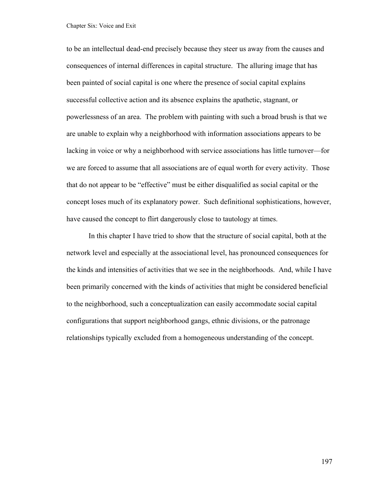to be an intellectual dead-end precisely because they steer us away from the causes and consequences of internal differences in capital structure. The alluring image that has been painted of social capital is one where the presence of social capital explains successful collective action and its absence explains the apathetic, stagnant, or powerlessness of an area. The problem with painting with such a broad brush is that we are unable to explain why a neighborhood with information associations appears to be lacking in voice or why a neighborhood with service associations has little turnover—for we are forced to assume that all associations are of equal worth for every activity. Those that do not appear to be "effective" must be either disqualified as social capital or the concept loses much of its explanatory power. Such definitional sophistications, however, have caused the concept to flirt dangerously close to tautology at times.

In this chapter I have tried to show that the structure of social capital, both at the network level and especially at the associational level, has pronounced consequences for the kinds and intensities of activities that we see in the neighborhoods. And, while I have been primarily concerned with the kinds of activities that might be considered beneficial to the neighborhood, such a conceptualization can easily accommodate social capital configurations that support neighborhood gangs, ethnic divisions, or the patronage relationships typically excluded from a homogeneous understanding of the concept.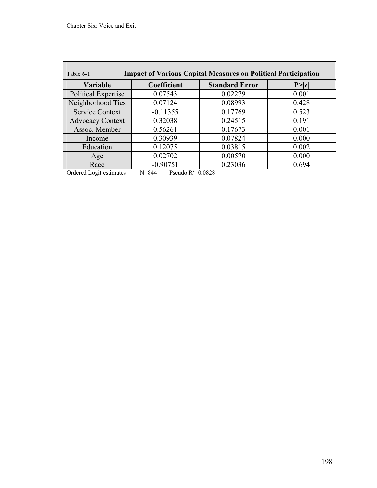| <b>Impact of Various Capital Measures on Political Participation</b><br>Table 6-1 |                                    |                       |        |  |  |
|-----------------------------------------------------------------------------------|------------------------------------|-----------------------|--------|--|--|
| Variable                                                                          | Coefficient                        | <b>Standard Error</b> | P >  z |  |  |
| <b>Political Expertise</b>                                                        | 0.07543                            | 0.02279               | 0.001  |  |  |
| Neighborhood Ties                                                                 | 0.07124                            | 0.08993               | 0.428  |  |  |
| <b>Service Context</b>                                                            | $-0.11355$                         | 0.17769               | 0.523  |  |  |
| <b>Advocacy Context</b>                                                           | 0.32038                            | 0.24515               | 0.191  |  |  |
| Assoc. Member                                                                     | 0.56261                            | 0.17673               | 0.001  |  |  |
| Income                                                                            | 0.30939                            | 0.07824               | 0.000  |  |  |
| Education                                                                         | 0.12075                            | 0.03815               | 0.002  |  |  |
| Age                                                                               | 0.02702                            | 0.00570               | 0.000  |  |  |
| Race                                                                              | $-0.90751$                         | 0.23036               | 0.694  |  |  |
| Ordered Logit estimates                                                           | Pseudo $R^2 = 0.0828$<br>$N = 844$ |                       |        |  |  |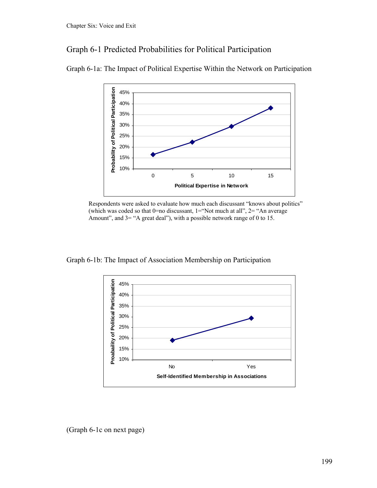# Graph 6-1 Predicted Probabilities for Political Participation



Graph 6-1a: The Impact of Political Expertise Within the Network on Participation

Respondents were asked to evaluate how much each discussant "knows about politics" (which was coded so that  $0=$ no discussant,  $1=$ "Not much at all",  $2=$  "An average Amount", and 3= "A great deal"), with a possible network range of 0 to 15.

Graph 6-1b: The Impact of Association Membership on Participation



(Graph 6-1c on next page)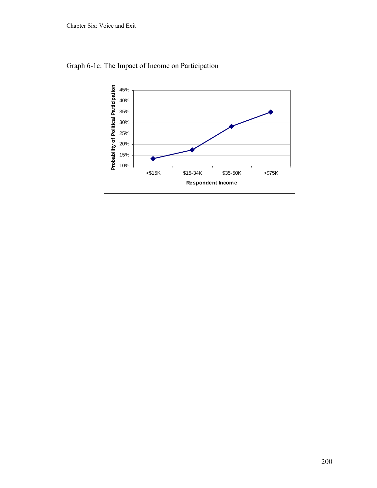

Graph 6-1c: The Impact of Income on Participation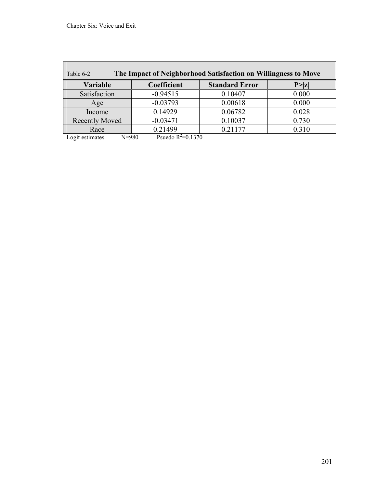| The Impact of Neighborhood Satisfaction on Willingness to Move<br>Table 6-2 |                       |                       |        |  |  |  |
|-----------------------------------------------------------------------------|-----------------------|-----------------------|--------|--|--|--|
| <b>Variable</b>                                                             | Coefficient           | <b>Standard Error</b> | P >  z |  |  |  |
| Satisfaction                                                                | $-0.94515$            | 0.10407               | 0.000  |  |  |  |
| Age                                                                         | $-0.03793$            | 0.00618               | 0.000  |  |  |  |
| Income                                                                      | 0.14929               | 0.06782               | 0.028  |  |  |  |
| <b>Recently Moved</b>                                                       | $-0.03471$            | 0.10037               | 0.730  |  |  |  |
| Race                                                                        | 0.21499               | 0.21177               | 0.310  |  |  |  |
| Logit estimates<br>$N = 980$                                                | Psuedo $R^2 = 0.1370$ |                       |        |  |  |  |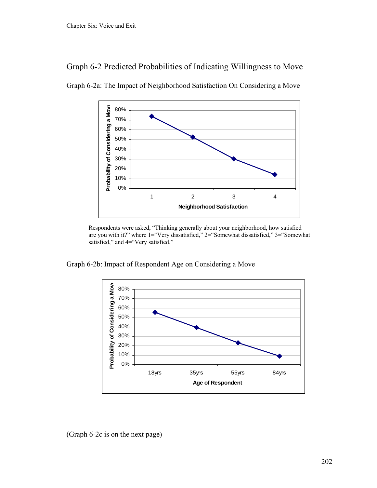



Graph 6-2a: The Impact of Neighborhood Satisfaction On Considering a Move

Respondents were asked, "Thinking generally about your neighborhood, how satisfied are you with it?" where 1="Very dissatisfied," 2="Somewhat dissatisfied," 3="Somewhat satisfied," and 4="Very satisfied."

Graph 6-2b: Impact of Respondent Age on Considering a Move



(Graph 6-2c is on the next page)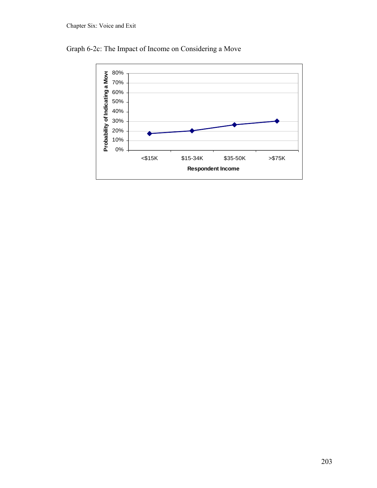

Graph 6-2c: The Impact of Income on Considering a Move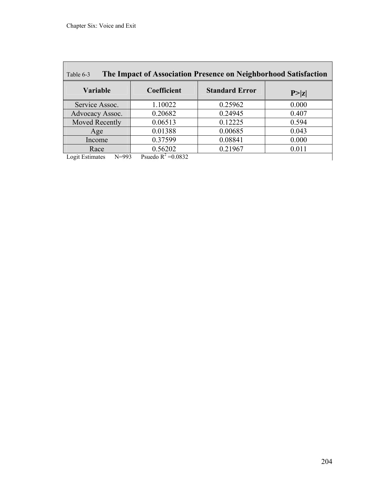г

| The Impact of Association Presence on Neighborhood Satisfaction<br>Table 6-3 |                       |                       |        |  |  |
|------------------------------------------------------------------------------|-----------------------|-----------------------|--------|--|--|
| <b>Variable</b>                                                              | Coefficient           | <b>Standard Error</b> | P >  z |  |  |
| Service Assoc.                                                               | 1.10022               | 0.25962               | 0.000  |  |  |
| Advocacy Assoc.                                                              | 0.20682               | 0.24945               | 0.407  |  |  |
| Moved Recently                                                               | 0.06513               | 0.12225               | 0.594  |  |  |
| Age                                                                          | 0.01388               | 0.00685               | 0.043  |  |  |
| Income                                                                       | 0.37599               | 0.08841               | 0.000  |  |  |
| Race                                                                         | 0.56202               | 0.21967               | 0.011  |  |  |
| Logit Estimates<br>$N = 993$                                                 | Psuedo $R^2 = 0.0832$ |                       |        |  |  |

<u> 1980 - Johann Barn, mars ann an t-Amhain Aonaich an t-Aonaich an t-Aonaich ann an t-Aonaich ann an t-Aonaich</u>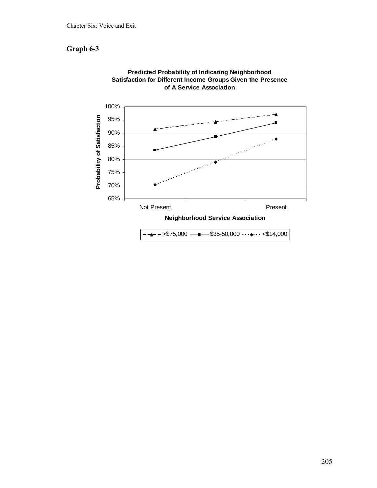# **Graph 6-3**



**Predicted Probability of Indicating Neighborhood Satisfaction for Different Income Groups Given the Presence of A Service Association**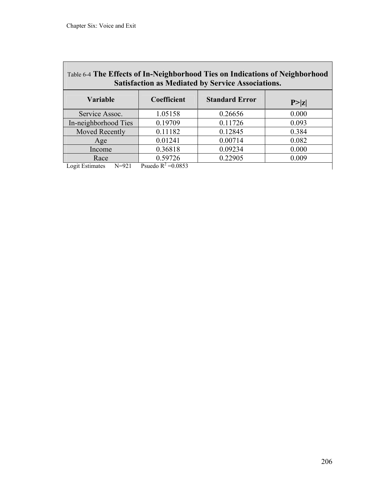| Table 6-4 The Effects of In-Neighborhood Ties on Indications of Neighborhood<br><b>Satisfaction as Mediated by Service Associations.</b> |                       |                       |        |  |  |
|------------------------------------------------------------------------------------------------------------------------------------------|-----------------------|-----------------------|--------|--|--|
| <b>Variable</b>                                                                                                                          | Coefficient           | <b>Standard Error</b> | P >  z |  |  |
| Service Assoc.                                                                                                                           | 1.05158               | 0.26656               | 0.000  |  |  |
| In-neighborhood Ties                                                                                                                     | 0.19709               | 0.11726               | 0.093  |  |  |
| Moved Recently                                                                                                                           | 0.11182               | 0.12845               | 0.384  |  |  |
| Age                                                                                                                                      | 0.01241               | 0.00714               | 0.082  |  |  |
| Income                                                                                                                                   | 0.36818               | 0.09234               | 0.000  |  |  |
| Race                                                                                                                                     | 0.59726               | 0.22905               | 0.009  |  |  |
| $N = 921$<br>Logit Estimates                                                                                                             | Psuedo $R^2 = 0.0853$ |                       |        |  |  |

<u> 1989 - Johann Stoff, deutscher Stoff, der Stoff, der Stoff, der Stoff, der Stoff, der Stoff, der Stoff, der S</u>

 $\overline{\phantom{0}}$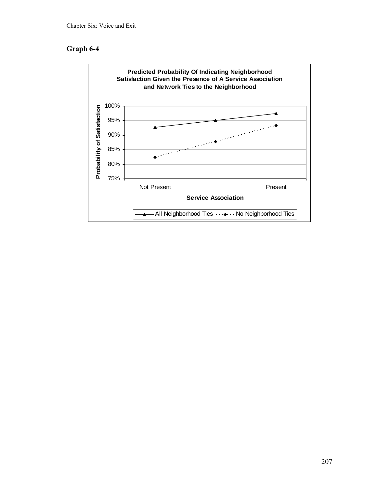# **Graph 6-4**

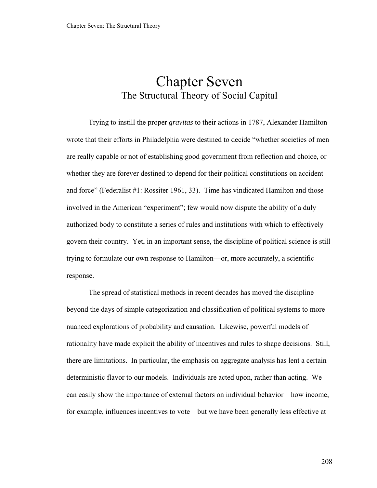# Chapter Seven The Structural Theory of Social Capital

Trying to instill the proper *gravitas* to their actions in 1787, Alexander Hamilton wrote that their efforts in Philadelphia were destined to decide "whether societies of men are really capable or not of establishing good government from reflection and choice, or whether they are forever destined to depend for their political constitutions on accident and force" (Federalist #1: Rossiter 1961, 33). Time has vindicated Hamilton and those involved in the American "experiment"; few would now dispute the ability of a duly authorized body to constitute a series of rules and institutions with which to effectively govern their country. Yet, in an important sense, the discipline of political science is still trying to formulate our own response to Hamilton—or, more accurately, a scientific response.

The spread of statistical methods in recent decades has moved the discipline beyond the days of simple categorization and classification of political systems to more nuanced explorations of probability and causation. Likewise, powerful models of rationality have made explicit the ability of incentives and rules to shape decisions. Still, there are limitations. In particular, the emphasis on aggregate analysis has lent a certain deterministic flavor to our models. Individuals are acted upon, rather than acting. We can easily show the importance of external factors on individual behavior—how income, for example, influences incentives to vote—but we have been generally less effective at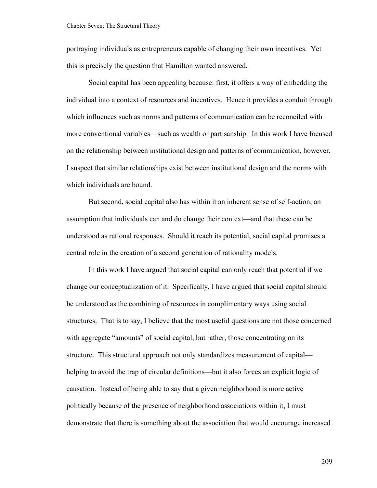portraying individuals as entrepreneurs capable of changing their own incentives. Yet this is precisely the question that Hamilton wanted answered.

Social capital has been appealing because: first, it offers a way of embedding the individual into a context of resources and incentives. Hence it provides a conduit through which influences such as norms and patterns of communication can be reconciled with more conventional variables—such as wealth or partisanship. In this work I have focused on the relationship between institutional design and patterns of communication, however, I suspect that similar relationships exist between institutional design and the norms with which individuals are bound.

But second, social capital also has within it an inherent sense of self-action; an assumption that individuals can and do change their context—and that these can be understood as rational responses. Should it reach its potential, social capital promises a central role in the creation of a second generation of rationality models.

In this work I have argued that social capital can only reach that potential if we change our conceptualization of it. Specifically, I have argued that social capital should be understood as the combining of resources in complimentary ways using social structures. That is to say, I believe that the most useful questions are not those concerned with aggregate "amounts" of social capital, but rather, those concentrating on its structure. This structural approach not only standardizes measurement of capital helping to avoid the trap of circular definitions—but it also forces an explicit logic of causation. Instead of being able to say that a given neighborhood is more active politically because of the presence of neighborhood associations within it, I must demonstrate that there is something about the association that would encourage increased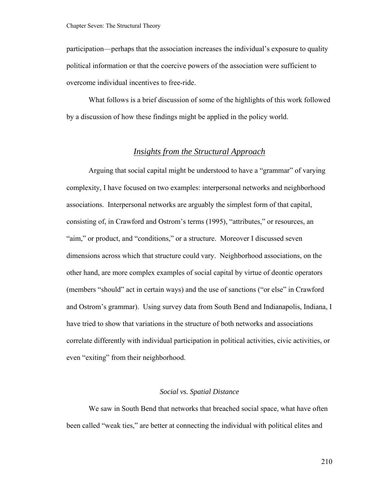participation—perhaps that the association increases the individual's exposure to quality political information or that the coercive powers of the association were sufficient to overcome individual incentives to free-ride.

What follows is a brief discussion of some of the highlights of this work followed by a discussion of how these findings might be applied in the policy world.

## *Insights from the Structural Approach*

 Arguing that social capital might be understood to have a "grammar" of varying complexity, I have focused on two examples: interpersonal networks and neighborhood associations. Interpersonal networks are arguably the simplest form of that capital, consisting of, in Crawford and Ostrom's terms (1995), "attributes," or resources, an "aim," or product, and "conditions," or a structure. Moreover I discussed seven dimensions across which that structure could vary. Neighborhood associations, on the other hand, are more complex examples of social capital by virtue of deontic operators (members "should" act in certain ways) and the use of sanctions ("or else" in Crawford and Ostrom's grammar). Using survey data from South Bend and Indianapolis, Indiana, I have tried to show that variations in the structure of both networks and associations correlate differently with individual participation in political activities, civic activities, or even "exiting" from their neighborhood.

#### *Social vs. Spatial Distance*

 We saw in South Bend that networks that breached social space, what have often been called "weak ties," are better at connecting the individual with political elites and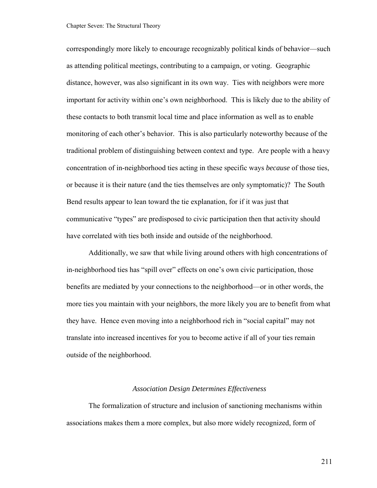#### Chapter Seven: The Structural Theory

correspondingly more likely to encourage recognizably political kinds of behavior—such as attending political meetings, contributing to a campaign, or voting. Geographic distance, however, was also significant in its own way. Ties with neighbors were more important for activity within one's own neighborhood. This is likely due to the ability of these contacts to both transmit local time and place information as well as to enable monitoring of each other's behavior. This is also particularly noteworthy because of the traditional problem of distinguishing between context and type. Are people with a heavy concentration of in-neighborhood ties acting in these specific ways *because* of those ties, or because it is their nature (and the ties themselves are only symptomatic)? The South Bend results appear to lean toward the tie explanation, for if it was just that communicative "types" are predisposed to civic participation then that activity should have correlated with ties both inside and outside of the neighborhood.

Additionally, we saw that while living around others with high concentrations of in-neighborhood ties has "spill over" effects on one's own civic participation, those benefits are mediated by your connections to the neighborhood—or in other words, the more ties you maintain with your neighbors, the more likely you are to benefit from what they have. Hence even moving into a neighborhood rich in "social capital" may not translate into increased incentives for you to become active if all of your ties remain outside of the neighborhood.

## *Association Design Determines Effectiveness*

 The formalization of structure and inclusion of sanctioning mechanisms within associations makes them a more complex, but also more widely recognized, form of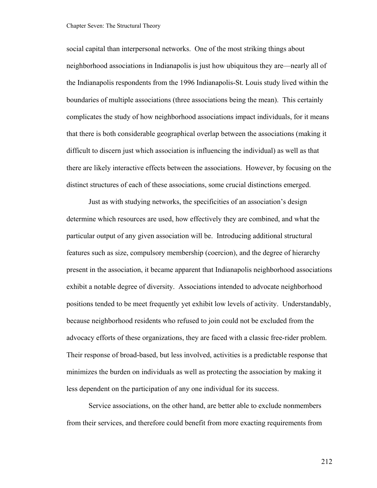#### Chapter Seven: The Structural Theory

social capital than interpersonal networks. One of the most striking things about neighborhood associations in Indianapolis is just how ubiquitous they are—nearly all of the Indianapolis respondents from the 1996 Indianapolis-St. Louis study lived within the boundaries of multiple associations (three associations being the mean). This certainly complicates the study of how neighborhood associations impact individuals, for it means that there is both considerable geographical overlap between the associations (making it difficult to discern just which association is influencing the individual) as well as that there are likely interactive effects between the associations. However, by focusing on the distinct structures of each of these associations, some crucial distinctions emerged.

Just as with studying networks, the specificities of an association's design determine which resources are used, how effectively they are combined, and what the particular output of any given association will be. Introducing additional structural features such as size, compulsory membership (coercion), and the degree of hierarchy present in the association, it became apparent that Indianapolis neighborhood associations exhibit a notable degree of diversity. Associations intended to advocate neighborhood positions tended to be meet frequently yet exhibit low levels of activity. Understandably, because neighborhood residents who refused to join could not be excluded from the advocacy efforts of these organizations, they are faced with a classic free-rider problem. Their response of broad-based, but less involved, activities is a predictable response that minimizes the burden on individuals as well as protecting the association by making it less dependent on the participation of any one individual for its success.

Service associations, on the other hand, are better able to exclude nonmembers from their services, and therefore could benefit from more exacting requirements from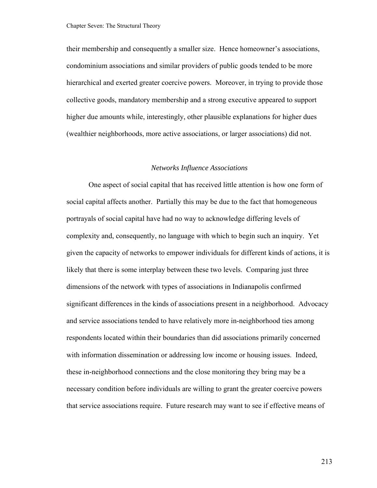their membership and consequently a smaller size. Hence homeowner's associations, condominium associations and similar providers of public goods tended to be more hierarchical and exerted greater coercive powers. Moreover, in trying to provide those collective goods, mandatory membership and a strong executive appeared to support higher due amounts while, interestingly, other plausible explanations for higher dues (wealthier neighborhoods, more active associations, or larger associations) did not.

#### *Networks Influence Associations*

 One aspect of social capital that has received little attention is how one form of social capital affects another. Partially this may be due to the fact that homogeneous portrayals of social capital have had no way to acknowledge differing levels of complexity and, consequently, no language with which to begin such an inquiry. Yet given the capacity of networks to empower individuals for different kinds of actions, it is likely that there is some interplay between these two levels. Comparing just three dimensions of the network with types of associations in Indianapolis confirmed significant differences in the kinds of associations present in a neighborhood. Advocacy and service associations tended to have relatively more in-neighborhood ties among respondents located within their boundaries than did associations primarily concerned with information dissemination or addressing low income or housing issues. Indeed, these in-neighborhood connections and the close monitoring they bring may be a necessary condition before individuals are willing to grant the greater coercive powers that service associations require. Future research may want to see if effective means of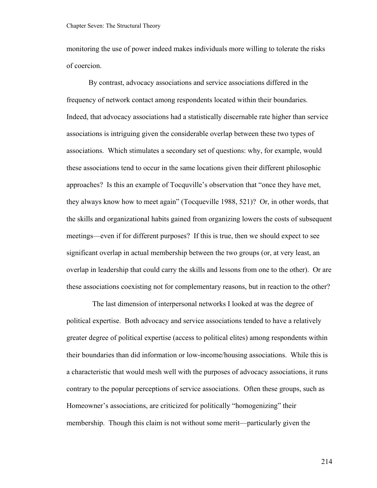monitoring the use of power indeed makes individuals more willing to tolerate the risks of coercion.

By contrast, advocacy associations and service associations differed in the frequency of network contact among respondents located within their boundaries. Indeed, that advocacy associations had a statistically discernable rate higher than service associations is intriguing given the considerable overlap between these two types of associations. Which stimulates a secondary set of questions: why, for example, would these associations tend to occur in the same locations given their different philosophic approaches? Is this an example of Tocquville's observation that "once they have met, they always know how to meet again" (Tocqueville 1988, 521)? Or, in other words, that the skills and organizational habits gained from organizing lowers the costs of subsequent meetings—even if for different purposes? If this is true, then we should expect to see significant overlap in actual membership between the two groups (or, at very least, an overlap in leadership that could carry the skills and lessons from one to the other). Or are these associations coexisting not for complementary reasons, but in reaction to the other?

 The last dimension of interpersonal networks I looked at was the degree of political expertise. Both advocacy and service associations tended to have a relatively greater degree of political expertise (access to political elites) among respondents within their boundaries than did information or low-income/housing associations. While this is a characteristic that would mesh well with the purposes of advocacy associations, it runs contrary to the popular perceptions of service associations. Often these groups, such as Homeowner's associations, are criticized for politically "homogenizing" their membership. Though this claim is not without some merit—particularly given the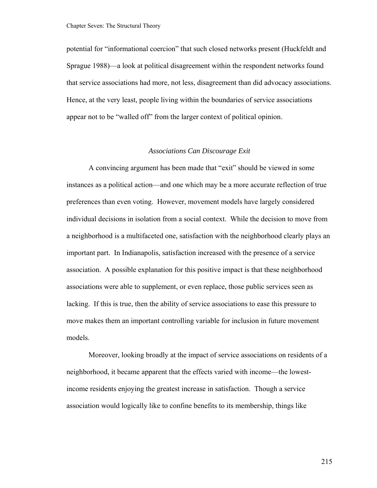potential for "informational coercion" that such closed networks present (Huckfeldt and Sprague 1988)—a look at political disagreement within the respondent networks found that service associations had more, not less, disagreement than did advocacy associations. Hence, at the very least, people living within the boundaries of service associations appear not to be "walled off" from the larger context of political opinion.

## *Associations Can Discourage Exit*

 A convincing argument has been made that "exit" should be viewed in some instances as a political action—and one which may be a more accurate reflection of true preferences than even voting. However, movement models have largely considered individual decisions in isolation from a social context. While the decision to move from a neighborhood is a multifaceted one, satisfaction with the neighborhood clearly plays an important part. In Indianapolis, satisfaction increased with the presence of a service association. A possible explanation for this positive impact is that these neighborhood associations were able to supplement, or even replace, those public services seen as lacking. If this is true, then the ability of service associations to ease this pressure to move makes them an important controlling variable for inclusion in future movement models.

Moreover, looking broadly at the impact of service associations on residents of a neighborhood, it became apparent that the effects varied with income—the lowestincome residents enjoying the greatest increase in satisfaction. Though a service association would logically like to confine benefits to its membership, things like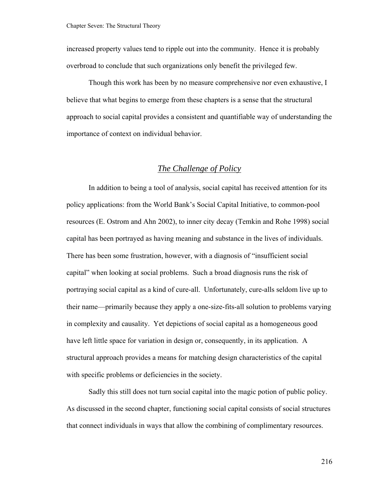increased property values tend to ripple out into the community. Hence it is probably overbroad to conclude that such organizations only benefit the privileged few.

Though this work has been by no measure comprehensive nor even exhaustive, I believe that what begins to emerge from these chapters is a sense that the structural approach to social capital provides a consistent and quantifiable way of understanding the importance of context on individual behavior.

## *The Challenge of Policy*

 In addition to being a tool of analysis, social capital has received attention for its policy applications: from the World Bank's Social Capital Initiative, to common-pool resources (E. Ostrom and Ahn 2002), to inner city decay (Temkin and Rohe 1998) social capital has been portrayed as having meaning and substance in the lives of individuals. There has been some frustration, however, with a diagnosis of "insufficient social capital" when looking at social problems. Such a broad diagnosis runs the risk of portraying social capital as a kind of cure-all. Unfortunately, cure-alls seldom live up to their name—primarily because they apply a one-size-fits-all solution to problems varying in complexity and causality. Yet depictions of social capital as a homogeneous good have left little space for variation in design or, consequently, in its application. A structural approach provides a means for matching design characteristics of the capital with specific problems or deficiencies in the society.

 Sadly this still does not turn social capital into the magic potion of public policy. As discussed in the second chapter, functioning social capital consists of social structures that connect individuals in ways that allow the combining of complimentary resources.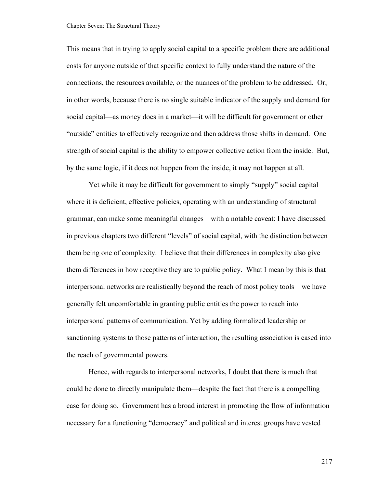#### Chapter Seven: The Structural Theory

This means that in trying to apply social capital to a specific problem there are additional costs for anyone outside of that specific context to fully understand the nature of the connections, the resources available, or the nuances of the problem to be addressed. Or, in other words, because there is no single suitable indicator of the supply and demand for social capital—as money does in a market—it will be difficult for government or other "outside" entities to effectively recognize and then address those shifts in demand. One strength of social capital is the ability to empower collective action from the inside. But, by the same logic, if it does not happen from the inside, it may not happen at all.

 Yet while it may be difficult for government to simply "supply" social capital where it is deficient, effective policies, operating with an understanding of structural grammar, can make some meaningful changes—with a notable caveat: I have discussed in previous chapters two different "levels" of social capital, with the distinction between them being one of complexity. I believe that their differences in complexity also give them differences in how receptive they are to public policy. What I mean by this is that interpersonal networks are realistically beyond the reach of most policy tools—we have generally felt uncomfortable in granting public entities the power to reach into interpersonal patterns of communication. Yet by adding formalized leadership or sanctioning systems to those patterns of interaction, the resulting association is eased into the reach of governmental powers.

 Hence, with regards to interpersonal networks, I doubt that there is much that could be done to directly manipulate them—despite the fact that there is a compelling case for doing so. Government has a broad interest in promoting the flow of information necessary for a functioning "democracy" and political and interest groups have vested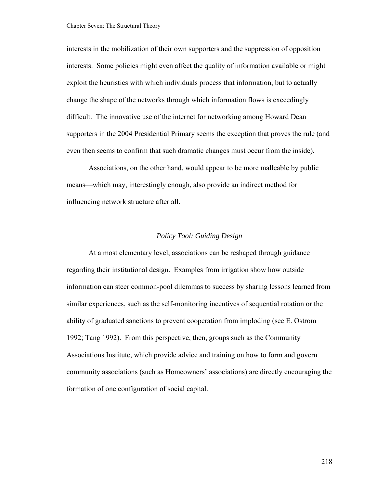interests in the mobilization of their own supporters and the suppression of opposition interests. Some policies might even affect the quality of information available or might exploit the heuristics with which individuals process that information, but to actually change the shape of the networks through which information flows is exceedingly difficult. The innovative use of the internet for networking among Howard Dean supporters in the 2004 Presidential Primary seems the exception that proves the rule (and even then seems to confirm that such dramatic changes must occur from the inside).

 Associations, on the other hand, would appear to be more malleable by public means—which may, interestingly enough, also provide an indirect method for influencing network structure after all.

## *Policy Tool: Guiding Design*

At a most elementary level, associations can be reshaped through guidance regarding their institutional design. Examples from irrigation show how outside information can steer common-pool dilemmas to success by sharing lessons learned from similar experiences, such as the self-monitoring incentives of sequential rotation or the ability of graduated sanctions to prevent cooperation from imploding (see E. Ostrom 1992; Tang 1992). From this perspective, then, groups such as the Community Associations Institute, which provide advice and training on how to form and govern community associations (such as Homeowners' associations) are directly encouraging the formation of one configuration of social capital.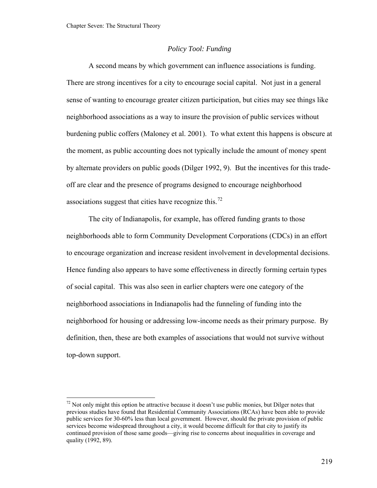## *Policy Tool: Funding*

<span id="page-224-0"></span> A second means by which government can influence associations is funding. There are strong incentives for a city to encourage social capital. Not just in a general sense of wanting to encourage greater citizen participation, but cities may see things like neighborhood associations as a way to insure the provision of public services without burdening public coffers (Maloney et al. 2001). To what extent this happens is obscure at the moment, as public accounting does not typically include the amount of money spent by alternate providers on public goods (Dilger 1992, 9). But the incentives for this tradeoff are clear and the presence of programs designed to encourage neighborhood associations suggest that cities have recognize this.<sup>[72](#page-224-0)</sup>

The city of Indianapolis, for example, has offered funding grants to those neighborhoods able to form Community Development Corporations (CDCs) in an effort to encourage organization and increase resident involvement in developmental decisions. Hence funding also appears to have some effectiveness in directly forming certain types of social capital. This was also seen in earlier chapters were one category of the neighborhood associations in Indianapolis had the funneling of funding into the neighborhood for housing or addressing low-income needs as their primary purpose. By definition, then, these are both examples of associations that would not survive without top-down support.

 $^{72}$  Not only might this option be attractive because it doesn't use public monies, but Dilger notes that previous studies have found that Residential Community Associations (RCAs) have been able to provide public services for 30-60% less than local government. However, should the private provision of public services become widespread throughout a city, it would become difficult for that city to justify its continued provision of those same goods—giving rise to concerns about inequalities in coverage and quality (1992, 89).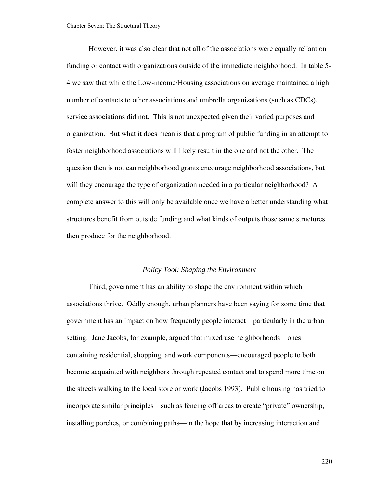However, it was also clear that not all of the associations were equally reliant on funding or contact with organizations outside of the immediate neighborhood. In table 5- 4 we saw that while the Low-income/Housing associations on average maintained a high number of contacts to other associations and umbrella organizations (such as CDCs), service associations did not. This is not unexpected given their varied purposes and organization. But what it does mean is that a program of public funding in an attempt to foster neighborhood associations will likely result in the one and not the other. The question then is not can neighborhood grants encourage neighborhood associations, but will they encourage the type of organization needed in a particular neighborhood? A complete answer to this will only be available once we have a better understanding what structures benefit from outside funding and what kinds of outputs those same structures then produce for the neighborhood.

#### *Policy Tool: Shaping the Environment*

 Third, government has an ability to shape the environment within which associations thrive. Oddly enough, urban planners have been saying for some time that government has an impact on how frequently people interact—particularly in the urban setting. Jane Jacobs, for example, argued that mixed use neighborhoods—ones containing residential, shopping, and work components—encouraged people to both become acquainted with neighbors through repeated contact and to spend more time on the streets walking to the local store or work (Jacobs 1993). Public housing has tried to incorporate similar principles—such as fencing off areas to create "private" ownership, installing porches, or combining paths—in the hope that by increasing interaction and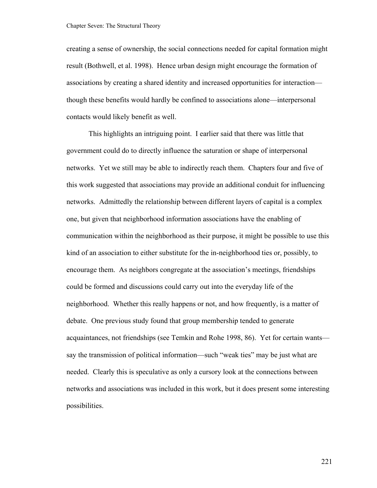creating a sense of ownership, the social connections needed for capital formation might result (Bothwell, et al. 1998). Hence urban design might encourage the formation of associations by creating a shared identity and increased opportunities for interaction though these benefits would hardly be confined to associations alone—interpersonal contacts would likely benefit as well.

This highlights an intriguing point. I earlier said that there was little that government could do to directly influence the saturation or shape of interpersonal networks. Yet we still may be able to indirectly reach them. Chapters four and five of this work suggested that associations may provide an additional conduit for influencing networks. Admittedly the relationship between different layers of capital is a complex one, but given that neighborhood information associations have the enabling of communication within the neighborhood as their purpose, it might be possible to use this kind of an association to either substitute for the in-neighborhood ties or, possibly, to encourage them. As neighbors congregate at the association's meetings, friendships could be formed and discussions could carry out into the everyday life of the neighborhood. Whether this really happens or not, and how frequently, is a matter of debate. One previous study found that group membership tended to generate acquaintances, not friendships (see Temkin and Rohe 1998, 86). Yet for certain wants say the transmission of political information—such "weak ties" may be just what are needed. Clearly this is speculative as only a cursory look at the connections between networks and associations was included in this work, but it does present some interesting possibilities.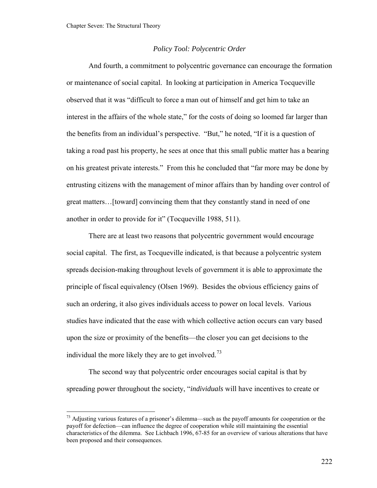## *Policy Tool: Polycentric Order*

<span id="page-227-0"></span>And fourth, a commitment to polycentric governance can encourage the formation or maintenance of social capital. In looking at participation in America Tocqueville observed that it was "difficult to force a man out of himself and get him to take an interest in the affairs of the whole state," for the costs of doing so loomed far larger than the benefits from an individual's perspective. "But," he noted, "If it is a question of taking a road past his property, he sees at once that this small public matter has a bearing on his greatest private interests." From this he concluded that "far more may be done by entrusting citizens with the management of minor affairs than by handing over control of great matters…[toward] convincing them that they constantly stand in need of one another in order to provide for it" (Tocqueville 1988, 511).

 There are at least two reasons that polycentric government would encourage social capital. The first, as Tocqueville indicated, is that because a polycentric system spreads decision-making throughout levels of government it is able to approximate the principle of fiscal equivalency (Olsen 1969). Besides the obvious efficiency gains of such an ordering, it also gives individuals access to power on local levels. Various studies have indicated that the ease with which collective action occurs can vary based upon the size or proximity of the benefits—the closer you can get decisions to the individual the more likely they are to get involved.<sup>[73](#page-227-0)</sup>

The second way that polycentric order encourages social capital is that by spreading power throughout the society, "*individuals* will have incentives to create or

 $^{73}$  Adjusting various features of a prisoner's dilemma—such as the payoff amounts for cooperation or the payoff for defection—can influence the degree of cooperation while still maintaining the essential characteristics of the dilemma. See Lichbach 1996, 67-85 for an overview of various alterations that have been proposed and their consequences.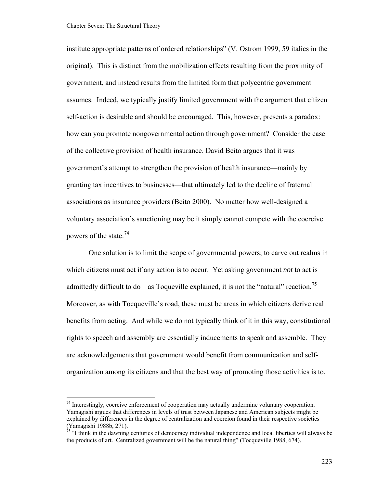<span id="page-228-0"></span>institute appropriate patterns of ordered relationships" (V. Ostrom 1999, 59 italics in the original). This is distinct from the mobilization effects resulting from the proximity of government, and instead results from the limited form that polycentric government assumes. Indeed, we typically justify limited government with the argument that citizen self-action is desirable and should be encouraged. This, however, presents a paradox: how can you promote nongovernmental action through government? Consider the case of the collective provision of health insurance. David Beito argues that it was government's attempt to strengthen the provision of health insurance—mainly by granting tax incentives to businesses—that ultimately led to the decline of fraternal associations as insurance providers (Beito 2000). No matter how well-designed a voluntary association's sanctioning may be it simply cannot compete with the coercive powers of the state.<sup>[74](#page-228-0)</sup>

One solution is to limit the scope of governmental powers; to carve out realms in which citizens must act if any action is to occur. Yet asking government *not* to act is admittedly difficult to do—as Toqueville explained, it is not the "natural" reaction.<sup>[75](#page-228-0)</sup> Moreover, as with Tocqueville's road, these must be areas in which citizens derive real benefits from acting. And while we do not typically think of it in this way, constitutional rights to speech and assembly are essentially inducements to speak and assemble. They are acknowledgements that government would benefit from communication and selforganization among its citizens and that the best way of promoting those activities is to,

<sup>&</sup>lt;sup>74</sup> Interestingly, coercive enforcement of cooperation may actually undermine voluntary cooperation. Yamagishi argues that differences in levels of trust between Japanese and American subjects might be explained by differences in the degree of centralization and coercion found in their respective societies (Yamagishi 1988b, 271).

 $\frac{75}{15}$  "I think in the dawning centuries of democracy individual independence and local liberties will always be the products of art. Centralized government will be the natural thing" (Tocqueville 1988, 674).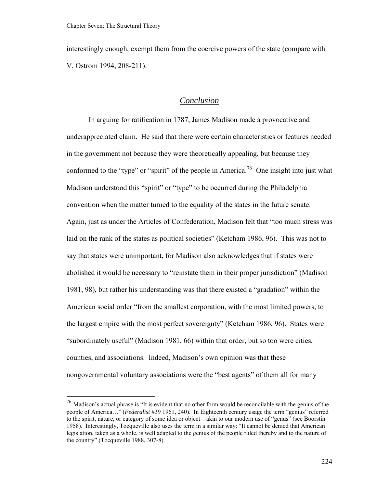<span id="page-229-0"></span>interestingly enough, exempt them from the coercive powers of the state (compare with V. Ostrom 1994, 208-211).

# *Conclusion*

In arguing for ratification in 1787, James Madison made a provocative and underappreciated claim. He said that there were certain characteristics or features needed in the government not because they were theoretically appealing, but because they conformed to the "type" or "spirit" of the people in America.<sup>[76](#page-229-0)</sup> One insight into just what Madison understood this "spirit" or "type" to be occurred during the Philadelphia convention when the matter turned to the equality of the states in the future senate. Again, just as under the Articles of Confederation, Madison felt that "too much stress was laid on the rank of the states as political societies" (Ketcham 1986, 96). This was not to say that states were unimportant, for Madison also acknowledges that if states were abolished it would be necessary to "reinstate them in their proper jurisdiction" (Madison 1981, 98), but rather his understanding was that there existed a "gradation" within the American social order "from the smallest corporation, with the most limited powers, to the largest empire with the most perfect sovereignty" (Ketcham 1986, 96). States were "subordinately useful" (Madison 1981, 66) within that order, but so too were cities, counties, and associations. Indeed, Madison's own opinion was that these nongovernmental voluntary associations were the "best agents" of them all for many

 $^{76}$  Madison's actual phrase is "It is evident that no other form would be reconcilable with the genius of the people of America…" (*Federalist* #39 1961, 240). In Eighteenth century usage the term "genius" referred to the spirit, nature, or category of some idea or object—akin to our modern use of "genus" (see Boorstin 1958). Interestingly, Tocqueville also uses the term in a similar way: "It cannot be denied that American legislation, taken as a whole, is well adapted to the genius of the people ruled thereby and to the nature of the country" (Tocqueville 1988, 307-8).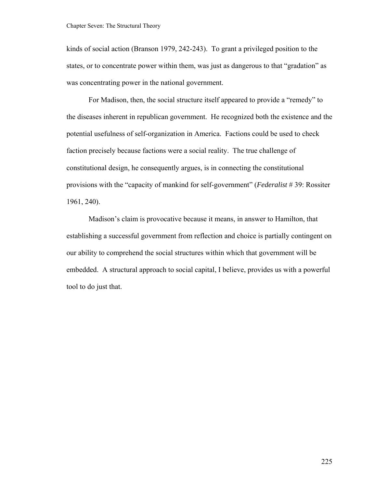kinds of social action (Branson 1979, 242-243). To grant a privileged position to the states, or to concentrate power within them, was just as dangerous to that "gradation" as was concentrating power in the national government.

For Madison, then, the social structure itself appeared to provide a "remedy" to the diseases inherent in republican government. He recognized both the existence and the potential usefulness of self-organization in America. Factions could be used to check faction precisely because factions were a social reality. The true challenge of constitutional design, he consequently argues, is in connecting the constitutional provisions with the "capacity of mankind for self-government" (*Federalist* # 39: Rossiter 1961, 240).

Madison's claim is provocative because it means, in answer to Hamilton, that establishing a successful government from reflection and choice is partially contingent on our ability to comprehend the social structures within which that government will be embedded. A structural approach to social capital, I believe, provides us with a powerful tool to do just that.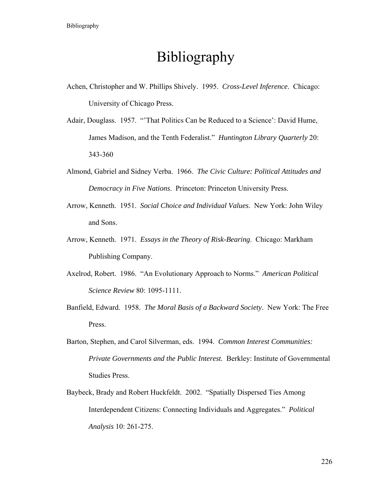# Bibliography

- Achen, Christopher and W. Phillips Shively. 1995. *Cross-Level Inference*. Chicago: University of Chicago Press.
- Adair, Douglass. 1957. "That Politics Can be Reduced to a Science': David Hume, James Madison, and the Tenth Federalist." *Huntington Library Quarterly* 20: 343-360
- Almond, Gabriel and Sidney Verba. 1966. *The Civic Culture: Political Attitudes and Democracy in Five Nations*. Princeton: Princeton University Press.
- Arrow, Kenneth. 1951. *Social Choice and Individual Values*. New York: John Wiley and Sons.
- Arrow, Kenneth. 1971. *Essays in the Theory of Risk-Bearing*. Chicago: Markham Publishing Company.
- Axelrod, Robert. 1986. "An Evolutionary Approach to Norms." *American Political Science Review* 80: 1095-1111.
- Banfield, Edward. 1958. *The Moral Basis of a Backward Society*. New York: The Free Press.
- Barton, Stephen, and Carol Silverman, eds. 1994. *Common Interest Communities: Private Governments and the Public Interest.* Berkley: Institute of Governmental Studies Press.
- Baybeck, Brady and Robert Huckfeldt. 2002. "Spatially Dispersed Ties Among Interdependent Citizens: Connecting Individuals and Aggregates." *Political Analysis* 10: 261-275.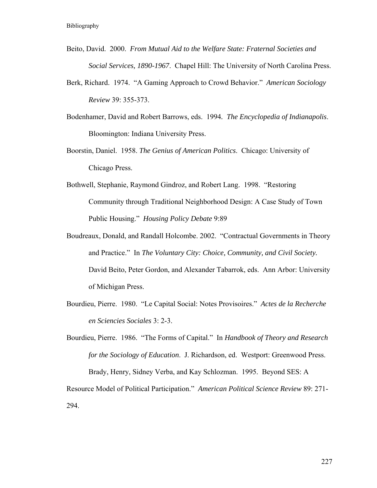- Beito, David. 2000. *From Mutual Aid to the Welfare State: Fraternal Societies and Social Services, 1890-1967*. Chapel Hill: The University of North Carolina Press.
- Berk, Richard. 1974. "A Gaming Approach to Crowd Behavior." *American Sociology Review* 39: 355-373.
- Bodenhamer, David and Robert Barrows, eds. 1994*. The Encyclopedia of Indianapolis*. Bloomington: Indiana University Press.
- Boorstin, Daniel. 1958. *The Genius of American Politics*. Chicago: University of Chicago Press.
- Bothwell, Stephanie, Raymond Gindroz, and Robert Lang. 1998. "Restoring Community through Traditional Neighborhood Design: A Case Study of Town Public Housing." *Housing Policy Debate* 9:89
- Boudreaux, Donald, and Randall Holcombe. 2002. "Contractual Governments in Theory and Practice." In *The Voluntary City: Choice, Community, and Civil Society.* David Beito, Peter Gordon, and Alexander Tabarrok, eds. Ann Arbor: University of Michigan Press.
- Bourdieu, Pierre. 1980. "Le Capital Social: Notes Provisoires." *Actes de la Recherche en Sciencies Sociales* 3: 2-3.
- Bourdieu, Pierre. 1986. "The Forms of Capital." In *Handbook of Theory and Research for the Sociology of Education*. J. Richardson, ed. Westport: Greenwood Press. Brady, Henry, Sidney Verba, and Kay Schlozman. 1995. Beyond SES: A

Resource Model of Political Participation." *American Political Science Review* 89: 271- 294.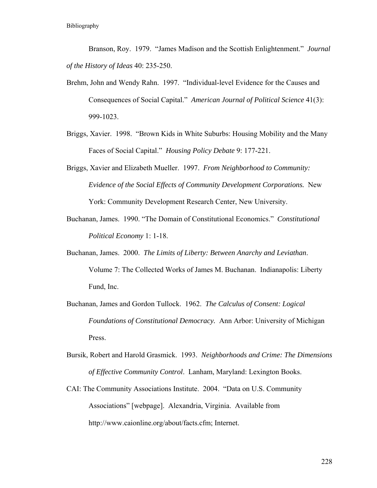Branson, Roy. 1979. "James Madison and the Scottish Enlightenment." *Journal of the History of Ideas* 40: 235-250.

- Brehm, John and Wendy Rahn. 1997. "Individual-level Evidence for the Causes and Consequences of Social Capital." *American Journal of Political Science* 41(3): 999-1023.
- Briggs, Xavier. 1998. "Brown Kids in White Suburbs: Housing Mobility and the Many Faces of Social Capital." *Housing Policy Debate* 9: 177-221.
- Briggs, Xavier and Elizabeth Mueller. 1997. *From Neighborhood to Community: Evidence of the Social Effects of Community Development Corporations.* New York: Community Development Research Center, New University.
- Buchanan, James. 1990. "The Domain of Constitutional Economics." *Constitutional Political Economy* 1: 1-18.
- Buchanan, James. 2000. *The Limits of Liberty: Between Anarchy and Leviathan*. Volume 7: The Collected Works of James M. Buchanan. Indianapolis: Liberty Fund, Inc.
- Buchanan, James and Gordon Tullock. 1962. *The Calculus of Consent: Logical Foundations of Constitutional Democracy.* Ann Arbor: University of Michigan Press.
- Bursik, Robert and Harold Grasmick. 1993. *Neighborhoods and Crime: The Dimensions of Effective Community Control*. Lanham, Maryland: Lexington Books.
- CAI: The Community Associations Institute. 2004. "Data on U.S. Community Associations" [webpage]. Alexandria, Virginia. Available from http://www.caionline.org/about/facts.cfm; Internet.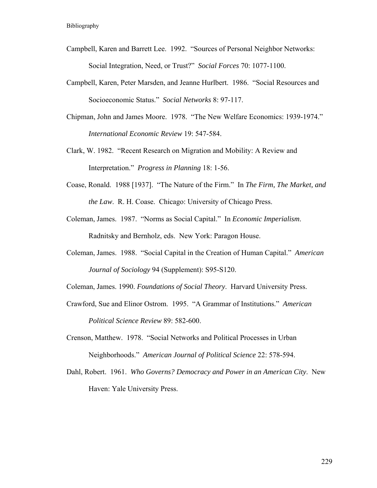- Campbell, Karen and Barrett Lee. 1992. "Sources of Personal Neighbor Networks: Social Integration, Need, or Trust?" *Social Forces* 70: 1077-1100.
- Campbell, Karen, Peter Marsden, and Jeanne Hurlbert. 1986. "Social Resources and Socioeconomic Status." *Social Networks* 8: 97-117.
- Chipman, John and James Moore. 1978. "The New Welfare Economics: 1939-1974." *International Economic Review* 19: 547-584.
- Clark, W. 1982. "Recent Research on Migration and Mobility: A Review and Interpretation." *Progress in Planning* 18: 1-56.
- Coase, Ronald. 1988 [1937]. "The Nature of the Firm." In *The Firm, The Market, and the Law*. R. H. Coase. Chicago: University of Chicago Press.
- Coleman, James. 1987. "Norms as Social Capital." In *Economic Imperialism*. Radnitsky and Bernholz, eds. New York: Paragon House.
- Coleman, James. 1988. "Social Capital in the Creation of Human Capital." *American Journal of Sociology* 94 (Supplement): S95-S120.
- Coleman, James. 1990. *Foundations of Social Theory*. Harvard University Press.
- Crawford, Sue and Elinor Ostrom. 1995. "A Grammar of Institutions." *American Political Science Review* 89: 582-600.
- Crenson, Matthew. 1978. "Social Networks and Political Processes in Urban Neighborhoods." *American Journal of Political Science* 22: 578-594.
- Dahl, Robert. 1961. *Who Governs? Democracy and Power in an American City*. New Haven: Yale University Press.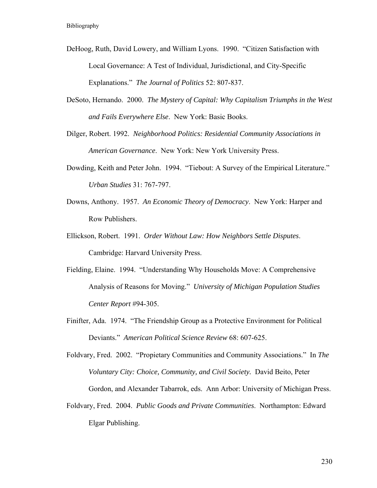- DeHoog, Ruth, David Lowery, and William Lyons. 1990. "Citizen Satisfaction with Local Governance: A Test of Individual, Jurisdictional, and City-Specific Explanations." *The Journal of Politics* 52: 807-837.
- DeSoto, Hernando. 2000. *The Mystery of Capital: Why Capitalism Triumphs in the West and Fails Everywhere Else*. New York: Basic Books.
- Dilger, Robert. 1992. *Neighborhood Politics: Residential Community Associations in American Governance*. New York: New York University Press.
- Dowding, Keith and Peter John. 1994. "Tiebout: A Survey of the Empirical Literature." *Urban Studies* 31: 767-797.
- Downs, Anthony. 1957. *An Economic Theory of Democracy*. New York: Harper and Row Publishers.
- Ellickson, Robert. 1991. *Order Without Law: How Neighbors Settle Disputes*. Cambridge: Harvard University Press.
- Fielding, Elaine. 1994. "Understanding Why Households Move: A Comprehensive Analysis of Reasons for Moving." *University of Michigan Population Studies Center Report* #94-305.
- Finifter, Ada. 1974. "The Friendship Group as a Protective Environment for Political Deviants." *American Political Science Review* 68: 607-625.

Foldvary, Fred. 2002. "Propietary Communities and Community Associations." In *The Voluntary City: Choice, Community, and Civil Society.* David Beito, Peter Gordon, and Alexander Tabarrok, eds. Ann Arbor: University of Michigan Press.

Foldvary, Fred. 2004. *Public Goods and Private Communities*. Northampton: Edward Elgar Publishing.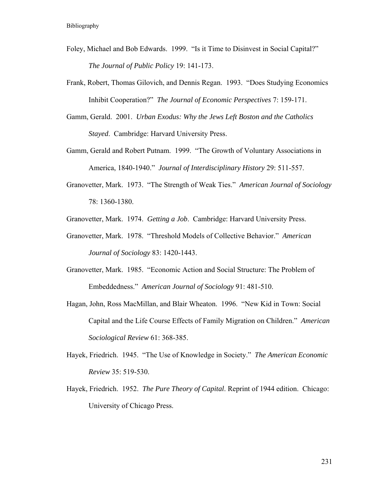- Foley, Michael and Bob Edwards. 1999. "Is it Time to Disinvest in Social Capital?" *The Journal of Public Policy* 19: 141-173.
- Frank, Robert, Thomas Gilovich, and Dennis Regan. 1993. "Does Studying Economics Inhibit Cooperation?" *The Journal of Economic Perspectives* 7: 159-171.
- Gamm, Gerald. 2001. *Urban Exodus: Why the Jews Left Boston and the Catholics Stayed*. Cambridge: Harvard University Press.
- Gamm, Gerald and Robert Putnam. 1999. "The Growth of Voluntary Associations in America, 1840-1940." *Journal of Interdisciplinary History* 29: 511-557.
- Granovetter, Mark. 1973. "The Strength of Weak Ties." *American Journal of Sociology* 78: 1360-1380.
- Granovetter, Mark. 1974. *Getting a Job*. Cambridge: Harvard University Press.
- Granovetter, Mark. 1978. "Threshold Models of Collective Behavior." *American Journal of Sociology* 83: 1420-1443.
- Granovetter, Mark. 1985. "Economic Action and Social Structure: The Problem of Embeddedness." *American Journal of Sociology* 91: 481-510.
- Hagan, John, Ross MacMillan, and Blair Wheaton. 1996. "New Kid in Town: Social Capital and the Life Course Effects of Family Migration on Children." *American Sociological Review* 61: 368-385.
- Hayek, Friedrich. 1945. "The Use of Knowledge in Society." *The American Economic Review* 35: 519-530.
- Hayek, Friedrich. 1952. *The Pure Theory of Capital*. Reprint of 1944 edition. Chicago: University of Chicago Press.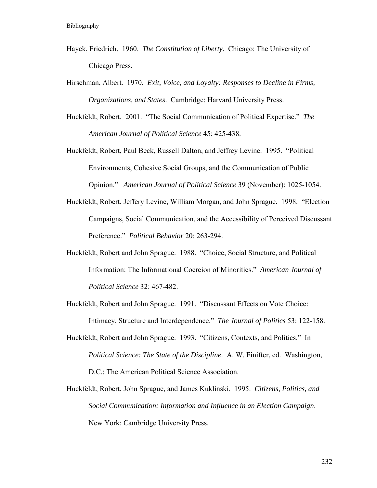- Hayek, Friedrich. 1960. *The Constitution of Liberty*. Chicago: The University of Chicago Press.
- Hirschman, Albert. 1970. *Exit, Voice, and Loyalty: Responses to Decline in Firms, Organizations, and States*. Cambridge: Harvard University Press.
- Huckfeldt, Robert. 2001. "The Social Communication of Political Expertise." *The American Journal of Political Science* 45: 425-438.
- Huckfeldt, Robert, Paul Beck, Russell Dalton, and Jeffrey Levine. 1995. "Political Environments, Cohesive Social Groups, and the Communication of Public Opinion." *American Journal of Political Science* 39 (November): 1025-1054.
- Huckfeldt, Robert, Jeffery Levine, William Morgan, and John Sprague. 1998. "Election Campaigns, Social Communication, and the Accessibility of Perceived Discussant Preference." *Political Behavior* 20: 263-294.
- Huckfeldt, Robert and John Sprague. 1988. "Choice, Social Structure, and Political Information: The Informational Coercion of Minorities." *American Journal of Political Science* 32: 467-482.
- Huckfeldt, Robert and John Sprague. 1991. "Discussant Effects on Vote Choice: Intimacy, Structure and Interdependence." *The Journal of Politics* 53: 122-158.
- Huckfeldt, Robert and John Sprague. 1993. "Citizens, Contexts, and Politics." In *Political Science: The State of the Discipline*. A. W. Finifter, ed. Washington, D.C.: The American Political Science Association.
- Huckfeldt, Robert, John Sprague, and James Kuklinski. 1995. *Citizens, Politics, and Social Communication: Information and Influence in an Election Campaign*. New York: Cambridge University Press.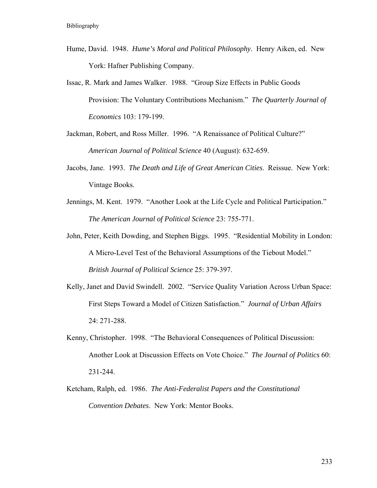- Hume, David. 1948. *Hume's Moral and Political Philosophy*. Henry Aiken, ed. New York: Hafner Publishing Company.
- Issac, R. Mark and James Walker. 1988. "Group Size Effects in Public Goods Provision: The Voluntary Contributions Mechanism." *The Quarterly Journal of Economics* 103: 179-199.

Jackman, Robert, and Ross Miller. 1996. "A Renaissance of Political Culture?" *American Journal of Political Science* 40 (August): 632-659.

- Jacobs, Jane. 1993. *The Death and Life of Great American Cities*. Reissue. New York: Vintage Books.
- Jennings, M. Kent. 1979. "Another Look at the Life Cycle and Political Participation." *The American Journal of Political Science* 23: 755-771.

John, Peter, Keith Dowding, and Stephen Biggs. 1995. "Residential Mobility in London: A Micro-Level Test of the Behavioral Assumptions of the Tiebout Model." *British Journal of Political Science* 25: 379-397.

- Kelly, Janet and David Swindell. 2002. "Service Quality Variation Across Urban Space: First Steps Toward a Model of Citizen Satisfaction." *Journal of Urban Affairs* 24: 271-288.
- Kenny, Christopher. 1998. "The Behavioral Consequences of Political Discussion: Another Look at Discussion Effects on Vote Choice." *The Journal of Politics* 60: 231-244.
- Ketcham, Ralph, ed. 1986. *The Anti-Federalist Papers and the Constitutional Convention Debates*. New York: Mentor Books.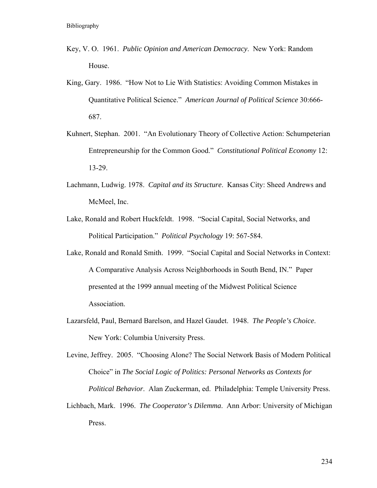- Key, V. O. 1961. *Public Opinion and American Democracy*. New York: Random House.
- King, Gary. 1986. "How Not to Lie With Statistics: Avoiding Common Mistakes in Quantitative Political Science." *American Journal of Political Science* 30:666- 687.
- Kuhnert, Stephan. 2001. "An Evolutionary Theory of Collective Action: Schumpeterian Entrepreneurship for the Common Good." *Constitutional Political Economy* 12: 13-29.
- Lachmann, Ludwig. 1978. *Capital and its Structure*. Kansas City: Sheed Andrews and McMeel, Inc.
- Lake, Ronald and Robert Huckfeldt. 1998. "Social Capital, Social Networks, and Political Participation." *Political Psychology* 19: 567-584.
- Lake, Ronald and Ronald Smith. 1999. "Social Capital and Social Networks in Context: A Comparative Analysis Across Neighborhoods in South Bend, IN." Paper presented at the 1999 annual meeting of the Midwest Political Science Association.
- Lazarsfeld, Paul, Bernard Barelson, and Hazel Gaudet. 1948. *The People's Choice*. New York: Columbia University Press.

Levine, Jeffrey. 2005. "Choosing Alone? The Social Network Basis of Modern Political Choice" in *The Social Logic of Politics: Personal Networks as Contexts for Political Behavior*. Alan Zuckerman, ed. Philadelphia: Temple University Press.

Lichbach, Mark. 1996. *The Cooperator's Dilemma*. Ann Arbor: University of Michigan Press.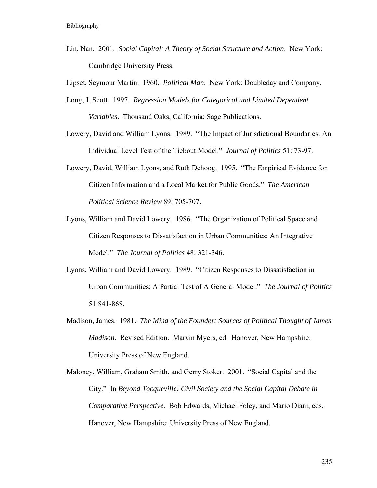Lin, Nan. 2001. *Social Capital: A Theory of Social Structure and Action*. New York: Cambridge University Press.

Lipset, Seymour Martin. 1960. *Political Man*. New York: Doubleday and Company.

- Long, J. Scott. 1997. *Regression Models for Categorical and Limited Dependent Variables*. Thousand Oaks, California: Sage Publications.
- Lowery, David and William Lyons. 1989. "The Impact of Jurisdictional Boundaries: An Individual Level Test of the Tiebout Model." *Journal of Politics* 51: 73-97.
- Lowery, David, William Lyons, and Ruth Dehoog. 1995. "The Empirical Evidence for Citizen Information and a Local Market for Public Goods." *The American Political Science Review* 89: 705-707.
- Lyons, William and David Lowery. 1986. "The Organization of Political Space and Citizen Responses to Dissatisfaction in Urban Communities: An Integrative Model." *The Journal of Politics* 48: 321-346.
- Lyons, William and David Lowery. 1989. "Citizen Responses to Dissatisfaction in Urban Communities: A Partial Test of A General Model." *The Journal of Politics* 51:841-868.
- Madison, James. 1981. *The Mind of the Founder: Sources of Political Thought of James Madison*. Revised Edition. Marvin Myers, ed. Hanover, New Hampshire: University Press of New England.
- Maloney, William, Graham Smith, and Gerry Stoker. 2001. "Social Capital and the City." In *Beyond Tocqueville: Civil Society and the Social Capital Debate in Comparative Perspective*. Bob Edwards, Michael Foley, and Mario Diani, eds. Hanover, New Hampshire: University Press of New England.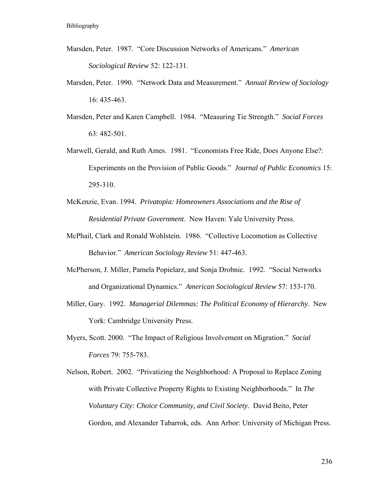- Marsden, Peter. 1987. "Core Discussion Networks of Americans." *American Sociological Review* 52: 122-131.
- Marsden, Peter. 1990. "Network Data and Measurement." *Annual Review of Sociology* 16: 435-463.
- Marsden, Peter and Karen Campbell. 1984. "Measuring Tie Strength." *Social Forces* 63: 482-501.
- Marwell, Gerald, and Ruth Ames. 1981. "Economists Free Ride, Does Anyone Else?: Experiments on the Provision of Public Goods." *Journal of Public Economics* 15: 295-310.
- McKenzie, Evan. 1994. *Privatopia: Homeowners Associations and the Rise of Residential Private Government*. New Haven: Yale University Press.
- McPhail, Clark and Ronald Wohlstein. 1986. "Collective Locomotion as Collective Behavior." *American Sociology Review* 51: 447-463.
- McPherson, J. Miller, Pamela Popielarz, and Sonja Drobnic. 1992. "Social Networks and Organizational Dynamics." *American Sociological Review* 57: 153-170.
- Miller, Gary. 1992. *Managerial Dilemmas: The Political Economy of Hierarchy*. New York: Cambridge University Press.
- Myers, Scott. 2000. "The Impact of Religious Involvement on Migration." *Social Forces* 79: 755-783.
- Nelson, Robert. 2002. "Privatizing the Neighborhood: A Proposal to Replace Zoning with Private Collective Property Rights to Existing Neighborhoods." In *The Voluntary City: Choice Community, and Civil Society*. David Beito, Peter Gordon, and Alexander Tabarrok, eds. Ann Arbor: University of Michigan Press.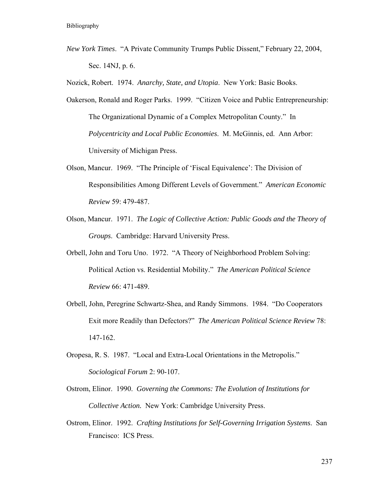*New York Times*. "A Private Community Trumps Public Dissent," February 22, 2004, Sec. 14NJ, p. 6.

Nozick, Robert. 1974. *Anarchy, State, and Utopia*. New York: Basic Books.

- Oakerson, Ronald and Roger Parks. 1999. "Citizen Voice and Public Entrepreneurship: The Organizational Dynamic of a Complex Metropolitan County." In *Polycentricity and Local Public Economies*. M. McGinnis, ed. Ann Arbor: University of Michigan Press.
- Olson, Mancur. 1969. "The Principle of 'Fiscal Equivalence': The Division of Responsibilities Among Different Levels of Government." *American Economic Review* 59: 479-487.
- Olson, Mancur. 1971. *The Logic of Collective Action: Public Goods and the Theory of Groups*. Cambridge: Harvard University Press.
- Orbell, John and Toru Uno. 1972. "A Theory of Neighborhood Problem Solving: Political Action vs. Residential Mobility." *The American Political Science Review* 66: 471-489.
- Orbell, John, Peregrine Schwartz-Shea, and Randy Simmons. 1984. "Do Cooperators Exit more Readily than Defectors?" *The American Political Science Review* 78: 147-162.
- Oropesa, R. S. 1987. "Local and Extra-Local Orientations in the Metropolis." *Sociological Forum* 2: 90-107.
- Ostrom, Elinor. 1990. *Governing the Commons: The Evolution of Institutions for Collective Action.* New York: Cambridge University Press.
- Ostrom, Elinor. 1992. *Crafting Institutions for Self-Governing Irrigation Systems*. San Francisco: ICS Press.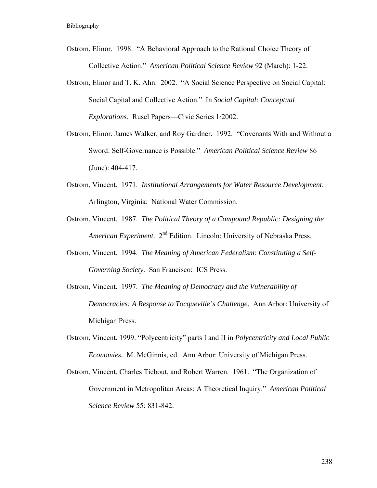- Ostrom, Elinor. 1998. "A Behavioral Approach to the Rational Choice Theory of Collective Action." *American Political Science Review* 92 (March): 1-22.
- Ostrom, Elinor and T. K. Ahn. 2002. "A Social Science Perspective on Social Capital: Social Capital and Collective Action." In *Social Capital: Conceptual Explorations*. Rusel Papers—Civic Series 1/2002.
- Ostrom, Elinor, James Walker, and Roy Gardner. 1992. "Covenants With and Without a Sword: Self-Governance is Possible." *American Political Science Review* 86 (June): 404-417.
- Ostrom, Vincent. 1971. *Institutional Arrangements for Water Resource Development*. Arlington, Virginia: National Water Commission.
- Ostrom, Vincent. 1987. *The Political Theory of a Compound Republic: Designing the American Experiment*. 2nd Edition. Lincoln: University of Nebraska Press.
- Ostrom, Vincent. 1994. *The Meaning of American Federalism: Constituting a Self-Governing Society.* San Francisco: ICS Press.
- Ostrom, Vincent. 1997. *The Meaning of Democracy and the Vulnerability of Democracies: A Response to Tocqueville's Challenge*. Ann Arbor: University of Michigan Press.
- Ostrom, Vincent. 1999. "Polycentricity" parts I and II in *Polycentricity and Local Public Economies.* M. McGinnis, ed. Ann Arbor: University of Michigan Press.
- Ostrom, Vincent, Charles Tiebout, and Robert Warren. 1961. "The Organization of Government in Metropolitan Areas: A Theoretical Inquiry." *American Political Science Review* 55: 831-842.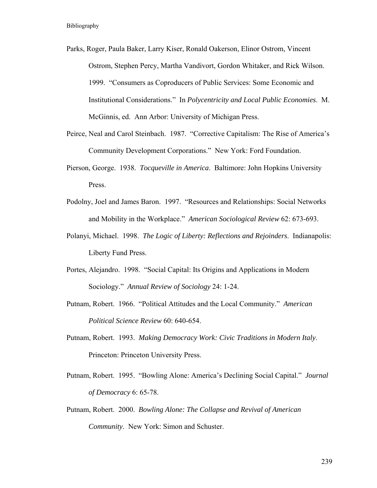- Parks, Roger, Paula Baker, Larry Kiser, Ronald Oakerson, Elinor Ostrom, Vincent Ostrom, Stephen Percy, Martha Vandivort, Gordon Whitaker, and Rick Wilson. 1999. "Consumers as Coproducers of Public Services: Some Economic and Institutional Considerations." In *Polycentricity and Local Public Economies*. M. McGinnis, ed. Ann Arbor: University of Michigan Press.
- Peirce, Neal and Carol Steinbach. 1987. "Corrective Capitalism: The Rise of America's Community Development Corporations." New York: Ford Foundation.
- Pierson, George. 1938. *Tocqueville in America*. Baltimore: John Hopkins University Press.
- Podolny, Joel and James Baron. 1997. "Resources and Relationships: Social Networks and Mobility in the Workplace." *American Sociological Review* 62: 673-693.
- Polanyi, Michael. 1998. *The Logic of Liberty: Reflections and Rejoinders*. Indianapolis: Liberty Fund Press.
- Portes, Alejandro. 1998. "Social Capital: Its Origins and Applications in Modern Sociology." *Annual Review of Sociology* 24: 1-24.
- Putnam, Robert. 1966. "Political Attitudes and the Local Community." *American Political Science Review* 60: 640-654.
- Putnam, Robert. 1993. *Making Democracy Work: Civic Traditions in Modern Italy*. Princeton: Princeton University Press.
- Putnam, Robert. 1995. "Bowling Alone: America's Declining Social Capital." *Journal of Democracy* 6: 65-78.
- Putnam, Robert. 2000. *Bowling Alone: The Collapse and Revival of American Community*. New York: Simon and Schuster.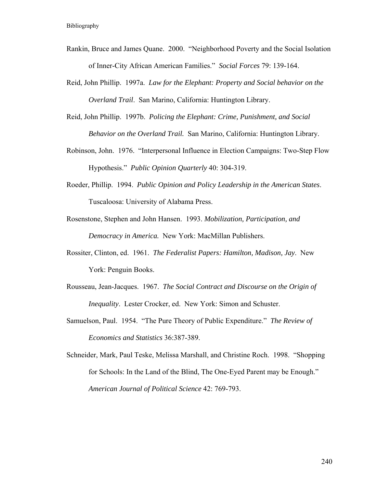- Rankin, Bruce and James Quane. 2000. "Neighborhood Poverty and the Social Isolation of Inner-City African American Families." *Social Forces* 79: 139-164.
- Reid, John Phillip. 1997a. *Law for the Elephant: Property and Social behavior on the Overland Trail*. San Marino, California: Huntington Library.
- Reid, John Phillip. 1997b. *Policing the Elephant: Crime, Punishment, and Social Behavior on the Overland Trail.* San Marino, California: Huntington Library.
- Robinson, John. 1976. "Interpersonal Influence in Election Campaigns: Two-Step Flow Hypothesis." *Public Opinion Quarterly* 40: 304-319.
- Roeder, Phillip. 1994. *Public Opinion and Policy Leadership in the American States*. Tuscaloosa: University of Alabama Press.
- Rosenstone, Stephen and John Hansen. 1993. *Mobilization, Participation, and Democracy in America.* New York: MacMillan Publishers.
- Rossiter, Clinton, ed. 1961. *The Federalist Papers: Hamilton, Madison, Jay*. New York: Penguin Books.
- Rousseau, Jean-Jacques. 1967. *The Social Contract and Discourse on the Origin of Inequality*. Lester Crocker, ed. New York: Simon and Schuster.
- Samuelson, Paul. 1954. "The Pure Theory of Public Expenditure." *The Review of Economics and Statistics* 36:387-389.
- Schneider, Mark, Paul Teske, Melissa Marshall, and Christine Roch. 1998. "Shopping for Schools: In the Land of the Blind, The One-Eyed Parent may be Enough." *American Journal of Political Science* 42: 769-793.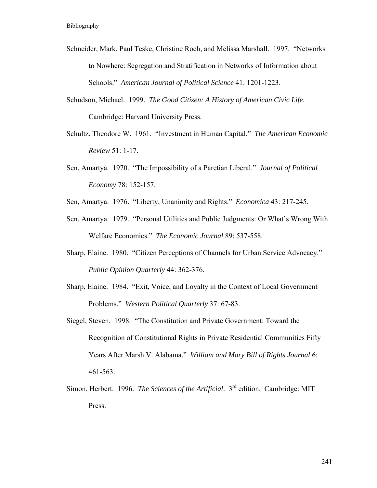- Schneider, Mark, Paul Teske, Christine Roch, and Melissa Marshall. 1997. "Networks to Nowhere: Segregation and Stratification in Networks of Information about Schools." *American Journal of Political Science* 41: 1201-1223.
- Schudson, Michael. 1999. *The Good Citizen: A History of American Civic Life*. Cambridge: Harvard University Press.
- Schultz, Theodore W. 1961. "Investment in Human Capital." *The American Economic Review* 51: 1-17.
- Sen, Amartya. 1970. "The Impossibility of a Paretian Liberal." *Journal of Political Economy* 78: 152-157.
- Sen, Amartya. 1976. "Liberty, Unanimity and Rights." *Economica* 43: 217-245.
- Sen, Amartya. 1979. "Personal Utilities and Public Judgments: Or What's Wrong With Welfare Economics." *The Economic Journal* 89: 537-558.
- Sharp, Elaine. 1980. "Citizen Perceptions of Channels for Urban Service Advocacy." *Public Opinion Quarterly* 44: 362-376.
- Sharp, Elaine. 1984. "Exit, Voice, and Loyalty in the Context of Local Government Problems." *Western Political Quarterly* 37: 67-83.
- Siegel, Steven. 1998. "The Constitution and Private Government: Toward the Recognition of Constitutional Rights in Private Residential Communities Fifty Years After Marsh V. Alabama." *William and Mary Bill of Rights Journal* 6: 461-563.
- Simon, Herbert. 1996. *The Sciences of the Artificial*. 3rd edition. Cambridge: MIT Press.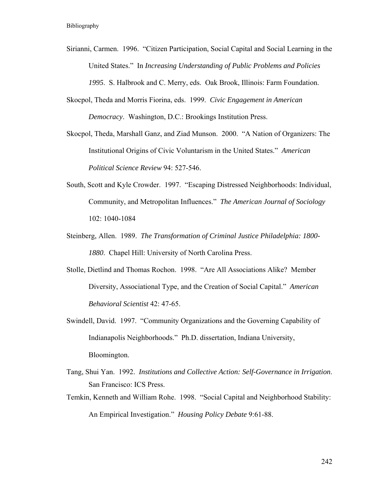- Sirianni, Carmen. 1996. "Citizen Participation, Social Capital and Social Learning in the United States." In *Increasing Understanding of Public Problems and Policies 1995*. S. Halbrook and C. Merry, eds. Oak Brook, Illinois: Farm Foundation.
- Skocpol, Theda and Morris Fiorina, eds. 1999. *Civic Engagement in American Democracy*. Washington, D.C.: Brookings Institution Press.
- Skocpol, Theda, Marshall Ganz, and Ziad Munson. 2000. "A Nation of Organizers: The Institutional Origins of Civic Voluntarism in the United States." *American Political Science Review* 94: 527-546.
- South, Scott and Kyle Crowder. 1997. "Escaping Distressed Neighborhoods: Individual, Community, and Metropolitan Influences." *The American Journal of Sociology* 102: 1040-1084
- Steinberg, Allen. 1989. *The Transformation of Criminal Justice Philadelphia: 1800- 1880*. Chapel Hill: University of North Carolina Press.
- Stolle, Dietlind and Thomas Rochon. 1998. "Are All Associations Alike? Member Diversity, Associational Type, and the Creation of Social Capital." *American Behavioral Scientist* 42: 47-65.
- Swindell, David. 1997. "Community Organizations and the Governing Capability of Indianapolis Neighborhoods." Ph.D. dissertation, Indiana University, Bloomington.
- Tang, Shui Yan. 1992. *Institutions and Collective Action: Self-Governance in Irrigation*. San Francisco: ICS Press.
- Temkin, Kenneth and William Rohe. 1998. "Social Capital and Neighborhood Stability: An Empirical Investigation." *Housing Policy Debate* 9:61-88.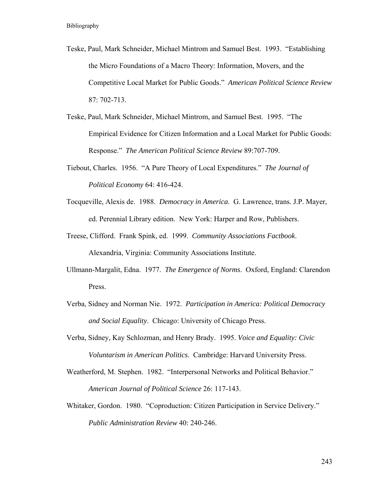- Teske, Paul, Mark Schneider, Michael Mintrom and Samuel Best. 1993. "Establishing the Micro Foundations of a Macro Theory: Information, Movers, and the Competitive Local Market for Public Goods." *American Political Science Review*  87: 702-713.
- Teske, Paul, Mark Schneider, Michael Mintrom, and Samuel Best. 1995. "The Empirical Evidence for Citizen Information and a Local Market for Public Goods: Response." *The American Political Science Review* 89:707-709.
- Tiebout, Charles. 1956. "A Pure Theory of Local Expenditures." *The Journal of Political Economy* 64: 416-424.
- Tocqueville, Alexis de. 1988. *Democracy in America*. G. Lawrence, trans. J.P. Mayer, ed. Perennial Library edition. New York: Harper and Row, Publishers.
- Treese, Clifford. Frank Spink, ed. 1999. *Community Associations Factbook*. Alexandria, Virginia: Community Associations Institute.
- Ullmann-Margalit, Edna. 1977. *The Emergence of Norms*. Oxford, England: Clarendon Press.
- Verba, Sidney and Norman Nie. 1972. *Participation in America: Political Democracy and Social Equality*. Chicago: University of Chicago Press.
- Verba, Sidney, Kay Schlozman, and Henry Brady. 1995. *Voice and Equality: Civic Voluntarism in American Politics*. Cambridge: Harvard University Press.
- Weatherford, M. Stephen. 1982. "Interpersonal Networks and Political Behavior." *American Journal of Political Science* 26: 117-143.
- Whitaker, Gordon. 1980. "Coproduction: Citizen Participation in Service Delivery." *Public Administration Review* 40: 240-246.